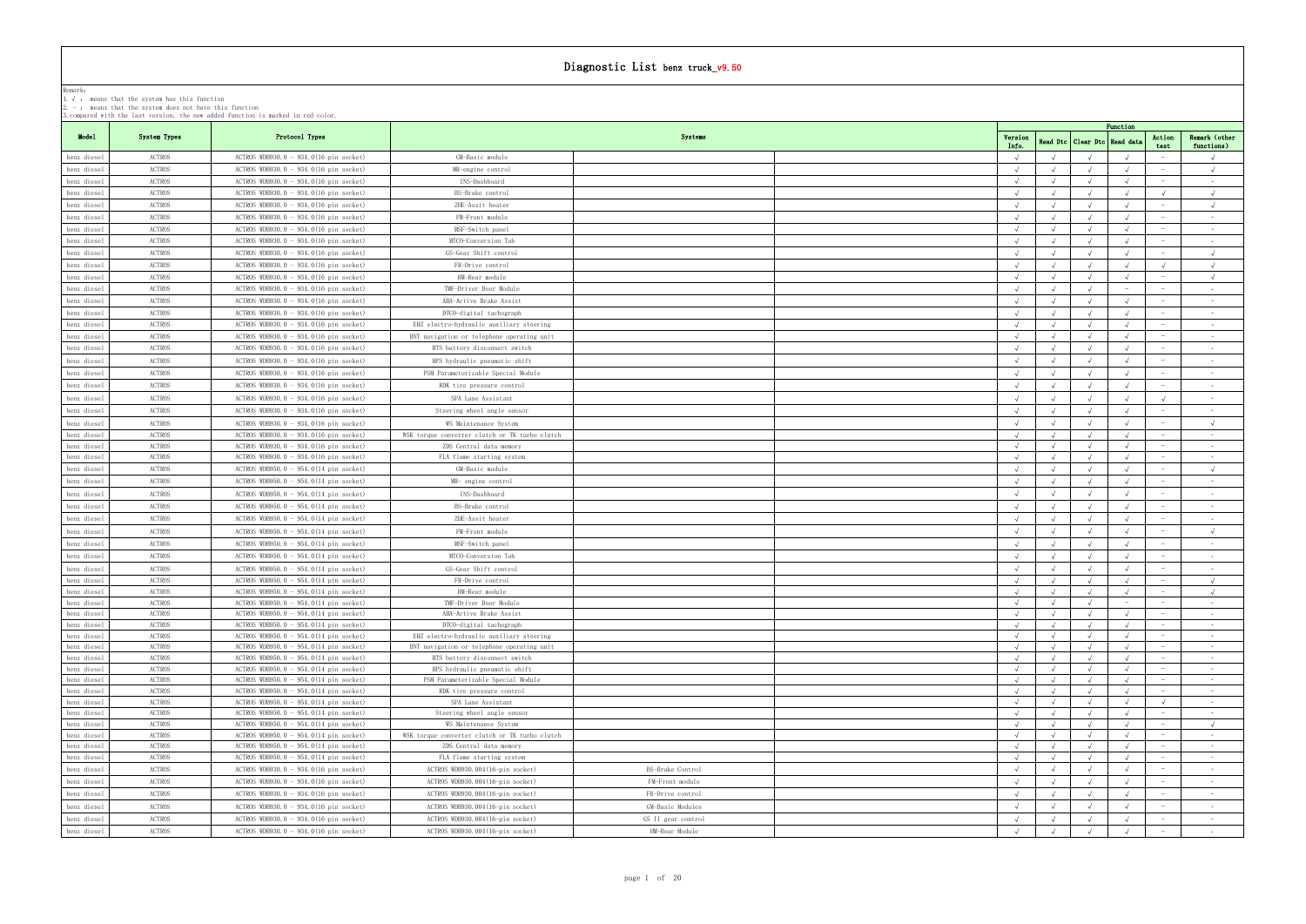|  |  |  |  |  |  |  |  |  | 3. compared with the last version, the new added function is marked in red color. |  |  |  |  |  |  |
|--|--|--|--|--|--|--|--|--|-----------------------------------------------------------------------------------|--|--|--|--|--|--|
|--|--|--|--|--|--|--|--|--|-----------------------------------------------------------------------------------|--|--|--|--|--|--|

|                            | г. у . - шеанэ снас сне этэсеш наэ снтэ танестон<br>2. $-$ : means that the system does not have this function | 3. compared with the last version, the new added function is marked in red color. |                                                                |                    |            |                                 |            |                                 |                      |
|----------------------------|----------------------------------------------------------------------------------------------------------------|-----------------------------------------------------------------------------------|----------------------------------------------------------------|--------------------|------------|---------------------------------|------------|---------------------------------|----------------------|
|                            |                                                                                                                |                                                                                   |                                                                |                    |            |                                 | Function   |                                 |                      |
| Model                      | System Types                                                                                                   | Protocol Types                                                                    |                                                                | Systems            | Version    | Read Dtc   Clear Dtc   Read dat |            | Action                          | Remark (other        |
|                            | ACTROS                                                                                                         | ACTROS WDB930.0 - 934.0(16 pin socket)                                            | GM-Basic module                                                |                    | Info.      |                                 |            | test                            | functions)           |
| benz diesel<br>benz diesel | ACTROS                                                                                                         | ACTROS WDB930.0 - 934.0(16 pin socket)                                            | MR-engine control                                              |                    |            |                                 |            |                                 |                      |
| benz diesel                | ACTROS                                                                                                         | ACTROS WDB930.0 - 934.0(16 pin socket)                                            | INS-Dashboard                                                  |                    | $\sqrt{ }$ |                                 |            |                                 | $\sim$               |
| benz diesel                | ACTROS                                                                                                         | ACTROS WDB930.0 - 934.0(16 pin socket)                                            | BS-Brake control                                               |                    |            |                                 |            | $\sqrt{ }$                      | $\sqrt{ }$           |
| benz diesel                | ACTROS                                                                                                         | ACTROS WDB930.0 - 934.0(16 pin socket)                                            | ZHE-Assit heater                                               |                    |            |                                 |            |                                 | $\sqrt{ }$           |
| benz diesel                | ACTROS                                                                                                         | ACTROS WDB930.0 - 934.0(16 pin socket)                                            | FM-Front module                                                |                    | $\sqrt{ }$ |                                 |            |                                 | $\sim 10^{-11}$      |
| benz diesel                | ACTROS                                                                                                         | ACTROS WDB930.0 - 934.0(16 pin socket)                                            | MSF-Switch panel                                               |                    |            |                                 |            | $\overline{\phantom{0}}$        | <b>Contract</b>      |
| benz diesel                | ACTROS                                                                                                         | ACTROS WDB930.0 - 934.0(16 pin socket)                                            | MTCO-Conversion Tab                                            |                    | $\sqrt{ }$ |                                 |            |                                 | $\sim$ $-$           |
| benz diesel                | ACTROS                                                                                                         | ACTROS WDB930.0 - 934.0(16 pin socket)                                            | GS-Gear Shift control                                          |                    |            |                                 |            |                                 | $\sqrt{ }$           |
| benz diesel                | ACTROS                                                                                                         | ACTROS WDB930.0 - 934.0(16 pin socket)                                            | FR-Drive control                                               |                    |            |                                 |            |                                 | $\sqrt{ }$           |
| benz diesel                | ACTROS                                                                                                         | ACTROS WDB930.0 - 934.0(16 pin socket)                                            | HM-Rear module                                                 |                    |            |                                 |            |                                 | $\sqrt{ }$           |
| benz diesel                | ACTROS                                                                                                         | ACTROS WDB930.0 - 934.0(16 pin socket)                                            | TMF-Driver Door Module                                         |                    | $\sqrt{ }$ |                                 |            |                                 | $\sim 10^{-11}$      |
| benz diesel                | ACTROS                                                                                                         | ACTROS WDB930.0 - 934.0(16 pin socket)                                            | ABA-Active Brake Assist                                        |                    |            | $\sqrt{ }$                      |            | $\hspace{0.1mm}-\hspace{0.1mm}$ | $\sim 10^{-11}$      |
| benz diesel                | ACTROS                                                                                                         | ACTROS WDB930.0 - 934.0(16 pin socket)                                            | DTCO-digital tachograph                                        |                    |            |                                 |            |                                 | $\sim$ $-$           |
| benz diesel                | ACTROS                                                                                                         | ACTROS WDB930.0 - 934.0(16 pin socket)                                            | EHZ electro-hydraulic auxiliary steering                       |                    | $\sqrt{ }$ | $\sqrt{ }$                      |            |                                 | <b>Contract</b>      |
| benz diesel                | ACTROS                                                                                                         | ACTROS WDB930.0 - 934.0(16 pin socket)                                            | BNT navigation or telephone operating unit                     |                    | $\sqrt{ }$ |                                 |            |                                 | <b>Contract</b>      |
| benz diesel                | ACTROS                                                                                                         | ACTROS WDB930.0 - 934.0(16 pin socket)                                            | BTS battery disconnect switch                                  |                    | √          |                                 |            |                                 | $\sim$ $-$           |
| benz diesel                | ACTROS                                                                                                         | ACTROS WDB930.0 - 934.0(16 pin socket)                                            | HPS hydraulic pneumatic shift                                  |                    |            |                                 |            |                                 | $\sim 100$           |
| benz diesel                | ACTROS                                                                                                         | ACTROS WDB930.0 - 934.0(16 pin socket)                                            | PSM Parameterizable Special Module                             |                    |            |                                 |            |                                 | $\sim$ $-$           |
| benz diesel                | ACTROS                                                                                                         | ACTROS WDB930.0 - 934.0(16 pin socket)                                            | RDK tire pressure control                                      |                    |            |                                 |            |                                 | $\sim$ $-$           |
| benz diesel                | ACTROS                                                                                                         | ACTROS WDB930.0 - 934.0(16 pin socket)                                            | SPA Lane Assistant                                             |                    | $\sqrt{ }$ |                                 |            | $\sqrt{ }$                      | $\sim$ $-$           |
| benz diesel                | ACTROS                                                                                                         | ACTROS WDB930.0 - 934.0(16 pin socket)                                            | Steering wheel angle sensor                                    |                    | $\sqrt{ }$ |                                 |            | $\sim$                          | $\sim$ $-$           |
| benz diesel                | ACTROS                                                                                                         | ACTROS WDB930.0 - 934.0(16 pin socket)                                            | WS Maintenance System                                          |                    |            |                                 |            |                                 | $\sqrt{ }$           |
| benz diesel                | ACTROS                                                                                                         | ACTROS WDB930.0 - 934.0(16 pin socket)                                            | WSK torque converter clutch or TK turbo clutch                 |                    |            |                                 |            |                                 | $\sim 100$           |
| benz diesel                | ACTROS                                                                                                         | ACTROS WDB930.0 - 934.0(16 pin socket)                                            | ZDS Central data memory                                        |                    |            |                                 |            |                                 | $\sim 10^{-11}$      |
| benz diesel                | ACTROS                                                                                                         | ACTROS WDB930.0 - 934.0(16 pin socket)                                            | FLA flame starting system                                      |                    |            |                                 |            |                                 | $\sim$ $-$           |
| benz diesel                | ACTROS                                                                                                         | ACTROS WDB950.0 - 954.0(14 pin socket)                                            | GM-Basic module                                                |                    |            |                                 |            |                                 | $\sqrt{ }$           |
| benz diesel                | ACTROS                                                                                                         | ACTROS WDB950.0 - 954.0(14 pin socket)                                            | MR- engine control                                             |                    |            |                                 |            |                                 | $\sim$               |
| benz diesel                | ACTROS                                                                                                         | ACTROS WDB950.0 - 954.0(14 pin socket)                                            | INS-Dashboard                                                  |                    | $\sqrt{ }$ | $\sqrt{ }$                      |            |                                 | $\sim$ $-$           |
| benz diesel                | ACTROS                                                                                                         | ACTROS WDB950.0 - 954.0(14 pin socket)                                            | BS-Brake control                                               |                    |            |                                 |            |                                 | $\sim$ $-$           |
| benz diesel                | ACTROS                                                                                                         | ACTROS WDB950.0 - 954.0(14 pin socket)                                            | ZHE-Assit heater                                               |                    |            |                                 |            |                                 | $\sim$               |
| benz diesel                | ACTROS                                                                                                         | ACTROS WDB950.0 - 954.0(14 pin socket)                                            | FM-Front module                                                |                    |            |                                 |            |                                 | $\sqrt{ }$           |
| benz diesel                | ACTROS                                                                                                         | ACTROS WDB950.0 - 954.0(14 pin socket)                                            | MSF-Switch panel                                               |                    |            |                                 |            |                                 | $\sim$ $-$           |
| benz diesel                | ACTROS                                                                                                         | ACTROS WDB950.0 - 954.0(14 pin socket)                                            | MTCO-Conversion Tab                                            |                    |            |                                 |            |                                 | $\sim$               |
| benz diesel                | ACTROS                                                                                                         | ACTROS WDB950.0 - 954.0(14 pin socket)                                            | GS-Gear Shift control                                          |                    |            |                                 |            |                                 | $\sim$ $-$           |
| benz diesel                | ACTROS                                                                                                         | ACTROS WDB950.0 - 954.0(14 pin socket)                                            | FR-Drive control                                               |                    |            |                                 |            |                                 | $\sqrt{ }$           |
| henz diesel                | <b>ACTROS</b>                                                                                                  | $ACTROS$ WDB950.0 - 954.0(14 pin socket)                                          | HM-Rear module                                                 |                    |            |                                 |            |                                 |                      |
| benz diesel                | ACTROS                                                                                                         | ACTROS WDB950.0 - 954.0(14 pin socket)                                            | TMF-Driver Door Module                                         |                    |            |                                 |            |                                 | $\sim$ $-$           |
| benz diesel                | ACTROS                                                                                                         | ACTROS WDB950.0 - 954.0(14 pin socket)                                            | ABA-Active Brake Assist                                        |                    |            |                                 |            |                                 | $\sim$               |
| benz diesel                | ACTROS                                                                                                         | ACTROS WDB950.0 - 954.0(14 pin socket)                                            | DTCO-digital tachograph                                        |                    | $\sqrt{ }$ |                                 |            |                                 | $\sim 10^{-11}$      |
| benz diesel                | ACTROS                                                                                                         | ACTROS WDB950.0 - 954.0(14 pin socket)                                            | EHZ electro-hydraulic auxiliary steering                       |                    | $\sqrt{ }$ | $\sqrt{ }$                      | $\sqrt{ }$ |                                 | $\sim$               |
| benz diesel                | ACTROS                                                                                                         | ACTROS WDB950.0 - 954.0(14 pin socket)                                            | BNT navigation or telephone operating unit                     |                    |            |                                 |            |                                 | $\sim$ $-$           |
| benz diesel<br>benz diesel | ACTROS<br>ACTROS                                                                                               | ACTROS WDB950.0 - 954.0(14 pin socket)<br>ACTROS WDB950.0 - 954.0(14 pin socket)  | BTS battery disconnect switch<br>HPS hydraulic pneumatic shift |                    |            |                                 |            |                                 | $\sim$ $-$<br>$\sim$ |
| benz diesel                | ACTROS                                                                                                         | ACTROS WDB950.0 - 954.0(14 pin socket)                                            | PSM Parameterizable Special Module                             |                    |            |                                 |            |                                 | $\sim$ $-$           |
| benz diesel                | ACTROS                                                                                                         | ACTROS WDB950.0 - 954.0(14 pin socket)                                            | RDK tire pressure control                                      |                    |            |                                 |            |                                 | $\sim 10^{-11}$      |
| benz diesel                | ACTROS                                                                                                         | ACTROS WDB950.0 - 954.0(14 pin socket)                                            | SPA Lane Assistant                                             |                    |            |                                 |            |                                 | $\sim$ $-$           |
| benz diesel                | ACTROS                                                                                                         | ACTROS WDB950.0 - 954.0(14 pin socket)                                            | Steering wheel angle sensor                                    |                    |            |                                 |            | $\overline{\phantom{0}}$        | $\sim 100$           |
| benz diesel                | ACTROS                                                                                                         | ACTROS WDB950.0 - 954.0(14 pin socket)                                            | WS Maintenance System                                          |                    |            |                                 |            |                                 | $\sqrt{ }$           |
| benz diesel                | ACTROS                                                                                                         | ACTROS WDB950.0 - 954.0(14 pin socket)                                            | WSK torque converter clutch or TK turbo clutch                 |                    | $\sqrt{ }$ |                                 |            | $\overline{\phantom{a}}$        | $\sim 10^{-11}$      |
| benz diesel                | ACTROS                                                                                                         | ACTROS WDB950.0 - 954.0(14 pin socket)                                            | ZDS Central data memory                                        |                    | $\sqrt{ }$ | $\sqrt{ }$                      |            | $\overline{\phantom{a}}$        | $\sim 100$           |
| benz diesel                | ACTROS                                                                                                         | ACTROS WDB950.0 - 954.0(14 pin socket)                                            | FLA flame starting system                                      |                    |            |                                 |            |                                 | $\sim 10^{-11}$      |
| benz diesel                | ACTROS                                                                                                         | ACTROS WDB930.0 - 934.0(16 pin socket)                                            | ACTROS WDB930.004(16-pin socket)                               | BS-Brake Control   |            |                                 |            |                                 | $\sim$               |
| benz diesel                | ACTROS                                                                                                         | ACTROS WDB930.0 - 934.0(16 pin socket)                                            | ACTROS WDB930.004(16-pin socket)                               | FM-Front module    |            |                                 |            |                                 | $\sim$ $-$           |
| benz diesel                | ACTROS                                                                                                         | ACTROS WDB930.0 - 934.0(16 pin socket)                                            | ACTROS WDB930.004(16-pin socket)                               | FR-Drive control   |            |                                 |            |                                 | $\sim$               |
| benz diesel                | ACTROS                                                                                                         | ACTROS WDB930.0 - 934.0(16 pin socket)                                            | ACTROS WDB930.004(16-pin socket)                               | GM-Basic Modules   | $\sqrt{ }$ |                                 |            |                                 | $\sim$ $-$           |
| benz diesel                | ACTROS                                                                                                         | ACTROS WDB930.0 - 934.0(16 pin socket)                                            | ACTROS WDB930.004(16-pin socket)                               | GS II gear control |            |                                 |            |                                 | $\sim$ $-$           |
| benz diesel                | ACTROS                                                                                                         | ACTROS WDB930.0 - 934.0(16 pin socket)                                            | ACTROS WDB930.004(16-pin socket)                               | HM-Rear Module     |            |                                 |            |                                 | $\sim$               |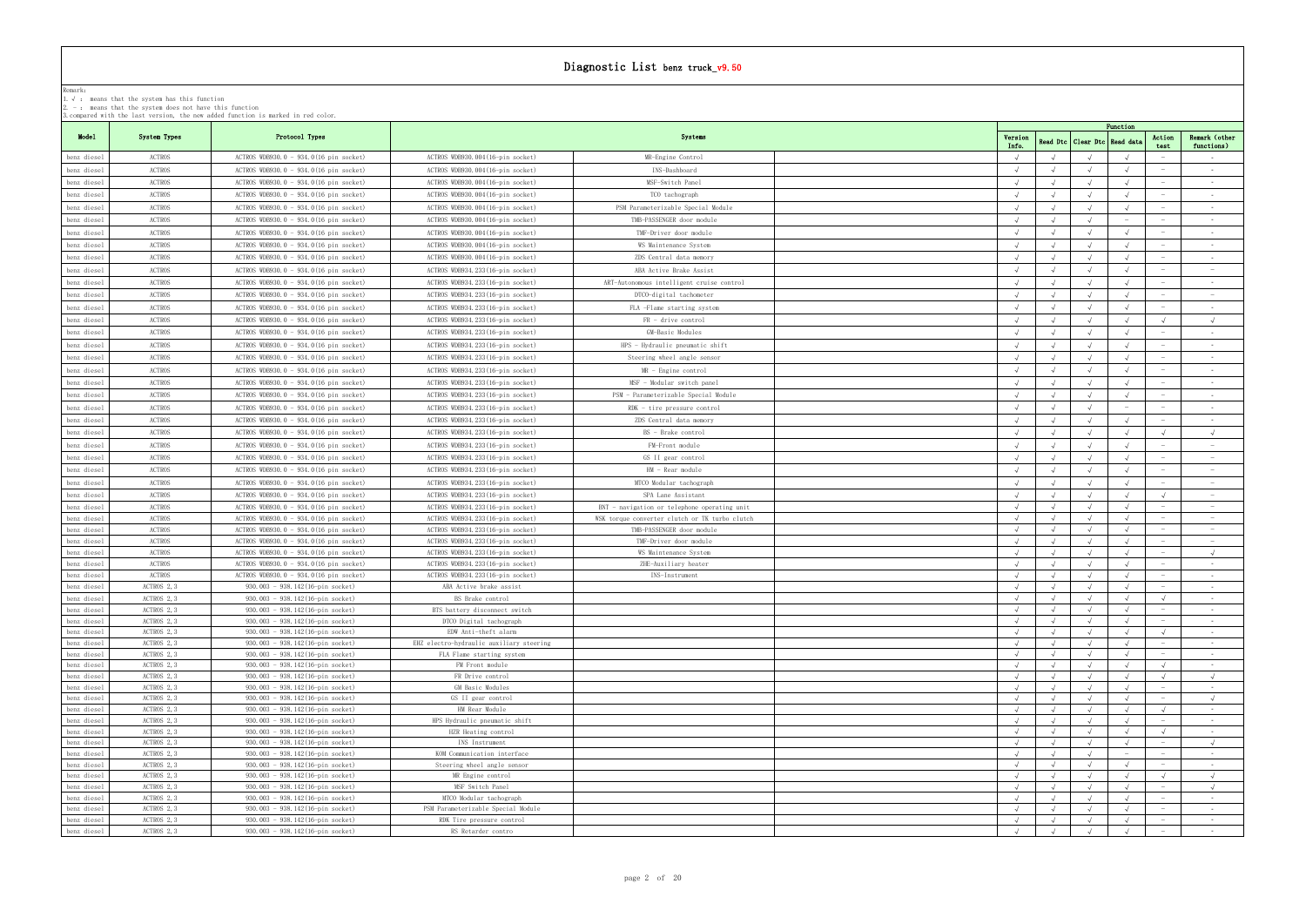| Model                      |                  |                                                                                  |                                                                      |                                                     |                          |            |                                  |            |                                 |                          |
|----------------------------|------------------|----------------------------------------------------------------------------------|----------------------------------------------------------------------|-----------------------------------------------------|--------------------------|------------|----------------------------------|------------|---------------------------------|--------------------------|
|                            | System Types     | Protocol Types                                                                   |                                                                      | Systems                                             | Version                  |            | Read Dtc   Clear Dtc   Read data | Function   | Action                          | Remark (other            |
| benz diesel                | ACTROS           | ACTROS WDB930.0 - 934.0(16 pin socket)                                           | ACTROS WDB930.004(16-pin socket)                                     | MR-Engine Control                                   | Info.                    |            |                                  |            | test                            | functions)<br>$\sim$     |
| benz diesel                | <b>ACTROS</b>    | ACTROS WDB930.0 - 934.0(16 pin socket)                                           | ACTROS WDB930.004(16-pin socket)                                     | INS-Dashboard                                       |                          |            |                                  |            |                                 | $\sim$ $-$               |
|                            |                  |                                                                                  |                                                                      |                                                     |                          |            |                                  |            |                                 | $\sim$                   |
| benz diesel                | ACTROS           | ACTROS WDB930.0 - 934.0(16 pin socket)                                           | ACTROS WDB930.004(16-pin socket)                                     | MSF-Switch Panel                                    |                          |            |                                  |            |                                 |                          |
| benz diesel                | ACTROS           | ACTROS WDB930.0 - 934.0(16 pin socket)                                           | ACTROS WDB930.004(16-pin socket)                                     | TCO tachograph                                      |                          |            |                                  |            |                                 | $\sim$ $-$               |
| benz diesel                | ACTROS           | $ACTROS$ WDB930.0 - 934.0(16 pin socket)                                         | ACTROS WDB930.004(16-pin socket)                                     | PSM Parameterizable Special Module                  |                          |            |                                  |            |                                 | $\sim$ $-$               |
| benz diesel                | <b>ACTROS</b>    | ACTROS WDB930.0 - 934.0(16 pin socket)                                           | ACTROS WDB930.004(16-pin socket)                                     | TMB-PASSENGER door module                           |                          |            |                                  |            |                                 | $\sim$                   |
| benz diesel                | <b>ACTROS</b>    | ACTROS WDB930.0 - 934.0(16 pin socket)                                           | ACTROS WDB930.004(16-pin socket)                                     | TMF-Driver door module                              |                          |            |                                  |            |                                 | $\sim$                   |
| benz diesel                | <b>ACTROS</b>    | ACTROS WDB930.0 - 934.0(16 pin socket)                                           | ACTROS WDB930.004(16-pin socket)                                     | WS Maintenance System                               |                          |            |                                  |            |                                 | $\sim$                   |
| benz diesel                | ACTROS           | ACTROS WDB930.0 - 934.0(16 pin socket)                                           | ACTROS WDB930.004(16-pin socket)                                     | ZDS Central data memory                             |                          |            |                                  |            |                                 | $\sim$ $-$               |
| benz diesel                | ACTROS           | ACTROS WDB930.0 - 934.0(16 pin socket)                                           | ACTROS WDB934.233(16-pin socket)                                     | ABA Active Brake Assist                             |                          |            |                                  |            | $\sim$                          | $\sim$                   |
| benz diesel                | <b>ACTROS</b>    | ACTROS WDB930.0 - 934.0(16 pin socket)                                           | ACTROS WDB934.233(16-pin socket)                                     | ART-Autonomous intelligent cruise control           |                          |            |                                  |            | $\overline{\phantom{a}}$        | $\sim$                   |
| benz diesel                | ACTROS           | ACTROS WDB930.0 - 934.0(16 pin socket)                                           | ACTROS WDB934.233(16-pin socket)                                     | DTCO-digital tachometer                             |                          |            |                                  |            |                                 | $\sim$                   |
| benz diesel                | ACTROS           | ACTROS WDB930.0 - 934.0(16 pin socket)                                           | ACTROS WDB934.233(16-pin socket)                                     | FLA -Flame starting system                          |                          |            |                                  |            |                                 | $\sim$                   |
| benz diesel                | ACTROS           | ACTROS WDB930.0 - 934.0(16 pin socket)                                           | ACTROS WDB934.233(16-pin socket)                                     | $FR - drive control$                                |                          |            |                                  |            |                                 | $\sqrt{ }$               |
|                            |                  | ACTROS WDB930.0 - 934.0(16 pin socket)                                           |                                                                      |                                                     |                          |            |                                  |            |                                 | $\sim$ $-$               |
| benz diesel                | ACTROS           |                                                                                  | ACTROS WDB934.233(16-pin socket)                                     | GM-Basic Modules                                    |                          |            |                                  |            |                                 |                          |
| benz diesel                | <b>ACTROS</b>    | ACTROS WDB930.0 - 934.0(16 pin socket)                                           | ACTROS WDB934.233(16-pin socket)                                     | HPS - Hydraulic pneumatic shift                     |                          |            |                                  |            |                                 | $\sim$                   |
| benz diesel                | <b>ACTROS</b>    | ACTROS WDB930.0 - 934.0(16 pin socket)                                           | ACTROS WDB934.233(16-pin socket)                                     | Steering wheel angle sensor                         |                          |            |                                  |            |                                 | $\sim$ $-$               |
| benz diesel                | ACTROS           | ACTROS WDB930.0 - 934.0(16 pin socket)                                           | ACTROS WDB934.233(16-pin socket)                                     | $MR$ - Engine control                               |                          |            |                                  |            |                                 | $\sim$                   |
| benz diesel                | ACTROS           | ACTROS WDB930.0 - 934.0(16 pin socket)                                           | ACTROS WDB934.233(16-pin socket)                                     | MSF - Modular switch panel                          |                          |            |                                  |            |                                 | $\sim$ $-$               |
| benz diesel                | ACTROS           | ACTROS WDB930.0 - 934.0(16 pin socket)                                           | ACTROS WDB934.233(16-pin socket)                                     | - PSM - Parameterizable Special Module              |                          |            |                                  |            | $\sim$                          | $\sim$ $-$               |
| benz diesel                | ACTROS           | ACTROS WDB930.0 - 934.0(16 pin socket)                                           | ACTROS WDB934.233(16-pin socket)                                     | $RDK - tire pressure control$                       |                          |            |                                  |            | $\sim$                          | $\sim$ $-$               |
| benz diesel                | ACTROS           | ACTROS WDB930.0 - 934.0(16 pin socket)                                           | ACTROS WDB934.233(16-pin socket)                                     | ZDS Central data memory                             |                          |            |                                  |            |                                 | $\sim$ $-$               |
| benz diesel                | ACTROS           | ACTROS WDB930.0 - 934.0(16 pin socket)                                           | ACTROS WDB934.233(16-pin socket)                                     | BS - Brake control                                  |                          |            |                                  |            |                                 |                          |
| benz diesel                | ACTROS           | ACTROS WDB930.0 - 934.0(16 pin socket)                                           | ACTROS WDB934.233(16-pin socket)                                     | FM-Front module                                     |                          |            |                                  |            |                                 | $\sim$                   |
| benz diesel                | ACTROS           | $ACTROS WDB930.0 - 934.0(16 pin socket)$                                         | ACTROS WDB934.233(16-pin socket)                                     | GS II gear control                                  |                          |            |                                  |            |                                 | $\sim$                   |
| benz diesel                | <b>ACTROS</b>    | ACTROS WDB930.0 - 934.0(16 pin socket)                                           | ACTROS WDB934.233(16-pin socket)                                     | HM - Rear module                                    |                          |            |                                  |            |                                 | $\sim$                   |
| benz diesel                | <b>ACTROS</b>    | ACTROS WDB930.0 - 934.0(16 pin socket)                                           | ACTROS WDB934.233(16-pin socket)                                     | MTCO Modular tachograph                             |                          |            |                                  |            |                                 |                          |
|                            | ACTROS           |                                                                                  |                                                                      |                                                     |                          |            |                                  |            |                                 |                          |
| benz diesel                |                  | ACTROS WDB930.0 - 934.0(16 pin socket)                                           | ACTROS WDB934.233(16-pin socket)                                     | SPA Lane Assistant                                  |                          |            | $\sqrt{ }$                       |            | $\hspace{0.1mm}-\hspace{0.1mm}$ |                          |
| benz diesel<br>benz diesel | ACTROS<br>ACTROS | ACTROS WDB930.0 - 934.0(16 pin socket)                                           | ACTROS WDB934.233(16-pin socket)                                     | $BNT$ - navigation or telephone operating unit      | $\sqrt{ }$<br>$\sqrt{ }$ | $\sqrt{ }$ | $\sqrt{ }$                       | $\sqrt{ }$ |                                 | $\sim$ $-$<br>$\sim$     |
|                            | ACTROS           | ACTROS WDB930.0 - 934.0(16 pin socket)                                           | ACTROS WDB934.233(16-pin socket)                                     | WSK torque converter clutch or TK turbo clutch      | $\sqrt{ }$               |            | $\sqrt{ }$                       | $\sqrt{ }$ | $\hspace{0.1mm}$                | $\sim$                   |
| benz diesel                | ACTROS           | ACTROS WDB930.0 - 934.0(16 pin socket)<br>ACTROS WDB930.0 - 934.0(16 pin socket) | ACTROS WDB934.233(16-pin socket)<br>ACTROS WDB934.233(16-pin socket) | TMB-PASSENGER door module<br>TMF-Driver door module | $\sqrt{ }$               |            |                                  |            |                                 | $\sim$                   |
| benz diesel                | ACTROS           |                                                                                  |                                                                      | WS Maintenance System                               |                          |            |                                  |            | $\hspace{0.1mm}-\hspace{0.1mm}$ | $\sqrt{ }$               |
| benz diesel<br>benz diesel | ACTROS           | ACTROS WDB930.0 - 934.0(16 pin socket)<br>ACTROS WDB930.0 - 934.0(16 pin socket) | ACTROS WDB934.233(16-pin socket)<br>ACTROS WDB934.233(16-pin socket) | ZHE-Auxiliary heater                                | $\sqrt{ }$               |            |                                  |            |                                 | $\sim$ $-$               |
| benz diesel                | ACTROS           | ACTROS WDB930.0 - 934.0(16 pin socket)                                           | ACTROS WDB934.233(16-pin socket)                                     | INS-Instrument                                      |                          |            |                                  |            |                                 | $\sim$ $-$               |
| benz diesel                | ACTROS 2, 3      | 930.003 - 938.142(16-pin socket)                                                 | ABA Active brake assist                                              |                                                     |                          |            |                                  |            |                                 | $\sim$ $-$               |
| benz diesel                | ACTROS 2, 3      | 930.003 - 938.142(16-pin socket)                                                 | BS Brake control                                                     |                                                     |                          |            | $\sqrt{ }$                       |            | $\sqrt{ }$                      | $\sim 100$               |
| benz diesel                | ACTROS 2, 3      | 930.003 - 938.142(16-pin socket)                                                 | BTS battery disconnect switch                                        |                                                     | $\sqrt{ }$               | $\sqrt{ }$ | $\sqrt{ }$                       | $\sqrt{ }$ |                                 | $\sim$                   |
| benz diesel                | ACTROS 2, 3      | 930.003 - 938.142(16-pin socket)                                                 | DTCO Digital tachograph                                              |                                                     |                          |            |                                  |            |                                 | $\sim$ $-$               |
| benz diesel                | ACTROS 2, 3      | 930.003 - 938.142(16-pin socket)                                                 | EDW Anti-theft alarm                                                 |                                                     |                          |            |                                  |            |                                 | $\sim$ $ \sim$           |
| benz diesel                | ACTROS 2, 3      | 930.003 - 938.142(16-pin socket)                                                 | EHZ electro-hydraulic auxiliary steering                             |                                                     |                          |            |                                  |            |                                 | $\sim$ $-$               |
| benz diesel                | ACTROS 2, 3      | 930.003 - 938.142(16-pin socket)                                                 | FLA Flame starting system                                            |                                                     |                          |            |                                  |            |                                 | $\sim$ $-$               |
| benz diesel                | ACTROS 2, 3      | 930.003 - 938.142(16-pin socket)                                                 | FM Front module                                                      |                                                     |                          |            |                                  |            |                                 | $\sim$ $-$               |
| benz diesel                | ACTROS 2, 3      | 930.003 - 938.142(16-pin socket)                                                 | FR Drive control                                                     |                                                     | $\sqrt{ }$               |            |                                  |            |                                 | $\sqrt{ }$               |
| benz diesel                | ACTROS 2, 3      | 930.003 - 938.142(16-pin socket)                                                 | GM Basic Modules                                                     |                                                     |                          |            | $\sqrt{ }$                       |            |                                 | <b>Contract Contract</b> |
| benz diesel                | ACTROS 2, 3      | 930.003 - 938.142(16-pin socket)                                                 | GS II gear control                                                   |                                                     |                          |            |                                  |            |                                 | $\sqrt{ }$               |
| benz diesel                | ACTROS 2, 3      | 930.003 - 938.142(16-pin socket)                                                 | HM Rear Module                                                       |                                                     | $\sqrt{ }$               |            |                                  |            |                                 | $\sim$ $-$               |
| benz diesel                | ACTROS 2, 3      | 930.003 - 938.142(16-pin socket)                                                 | HPS Hydraulic pneumatic shift                                        |                                                     |                          |            |                                  |            | $\hspace{0.1mm}-\hspace{0.1mm}$ | $\sim$ $-$               |
| benz diesel                | ACTROS 2, 3      | 930.003 - 938.142(16-pin socket)                                                 | HZR Heating control                                                  |                                                     |                          |            |                                  |            |                                 | $\sim$ $-$               |
| benz diesel                | ACTROS 2, 3      | 930.003 - 938.142(16-pin socket)                                                 | INS Instrument                                                       |                                                     |                          |            |                                  |            |                                 | $\sqrt{ }$               |
| benz diesel                | ACTROS 2, 3      | 930.003 - 938.142(16-pin socket)                                                 | KOM Communication interface                                          |                                                     |                          |            |                                  |            |                                 | $\sim$ $-$               |
| benz diesel                | ACTROS 2, 3      | 930.003 - 938.142(16-pin socket)                                                 | Steering wheel angle sensor                                          |                                                     |                          |            |                                  |            |                                 | $\sim$ $-$               |
| benz diesel                | ACTROS 2, 3      | 930.003 - 938.142(16-pin socket)                                                 | MR Engine control                                                    |                                                     |                          |            |                                  |            |                                 | $\sqrt{ }$               |
| benz diesel                | ACTROS 2, 3      | 930.003 - 938.142(16-pin socket)                                                 | MSF Switch Panel                                                     |                                                     |                          |            |                                  |            | $\hspace{0.1mm}$                | $\sqrt{ }$               |
| benz diesel                | ACTROS 2, 3      | 930.003 - 938.142(16-pin socket)                                                 | MTCO Modular tachograph                                              |                                                     |                          |            |                                  |            |                                 | <b>Contract</b>          |
| benz diesel                | ACTROS 2, 3      | 930.003 - 938.142(16-pin socket)                                                 | PSM Parameterizable Special Module                                   |                                                     |                          |            |                                  |            |                                 | $\sim$ $ \sim$           |
| benz diesel                | ACTROS 2, 3      | 930.003 - 938.142(16-pin socket)                                                 | RDK Tire pressure control                                            |                                                     |                          |            |                                  |            |                                 | $\sim$                   |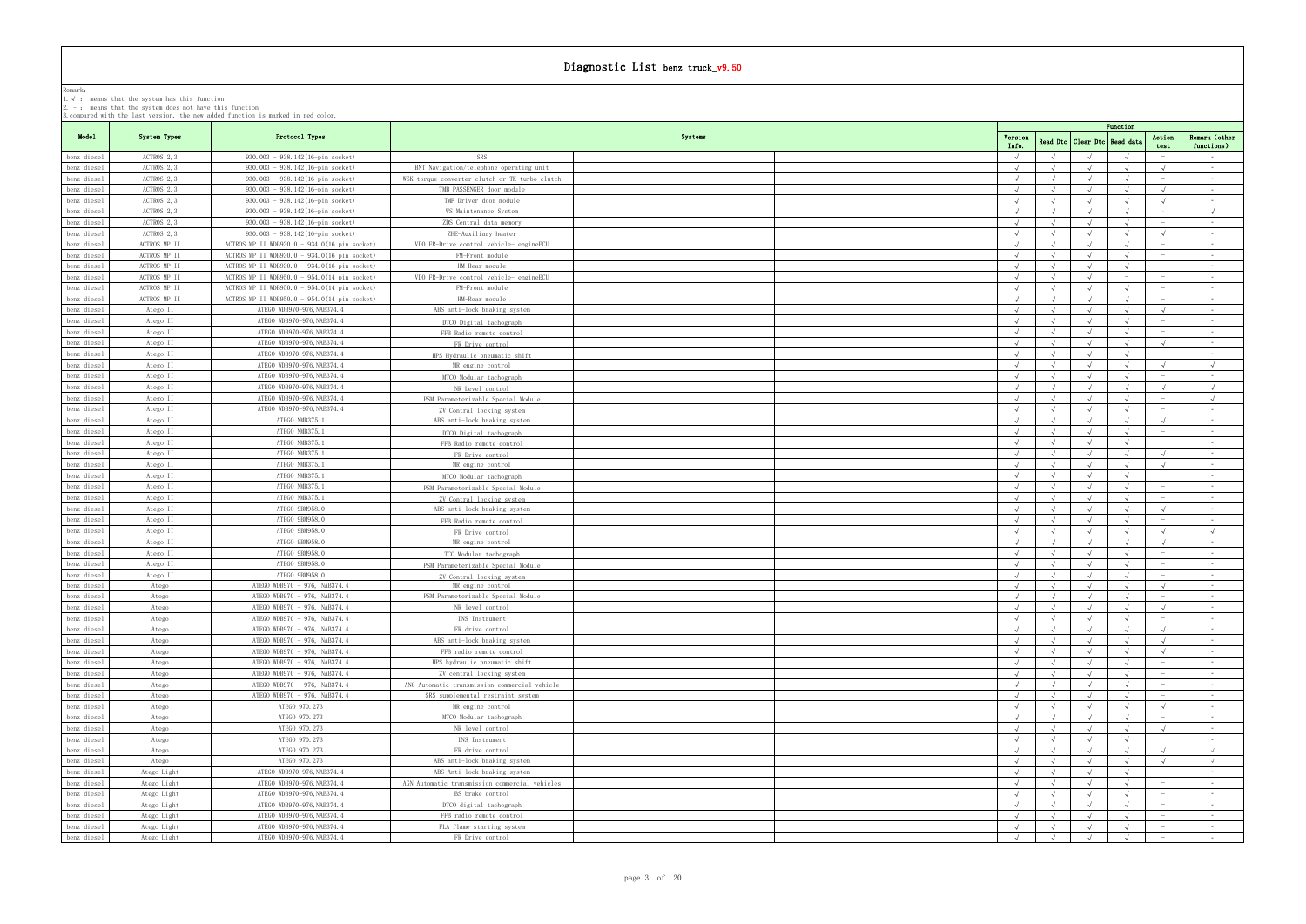|                            |                           | 3. compared with the last version, the new added function is marked in red color. |                                                                             |         |            |            |                      | Function   |                                               |                                     |
|----------------------------|---------------------------|-----------------------------------------------------------------------------------|-----------------------------------------------------------------------------|---------|------------|------------|----------------------|------------|-----------------------------------------------|-------------------------------------|
| Model                      | System Types              | Protocol Types                                                                    |                                                                             | Systems | Version    |            | Read Dtc   Clear Dtc | Read dat   | Action                                        | Remark (other                       |
|                            |                           |                                                                                   |                                                                             |         | Info.      |            |                      |            | test                                          | functions)                          |
| benz diesel                | ACTROS 2, 3               | $930.003 - 938.142(16-pin socket)$                                                | SRS                                                                         |         |            |            |                      |            | $\overline{\phantom{a}}$                      | $\sim 100$                          |
| benz diesel                | ACTROS 2, 3               | 930.003 - 938.142(16-pin socket)                                                  | BNT Navigation/telephone operating unit                                     |         | $\sqrt{ }$ |            |                      |            | $\sqrt{ }$                                    | $\sim$ $-$                          |
| benz diesel                | ACTROS 2.3<br>ACTROS 2, 3 | 930.003 - 938.142(16-pin socket)<br>930.003 - 938.142(16-pin socket)              | WSK torque converter clutch or TK turbo clutch<br>TMB PASSENGER door module |         |            |            |                      |            | $\sqrt{ }$                                    | $\sim$ $-$                          |
| benz diesel<br>benz diesel | ACTROS 2, 3               | 930.003 - 938.142(16-pin socket)                                                  | TMF Driver door module                                                      |         |            |            | $\sqrt{ }$           |            | $\sqrt{ }$                                    | $\sim$ 100 $\mu$<br>$\sim 10^{-11}$ |
| benz diesel                | ACTROS 2, 3               | 930.003 - 938.142(16-pin socket)                                                  | WS Maintenance System                                                       |         |            |            |                      |            |                                               | $\sqrt{ }$                          |
| benz diesel                | ACTROS 2, 3               | 930.003 - 938.142(16-pin socket)                                                  | ZDS Central data memory                                                     |         |            |            |                      |            | $\sim$                                        | $\sim 100$                          |
| benz diesel                | ACTROS 2.3                | 930.003 - 938.142(16-pin socket)                                                  | ZHE-Auxiliary heater                                                        |         |            |            |                      |            | $\sqrt{ }$                                    | $\sim$ $ \sim$                      |
| benz diesel                | ACTROS MP II              | ACTROS MP II WDB930.0 - 934.0(16 pin socket)                                      | VDO FR-Drive control vehicle- engineECU                                     |         |            |            |                      |            |                                               | $\sim$ $-$                          |
| benz diesel                | ACTROS MP II              | ACTROS MP II WDB930.0 - 934.0(16 pin socket)                                      | FM-Front module                                                             |         |            |            |                      |            | $\hspace{0.1mm}-\hspace{0.1mm}$               | <b>Service</b>                      |
| benz diesel                | ACTROS MP II              | ACTROS MP II WDB930.0 - 934.0(16 pin socket)                                      | HM-Rear module                                                              |         |            |            |                      |            | $\hspace{0.1mm}-\hspace{0.1mm}$               | $\sim 10^{-11}$                     |
| benz diesel                | ACTROS MP II              | ACTROS MP II WDB950.0 - 954.0(14 pin socket)                                      | VDO FR-Drive control vehicle- engineECU                                     |         | $\sqrt{ }$ | $\sqrt{ }$ | $\sqrt{ }$           |            |                                               | $\sim 10^{-11}$                     |
| benz diesel                | ACTROS MP II              | ACTROS MP II WDB950.0 - 954.0(14 pin socket)                                      | FM-Front module                                                             |         |            |            |                      |            | $\hspace{0.1mm}-\hspace{0.1mm}$               | $\sim 100$                          |
| benz diesel                | ACTROS MP II              | ACTROS MP II WDB950.0 - 954.0(14 pin socket)                                      | HM-Rear module                                                              |         |            |            |                      |            | $\hspace{0.1mm}-\hspace{0.1mm}$               | $\sim$ $-$                          |
| benz diesel                | Atego II                  | ATEGO WDB970-976, NAB374.4                                                        | ABS anti-lock braking system                                                |         | $\sqrt{ }$ |            |                      |            | $\sqrt{ }$                                    | $\sim 10^{-11}$                     |
| benz diesel                | Atego II                  | ATEGO WDB970-976, NAB374.4                                                        | DTCO Digital tachograph                                                     |         |            |            |                      |            | $\sim$                                        | $\sim 10^{-11}$                     |
| benz diesel                | Atego II                  | ATEGO WDB970-976, NAB374.4                                                        | FFB Radio remote control                                                    |         |            |            |                      |            | $\hspace{0.1mm}$                              | $\sim$ $ \sim$                      |
| benz diesel                | Atego II                  | ATEGO WDB970-976, NAB374, 4                                                       | FR Drive control                                                            |         | $\sqrt{ }$ |            |                      |            | $\sqrt{ }$                                    | $\sim 10^{-11}$                     |
| benz diesel                | Atego II                  | ATEGO WDB970-976, NAB374, 4                                                       | HPS Hydraulic pneumatic shift                                               |         |            |            |                      |            | $\sim$                                        | $\sim 100$                          |
| benz diesel                | Atego II                  | ATEGO WDB970-976, NAB374.4<br>ATEGO WDB970-976, NAB374.4                          | MR engine control                                                           |         |            |            |                      |            | $\sqrt{ }$                                    | $\sqrt{ }$                          |
| benz diesel<br>benz diesel | Atego II<br>Atego II      | ATEGO WDB970-976, NAB374, 4                                                       | MTCO Modular tachograph                                                     |         |            |            |                      |            | $\sqrt{ }$                                    | $\sim$ $ \sim$<br>$\sqrt{ }$        |
| benz diesel                | Atego II                  | ATEGO WDB970-976, NAB374.4                                                        | NR Level control                                                            |         |            |            |                      |            |                                               | $\sqrt{ }$                          |
| benz diesel                | Atego II                  | ATEGO WDB970-976, NAB374.4                                                        | PSM Parameterizable Special Module<br>ZV Contral locking system             |         |            |            |                      |            |                                               | $\sim$ $-$                          |
| benz diesel                | Atego II                  | ATEGO NMB375.1                                                                    | ABS anti-lock braking system                                                |         |            |            |                      |            | $\sqrt{ }$                                    | $\sim$ 100 $\mu$                    |
| benz diesel                | Atego II                  | ATEGO NMB375.1                                                                    | DTCO Digital tachograph                                                     |         | $\sqrt{ }$ |            |                      |            |                                               | $\sim$ $-$                          |
| benz diesel                | Atego II                  | ATEGO NMB375.1                                                                    | FFB Radio remote control                                                    |         |            |            |                      |            |                                               | $\sim$                              |
| benz diesel                | Atego II                  | ATEGO NMB375.1                                                                    | FR Drive control                                                            |         | $\sqrt{ }$ |            |                      |            | $\sqrt{ }$                                    | $\sim 10^{-11}$                     |
| benz diesel                | Atego II                  | ATEGO NMB375.1                                                                    | MR engine control                                                           |         | $\sqrt{ }$ |            |                      |            | $\sqrt{ }$                                    | $\sim 100$                          |
| benz diesel                | Atego II                  | ATEGO NMB375.1                                                                    | MTCO Modular tachograph                                                     |         |            |            |                      |            |                                               | $\sim$ $-$                          |
| benz diesel                | Atego II                  | ATEGO NMB375.1                                                                    | PSM Parameterizable Special Module                                          |         |            |            |                      |            | $\sim$                                        | $\sim 10^{-11}$                     |
| benz diesel                | Atego II                  | ATEGO NMB375.1                                                                    | ZV Contral locking system                                                   |         | $\sqrt{ }$ |            |                      |            | $\hspace{0.1mm}-\hspace{0.1mm}$               | $\sim$ $ \sim$                      |
| benz diesel                | Atego II                  | ATEGO 9BM958.0                                                                    | ABS anti-lock braking system                                                |         |            |            |                      |            | $\sqrt{ }$                                    | <b>Contract</b>                     |
| benz diesel                | Atego II                  | ATEGO 9BM958.0                                                                    | FFB Radio remote control                                                    |         |            |            |                      |            |                                               | $\sim 10^{-11}$                     |
| benz diesel                | Atego II                  | ATEGO 9BM958.0                                                                    | FR Drive control                                                            |         | $\sqrt{ }$ |            |                      |            | $\sqrt{ }$                                    | $\sqrt{ }$                          |
| benz diesel                | Atego II                  | ATEGO 9BM958.0                                                                    | MR engine control                                                           |         | $\sqrt{ }$ |            |                      |            | $\sqrt{ }$                                    | $\sim 100$                          |
| benz diesel                | Atego II                  | ATEGO 9BM958.0                                                                    | TCO Modular tachograph                                                      |         |            |            |                      |            | $\sim$                                        | $\sim 10^{-11}$                     |
| benz diesel                | Atego II                  | ATEGO 9BM958.0                                                                    | PSM Parameterizable Special Module                                          |         |            |            |                      |            |                                               | $\sim$                              |
| benz diesel                | Atego II                  | ATEGO 9BM958.0<br>ATEGO WDB970 - 976, NAB374.4                                    | ZV Contral locking system                                                   |         |            |            | $\sqrt{ }$           |            | $\hspace{0.1mm}-\hspace{0.1mm}$<br>$\sqrt{ }$ | $\sim$ $-$<br>$\sim 100$            |
| benz diesel<br>benz diesel | Atego<br>Atego            | ATEGO WDB970 - 976, NAB374.4                                                      | MR engine control<br>PSM Parameterizable Special Module                     |         |            |            |                      |            | $\hspace{0.1mm}$ $\hspace{0.1mm}$             | $\sim$ $-$                          |
| benz diesel                | Atego                     | ATEGO WDB970 - 976, NAB374.4                                                      | NR level control                                                            |         |            |            |                      |            | $\sqrt{ }$                                    | $\sim$ $ \sim$                      |
| benz diesel                | Atego                     | ATEGO WDB970 - 976, NAB374.4                                                      | INS Instrument                                                              |         |            |            |                      |            |                                               | $\sim$ $-$                          |
| benz diesel                | Atego                     | ATEGO WDB970 - 976, NAB374.4                                                      | FR drive control                                                            |         | $\sqrt{ }$ |            |                      |            | $\sqrt{ }$                                    | $\sim$ $-$                          |
| benz diesel                | Atego                     | ATEGO WDB970 - 976, NAB374.4                                                      | ABS anti-lock braking system                                                |         |            |            |                      |            | $\sqrt{ }$                                    | $\sim 100$                          |
| benz diesel                | Atego                     | ATEGO WDB970 - 976, NAB374.4                                                      | FFB radio remote control                                                    |         |            |            |                      |            |                                               | $\sim 10^{-11}$                     |
| benz diesel                | Atego                     | ATEGO WDB970 - 976, NAB374.4                                                      | HPS hydraulic pneumatic shift                                               |         | $\sqrt{ }$ |            |                      |            | $\hspace{0.1mm}-\hspace{0.1mm}$               | $\sim$ $-$                          |
| benz diesel                | Atego                     | ATEGO WDB970 - 976, NAB374.4                                                      | ZV central locking system                                                   |         |            |            |                      |            | $\hspace{0.1mm}-\hspace{0.1mm}$               | $\sim 100$                          |
| benz diesel                | Atego                     | ATEGO WDB970 - 976, NAB374.4                                                      | ANG Automatic transmission commercial vehicle                               |         |            |            |                      |            |                                               | $\sim 10^{-11}$                     |
| benz diesel                | Atego                     | ATEGO WDB970 - 976, NAB374.4                                                      | SRS supplemental restraint system                                           |         | $\sqrt{ }$ |            | $\sqrt{ }$           |            |                                               | $\sim 100$                          |
| benz diesel                | Atego                     | ATEGO 970.273                                                                     | MR engine control                                                           |         |            |            |                      |            | $\sqrt{ }$                                    | $\sim$ 100 $\mu$                    |
| benz diesel                | Atego                     | ATEGO 970.273                                                                     | MTCO Modular tachograph                                                     |         |            |            |                      |            | $\sim$                                        | $\sim$ $ \sim$                      |
| benz diesel                | Atego                     | ATEGO 970.273                                                                     | NR level control                                                            |         |            |            |                      |            | $\sqrt{ }$                                    | $\sim$ $-$                          |
| benz diesel                | Atego                     | ATEGO 970.273                                                                     | INS Instrument                                                              |         |            |            | $\sqrt{ }$           |            | $\sim$<br>$\sqrt{ }$                          | $\sim 100$<br>$\sqrt{ }$            |
| benz diesel<br>benz diesel | Atego<br>Atego            | ATEGO 970.273<br>ATEGO 970.273                                                    | FR drive control<br>ABS anti-lock braking system                            |         |            |            |                      |            | $\sqrt{ }$                                    | $\sqrt{ }$                          |
| benz diesel                | Atego Light               | ATEGO WDB970-976, NAB374.4                                                        | ABS Anti-lock braking system                                                |         | $\sqrt{ }$ | $\sqrt{ }$ | $\sqrt{ }$           | $\sqrt{ }$ | $\hspace{0.1mm}-\hspace{0.1mm}$               | $\sim 100$                          |
| benz diesel                | Atego Light               | ATEGO WDB970-976, NAB374.4                                                        | AGN Automatic transmission commercial vehicles                              |         |            |            |                      |            |                                               | $\sim$ $ \sim$                      |
| benz diesel                | Atego Light               | ATEGO WDB970-976, NAB374.4                                                        | BS brake control                                                            |         | $\sqrt{ }$ |            |                      |            | $\hspace{0.1mm}-\hspace{0.1mm}$               | $\sim$                              |
| benz diesel                | Atego Light               | ATEGO WDB970-976, NAB374.4                                                        | DTCO digital tachograph                                                     |         |            |            |                      |            |                                               | $\sim 100$                          |
| benz diesel                | Atego Light               | ATEGO WDB970-976, NAB374.4                                                        | FFB radio remote control                                                    |         |            |            |                      |            |                                               | $\sim 10^{-11}$                     |
| benz diesel                | Atego Light               | ATEGO WDB970-976, NAB374.4                                                        | FLA flame starting system                                                   |         | $\sqrt{ }$ |            | $\sqrt{ }$           |            | $\sim$                                        | $\sim$ $-$                          |
| benz diesel                | Atego Light               | ATEGO WDB970-976, NAB374.4                                                        | FR Drive control                                                            |         |            |            |                      |            |                                               | $\sim$                              |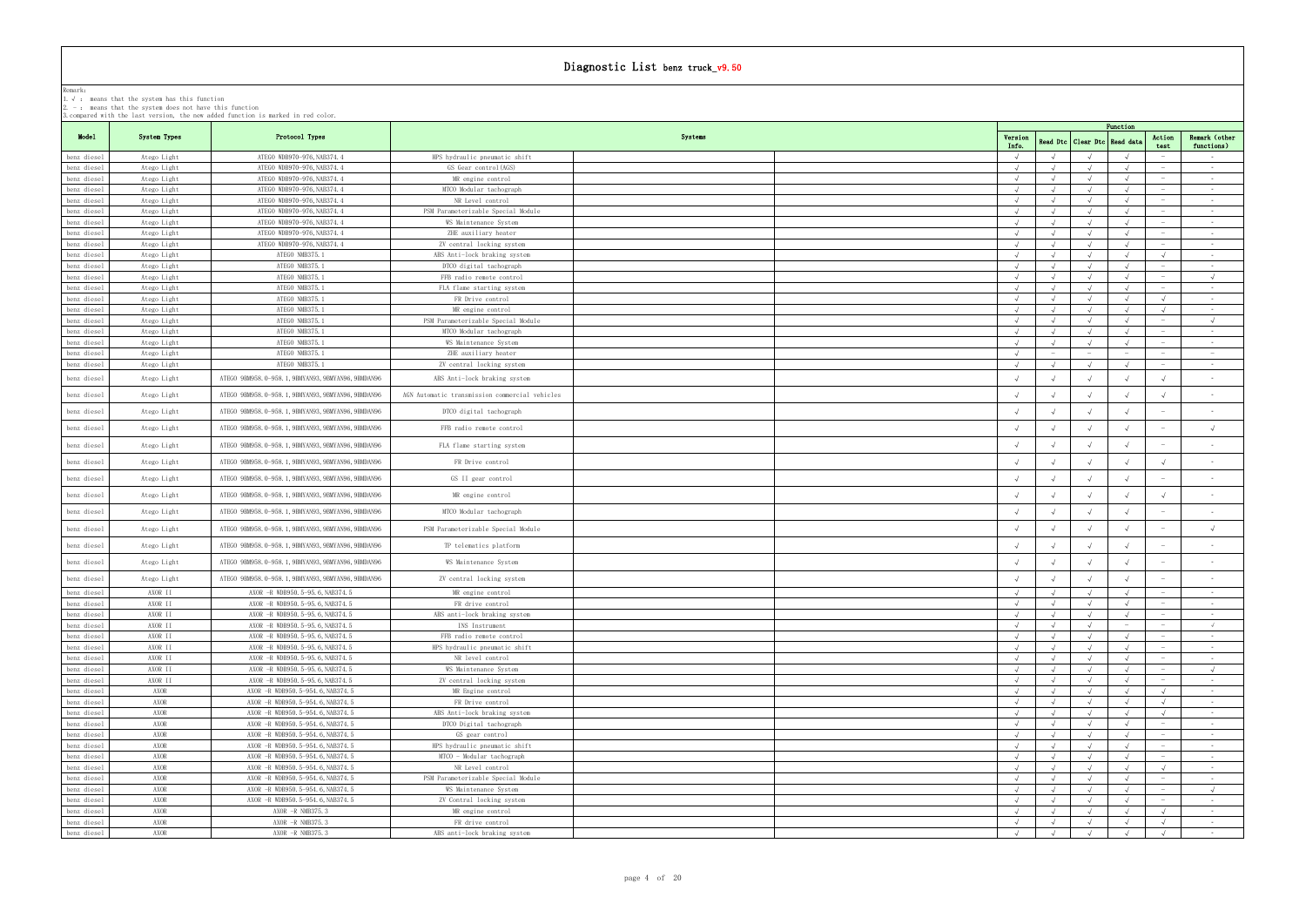| 3.Compared with the last version, the new added function is marked in red color. |  |  |  |  |  |  |  |
|----------------------------------------------------------------------------------|--|--|--|--|--|--|--|
|                                                                                  |  |  |  |  |  |  |  |

|                            | $\mu$ , $\sim$ : means that the system has this function<br>$2. -$ : means that the system does not have this function |                                                                                   |                                                         |         |                  |                          |            |            |                                 |                                   |
|----------------------------|------------------------------------------------------------------------------------------------------------------------|-----------------------------------------------------------------------------------|---------------------------------------------------------|---------|------------------|--------------------------|------------|------------|---------------------------------|-----------------------------------|
|                            |                                                                                                                        | 3. compared with the last version, the new added function is marked in red color. |                                                         |         |                  |                          |            |            |                                 |                                   |
|                            |                                                                                                                        |                                                                                   |                                                         |         |                  |                          |            | Function   |                                 |                                   |
| Model                      | System Types                                                                                                           | Protocol Types                                                                    |                                                         | Systems | Version<br>Info. | Read Dtc   Clear Dtc     |            | Read dat   | Action<br>test                  | Remark (other<br>functions)       |
| benz diesel                | Atego Light                                                                                                            | ATEGO WDB970-976, NAB374.4                                                        | HPS hydraulic pneumatic shift                           |         |                  |                          |            |            |                                 | $\sim 10^{-11}$                   |
| benz diesel                | Atego Light                                                                                                            | ATEGO WDB970-976, NAB374.4                                                        | GS Gear control(AGS)                                    |         | $\sqrt{ }$       | $\sqrt{ }$               |            |            |                                 | $\sim$ $-$                        |
| benz diesel                | Atego Light                                                                                                            | ATEGO WDB970-976, NAB374.4                                                        | MR engine control                                       |         |                  | $\sqrt{ }$               |            |            |                                 | $\sim 100$                        |
| benz diesel                | Atego Light                                                                                                            | ATEGO WDB970-976, NAB374.4                                                        | MTCO Modular tachograph                                 |         |                  |                          |            |            |                                 | $\sim$ $ \sim$                    |
| benz diesel                | Atego Light                                                                                                            | ATEGO WDB970-976, NAB374.4                                                        | NR Level control                                        |         | $\sqrt{ }$       |                          |            |            | $\overline{\phantom{a}}$        | $\sim 10^{-11}$                   |
| benz diesel                | Atego Light                                                                                                            | ATEGO WDB970-976, NAB374.4                                                        | PSM Parameterizable Special Module                      |         |                  | $\sqrt{ }$               |            |            | $\hspace{0.1mm}-\hspace{0.1mm}$ | $\sim 100$                        |
| benz diesel                | Atego Light                                                                                                            | ATEGO WDB970-976, NAB374.4                                                        | WS Maintenance System                                   |         |                  |                          |            |            |                                 | $\sim$ $-$                        |
| benz diesel                | Atego Light                                                                                                            | ATEGO WDB970-976, NAB374.4                                                        | ZHE auxiliary heater                                    |         | $\sqrt{ }$       |                          |            |            | $\hspace{0.1mm}-\hspace{0.1mm}$ | $\sim 10^{-11}$                   |
| benz diesel                | Atego Light                                                                                                            | ATEGO WDB970-976, NAB374.4                                                        | ZV central locking system                               |         | $\sqrt{ }$       | $\sqrt{ }$               | $\sqrt{ }$ | $\sqrt{ }$ | $\sim$                          | $\sim 100$                        |
| benz diesel<br>benz diesel | Atego Light                                                                                                            | ATEGO NMB375.1<br>ATEGO NMB375.1                                                  | ABS Anti-lock braking system<br>DTCO digital tachograph |         | $\sqrt{ }$       | $\sqrt{ }$               | $\sqrt{ }$ | $\sqrt{ }$ | $\overline{\phantom{a}}$        | $\sim 10^{-11}$<br>$\sim$ $ \sim$ |
| benz diesel                | Atego Light<br>Atego Light                                                                                             | ATEGO NMB375.1                                                                    | FFB radio remote control                                |         |                  |                          |            |            |                                 | $\sqrt{ }$                        |
| benz diesel                | Atego Light                                                                                                            | ATEGO NMB375.1                                                                    | FLA flame starting system                               |         |                  |                          |            |            |                                 | $\sim 10^{-11}$                   |
| benz diesel                | Atego Light                                                                                                            | ATEGO NMB375.1                                                                    | FR Drive control                                        |         | $\sqrt{ }$       | $\sqrt{ }$               | $\sqrt{ }$ |            | $\sqrt{ }$                      | $\sim$ $ \sim$                    |
| benz diesel                | Atego Light                                                                                                            | ATEGO NMB375.1                                                                    | MR engine control                                       |         |                  |                          |            |            | $\sqrt{ }$                      | $\sim 100$                        |
| benz diesel                | Atego Light                                                                                                            | ATEGO NMB375.1                                                                    | PSM Parameterizable Special Module                      |         | $\sqrt{ }$       | $\sqrt{ }$               | $\sqrt{ }$ | $\sqrt{ }$ | $\sim$                          | $\sqrt{ }$                        |
| benz diesel                | Atego Light                                                                                                            | ATEGO NMB375.1                                                                    | MTCO Modular tachograph                                 |         | $\sqrt{ }$       |                          | $\sqrt{ }$ |            | $\overline{\phantom{a}}$        | $\sim$                            |
| benz diesel                | Atego Light                                                                                                            | ATEGO NMB375.1                                                                    | WS Maintenance System                                   |         |                  |                          |            |            |                                 | $\sim$ $-$                        |
| benz diesel                | Atego Light                                                                                                            | ATEGO NMB375.1                                                                    | ZHE auxiliary heater                                    |         | $\sqrt{ }$       | $\overline{\phantom{a}}$ | $\sim$     |            | $\overline{\phantom{a}}$        | $\alpha \rightarrow \beta \gamma$ |
| benz diesel                | Atego Light                                                                                                            | ATEGO NMB375.1                                                                    | ZV central locking system                               |         | $\sqrt{ }$       | $\sqrt{ }$               |            |            |                                 | $\sim$ 100 $\mu$                  |
| benz diesel                | Atego Light                                                                                                            | ATEGO 9BM958.0-958.1, 9BMYAN93, 9BMYAN96, 9BMDAN96                                | ABS Anti-lock braking system                            |         |                  |                          |            |            |                                 | $\sim$                            |
| benz diesel                | Atego Light                                                                                                            | ATEGO 9BM958.0-958.1, 9BMYAN93, 9BMYAN96, 9BMDAN96                                | AGN Automatic transmission commercial vehicles          |         |                  |                          |            |            |                                 | $\sim$                            |
|                            |                                                                                                                        |                                                                                   |                                                         |         |                  |                          |            |            |                                 |                                   |
| benz diesel                | Atego Light                                                                                                            | ATEGO 9BM958.0-958.1, 9BMYAN93, 9BMYAN96, 9BMDAN96                                | DTCO digital tachograph                                 |         |                  |                          |            |            | $\hspace{0.1mm}-\hspace{0.1mm}$ | $\sim$                            |
| benz diesel                | Atego Light                                                                                                            | ATEGO 9BM958.0-958.1, 9BMYAN93, 9BMYAN96, 9BMDAN96                                | FFB radio remote control                                |         |                  |                          |            |            |                                 | $\sqrt{ }$                        |
| benz diesel                | Atego Light                                                                                                            | ATEGO 9BM958.0-958.1, 9BMYAN93, 9BMYAN96, 9BMDAN96                                | FLA flame starting system                               |         |                  |                          |            |            |                                 | $\sim$                            |
| benz diesel                | Atego Light                                                                                                            | ATEGO 9BM958.0-958.1, 9BMYAN93, 9BMYAN96, 9BMDAN96                                | FR Drive control                                        |         |                  |                          |            |            |                                 |                                   |
| benz diesel                | Atego Light                                                                                                            | ATEGO 9BM958.0-958.1, 9BMYAN93, 9BMYAN96, 9BMDAN96                                | GS II gear control                                      |         |                  |                          |            |            |                                 |                                   |
| benz diesel                | Atego Light                                                                                                            | ATEGO 9BM958.0-958.1, 9BMYAN93, 9BMYAN96, 9BMDAN96                                | MR engine control                                       |         |                  |                          |            |            |                                 | $\sim$                            |
| benz diesel                | Atego Light                                                                                                            | ATEGO 9BM958.0-958.1, 9BMYAN93, 9BMYAN96, 9BMDAN96                                | MTCO Modular tachograph                                 |         |                  |                          |            |            |                                 |                                   |
|                            |                                                                                                                        | ATEGO 9BM958.0-958.1, 9BMYAN93, 9BMYAN96, 9BMDAN96                                | PSM Parameterizable Special Module                      |         |                  |                          |            |            |                                 | $\sqrt{ }$                        |
| benz diesel                | Atego Light                                                                                                            |                                                                                   |                                                         |         |                  |                          |            |            |                                 |                                   |
| benz diesel                | Atego Light                                                                                                            | ATEGO 9BM958.0-958.1, 9BMYAN93, 9BMYAN96, 9BMDAN96                                | TP telematics platform                                  |         |                  |                          |            |            |                                 | $\sim$                            |
| benz diesel                | Atego Light                                                                                                            | ATEGO 9BM958.0-958.1, 9BMYAN93, 9BMYAN96, 9BMDAN96                                | WS Maintenance System                                   |         |                  |                          |            |            |                                 | $\sim$ $-$                        |
| benz diesel                | Atego Light                                                                                                            | ATEGO 9BM958.0-958.1, 9BMYAN93, 9BMYAN96, 9BMDAN96                                | ZV central locking system                               |         |                  |                          |            |            |                                 |                                   |
| benz diesel                | AXOR II                                                                                                                | AXOR -R WDB950.5-95.6, NAB374.5                                                   | MK engine control                                       |         |                  |                          |            |            |                                 |                                   |
| benz diesel                | AXOR II                                                                                                                | AXOR - R WDB950.5-95.6, NAB374.5                                                  | FR drive control                                        |         |                  |                          |            |            | $\hspace{0.1mm}$                | $\sim 100$                        |
| benz diesel                | AXOR II                                                                                                                | AXOR -R WDB950.5-95.6, NAB374.5                                                   | ABS anti-lock braking system                            |         | $\sqrt{ }$       | $\sqrt{ }$               | $\sqrt{ }$ |            |                                 | $\sim$ $-$<br>$\sqrt{ }$          |
| benz diesel<br>benz diesel | AXOR II<br>AXOR II                                                                                                     | AXOR -R WDB950.5-95.6, NAB374.5<br>AXOR - R WDB950.5-95.6, NAB374.5               | INS Instrument<br>FFB radio remote control              |         |                  |                          |            |            | $\overline{\phantom{a}}$        | $\sim 10^{-11}$                   |
| benz diesel                | AXOR II                                                                                                                | AXOR -R WDB950.5-95.6, NAB374.5                                                   | HPS hydraulic pneumatic shift                           |         | $\sqrt{ }$       | $\sqrt{ }$               | $\sqrt{ }$ | $\sqrt{ }$ |                                 | $\sim 100$                        |
| benz diesel                | AXOR II                                                                                                                | AXOR -R WDB950.5-95.6, NAB374.5                                                   | NR level control                                        |         |                  |                          |            |            |                                 | $\sim$                            |
| benz diesel                | AXOR II                                                                                                                | AXOR -R WDB950.5-95.6, NAB374.5                                                   | WS Maintenance System                                   |         |                  |                          |            |            | $\sim$                          | $\sqrt{ }$                        |
| benz diesel                | AXOR II                                                                                                                | AXOR -R WDB950.5-95.6, NAB374.5                                                   | ZV central locking system                               |         |                  |                          |            |            |                                 | $\sim 100$                        |
| benz diesel                | AXOR                                                                                                                   | AXOR -R WDB950.5-954.6, NAB374.5                                                  | MR Engine control                                       |         |                  |                          |            |            |                                 | $\sim 10^{-11}$                   |
| benz diesel                | AXOR                                                                                                                   | AXOR -R WDB950.5-954.6, NAB374.5                                                  | FR Drive control                                        |         |                  |                          |            |            | $\sqrt{ }$                      | $\sim 10^{-11}$                   |
| benz diesel                | AXOR                                                                                                                   | AXOR - R WDB950.5-954.6, NAB374.5                                                 | ABS Anti-lock braking system                            |         |                  |                          |            |            |                                 | $\sim$ $-$                        |
| benz diesel                | AXOR                                                                                                                   | AXOR - R WDB950.5-954.6, NAB374.5                                                 | DTCO Digital tachograph                                 |         |                  |                          |            |            |                                 | $\sim$ $ \sim$                    |
| benz diesel                | AXOR                                                                                                                   | AXOR -R WDB950.5-954.6, NAB374.5                                                  | GS gear control                                         |         |                  |                          |            |            | $\sim$                          | $\sim 10^{-11}$                   |
| benz diesel                | AXOR                                                                                                                   | AXOR - R WDB950.5-954.6, NAB374.5                                                 | HPS hydraulic pneumatic shift                           |         |                  |                          |            |            |                                 | $\sim$ $-$                        |
| benz diesel                | AXOR                                                                                                                   | AXOR -R WDB950.5-954.6, NAB374.5                                                  | MTCO - Modular tachograph                               |         |                  |                          |            |            |                                 | $\sim$ $ \sim$                    |
| benz diesel                | AXOR                                                                                                                   | AXOR -R WDB950.5-954.6, NAB374.5                                                  | NR Level control                                        |         | $\sqrt{ }$       | $\sqrt{ }$               | $\sqrt{ }$ | $\sqrt{ }$ | $\sqrt{ }$                      | <b>Contract</b>                   |
| benz diesel                | AXOR<br>AXOR                                                                                                           | AXOR -R WDB950.5-954.6, NAB374.5<br>AXOR -R WDB950.5-954.6, NAB374.5              | PSM Parameterizable Special Module                      |         | $\sqrt{ }$       | $\sqrt{ }$               |            |            |                                 | $\sim$ $-$<br>$\sqrt{ }$          |
| benz diesel<br>benz diesel | AXOR                                                                                                                   | AXOR -R WDB950.5-954.6, NAB374.5                                                  | WS Maintenance System<br>ZV Contral locking system      |         | $\sqrt{ }$       |                          |            |            | $-$                             | $\sim 100$                        |
| benz diesel                | AXOR                                                                                                                   | AXOR -R NMB375.3                                                                  | MR engine control                                       |         |                  |                          |            |            |                                 | $\sim$ $-$                        |
| benz diesel                | AXOR                                                                                                                   | AXOR -R NMB375.3                                                                  | FR drive control                                        |         | $\sqrt{ }$       | $\sqrt{ }$               | $\sqrt{ }$ |            | $\sqrt{ }$                      | $\sim$ 100 $\mu$                  |
| benz diesel                | AXOR                                                                                                                   | AXOR -R NMB375.3                                                                  | ABS anti-lock braking system                            |         | $\sqrt{ }$       | $\sqrt{ }$               | $\sqrt{ }$ | $\sqrt{ }$ | $\sqrt{ }$                      | $\sim 10^{-11}$                   |
|                            |                                                                                                                        |                                                                                   |                                                         |         |                  |                          |            |            |                                 |                                   |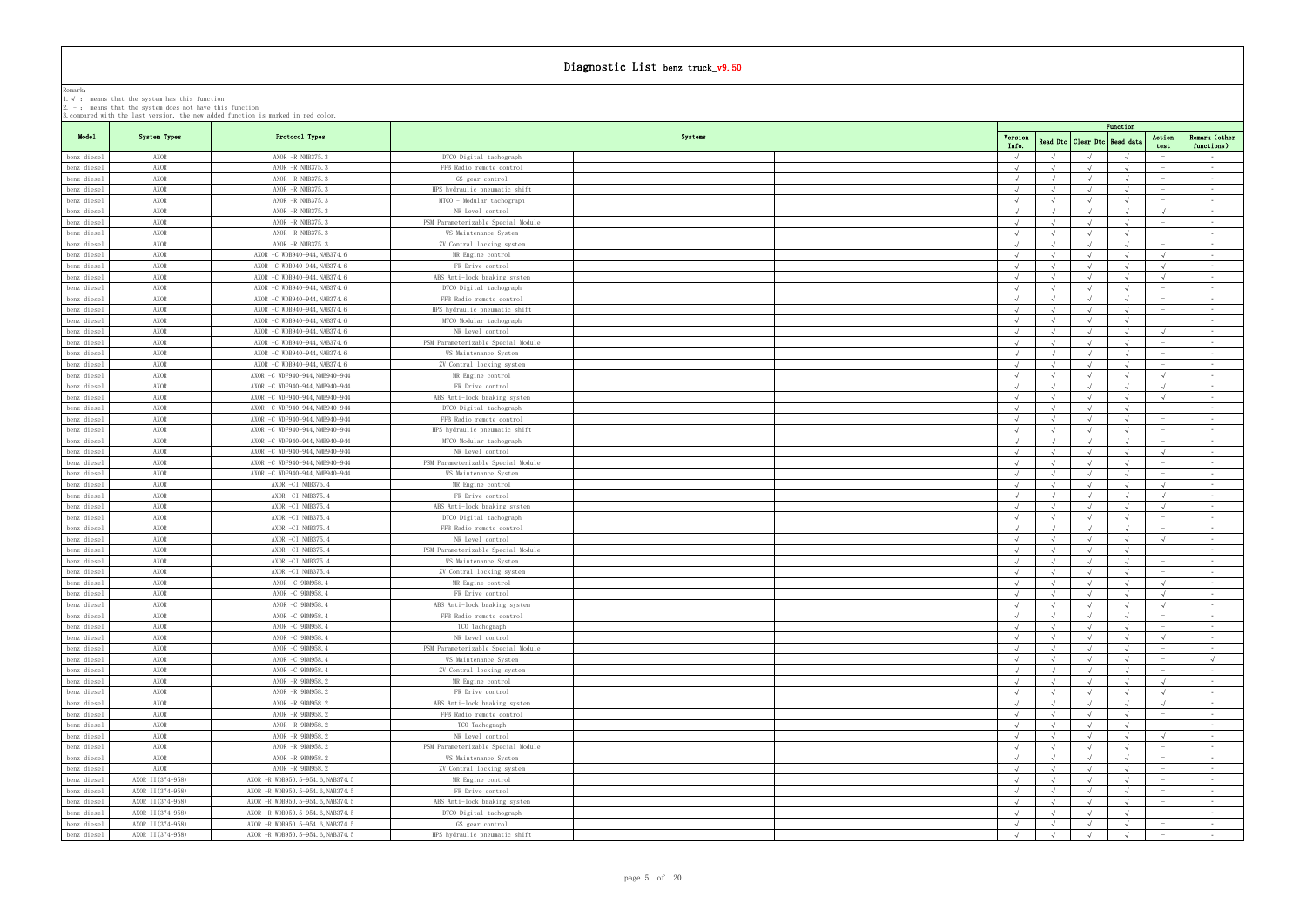|                                  | 1. Y . Mcdillo that the system has this function<br>2. $-$ : means that the system does not have this function | 3. compared with the last version, the new added function is marked in red color. |                                                     |                          |            |                             |            |                                 |                                        |
|----------------------------------|----------------------------------------------------------------------------------------------------------------|-----------------------------------------------------------------------------------|-----------------------------------------------------|--------------------------|------------|-----------------------------|------------|---------------------------------|----------------------------------------|
|                                  |                                                                                                                |                                                                                   |                                                     |                          |            |                             | Function   |                                 |                                        |
| Model                            | System Types                                                                                                   | Protocol Types                                                                    | Systems                                             | Version                  |            | Read Dtc   Clear Dtc        | Read dat   | Action                          | Remark (other                          |
|                                  |                                                                                                                |                                                                                   |                                                     | Info.<br>$\sqrt{ }$      |            |                             |            | test                            | functions)                             |
| benz diesel<br>benz diesel       | AXOR<br>AXOR                                                                                                   | AXOR -R NMB375.3<br>AXOR -R NMB375.3                                              | DTCO Digital tachograph<br>FFB Radio remote control | $\sqrt{ }$               |            | $\sqrt{ }$                  |            |                                 | $\sim 100$<br>$\sim$ $-$               |
| benz diesel                      | AXOR                                                                                                           | AXOR -R NMB375.3                                                                  | GS gear control                                     |                          |            |                             |            |                                 | $\sim$ $-$                             |
| benz diesel                      | AXOR                                                                                                           | AXOR -R NMB375.3                                                                  | HPS hydraulic pneumatic shift                       |                          |            |                             |            | $\sim$                          | <b>Contract Contract</b>               |
| benz diesel                      | AXOR                                                                                                           | AXOR -R NMB375.3                                                                  | MTCO - Modular tachograph                           | $\sqrt{ }$               |            |                             |            | $\hspace{0.1mm}-\hspace{0.1mm}$ | $\sim 10^{-11}$                        |
| benz diesel                      | AXOR                                                                                                           | AXOR -R NMB375.3                                                                  | NR Level control                                    | $\sqrt{ }$               |            |                             |            |                                 | $\sim 10^{-11}$                        |
| benz diesel                      | AXOR                                                                                                           | AXOR -R NMB375.3                                                                  | PSM Parameterizable Special Module                  | $\sqrt{ }$               |            |                             |            | $\hspace{0.1mm}-\hspace{0.1mm}$ | $\sim$ 100 $\pm$                       |
| benz diesel                      | AXOR                                                                                                           | $AXOR$ -R NMB375.3                                                                | WS Maintenance System                               |                          |            |                             |            |                                 | $\sim$ $-$                             |
| benz diesel                      | AXOR                                                                                                           | AXOR -R NMB375.3                                                                  | ZV Contral locking system                           | $\sqrt{ }$               | $\sqrt{ }$ | $\sqrt{ }$                  |            |                                 | $\sim 100$                             |
| benz diesel                      | AXOR                                                                                                           | AXOR -C WDB940-944, NAB374.6                                                      | MR Engine control                                   | $\sqrt{ }$               |            |                             |            | $\sqrt{ }$                      | $\sim 100$                             |
| benz diesel                      | AXOR                                                                                                           | AXOR -C WDB940-944, NAB374.6                                                      | FR Drive control                                    | $\sqrt{ }$               |            |                             |            | $\sqrt{ }$                      | $\sim 10^{-11}$                        |
| benz diesel                      | AXOR                                                                                                           | AXOR -C WDB940-944, NAB374.6                                                      | ABS Anti-lock braking system                        | $\sqrt{ }$               |            | $\sqrt{ }$                  |            | $\sqrt{ }$                      | <b>Contract</b>                        |
| benz diesel                      | AXOR                                                                                                           | AXOR -C WDB940-944, NAB374.6                                                      | DTCO Digital tachograph                             | $\sqrt{ }$               |            |                             |            | $\hspace{0.1mm}-\hspace{0.1mm}$ | $\sim 10^{-11}$                        |
| benz diesel                      | AXOR                                                                                                           | AXOR -C WDB940-944, NAB374.6                                                      | FFB Radio remote control                            | $\sqrt{ }$               |            |                             |            | $\sim$                          | $\sim$                                 |
| benz diesel                      | AXOR                                                                                                           | AXOR -C WDB940-944, NAB374.6                                                      | HPS hydraulic pneumatic shift                       | $\sqrt{ }$               |            | $\sqrt{ }$                  |            |                                 | <b>Contract</b>                        |
| benz diesel                      | AXOR                                                                                                           | AXOR -C WDB940-944, NAB374.6                                                      | MTCO Modular tachograph                             | $\sqrt{ }$               | $\sqrt{ }$ | $\sqrt{ }$                  | $\sqrt{ }$ | $\hspace{0.1mm}-\hspace{0.1mm}$ | $\sim 10^{-11}$                        |
| benz diesel                      | AXOR                                                                                                           | AXOR -C WDB940-944, NAB374.6                                                      | NR Level control                                    | $\sqrt{ }$               |            |                             |            | $\sqrt{ }$                      | $\sim 10^{-11}$                        |
| benz diesel                      | AXOR                                                                                                           | AXOR -C WDB940-944, NAB374.6                                                      | PSM Parameterizable Special Module                  | $\sqrt{ }$               |            | $\sqrt{ }$                  |            |                                 | $\sim 10^{-11}$                        |
| benz diesel                      | AXOR                                                                                                           | AXOR -C WDB940-944, NAB374.6                                                      | WS Maintenance System                               | $\sqrt{ }$               |            |                             |            |                                 | $\sim$ $-$                             |
| benz diesel                      | AXOR                                                                                                           | AXOR -C WDB940-944, NAB374.6                                                      | ZV Contral locking system                           | $\sqrt{ }$               |            |                             |            | $\hspace{0.1mm}$                | $\sim 100$                             |
| benz diesel                      | AXOR                                                                                                           | AXOR -C WDF940-944, NMB940-944                                                    | MR Engine control                                   |                          |            |                             |            |                                 | $\sim 100$                             |
| benz diesel                      | AXOR                                                                                                           | AXOR -C WDF940-944, NMB940-944                                                    | FR Drive control                                    | $\sqrt{ }$               |            |                             |            | $\sqrt{ }$                      | $\sim 10^{-11}$                        |
| benz diesel                      | AXOR                                                                                                           | AXOR -C WDF940-944, NMB940-944                                                    | ABS Anti-lock braking system                        | $\sqrt{ }$               | $\sqrt{ }$ | $\sqrt{ }$                  | $\sqrt{ }$ | $\sqrt{ }$                      | $\sim 100$                             |
| benz diesel                      | AXOR                                                                                                           | AXOR -C WDF940-944, NMB940-944                                                    | DTCO Digital tachograph                             |                          |            |                             |            |                                 | $\sim 100$                             |
| benz diesel                      | AXOR                                                                                                           | AXOR -C WDF940-944, NMB940-944                                                    | FFB Radio remote control                            | $\sqrt{ }$               |            | $\sqrt{ }$                  |            |                                 | $\sim$ $-$                             |
| benz diesel                      | AXOR                                                                                                           | AXOR -C WDF940-944, NMB940-944                                                    | HPS hydraulic pneumatic shift                       | $\sqrt{ }$<br>$\sqrt{ }$ |            | $\sqrt{ }$<br>$\mathcal{L}$ |            | $\overline{\phantom{0}}$        | $\sim 100$                             |
| benz diesel                      | AXOR<br>AXOR                                                                                                   | AXOR -C WDF940-944, NMB940-944                                                    | MTCO Modular tachograph<br>NR Level control         | $\sqrt{ }$               |            |                             |            |                                 | $\sim 10^{-11}$<br>$\sim$ $-$          |
| benz diesel                      | AXOR                                                                                                           | AXOR -C WDF940-944, NMB940-944<br>AXOR -C WDF940-944, NMB940-944                  | PSM Parameterizable Special Module                  |                          |            |                             |            |                                 | $\sim 100$                             |
| benz diesel<br>benz diesel       | AXOR                                                                                                           | AXOR -C WDF940-944, NMB940-944                                                    | WS Maintenance System                               |                          |            |                             |            |                                 | $\sim 10^{-11}$                        |
| benz diesel                      | AXOR                                                                                                           | AXOR -CI NMB375.4                                                                 | MR Engine control                                   | $\sqrt{ }$               |            |                             |            | $\sqrt{ }$                      | $\sim$ $-$                             |
| benz diesel                      | AXOR                                                                                                           | AXOR -CI NMB375.4                                                                 | FR Drive control                                    |                          |            |                             |            | $\sqrt{ }$                      | $\sim 100$                             |
| benz diesel                      | AXOR                                                                                                           | AXOR -CI NMB375.4                                                                 | ABS Anti-lock braking system                        |                          |            |                             |            |                                 | $\sim 10^{-11}$                        |
| benz diesel                      | AXOR                                                                                                           | AXOR -CI NMB375.4                                                                 | DTCO Digital tachograph                             | $\sqrt{ }$               |            | $\sqrt{ }$                  |            | $\sim$                          | $\sim$ $-$                             |
| benz diesel                      | AXOR                                                                                                           | AXOR -CI NMB375.4                                                                 | FFB Radio remote control                            |                          |            |                             |            |                                 | $\sim 100$                             |
| benz diesel                      | AXOR                                                                                                           | AXOR -CI NMB375.4                                                                 | NR Level control                                    | $\sqrt{ }$               | $\sqrt{ }$ | $\sqrt{ }$                  |            | $\sqrt{ }$                      | <b>Contract</b>                        |
| benz diesel                      | AXOR                                                                                                           | AXOR -CI NMB375.4                                                                 | PSM Parameterizable Special Module                  | $\sqrt{ }$               |            | $\sqrt{ }$                  |            |                                 | $\sim$ $-$                             |
| benz diesel                      | AXOR                                                                                                           | AXOR -CI NMB375.4                                                                 | WS Maintenance System                               |                          |            |                             |            |                                 | $\sim$                                 |
| benz diesel                      | AXOR                                                                                                           | AXOR -CI NMB375.4                                                                 | ZV Contral locking system                           | $\sqrt{ }$               | $\sqrt{ }$ | $\sqrt{ }$                  |            | $\overline{\phantom{a}}$        | <b>Contract</b>                        |
| benz diesel                      | AXOR                                                                                                           | AXOR -C 9BM958.4                                                                  | MR Engine control                                   | $\sqrt{ }$               |            |                             |            | $\sqrt{ }$                      | $\sim$ $-$                             |
| $\sqrt{\frac{1}{2}}$ benz diesel | AXOR                                                                                                           | AXOR -C 9BM958.4                                                                  | FR Drive control                                    |                          |            |                             |            |                                 |                                        |
| benz diesel                      | AXOR                                                                                                           | AXOR -C 9BM958.4                                                                  | ABS Anti-lock braking system                        | $\sqrt{ }$               |            |                             |            | $\sqrt{ }$                      | $\sim 10^{-11}$                        |
| benz diesel                      | AXOR                                                                                                           | AXOR -C 9BM958.4                                                                  | FFB Radio remote control                            | $\sqrt{ }$               | $\sqrt{ }$ | $\sqrt{ }$                  | $\sqrt{ }$ |                                 | $\sim$ $-$                             |
| benz diesel                      | AXOR                                                                                                           | AXOR -C 9BM958.4                                                                  | TCO Tachograph                                      |                          |            |                             |            |                                 | $\sim$ $-$                             |
| benz diesel                      | AXOR                                                                                                           | AXOR -C 9BM958.4                                                                  | NR Level control                                    |                          |            |                             |            |                                 | <b>Contract Contract</b>               |
| benz diesel                      | AXOR                                                                                                           | AXOR -C 9BM958.4                                                                  | PSM Parameterizable Special Module                  | $\sqrt{ }$               |            | $\sqrt{ }$                  |            |                                 | $\sim$ $-$                             |
| benz diesel                      | AXOR                                                                                                           | AXOR -C 9BM958.4                                                                  | WS Maintenance System                               |                          |            |                             |            |                                 | $\sqrt{ }$                             |
| benz diesel                      | AXOR                                                                                                           | AXOR -C 9BM958.4                                                                  | ZV Contral locking system                           | $\sqrt{ }$               |            |                             |            | $\sim$                          | <b>Contract Contract</b>               |
| benz diesel                      | AXOR                                                                                                           | AXOR -R 9BM958.2                                                                  | MR Engine control                                   | $\sqrt{ }$               |            | $\sqrt{ }$                  |            | $\sqrt{ }$                      | $\sim$ $-$                             |
| benz diesel                      | AXOR<br>AXOR                                                                                                   | AXOR -R 9BM958.2                                                                  | FR Drive control<br>ABS Anti-lock braking system    | $\sqrt{ }$               |            | $\sqrt{ }$<br>$\sqrt{ }$    |            | $\sqrt{ }$                      | <b>Contract</b>                        |
| benz diesel                      | AXOR                                                                                                           | AXOR -R 9BM958.2<br>AXOR -R 9BM958.2                                              | FFB Radio remote control                            | $\sqrt{ }$<br>$\sqrt{ }$ |            | $\sqrt{ }$                  |            | $\sqrt{ }$                      | <b>Contract Contract</b><br>$\sim$ $-$ |
| benz diesel<br>benz diesel       | AXOR                                                                                                           | AXOR -R 9BM958.2                                                                  | TCO Tachograph                                      | $\sqrt{ }$               |            |                             |            |                                 | $\sim 10^{-11}$                        |
| benz diesel                      | AXOR                                                                                                           | AXOR -R 9BM958.2                                                                  | NR Level control                                    | $\sqrt{ }$               |            | $\sqrt{ }$                  |            | $\sqrt{ }$                      | <b>Contract Contract</b>               |
| benz diesel                      | AXOR                                                                                                           | AXOR -R 9BM958.2                                                                  | PSM Parameterizable Special Module                  |                          |            |                             |            | $\hspace{0.1mm}-\hspace{0.1mm}$ | $\sim$ $-$                             |
| benz diesel                      | AXOR                                                                                                           | AXOR -R 9BM958.2                                                                  | WS Maintenance System                               | $\sqrt{ }$               |            |                             |            |                                 | <b>Contract</b>                        |
| benz diesel                      | AXOR                                                                                                           | AXOR -R 9BM958.2                                                                  | ZV Contral locking system                           | $\sqrt{ }$               |            | $\sqrt{ }$                  | $\sqrt{ }$ | $\overline{\phantom{a}}$        | <b>Contract Contract</b>               |
| benz diesel                      | AXOR II (374-958)                                                                                              | AXOR - R WDB950.5-954.6, NAB374.5                                                 | MR Engine control                                   |                          |            |                             |            |                                 | $\sim$ $-$                             |
| benz diesel                      | AXOR II (374-958)                                                                                              | AXOR - R WDB950.5-954.6, NAB374.5                                                 | FR Drive control                                    | $\sqrt{ }$               |            |                             |            |                                 | $\sim 10^{-11}$                        |
| benz diesel                      | AXOR II (374-958)                                                                                              | AXOR -R WDB950.5-954.6, NAB374.5                                                  | ABS Anti-lock braking system                        | $\sqrt{ }$               |            |                             |            | $\sim$                          | <b>Contract</b>                        |
| benz diesel                      | AXOR II (374-958)                                                                                              | AXOR -R WDB950.5-954.6, NAB374.5                                                  | DTCO Digital tachograph                             |                          |            | $\sqrt{ }$                  |            |                                 | $\sim$ $-$                             |
| benz diesel                      | AXOR II (374-958)                                                                                              | AXOR -R WDB950.5-954.6, NAB374.5                                                  | GS gear control                                     |                          |            |                             |            |                                 | $\sim$ $-$                             |
| benz diesel                      | AXOR II (374-958)                                                                                              | AXOR -R WDB950.5-954.6, NAB374.5                                                  | HPS hydraulic pneumatic shift                       |                          |            | $\sqrt{ }$                  |            | $\sim$                          | <b>Contract</b>                        |
|                                  |                                                                                                                |                                                                                   |                                                     |                          |            |                             |            |                                 |                                        |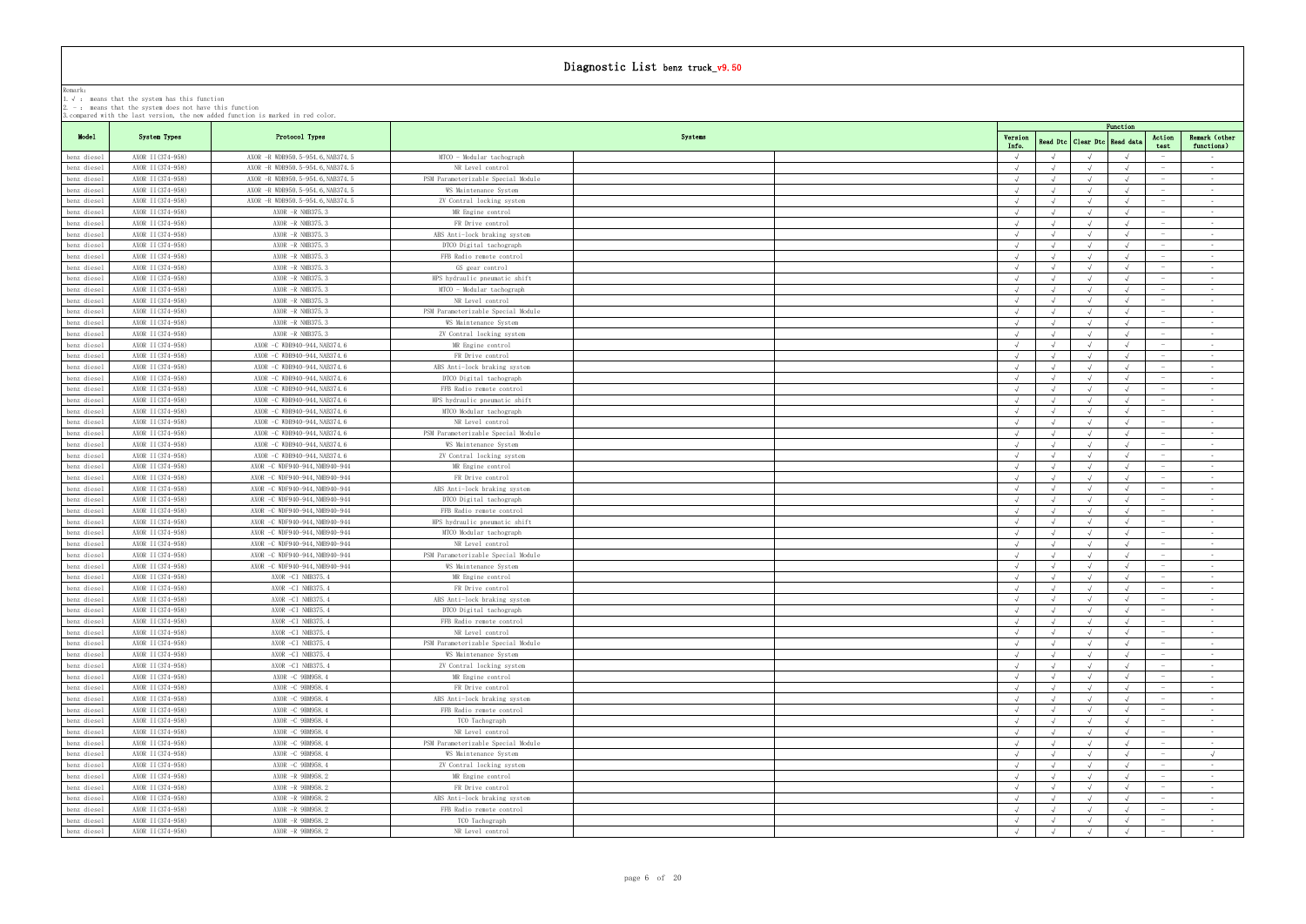| 3.compared with the last version, the new added function is marked in red color. |  |  |  |  |  |  |  |
|----------------------------------------------------------------------------------|--|--|--|--|--|--|--|
|                                                                                  |  |  |  |  |  |  |  |

|                            | . means that the system has this runction<br>2. $-$ : means that the system does not have this function | 3. compared with the last version, the new added function is marked in red color. |                                       |         |                  |                      |          |                                 |                               |
|----------------------------|---------------------------------------------------------------------------------------------------------|-----------------------------------------------------------------------------------|---------------------------------------|---------|------------------|----------------------|----------|---------------------------------|-------------------------------|
|                            |                                                                                                         |                                                                                   |                                       |         |                  |                      | Function |                                 |                               |
| Model                      | System Types                                                                                            | Protocol Types                                                                    |                                       | Systems | Version<br>Info. | Read Dtc   Clear Dtc | Read dat | Action                          | Remark (other<br>functions)   |
| benz diesel                | AXOR II (374-958)                                                                                       | AXOR -R WDB950.5-954.6, NAB374.5                                                  | MTCO - Modular tachograph             |         |                  |                      |          | test                            | $\sim 100$                    |
| benz diesel                | AXOR II (374-958)                                                                                       | AXOR -R WDB950.5-954.6, NAB374.5                                                  | NR Level control                      |         | $\sqrt{ }$       |                      |          |                                 | $\sim$ $-$                    |
| benz diesel                | AXOR II (374-958)                                                                                       | AXOR - R WDB950.5-954.6, NAB374.5                                                 | PSM Parameterizable Special Module    |         |                  |                      |          |                                 | $\sim$                        |
| benz diesel                | AXOR II (374-958)                                                                                       | AXOR -R WDB950.5-954.6, NAB374.5                                                  | WS Maintenance System                 |         | $\sqrt{ }$       |                      |          | $\sim$                          | $\sim 100$                    |
| benz diesel                | AXOR II (374-958)                                                                                       | AXOR -R WDB950.5-954.6, NAB374.5                                                  | ZV Contral locking system             |         | $\sqrt{ }$       | $\sqrt{ }$           |          | $\hspace{0.1mm}$                | $\sim 100$                    |
| benz diesel                | AXOR II (374-958)                                                                                       | $AXOR$ -R NMB375.3                                                                | MR Engine control                     |         |                  |                      |          |                                 | $\sim$ $-$                    |
| benz diesel                | AXOR II (374-958)                                                                                       | $AXOR$ -R NMB375, 3                                                               | FR Drive control                      |         | $\sqrt{ }$       |                      |          | $\sim$                          | $\sim 10^{-11}$               |
| benz diesel                | AXOR II (374-958)                                                                                       | $AXOR$ -R NMB375.3                                                                | ABS Anti-lock braking system          |         | $\sqrt{ }$       |                      |          | $\hspace{0.1mm}$                | $\sim$                        |
| benz diesel                | AXOR II (374-958)                                                                                       | AXOR -R NMB375.3                                                                  | DTCO Digital tachograph               |         |                  |                      |          |                                 | $\sim 100$                    |
| benz diesel                | AXOR II (374-958)                                                                                       | $AXOR$ -R NMB375.3                                                                | FFB Radio remote control              |         |                  |                      |          |                                 | $\sim$ $ \sim$                |
| benz diesel                | AXOR II (374-958)                                                                                       | AXOR -R NMB375.3                                                                  | GS gear control                       |         | $\sqrt{ }$       |                      |          | $\hspace{0.1mm}$                | $\sim 100$                    |
| benz diesel                | AXOR II(374-958)                                                                                        | $AXOR$ -R NMB375.3                                                                | HPS hydraulic pneumatic shift         |         |                  |                      |          | $\hspace{0.1mm}-\hspace{0.1mm}$ | <b>Contract Contract</b>      |
| benz diesel                | AXOR II (374-958)                                                                                       | AXOR -R NMB375.3                                                                  | MTCO - Modular tachograph             |         |                  |                      |          |                                 | $\sim 10^{-11}$               |
| benz diesel                | AXOR II (374-958)                                                                                       | $AXOR$ -R NMB375.3                                                                | NR Level control                      |         |                  |                      |          |                                 | $\sim$                        |
| benz diesel                | AXOR II (374-958)                                                                                       | $AXOR$ -R NMB375.3                                                                | PSM Parameterizable Special Module    |         |                  |                      |          | $\overline{\phantom{a}}$        | $\sim 100$                    |
| benz diesel                | AXOR II (374-958)                                                                                       | AXOR -R NMB375.3<br>$AXOR$ -R NMB375, 3                                           | WS Maintenance System                 |         |                  |                      |          |                                 | $\sim 10^{-11}$               |
| benz diesel                | AXOR II (374-958)                                                                                       |                                                                                   | ZV Contral locking system             |         |                  |                      |          | $\overline{\phantom{a}}$        | $\sim$<br>$\sim$ $ \sim$      |
| benz diesel<br>benz diesel | AXOR II(374-958)<br>AXOR II (374-958)                                                                   | AXOR -C WDB940-944, NAB374.6<br>AXOR -C WDB940-944, NAB374.6                      | MR Engine control<br>FR Drive control |         |                  |                      |          |                                 | $\sim 100$                    |
| benz diesel                | AXOR II (374-958)                                                                                       | AXOR -C WDB940-944, NAB374.6                                                      | ABS Anti-lock braking system          |         |                  |                      |          |                                 | $\sim$                        |
| benz diesel                | AXOR II (374-958)                                                                                       | AXOR -C WDB940-944, NAB374.6                                                      | DTCO Digital tachograph               |         |                  |                      |          |                                 | $\sim$ $-$                    |
| benz diesel                | AXOR II (374-958)                                                                                       | AXOR -C WDB940-944, NAB374.6                                                      | FFB Radio remote control              |         |                  |                      |          |                                 | $\sim 100$                    |
| benz diesel                | AXOR II (374-958)                                                                                       | AXOR -C WDB940-944, NAB374.6                                                      | HPS hydraulic pneumatic shift         |         |                  |                      |          | $\overline{\phantom{0}}$        | $\sim$ $-$                    |
| benz diesel                | AXOR II (374-958)                                                                                       | AXOR -C WDB940-944, NAB374.6                                                      | MTCO Modular tachograph               |         |                  |                      |          |                                 | $\sim$ $ \sim$                |
| benz diesel                | AXOR II (374-958)                                                                                       | AXOR -C WDB940-944, NAB374.6                                                      | NR Level control                      |         |                  |                      |          |                                 | $\sim$ $ \sim$                |
| benz diesel                | AXOR II (374-958)                                                                                       | AXOR -C WDB940-944, NAB374.6                                                      | PSM Parameterizable Special Module    |         |                  |                      |          | $\sim$                          | $\sim$ $-$                    |
| benz diesel                | AXOR II (374-958)                                                                                       | AXOR -C WDB940-944, NAB374.6                                                      | WS Maintenance System                 |         |                  |                      |          |                                 | $\sim$ $-$                    |
| benz diesel                | AXOR II (374-958)                                                                                       | AXOR -C WDB940-944, NAB374.6                                                      | ZV Contral locking system             |         |                  |                      |          |                                 | $\sim$ $-$                    |
| benz diesel                | AXOR II (374-958)                                                                                       | AXOR -C WDF940-944, NMB940-944                                                    | MR Engine control                     |         |                  |                      |          | $\sim$                          | $\sim$ $-$                    |
| benz diesel                | AXOR II (374-958)                                                                                       | AXOR -C WDF940-944, NMB940-944                                                    | FR Drive control                      |         | $\sqrt{ }$       |                      |          | $\hspace{0.1mm}$                | $\sim 100$                    |
| benz diesel                | AXOR II (374-958)                                                                                       | AXOR -C WDF940-944, NMB940-944                                                    | ABS Anti-lock braking system          |         |                  |                      |          |                                 | $\sim$ $ \sim$                |
| benz diesel                | AXOR II (374-958)                                                                                       | AXOR -C WDF940-944, NMB940-944                                                    | DTCO Digital tachograph               |         |                  |                      |          | $\hspace{0.1mm}-\hspace{0.1mm}$ | $\sim 10^{-11}$               |
| benz diesel                | AXOR II (374-958)                                                                                       | AXOR -C WDF940-944, NMB940-944                                                    | FFB Radio remote control              |         | $\sqrt{ }$       |                      |          | $\hspace{0.1mm}$                | $\sim 100$                    |
| benz diesel                | AXOR II (374-958)                                                                                       | AXOR -C WDF940-944, NMB940-944                                                    | HPS hydraulic pneumatic shift         |         |                  |                      |          |                                 | $\sim$ $-$                    |
| benz diesel                | AXOR II (374-958)                                                                                       | AXOR -C WDF940-944, NMB940-944                                                    | MTCO Modular tachograph               |         |                  |                      |          |                                 | $\sim 10^{-11}$               |
| benz diesel                | AXOR II (374-958)                                                                                       | AXOR -C WDF940-944, NMB940-944                                                    | NR Level control                      |         | $\sqrt{ }$       |                      |          |                                 | $\sim$ $ \sim$                |
| benz diesel                | AXOR II (374-958)                                                                                       | AXOR -C WDF940-944, NMB940-944                                                    | PSM Parameterizable Special Module    |         |                  |                      |          | $\hspace{0.1mm}-\hspace{0.1mm}$ | $\sim$ 100 $\mu$              |
| benz diesel                | AXOR II (374-958)                                                                                       | AXOR -C WDF940-944, NMB940-944                                                    | WS Maintenance System                 |         |                  |                      |          |                                 | $\sim$ $ \sim$<br>$\sim$ $-$  |
| benz diesel<br>benz diesel | AXOR II (374-958)<br>AXOR II (374-958)                                                                  | AXOR -CI NMB375.4<br>AXOR -CI NMB375.4                                            | MR Engine control<br>FR Drive control |         |                  |                      |          |                                 | $\sim$ $-$                    |
| benz diesel                | AXOR II (374-958)                                                                                       | AXOR -CI NMB375.4                                                                 | ABS Anti-lock braking system          |         |                  |                      |          |                                 | $\sim 10^{-1}$                |
| benz diesel                | AXOR II (374-958)                                                                                       | AXOR -CI NMB375.4                                                                 | DTCO Digital tachograph               |         |                  |                      |          |                                 | $\sim$                        |
| benz diesel                | AXOR II (374-958)                                                                                       | AXOR -CI NMB375.4                                                                 | FFB Radio remote control              |         |                  |                      |          |                                 | $\sim$ $ \sim$                |
| benz diesel                | AXOR II (374-958)                                                                                       | AXOR -CI NMB375.4                                                                 | NR Level control                      |         |                  |                      |          |                                 | $\sim 100$                    |
| benz diesel                | AXOR II (374-958)                                                                                       | AXOR -CI NMB375.4                                                                 | PSM Parameterizable Special Module    |         |                  |                      |          | $\sim$                          | $\sim 100$                    |
| benz diesel                | AXOR II (374-958)                                                                                       | AXOR -CI NMB375.4                                                                 | WS Maintenance System                 |         |                  |                      |          |                                 | $\sim$ $-$                    |
| benz diesel                | AXOR II (374-958)                                                                                       | AXOR -CI NMB375.4                                                                 | ZV Contral locking system             |         |                  |                      |          |                                 | $\sim 10^{-11}$               |
| benz diesel                | AXOR II (374-958)                                                                                       | AXOR -C 9BM958.4                                                                  | MR Engine control                     |         |                  |                      |          | $\sim$                          | $\sim 100$                    |
| benz diesel                | AXOR II (374-958)                                                                                       | AXOR -C 9BM958.4                                                                  | FR Drive control                      |         |                  |                      |          |                                 | $\sim$ $-$                    |
| benz diesel                | AXOR II (374-958)                                                                                       | AXOR -C 9BM958.4                                                                  | ABS Anti-lock braking system          |         |                  |                      |          |                                 | $\sim$ $ \sim$                |
| benz diesel                | AXOR II (374-958)                                                                                       | AXOR -C 9BM958.4                                                                  | FFB Radio remote control              |         | $\sqrt{ }$       |                      |          | $\sim$                          | $\sim 10^{-11}$               |
| benz diesel                | AXOR II (374-958)                                                                                       | AXOR -C 9BM958.4                                                                  | TCO Tachograph                        |         |                  |                      |          |                                 | $\sim$ $-$                    |
| benz diesel                | AXOR II (374-958)                                                                                       | AXOR -C 9BM958.4                                                                  | NR Level control                      |         |                  |                      |          |                                 | $\sim$ $ \sim$                |
| benz diesel                | AXOR II (374-958)                                                                                       | AXOR -C 9BM958.4                                                                  | PSM Parameterizable Special Module    |         |                  |                      |          | $\hspace{0.1mm}$                | $\sim$ $-$                    |
| benz diesel                | AXOR II (374-958)                                                                                       | AXOR -C 9BM958.4                                                                  | WS Maintenance System                 |         | $\sqrt{ }$       |                      |          |                                 | $\sqrt{ }$                    |
| benz diesel                | AXOR II (374-958)<br>AXOR II (374-958)                                                                  | AXOR -C 9BM958.4                                                                  | ZV Contral locking system             |         |                  |                      |          | $\sim$                          | $\sim$ $-$<br>$\sim 10^{-11}$ |
| benz diesel                | AXOR II (374-958)                                                                                       | AXOR -R 9BM958.2<br>AXOR -R 9BM958.2                                              | MR Engine control<br>FR Drive control |         | $\sqrt{ }$       |                      |          | $\sim$                          |                               |
| benz diesel<br>benz diesel | AXOR II (374-958)                                                                                       | AXOR -R 9BM958.2                                                                  | ABS Anti-lock braking system          |         |                  |                      |          |                                 | $\sim$ $-$<br>$\sim$ $-$      |
| benz diesel                | AXOR II (374-958)                                                                                       | AXOR -R 9BM958.2                                                                  | FFB Radio remote control              |         |                  |                      |          | $\hspace{0.1mm}-\hspace{0.1mm}$ | $\sim 10^{-11}$               |
| benz diesel                | AXOR II (374-958)                                                                                       | AXOR -R 9BM958.2                                                                  | TCO Tachograph                        |         |                  |                      |          |                                 | $\sim$                        |
| benz diesel                | AXOR II(374-958)                                                                                        | AXOR -R 9BM958.2                                                                  | NR Level control                      |         |                  |                      |          | $\sim$                          | $\sim 10^{-11}$               |
|                            |                                                                                                         |                                                                                   |                                       |         |                  |                      |          |                                 |                               |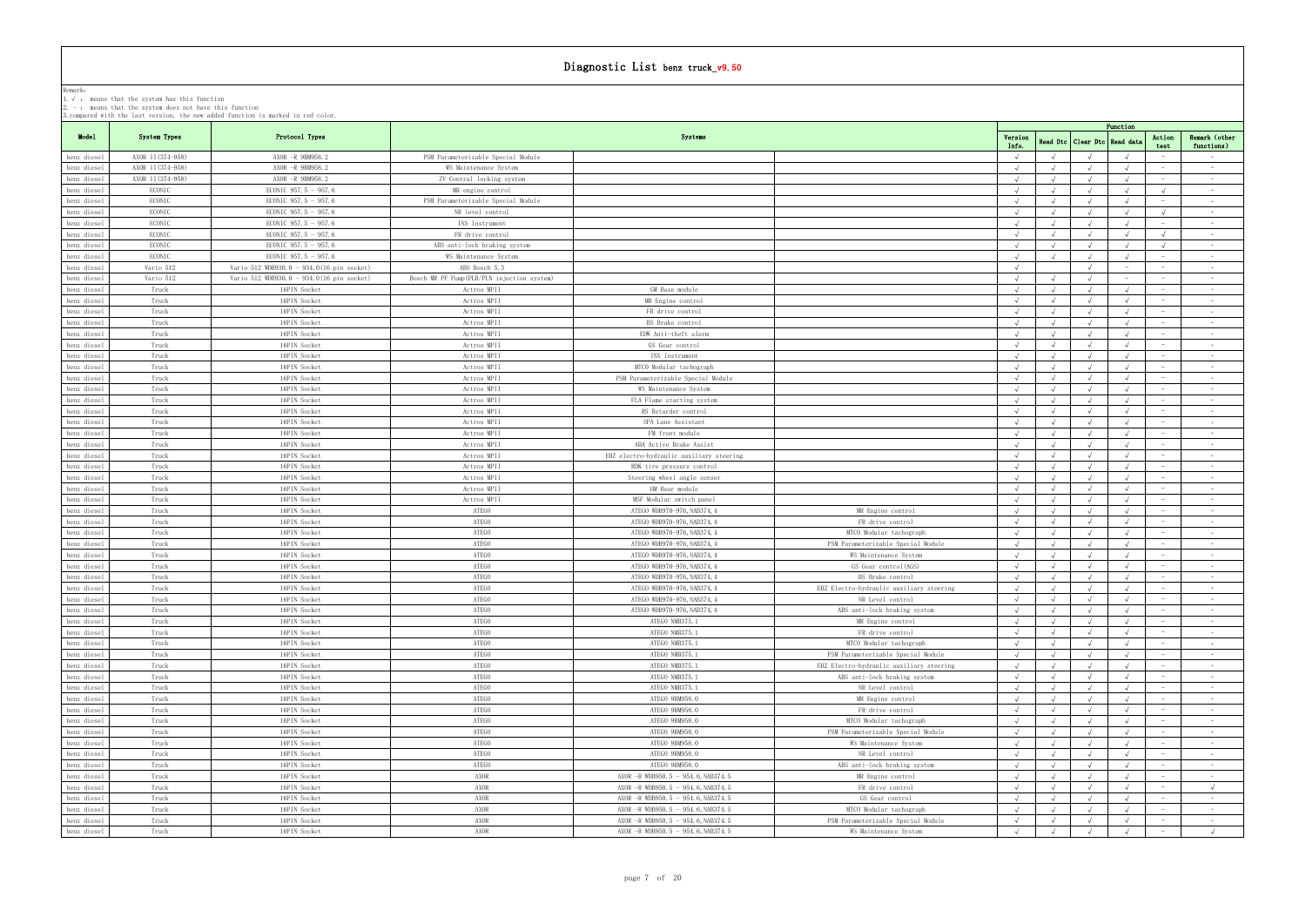|                            |                   | 3.compared with the last version, the new added function is marked in red color. |                                            |                                                                          |                                                             |                  |            |                                 | Function |                                 |                               |
|----------------------------|-------------------|----------------------------------------------------------------------------------|--------------------------------------------|--------------------------------------------------------------------------|-------------------------------------------------------------|------------------|------------|---------------------------------|----------|---------------------------------|-------------------------------|
| Model                      | System Types      | Protocol Types                                                                   |                                            | Systems                                                                  |                                                             | Version<br>Info. |            | Read Dtc   Clear Dtc   Read dat |          | Action                          | Remark (other                 |
| benz diesel                | AXOR II (374-958) | AXOR -R 9BM958.2                                                                 | PSM Parameterizable Special Module         |                                                                          |                                                             | $\sqrt{ }$       |            |                                 |          | test                            | functions)<br>$\sim$          |
| benz diesel                | AXOR II (374-958) | AXOR -R 9BM958.2                                                                 | WS Maintenance System                      |                                                                          |                                                             | $\sqrt{ }$       |            |                                 |          |                                 | $\sim 100$                    |
| benz diesel                | AXOR II (374-958) | AXOR -R 9BM958.2                                                                 | ZV Contral locking system                  |                                                                          |                                                             |                  |            |                                 |          |                                 | $\sim$ $ \sim$                |
| benz diesel                | ECONIC            | ECONIC 957.5 - 957.6                                                             | MR engine control                          |                                                                          |                                                             |                  |            |                                 |          | $\sqrt{ }$                      | $\sim$ $-$                    |
| benz diesel                | ECONIC            | ECONIC 957.5 - 957.6                                                             | PSM Parameterizable Special Module         |                                                                          |                                                             |                  |            |                                 |          | $\sim$                          | $\sim$ $-$                    |
| benz diesel                | ECONIC            | ECONIC 957.5 - 957.6                                                             | NR level control                           |                                                                          |                                                             |                  |            |                                 |          | $\sqrt{ }$                      | $\sim 10^{-11}$               |
| benz diesel                | ECONIC            | ECONIC 957.5 - 957.6                                                             | INS Instrument                             |                                                                          |                                                             |                  |            |                                 |          | $\hspace{0.1mm}-\hspace{0.1mm}$ | $\sim$ $ \sim$                |
| benz diesel                | ECONIC            | ECONIC 957.5 - 957.6                                                             | FR drive control                           |                                                                          |                                                             |                  |            |                                 |          | $\sqrt{ }$                      | $\sim$ $ \sim$                |
| benz diesel                | ECONIC            | ECONIC 957.5 - 957.6                                                             | ABS anti-lock braking system               |                                                                          |                                                             |                  |            |                                 |          | $\sqrt{ }$                      | $\sim 10^{-11}$               |
| benz diesel                | ECONIC            | ECONIC 957.5 - 957.6                                                             | WS Maintenance System                      |                                                                          |                                                             |                  |            |                                 |          | $\hspace{0.1mm}$                | $\sim 100$                    |
| benz diesel                | Vario 512         | Vario 512 WDB930.0 - 934.0(16 pin socket)                                        | ABS Bosch 5.3                              |                                                                          |                                                             |                  |            |                                 |          | $\sim$                          | $\sim$                        |
| benz diesel                | Vario 512         | Vario 512 WDB930.0 - 934.0(16 pin socket)                                        | Bosch MR PF Pump(PLD/PLN injection system) |                                                                          |                                                             |                  |            |                                 |          |                                 | $\sim$ $-$                    |
| benz diesel                | Truck             | 16PIN Socket                                                                     | Actros MPII                                | GM Base module                                                           |                                                             |                  |            |                                 |          | $\sim$                          | <b>Contract</b>               |
| benz diesel                | Truck             | 16PIN Socket                                                                     | Actros MPII                                | MR Engine control                                                        |                                                             |                  |            |                                 |          |                                 | $\sim$                        |
| benz diesel                | Truck             | 16PIN Socket                                                                     | Actros MPII                                | FR drive control                                                         |                                                             |                  |            |                                 |          |                                 | $\sim$                        |
| benz diesel                | Truck             | 16PIN Socket                                                                     | Actros MPII                                | BS Brake control                                                         |                                                             |                  |            |                                 |          | $\sim$                          | $\sim$ 100 $\mu$              |
| benz diesel                | Truck             | 16PIN Socket                                                                     | Actros MPII                                | EDW Anti-theft alarm                                                     |                                                             | $\sqrt{ }$       |            |                                 |          |                                 | $\sim$ $-$                    |
| benz diesel                | Truck             | 16PIN Socket                                                                     | Actros MPII                                | GS Gear control                                                          |                                                             |                  |            |                                 |          |                                 | $\sim$                        |
| benz diesel                | Truck             | 16PIN Socket                                                                     | Actros MPII                                | INS Instrument                                                           |                                                             | $\sqrt{ }$       |            |                                 |          | $\sim$                          | $\sim 10^{-11}$               |
| benz diesel                | Truck             | 16PIN Socket                                                                     | Actros MPII                                | MTCO Modular tachograph                                                  |                                                             | $\sqrt{ }$       |            |                                 |          | $\sim$                          | $\sim$ $-$                    |
| benz diesel                | Truck             | 16PIN Socket                                                                     | Actros MPII                                | PSM Parameterizable Special Module                                       |                                                             |                  |            |                                 |          |                                 | $\sim$ $ \sim$                |
| benz diesel                | Truck             | 16PIN Socket                                                                     | Actros MPII                                | WS Maintenance System                                                    |                                                             |                  |            |                                 |          |                                 | $\sim$ $ \sim$                |
| benz diesel                | Truck             | 16PIN Socket                                                                     | Actros MPII                                | FLA Flame starting system                                                |                                                             |                  |            |                                 |          | $\hspace{0.1mm}-\hspace{0.1mm}$ | $\sim$ $-$                    |
| benz diesel                | Truck             | 16PIN Socket                                                                     | Actros MPII                                | RS Retarder control                                                      |                                                             |                  |            |                                 |          |                                 | $\sim 100$                    |
| benz diesel                | Truck             | 16PIN Socket                                                                     | Actros MPII                                | SPA Lane Assistant                                                       |                                                             |                  |            |                                 |          |                                 | $\sim$ $ \sim$                |
| benz diesel                | Truck             | 16PIN Socket                                                                     | Actros MPII                                | FM front module                                                          |                                                             | $\sqrt{ }$       |            |                                 |          | $\sim$                          | $\sim$ $-$                    |
| benz diesel                | Truck             | 16PIN Socket                                                                     | Actros MPII                                | ABA Active Brake Assist                                                  |                                                             |                  |            |                                 |          | $\hspace{0.1mm}-\hspace{0.1mm}$ | $\sim 100$                    |
| benz diesel                | Truck             | 16PIN Socket                                                                     | Actros MPII                                | EHZ electro-hydraulic auxiliary steering                                 |                                                             |                  |            |                                 |          |                                 | $\sim$ $ \sim$                |
| benz diesel                | Truck             | 16PIN Socket                                                                     | Actros MPII                                | RDK tire pressure control                                                |                                                             |                  |            |                                 |          |                                 | $\sim$                        |
| benz diesel                | Truck             | 16PIN Socket                                                                     | Actros MPII                                | Steering wheel angle sensor                                              |                                                             |                  |            |                                 |          | $\hspace{0.1mm}-\hspace{0.1mm}$ | $\sim$ $-$<br>$\sim 10^{-11}$ |
| benz diesel                | Truck<br>Truck    | 16PIN Socket<br>16PIN Socket                                                     | Actros MPII<br>Actros MPII                 | HM Rear module<br>MSF Modular switch panel                               |                                                             |                  |            |                                 |          | $\overline{\phantom{0}}$        | $\sim$ $-$                    |
| benz diesel<br>benz diesel | Truck             | 16PIN Socket                                                                     | ATEGO                                      | ATEGO WDB970-976, NAB374, 4                                              | MR Engine control                                           |                  |            |                                 |          | $\hspace{0.1mm}-\hspace{0.1mm}$ | $\sim$ $ \sim$                |
| benz diesel                | Truck             | 16PIN Socket                                                                     | ATEGO                                      | ATEGO WDB970-976, NAB374, 4                                              | FR drive control                                            |                  |            |                                 |          |                                 | $\sim 100$                    |
| benz diesel                | Truck             | 16PIN Socket                                                                     | ATEGO                                      | ATEGO WDB970-976, NAB374, 4                                              | MTCO Modular tachograph                                     |                  |            |                                 |          | $\hspace{0.1mm}-\hspace{0.1mm}$ | $\sim$ $-$                    |
| benz diesel                | Truck             | 16PIN Socket                                                                     | ATEGO                                      | ATEGO WDB970-976, NAB374, 4                                              | PSM Parameterizable Special Module                          | $\sqrt{ }$       |            |                                 |          |                                 | $\sim$                        |
| benz diesel                | Truck             | 16PIN Socket                                                                     | ATEGO                                      | ATEGO WDB970-976, NAB374, 4                                              | WS Maintenance System                                       |                  |            |                                 |          |                                 | $\sim$ $-$                    |
| benz diesel                | Truck             | 16PIN Socket                                                                     | ATEGO                                      | ATEGO WDB970-976, NAB374, 4                                              | GS Gear control(AGS)                                        |                  |            |                                 |          | $\sim$                          | $\sim 100$                    |
| benz diesel                | Truck             | 16PIN Socket                                                                     | ATEGO                                      | ATEGO WDB970-976, NAB374, 4                                              | BS Brake control                                            | $\sqrt{ }$       |            |                                 |          |                                 | $\sim$                        |
| benz diesel                | Truck             | 16PIN Socket                                                                     | <b>ATEGO</b>                               | ATEGO WDB970-976, NAB374, 4                                              | EHZ Electro-hydraulic auxiliary steering                    |                  |            |                                 |          |                                 | $\sim$                        |
| benz diesel                | Truck             | 16PIN Socket                                                                     | ATEGO                                      | ATEGO WDB970-976, NAB374, 4                                              | NR Level control                                            |                  |            | $\sqrt{ }$                      |          | $\hspace{0.1mm}$                | <b>Contract</b>               |
| benz diesel                | Truck             | 16PIN Socket                                                                     | ATEGO                                      | ATEGO WDB970-976, NAB374, 4                                              | ABS anti-lock braking system                                | $\sqrt{ }$       | $\sqrt{ }$ | $\sqrt{ }$                      |          |                                 | $\sim$ $-$                    |
| benz diesel                | Truck             | 16PIN Socket                                                                     | ATEGO                                      | ATEGO NMB375.1                                                           | MR Engine control                                           |                  |            |                                 |          |                                 | $\sim 10^{-11}$               |
| benz diesel                | Truck             | 16PIN Socket                                                                     | ATEGO                                      | ATEGO NMB375.1                                                           | FR drive control                                            | $\sqrt{ }$       |            | $\sqrt{ }$                      |          | $\sim$                          | $\sim 10^{-11}$               |
| benz diesel                | Truck             | 16PIN Socket                                                                     | ATEGO                                      | ATEGO NMB375.1                                                           | MTCO Modular tachograph                                     | $\sqrt{ }$       |            | $\sqrt{ }$                      |          | $\hspace{0.1mm}-\hspace{0.1mm}$ | $\sim$                        |
| benz diesel                | Truck             | 16PIN Socket                                                                     | ATEGO                                      | ATEGO NMB375.1                                                           | PSM Parameterizable Special Module                          |                  |            |                                 |          |                                 | $\sim$ $ \sim$                |
| benz diesel                | Truck             | 16PIN Socket                                                                     | ATEGO                                      | ATEGO NMB375.1                                                           | EHZ Electro-hydraulic auxiliary steering                    |                  |            |                                 |          | $\hspace{0.1mm}-\hspace{0.1mm}$ | $\sim 10^{-11}$               |
| benz diesel                | Truck             | 16PIN Socket                                                                     | ATEGO                                      | ATEGO NMB375.1                                                           | ABS anti-lock braking system                                | $\sqrt{ }$       |            |                                 |          |                                 | $\sim$ $-$                    |
| benz diesel                | Truck             | 16PIN Socket                                                                     | ATEGO                                      | ATEGO NMB375.1                                                           | NR Level control                                            |                  |            |                                 |          |                                 | $\sim$ 100 $\mu$              |
| benz diesel                | Truck             | 16PIN Socket                                                                     | ATEGO                                      | ATEGO 9BM958.0                                                           | MR Engine control                                           |                  |            |                                 |          |                                 | $\sim 10^{-11}$               |
| benz diesel                | Truck             | 16PIN Socket                                                                     | ATEGO                                      | ATEGO 9BM958.0                                                           | FR drive control                                            |                  |            |                                 |          |                                 | $\sim$                        |
| benz diesel                | Truck             | 16PIN Socket                                                                     | ATEGO                                      | ATEGO 9BM958.0                                                           | MTCO Modular tachograph                                     |                  |            |                                 |          | $\hspace{0.1mm}-\hspace{0.1mm}$ | $\sim$ 100 $\mu$              |
| benz diesel                | Truck             | 16PIN Socket                                                                     | ATEGO                                      | ATEGO 9BM958.0                                                           | PSM Parameterizable Special Module                          |                  |            |                                 |          |                                 | $\sim 10^{-11}$               |
| benz diesel                | Truck             | 16PIN Socket                                                                     | ATEGO                                      | ATEGO 9BM958.0                                                           | WS Maintenance System                                       |                  |            |                                 |          |                                 | $\sim$ $-$                    |
| benz diesel                | Truck             | 16PIN Socket                                                                     | ATEGO                                      | ATEGO 9BM958.0                                                           | NR Level control                                            |                  |            |                                 |          |                                 | $\sim 100$                    |
| benz diesel                | Truck             | 16PIN Socket                                                                     | ATEGO                                      | ATEGO 9BM958.0                                                           | ABS anti-lock braking system                                |                  |            |                                 |          |                                 | $\sim 100$                    |
| benz diesel                | Truck             | 16PIN Socket                                                                     | AXOR                                       | AXOR - R WDB950.5 - 954.6, NAB374.5                                      | MR Engine control                                           |                  |            |                                 |          | $\hspace{0.1mm}$                | $\sim$ $-$                    |
| benz diesel                | Truck             | 16PIN Socket                                                                     | AXOR                                       | AXOR -R WDB950.5 - 954.6, NAB374.5                                       | FR drive control                                            |                  |            |                                 |          | $\hspace{0.1mm}-\hspace{0.1mm}$ | $\sqrt{ }$                    |
| benz diesel                | Truck             | 16PIN Socket                                                                     | AXOR                                       | AXOR -R WDB950.5 - 954.6, NAB374.5                                       | GS Gear control                                             |                  |            |                                 |          |                                 | $\sim$ $-$                    |
| benz diesel                | Truck             | 16PIN Socket                                                                     | AXOR<br>AXOR                               | AXOR -R WDB950.5 - 954.6, NAB374.5                                       | MTCO Modular tachograph                                     |                  |            |                                 |          | $\overline{\phantom{0}}$        | $\sim$ $-$                    |
| benz diesel<br>benz diesel | Truck<br>Truck    | 16PIN Socket<br>16PIN Socket                                                     | AXOR                                       | AXOR -R WDB950.5 - 954.6, NAB374.5<br>AXOR -R WDB950.5 - 954.6, NAB374.5 | PSM Parameterizable Special Module<br>WS Maintenance System | $\sqrt{ }$       |            |                                 |          |                                 | $\sim$ $-$                    |
|                            |                   |                                                                                  |                                            |                                                                          |                                                             |                  |            |                                 |          |                                 |                               |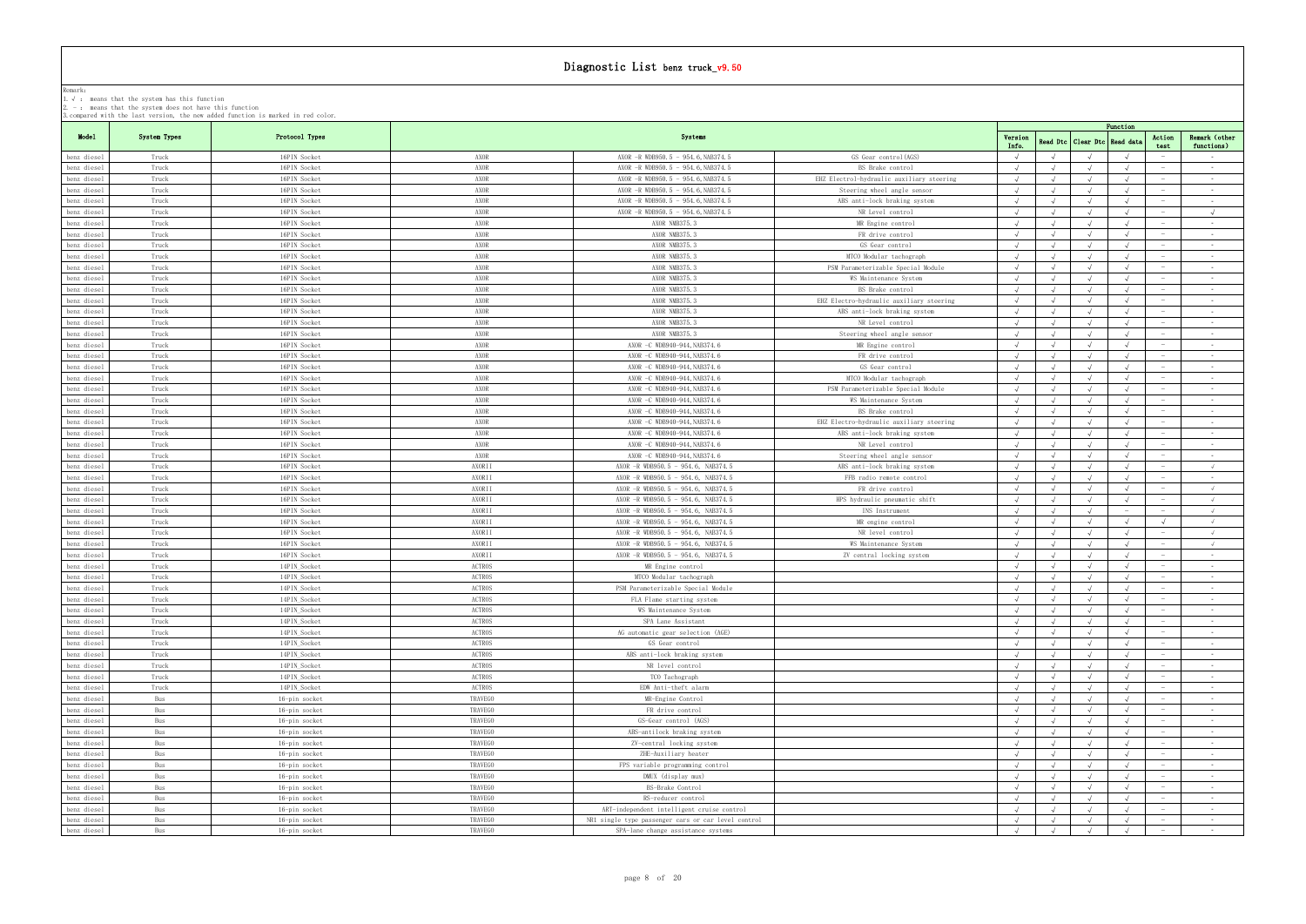|             |              | 3. compared with the last version, the new added function is marked in red color. |                |                                                     |                                           |                     |            |                    | Function   |                                 |                      |
|-------------|--------------|-----------------------------------------------------------------------------------|----------------|-----------------------------------------------------|-------------------------------------------|---------------------|------------|--------------------|------------|---------------------------------|----------------------|
| Model       | System Types | Protocol Types                                                                    |                | Systems                                             |                                           | Version             |            | Read Dtc Clear Dtc | Read data  | Action                          | Remark (other        |
| benz diesel | Truck        | 16PIN Socket                                                                      | AXOR           | AXOR -R WDB950.5 - 954.6, NAB374.5                  | GS Gear control(AGS)                      | Info.<br>$\sqrt{ }$ |            |                    |            | test                            | functions)<br>$\sim$ |
| benz diesel | Truck        | 16PIN Socket                                                                      | AXOR           | AXOR -R WDB950.5 - 954.6, NAB374.5                  | BS Brake control                          |                     |            |                    |            |                                 | $\sim$               |
| benz diesel | Truck        | 16PIN Socket                                                                      | AXOR           | AXOR $-R$ WDB950.5 - 954.6, NAB374.5                | EHZ Electrol-hydraulic auxiliary steering |                     |            |                    |            |                                 | $\sim$ $-$           |
| benz diesel | Truck        | 16PIN Socket                                                                      | AXOR           | AXOR -R WDB950.5 - 954.6, NAB374.5                  | Steering wheel angle sensor               |                     |            |                    |            | $\sim$                          | <b>Contract</b>      |
| benz diesel | Truck        | 16PIN Socket                                                                      | AXOR           | AXOR $-R$ WDB950.5 - 954.6, NAB374.5                | ABS anti-lock braking system              | $\sqrt{ }$          |            |                    |            |                                 | $\sim$               |
|             | Truck        | 16PIN Socket                                                                      | AXOR           | AXOR -R WDB950.5 - 954.6, NAB374.5                  | NR Level control                          |                     |            |                    |            |                                 | $\sqrt{ }$           |
| benz diesel |              |                                                                                   | AXOR           | AXOR NMB375.3                                       |                                           |                     |            |                    |            | $\sim$                          |                      |
| benz diesel | Truck        | 16PIN Socket                                                                      |                |                                                     | MR Engine control                         |                     |            |                    |            |                                 | $\sim$ 100 $\mu$     |
| benz diesel | Truck        | 16PIN Socket                                                                      | AXOR           | AXOR NMB375.3                                       | FR drive control                          |                     |            |                    |            |                                 | $\sim$ $-$           |
| benz diesel | Truck        | 16PIN Socket                                                                      | AXOR           | AXOR NMB375.3                                       | GS Gear control                           |                     |            |                    |            |                                 | $\sim$ $-$           |
| benz diesel | Truck        | 16PIN Socket                                                                      | AXOR           | AXOR NMB375.3                                       | MTCO Modular tachograph                   | $\sqrt{ }$          |            |                    |            | $\sim$                          | $\sim 10^{-11}$      |
| benz diesel | Truck        | 16PIN Socket                                                                      | AXOR           | AXOR NMB375.3                                       | PSM Parameterizable Special Module        | $\sqrt{ }$          |            | $\sqrt{ }$         |            | $\hspace{0.1mm}$                | $\sim$ $-$           |
| benz diesel | Truck        | 16PIN Socket                                                                      | AXOR           | AXOR NMB375.3                                       | WS Maintenance System                     |                     |            |                    |            |                                 | $\sim$ $ \sim$       |
| benz diesel | Truck        | 16PIN Socket                                                                      | AXOR           | AXOR NMB375.3                                       | BS Brake control                          |                     |            |                    |            |                                 | $\sim$ $ \sim$       |
| benz diesel | Truck        | 16PIN Socket                                                                      | AXOR           | AXOR NMB375.3                                       | EHZ Electro-hydraulic auxiliary steering  | $\sqrt{ }$          |            |                    |            |                                 | $\sim$ $-$           |
| benz diesel | Truck        | 16PIN Socket                                                                      | AXOR           | AXOR NMB375.3                                       | ABS anti-lock braking system              | $\sqrt{ }$          |            | $\sqrt{ }$         |            | $\overline{\phantom{0}}$        | $\sim 100$           |
| benz diesel | Truck        | 16PIN Socket                                                                      | AXOR           | AXOR NMB375.3                                       | NR Level control                          |                     |            |                    |            |                                 | $\sim$ $ \sim$       |
| benz diesel | Truck        | 16PIN Socket                                                                      | AXOR           | AXOR NMB375.3                                       | Steering wheel angle sensor               | $\sqrt{ }$          |            |                    |            | $\hspace{0.1mm}-\hspace{0.1mm}$ | $\sim$ $ \sim$       |
| benz diesel | Truck        | 16PIN Socket                                                                      | AXOR           | AXOR -C WDB940-944, NAB374.6                        | MR Engine control                         |                     |            |                    |            | $\hspace{0.1mm}-\hspace{0.1mm}$ | $\sim$ 100 $\mu$     |
| benz diesel | Truck        | 16PIN Socket                                                                      | AXOR           | AXOR -C WDB940-944, NAB374.6                        | FR drive control                          |                     |            |                    |            |                                 | $\sim 10^{-11}$      |
| benz diesel | Truck        | 16PIN Socket                                                                      | AXOR           | AXOR -C WDB940-944, NAB374.6                        | GS Gear control                           |                     |            |                    |            |                                 | $\sim$ $-$           |
| benz diesel | Truck        | 16PIN Socket                                                                      | AXOR           | AXOR -C WDB940-944, NAB374.6                        | MTCO Modular tachograph                   |                     |            |                    |            | $\overline{\phantom{a}}$        | $\sim 100$           |
| benz diesel | Truck        | 16PIN Socket                                                                      | AXOR           | AXOR -C WDB940-944, NAB374.6                        | PSM Parameterizable Special Module        |                     |            |                    |            |                                 | $\sim 100$           |
| benz diesel | Truck        | 16PIN Socket                                                                      | AXOR           | AXOR -C WDB940-944, NAB374.6                        | WS Maintenance System                     |                     |            |                    |            |                                 | $\sim$               |
| benz diesel | Truck        | 16PIN Socket                                                                      | AXOR           | AXOR -C WDB940-944, NAB374.6                        | BS Brake control                          |                     |            |                    |            | $\overline{\phantom{a}}$        | $\sim$ $ \sim$       |
| benz diesel | Truck        | 16PIN Socket                                                                      | AXOR           | AXOR -C WDB940-944, NAB374.6                        | EHZ Electro-hydraulic auxiliary steering  |                     |            |                    |            |                                 | $\sim$ 100 $\mu$     |
| benz diesel | Truck        | 16PIN Socket                                                                      | AXOR           | AXOR -C WDB940-944, NAB374.6                        | ABS anti-lock braking system              |                     |            |                    |            |                                 | $\sim$ $-$           |
| benz diesel | Truck        | 16PIN Socket                                                                      | AXOR           | AXOR -C WDB940-944, NAB374.6                        | NR Level control                          |                     |            |                    |            |                                 | $\sim$               |
| benz diesel | Truck        | 16PIN Socket                                                                      | AXOR           | AXOR -C WDB940-944, NAB374.6                        | Steering wheel angle sensor               |                     |            |                    |            |                                 | $\sim$ $-$           |
| benz diesel | Truck        | 16PIN Socket                                                                      | AXORII         | AXOR $-R$ WDB950.5 - 954.6, NAB374.5                | ABS anti-lock braking system              |                     |            |                    |            | $\sim$                          | $\sqrt{ }$           |
| benz diesel | Truck        | 16PIN Socket                                                                      | AXORII         | AXOR $-R$ WDB950.5 - 954.6, NAB374.5                | FFB radio remote control                  | $\sqrt{ }$          |            |                    |            |                                 | $\sim 100$           |
| benz diesel | Truck        | 16PIN Socket                                                                      | AXORII         | AXOR $-R$ WDB950.5 - 954.6, NAB374.5                | FR drive control                          |                     |            |                    |            |                                 | $\sqrt{ }$           |
| benz diesel | Truck        | 16PIN Socket                                                                      | AXORII         | AXOR -R WDB950.5 - 954.6, NAB374.5                  | HPS hydraulic pneumatic shift             | $\sqrt{ }$          |            | $\sqrt{ }$         |            | $\hspace{0.1mm}-\hspace{0.1mm}$ | $\sqrt{ }$           |
| benz diesel | Truck        | 16PIN Socket                                                                      | AXORII         | AXOR $-R$ WDB950.5 - 954.6, NAB374.5                | INS Instrument                            | $\sqrt{ }$          |            |                    |            |                                 | $\sqrt{ }$           |
| benz diesel | Truck        | 16PIN Socket                                                                      | AXORII         | AXOR $-R$ WDB950.5 - 954.6, NAB374.5                | MR engine control                         |                     |            |                    |            |                                 | $\sqrt{ }$           |
| benz diesel | Truck        | 16PIN Socket                                                                      | AXORII         | AXOR -R WDB950.5 - 954.6, NAB374.5                  | NR level control                          | $\sqrt{ }$          |            |                    |            | $\sim$                          | $\sqrt{ }$           |
| benz diesel | Truck        | 16PIN Socket                                                                      | AXORII         | AXOR -R WDB950.5 - 954.6, NAB374.5                  | WS Maintenance System                     | $\sqrt{ }$          |            |                    |            | $\sim$                          | $\sqrt{ }$           |
| benz diesel | Truck        | 16PIN Socket                                                                      | AXORII         | AXOR $-R$ WDB950.5 - 954.6, NAB374.5                | ZV central locking system                 | $\sqrt{ }$          |            |                    |            |                                 | $\sim 100$           |
| benz diesel | Truck        | 14PIN_Socket                                                                      | <b>ACTROS</b>  | MR Engine control                                   |                                           |                     |            |                    |            |                                 | $\sim$ $ \sim$       |
| benz diesel | Truck        | 14PIN Socket                                                                      | <b>ACTROS</b>  | MTCO Modular tachograph                             |                                           |                     |            |                    |            |                                 | $\sim$               |
| benz diesel | Truck        | 14PIN Socket                                                                      | <b>ACTROS</b>  | PSM Parameterizable Special Module                  |                                           | $\sqrt{ }$          |            |                    |            |                                 | $\sim$               |
| benz diesel | Truck        | 14PIN_Socket                                                                      | ACTROS         | FLA Flame starting system                           |                                           |                     |            |                    |            | $\hspace{0.1mm}-\hspace{0.1mm}$ | $\sim$               |
| benz diesel | Truck        | 14PIN Socket                                                                      | ACTROS         | WS Maintenance System                               |                                           | $\sqrt{ }$          |            |                    |            |                                 | $\sim$               |
| benz diesel | Truck        | 14PIN_Socket                                                                      | <b>ACTROS</b>  | SPA Lane Assistant                                  |                                           | $\sqrt{ }$          |            |                    |            |                                 | $\sim 100$           |
| benz diesel | Truck        | 14PIN_Socket                                                                      | ACTROS         | AG automatic gear selection (AGE)                   |                                           |                     |            |                    |            |                                 | $\sim 10^{-11}$      |
| benz diesel | Truck        | 14PIN_Socket                                                                      | <b>ACTROS</b>  | GS Gear control                                     |                                           |                     |            |                    |            |                                 | $\sim$               |
| benz diesel | Truck        | 14PIN_Socket                                                                      | ACTROS         | ABS anti-lock braking system                        |                                           |                     |            |                    |            | $\hspace{0.1mm}-\hspace{0.1mm}$ | $\sim 100$           |
| benz diesel | Truck        | 14PIN_Socket                                                                      | <b>ACTROS</b>  | NR level control                                    |                                           |                     |            |                    |            |                                 | $\sim$ $ \sim$       |
| benz diesel | Truck        | 14PIN_Socket                                                                      | <b>ACTROS</b>  | TCO Tachograph                                      |                                           |                     |            |                    |            | $\hspace{0.1mm}$                | $\sim$ $-$           |
| benz diesel | Truck        | 14PIN_Socket                                                                      | <b>ACTROS</b>  | EDW Anti-theft alarm                                |                                           |                     |            |                    |            |                                 | $\sim$ $ \sim$       |
| benz diesel | Bus          | 16-pin socket                                                                     | TRAVEGO        | MR-Engine Control                                   |                                           |                     |            |                    |            |                                 | $\sim$               |
| benz diesel | Bus          | 16-pin socket                                                                     | <b>TRAVEGO</b> | FR drive control                                    |                                           |                     |            |                    |            | $\hspace{0.1mm}$                | $\sim$ 100 $\mu$     |
| benz diesel | Bus          | 16-pin socket                                                                     | TRAVEGO        | GS-Gear control (AGS)                               |                                           |                     |            |                    |            |                                 | $\sim$               |
| benz diesel | Bus          | 16-pin socket                                                                     | <b>TRAVEGO</b> | ABS-antilock braking system                         |                                           |                     |            |                    |            |                                 | $\sim$ $-$           |
| benz diesel | Bus          | 16-pin socket                                                                     | TRAVEGO        | ZV-central locking system                           |                                           | $\sqrt{ }$          |            |                    |            | $\sim$                          | $\sim$ 100 $\mu$     |
| benz diesel | Bus          | 16-pin socket                                                                     | TRAVEGO        | ZHE-Auxiliary heater                                |                                           |                     |            |                    |            |                                 | $\sim$               |
| benz diesel | Bus          | 16-pin socket                                                                     | <b>TRAVEGO</b> | FPS variable programming control                    |                                           |                     |            |                    |            |                                 | $\sim$ $-$           |
| benz diesel | Bus          | 16-pin socket                                                                     | TRAVEGO        | DMUX (display mux)                                  |                                           |                     |            |                    |            | $\hspace{0.1mm}$                | $\sim$ 100 $\mu$     |
| benz diesel | Bus          | 16-pin socket                                                                     | TRAVEGO        | BS-Brake Control                                    |                                           |                     |            |                    |            | $\hspace{0.1mm}$                | $\sim$ $-$           |
| benz diesel | Bus          | 16-pin socket                                                                     | TRAVEGO        | RS-reducer control                                  |                                           |                     |            |                    |            |                                 | $\sim$ $-$           |
| benz diesel | Bus          | 16-pin socket                                                                     | TRAVEGO        | ART-independent intelligent cruise control          |                                           |                     |            |                    |            | $\hspace{0.1mm}$                | $\sim 10^{-11}$      |
| benz diesel | Bus          | 16-pin socket                                                                     | TRAVEGO        | NR1 single type passenger cars or car level control |                                           | $\sqrt{ }$          | $\sqrt{ }$ | $\sqrt{ }$         | $\sqrt{ }$ | $\overline{\phantom{a}}$        | $\sim$ $ \sim$       |
| benz diesel | Bus          | 16-pin socket                                                                     | TRAVEGO        | SPA-lane change assistance systems                  |                                           |                     |            |                    |            |                                 | $\sim$               |
|             |              |                                                                                   |                |                                                     |                                           |                     |            |                    |            |                                 |                      |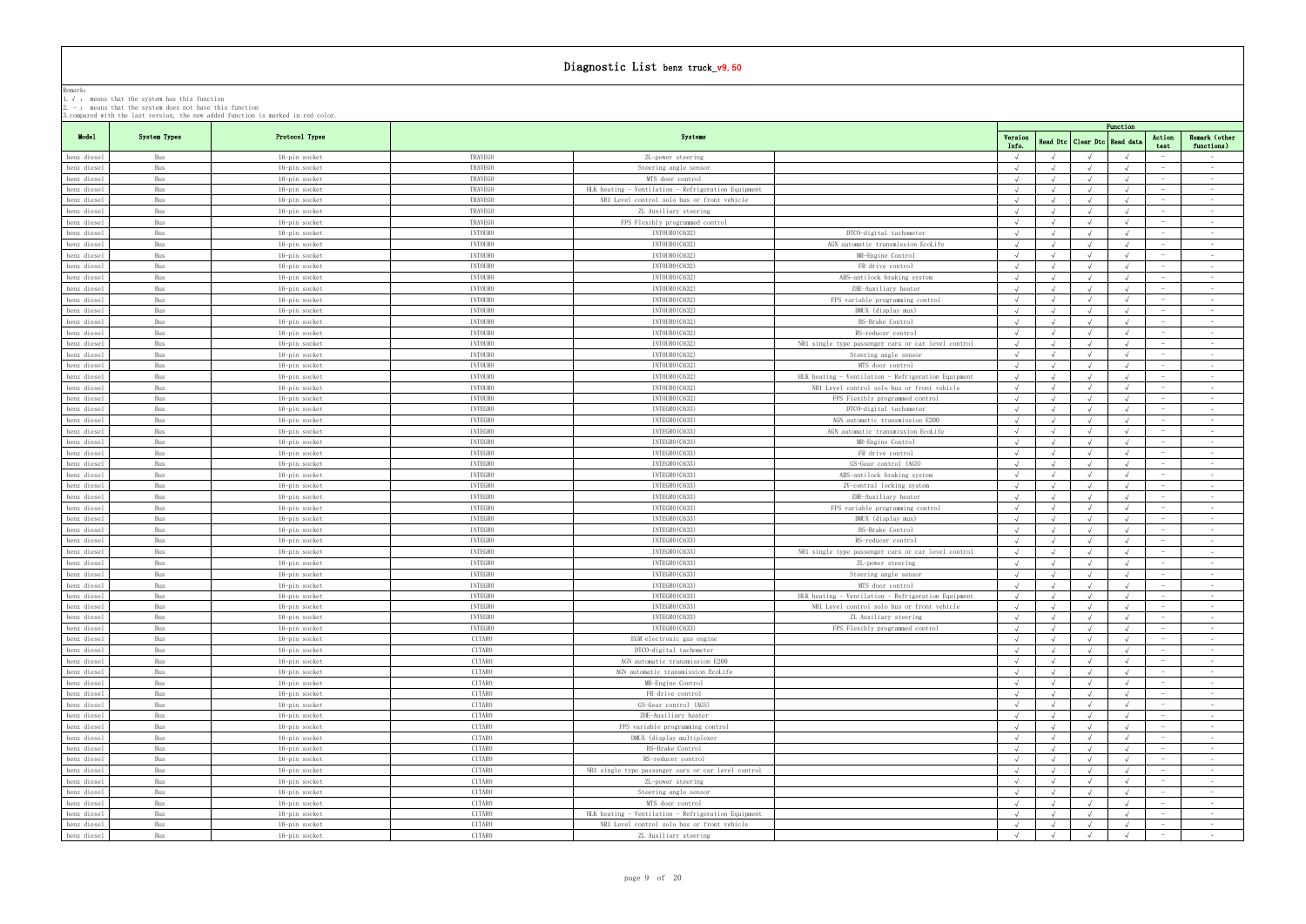|             |              | 3. compared with the last version, the new added function is marked in red color. |                |                                                     |                                                     |            |                         |                                  | Function             |                          |
|-------------|--------------|-----------------------------------------------------------------------------------|----------------|-----------------------------------------------------|-----------------------------------------------------|------------|-------------------------|----------------------------------|----------------------|--------------------------|
| Model       | System Types | Protocol Types                                                                    |                | Systems                                             |                                                     | Version    |                         | Read Dtc   Clear Dtc   Read data | Action               | Remark (other            |
| benz diesel | Bus          | 16-pin socket                                                                     | TRAVEGO        | ZL-power steering                                   |                                                     | Info.      |                         |                                  | test                 | functions)<br>$\sim$ $-$ |
| benz diesel | Bus          | 16-pin socket                                                                     | TRAVEGO        | Steering angle sensor                               |                                                     |            |                         |                                  |                      | $\sim$                   |
| benz diesel | Bus          | 16-pin socket                                                                     | TRAVEGO        | MTS door control                                    |                                                     |            |                         |                                  |                      | $\sim$                   |
| penz diesel | Bus          | 16-pin socket                                                                     | TRAVEGO        | HLK heating - Ventilation - Refrigeration Equipment |                                                     |            |                         |                                  |                      | $\sim$ $-$               |
| benz diesel | Bus          |                                                                                   | TRAVEGO        | NR1 Level control solo bus or front vehicle         |                                                     |            |                         |                                  |                      | $\sim$ $-$               |
|             |              | 16-pin socket                                                                     |                |                                                     |                                                     |            |                         |                                  |                      |                          |
| benz diesel | Bus          | 16-pin socket                                                                     | TRAVEGO        | ZL Auxiliary steering                               |                                                     |            |                         |                                  |                      | $\sim$ $-$               |
| benz diesel | Bus          | 16-pin socket                                                                     | TRAVEGO        | FPS Flexibly programmed control                     |                                                     |            |                         |                                  |                      | $\sim$                   |
| benz diesel | Bus          | 16-pin socket                                                                     | <b>INTOURO</b> | INTOURO (C632)                                      | DTCO-digital tachometer                             |            |                         |                                  |                      | $\sim$                   |
| benz diesel | Bus          | 16-pin socket                                                                     | <b>INTOURO</b> | INTOURO (C632)                                      | AGN automatic transmission EcoLife                  |            |                         |                                  |                      | $\sim$ $-$               |
| benz diesel | Bus          | 16-pin socket                                                                     | <b>INTOURO</b> | INTOURO (C632)                                      | MR-Engine Control                                   |            |                         |                                  |                      | $\sim$                   |
| benz diesel | Bus          | 16-pin socket                                                                     | <b>INTOURO</b> | INTOURO (C632)                                      | FR drive control                                    | $\sqrt{ }$ |                         |                                  |                      | $\sim$                   |
| benz diesel | Bus          | 16-pin socket                                                                     | <b>INTOURO</b> | INTOURO (C632)                                      | ABS-antilock braking system                         |            |                         |                                  |                      | $\sim 10^{-1}$           |
| benz diesel | Bus          | 16-pin socket                                                                     | <b>INTOURO</b> | INTOURO (C632)                                      | ZHE-Auxiliary heater                                |            |                         |                                  |                      | $\sim$                   |
| benz diesel | Bus          | 16-pin socket                                                                     | <b>INTOURO</b> | INTOURO (C632)                                      | FPS variable programming control                    |            |                         |                                  |                      | $\sim$                   |
| benz diesel | Bus          | 16-pin socket                                                                     | <b>INTOURO</b> | INTOURO (C632)                                      | DMUX (display mux)                                  |            |                         |                                  |                      | $\sim 10^{-1}$           |
| benz diesel | Bus          | 16-pin socket                                                                     | <b>INTOURO</b> | INTOURO (C632)                                      | BS-Brake Control                                    | $\sqrt{ }$ |                         |                                  | $\sim$               | $\sim$ 100 $\pm$         |
|             |              |                                                                                   |                |                                                     |                                                     |            |                         |                                  |                      | $\sim$                   |
| benz diesel | Bus          | 16-pin socket                                                                     | <b>INTOURO</b> | INTOURO (C632)                                      | RS-reducer control                                  |            |                         |                                  |                      |                          |
| benz diesel | Bus          | 16-pin socket                                                                     | <b>INTOURO</b> | INTOURO (C632)                                      | NR1 single type passenger cars or car level control |            |                         |                                  |                      | $\sim$                   |
| benz diesel | Bus          | 16-pin socket                                                                     | <b>INTOURO</b> | INTOURO (C632)                                      | Steering angle sensor                               |            |                         |                                  | $\sim$               | $\sim$ $-$               |
| benz diesel | Bus          | 16-pin socket                                                                     | <b>INTOURO</b> | INTOURO (C632)                                      | MTS door control                                    | $\sqrt{ }$ | $\sqrt{ }$              |                                  |                      | $\sim$                   |
| benz diesel | Bus          | 16-pin socket                                                                     | <b>INTOURO</b> | INTOURO (C632)                                      | HLK heating - Ventilation - Refrigeration Equipment |            |                         |                                  |                      | $\sim$                   |
| benz diesel | Bus          | 16-pin socket                                                                     | <b>INTOURO</b> | INTOURO (C632)                                      | NR1 Level control solo bus or front vehicle         | $\sqrt{ }$ |                         |                                  | $\sim$               | $\sim$ $-$               |
| benz diesel | Bus          | 16-pin socket                                                                     | <b>INTOURO</b> | INTOURO (C632)                                      | FPS Flexibly programmed control                     |            |                         |                                  |                      | $\sim$                   |
| benz diesel | Bus          | 16-pin socket                                                                     | <b>INTEGRO</b> | INTEGRO (C633)                                      | DTCO-digital tachometer                             |            |                         |                                  |                      | $\sim$                   |
| benz diesel | Bus          | 16-pin socket                                                                     | <b>INTEGRO</b> | INTEGRO (C633)                                      | AGN automatic transmission E200                     |            |                         |                                  |                      | $\sim$ $-$               |
| benz diesel | Bus          | 16-pin socket                                                                     | <b>INTEGRO</b> | INTEGRO (C633)                                      | AGN automatic transmission EcoLife                  |            |                         |                                  |                      | $\sim$ $-$               |
| benz diesel | Bus          | 16-pin socket                                                                     | <b>INTEGRO</b> | INTEGRO (C633)                                      | MR-Engine Control                                   | $\sqrt{ }$ |                         |                                  |                      | $\sim 10^{-1}$           |
| benz diesel | Bus          | 16-pin socket                                                                     | <b>INTEGRO</b> | INTEGRO (C633)                                      | FR drive control                                    |            |                         |                                  |                      | $\sim$ $-$               |
|             | Bus          |                                                                                   | <b>INTEGRO</b> | INTEGRO (C633)                                      | GS-Gear control (AGS)                               |            |                         |                                  |                      | $\sim$                   |
| benz diesel |              | 16-pin socket                                                                     |                |                                                     |                                                     |            |                         |                                  |                      |                          |
| benz diesel | Bus          | 16-pin socket                                                                     | <b>INTEGRO</b> | INTEGRO (C633)                                      | ABS-antilock braking system                         |            |                         |                                  |                      | $\sim 10^{-1}$           |
| benz diesel | Bus          | 16-pin socket                                                                     | <b>INTEGRO</b> | INTEGRO (C633)                                      | ZV-central locking system                           |            |                         |                                  |                      | $\sim$ $-$               |
| benz diesel | Bus          | 16-pin socket                                                                     | <b>INTEGRO</b> | INTEGRO (C633)                                      | ZHE-Auxiliary heater                                |            |                         |                                  |                      | $\sim$                   |
| benz diesel | Bus          | 16-pin socket                                                                     | <b>INTEGRO</b> | INTEGRO (C633)                                      | FPS variable programming control                    |            |                         |                                  |                      | $\sim 10^{-1}$           |
| benz diesel | Bus          | 16-pin socket                                                                     | <b>INTEGRO</b> | INTEGRO (C633)                                      | DMUX (display mux)                                  | $\Lambda$  |                         |                                  |                      | $\sim 100$               |
| benz diesel | Bus          | 16-pin socket                                                                     | <b>INTEGRO</b> | INTEGRO (C633)                                      | BS-Brake Control                                    |            |                         |                                  |                      | $\sim$ $-$               |
| benz diesel | Bus          | 16-pin socket                                                                     | <b>INTEGRO</b> | INTEGRO (C633)                                      | RS-reducer control                                  | $\sqrt{ }$ |                         |                                  |                      | $\sim$                   |
| benz diesel | Bus          | 16-pin socket                                                                     | <b>INTEGRO</b> | INTEGRO (C633)                                      | NR1 single type passenger cars or car level control |            |                         |                                  |                      | $\sim$ $-$               |
| benz diesel | Bus          | 16-pin socket                                                                     | <b>INTEGRO</b> | INTEGRO (C633)                                      | ZL-power steering                                   |            |                         |                                  |                      | $\sim$ $-$               |
| benz diesel | Bus          | 16-pin socket                                                                     | <b>INTEGRO</b> | INTEGRO (C633)                                      | Steering angle sensor                               |            |                         |                                  |                      | $\sim$                   |
|             |              |                                                                                   | <b>INTEGRO</b> | INTEGRO (C633)                                      |                                                     |            |                         |                                  |                      | $\sim$                   |
| benz diesel | Bus          | 16-pin socket                                                                     |                |                                                     | MTS door control                                    |            |                         |                                  |                      |                          |
| benz diesel | Bus          | 16-pin socket                                                                     | <b>INTEGRO</b> | INTEGRO (C633)                                      | HLK heating - Ventilation - Refrigeration Equipment |            | $\sqrt{ }$<br>$\lambda$ |                                  |                      | $\sim$ $-$               |
| benz diesel | Bus          | 16-pin socket                                                                     | <b>INTEGRO</b> | INTEGRO (C633)                                      | NR1 Level control solo bus or front vehicle         | $\sqrt{ }$ |                         |                                  |                      | $\sim 10^{-1}$           |
| benz diesel | Bus          | 16-pin socket                                                                     | <b>INTEGRO</b> | INTEGRO (C633)                                      | ZL Auxiliary steering                               |            |                         |                                  |                      | $\sim$ $-$               |
| benz diesel | Bus          | 16-pin socket                                                                     | <b>INTEGRO</b> | INTEGRO (C633)                                      | FPS Flexibly programmed control                     | $\sqrt{ }$ |                         |                                  |                      | $\sim 10^{-1}$           |
| benz diesel | Bus          | 16-pin socket                                                                     | CITARO         | EGM electronic gas engine                           |                                                     | $\sqrt{ }$ | $\sqrt{ }$              | $\sqrt{ }$                       | $\sqrt{ }$           | $\sim$                   |
| benz diesel | Bus          | 16-pin socket                                                                     | CITARO         | DTCO-digital tachometer                             |                                                     |            |                         |                                  |                      | $\sim 100$               |
| benz diesel | Bus          | 16-pin socket                                                                     | CITARO         | AGN automatic transmission E200                     |                                                     |            |                         |                                  |                      | $\sim$ $-$               |
| benz diesel | Bus          | 16-pin socket                                                                     | CITARO         | AGN automatic transmission EcoLife                  |                                                     |            |                         |                                  |                      | $\sim$                   |
| benz diesel | Bus          | 16-pin socket                                                                     | CITARO         | MR-Engine Control                                   |                                                     |            |                         |                                  |                      | $\sim 10^{-1}$           |
| benz diesel | Bus          | 16-pin socket                                                                     | CITARO         | FR drive control                                    |                                                     |            |                         |                                  |                      | $\sim$ $-$               |
| benz diesel | Bus          | 16-pin socket                                                                     | CITARO         | GS-Gear control (AGS)                               |                                                     |            |                         |                                  |                      | $\sim$ $-$               |
| benz diesel | Bus          | 16-pin socket                                                                     | CITARO         | ZHE-Auxiliary heater                                |                                                     |            |                         |                                  |                      | $\sim$ $-$               |
| benz diesel | Bus          | 16-pin socket                                                                     | CITARO         | FPS variable programming control                    |                                                     | $\sqrt{ }$ |                         |                                  |                      | $\sim$ $-$               |
|             | Bus          |                                                                                   | CITARO         | DMUX (display multiplexer                           |                                                     |            |                         |                                  |                      | $\sim$                   |
| benz diesel |              | 16-pin socket                                                                     |                |                                                     |                                                     |            |                         |                                  |                      |                          |
| benz diesel | Bus          | 16-pin socket                                                                     | CITARO         | BS-Brake Control                                    |                                                     |            |                         |                                  |                      | $\sim 10^{-1}$           |
| benz diesel | Bus          | 16-pin socket                                                                     | CITARO         | RS-reducer control                                  |                                                     |            |                         |                                  |                      | $\sim$ $-$               |
| benz diesel | Bus          | 16-pin socket                                                                     | CITARO         | NR1 single type passenger cars or car level control |                                                     |            |                         |                                  |                      | $\sim$ $-$               |
| benz diesel | Bus          | 16-pin socket                                                                     | CITARO         | ZL-power steering                                   |                                                     |            |                         |                                  |                      | $\sim$ $-$               |
| benz diesel | Bus          | 16-pin socket                                                                     | CITARO         | Steering angle sensor                               |                                                     | $\sqrt{ }$ | $\lambda$               |                                  | $\sqrt{ }$<br>$-$    | $\sim$ $-$               |
| benz diesel | Bus          | 16-pin socket                                                                     | CITARO         | MTS door control                                    |                                                     |            |                         |                                  |                      | $\sim$                   |
| benz diesel | Bus          | 16-pin socket                                                                     | CITARO         | HLK heating - Ventilation - Refrigeration Equipment |                                                     | $\sqrt{ }$ | $\sqrt{ }$              |                                  | $\sqrt{ }$           | $\sim$                   |
| benz diesel | Bus          | 16-pin socket                                                                     | CITARO         | NR1 Level control solo bus or front vehicle         |                                                     | $\sqrt{ }$ | $\sqrt{ }$              |                                  | $\sqrt{ }$           | <b>Contract</b>          |
| benz diesel | Bus          | 16-pin socket                                                                     | CITARO         | ZL Auxiliary steering                               |                                                     | $\sqrt{ }$ | $\sqrt{ }$              | $\sqrt{ }$                       | $\sqrt{ }$<br>$\sim$ | $\sim 100$               |
|             |              |                                                                                   |                |                                                     |                                                     |            |                         |                                  |                      |                          |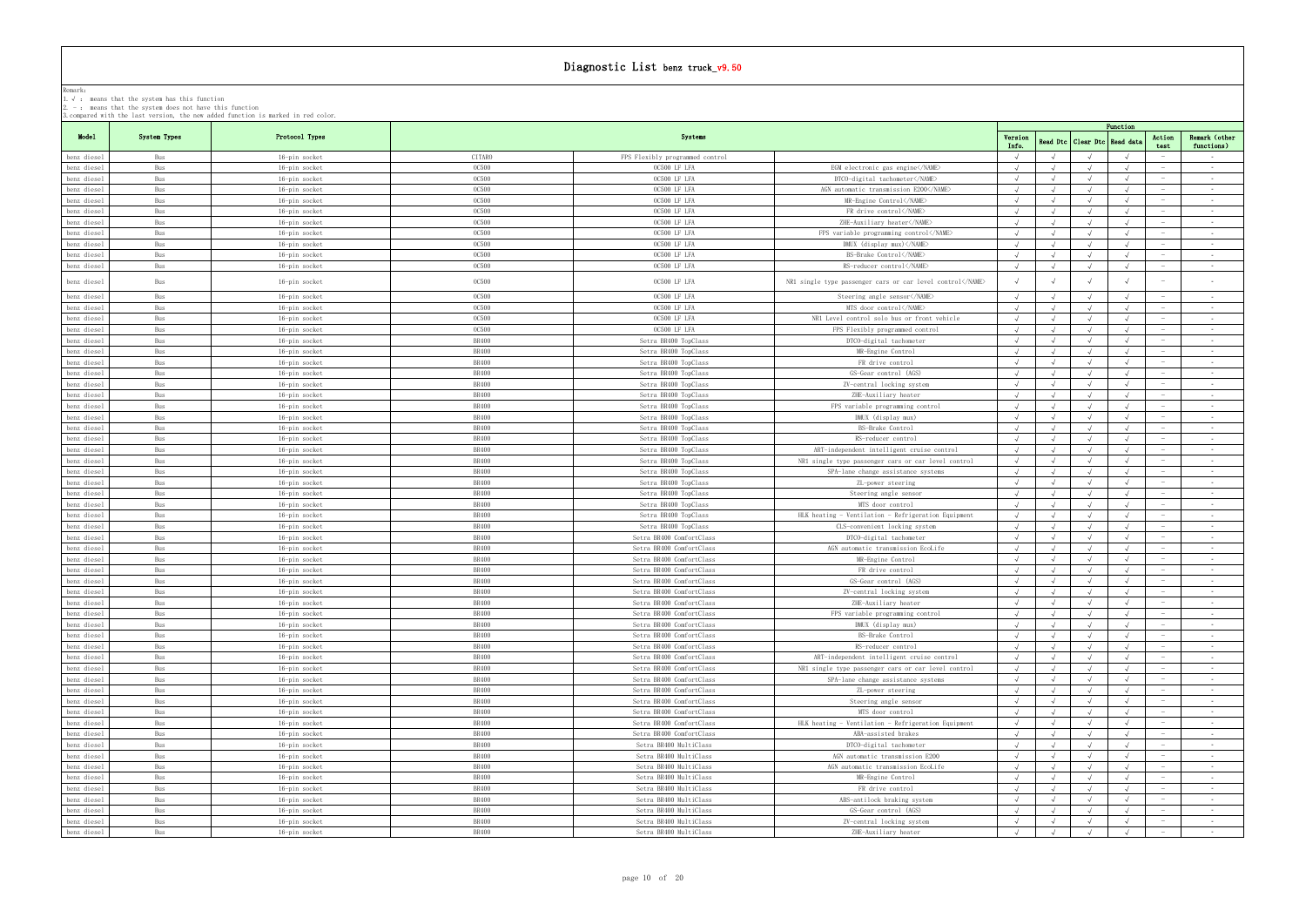|                            |              |                                |                              |                                                      |                                                                                                                             |            |            |                                  | Function   |                              |
|----------------------------|--------------|--------------------------------|------------------------------|------------------------------------------------------|-----------------------------------------------------------------------------------------------------------------------------|------------|------------|----------------------------------|------------|------------------------------|
| Model                      | System Types | Protocol Types                 |                              | Systems                                              |                                                                                                                             | Version    |            | Read Dtc   Clear Dtc   Read data | Action     | Remark (other                |
| benz diesel                | Bus          | 16-pin socket                  | CITARO                       | FPS Flexibly programmed control                      |                                                                                                                             | Info.      |            |                                  | test       | functions)<br>$\sim$         |
| benz diesel                | Bus          | 16-pin socket                  | <b>0C500</b>                 | OC500 LF LFA                                         | EGM electronic gas engine                                                                                                   | $\sqrt{ }$ |            |                                  |            | $\sim$                       |
| benz diesel                | Bus          | 16-pin socket                  | <b>0C500</b>                 | OC500 LF LFA                                         | DTCO-digital tachometer                                                                                                     |            |            |                                  |            | $\sim$                       |
| benz diesel                | Bus          | 16-pin socket                  | <b>OC500</b>                 | OC500 LF LFA                                         | AGN automatic transmission E200 <td></td> <td></td> <td></td> <td></td> <td><math display="inline">\sim 10^{-1}</math></td> |            |            |                                  |            | $\sim 10^{-1}$               |
| benz diesel                | Bus          | 16-pin socket                  | <b>0C500</b>                 | OC500 LF LFA                                         | MR-Engine Control                                                                                                           |            |            |                                  |            | $\sim$ $-$                   |
| benz diesel                | Bus          | 16-pin socket                  | <b>OC500</b>                 | OC500 LF LFA                                         | FR drive control                                                                                                            |            |            |                                  |            | $\sim$                       |
| benz diesel                | Bus          | 16-pin socket                  | <b>OC500</b>                 | OC500 LF LFA                                         | ZHE-Auxiliary heater                                                                                                        |            |            |                                  |            | $\sim$                       |
| benz diesel                | Bus          | 16-pin socket                  | <b>0C500</b>                 | OC500 LF LFA                                         | FPS variable programming control                                                                                            |            |            |                                  |            | $\sim$ $-$                   |
| benz diesel                | Bus          | 16-pin socket                  | <b>0C500</b>                 | OC500 LF LFA                                         | DMUX (display mux)                                                                                                          |            |            |                                  |            | $\sim$                       |
| benz diesel                | Bus          | 16-pin socket                  | <b>OC500</b>                 | OC500 LF LFA                                         | BS-Brake Control                                                                                                            |            |            |                                  |            | $\sim$ $-$                   |
| benz diesel                | Bus          | 16-pin socket                  | <b>0C500</b>                 | OC500 LF LFA                                         | RS-reducer control                                                                                                          |            |            |                                  |            | $\sim$ $-$                   |
| benz diesel                | Bus          | 16-pin socket                  | <b>0C500</b>                 | OC500 LF LFA                                         | NR1 single type passenger cars or car level control                                                                         |            |            |                                  |            |                              |
| benz diesel                | Bus          | 16-pin socket                  | <b>OC500</b>                 | OC500 LF LFA                                         | Steering angle sensor                                                                                                       |            |            |                                  | $\sqrt{ }$ | $\sim$ $-$                   |
| benz diesel                | Bus          | 16-pin socket                  | <b>OC500</b>                 | OC500 LF LFA                                         | MTS door control                                                                                                            |            |            |                                  |            | $\sim$ $-$                   |
| benz diesel                | Bus          | 16-pin socket                  | <b>0C500</b>                 | OC500 LF LFA                                         | NR1 Level control solo bus or front vehicle                                                                                 |            |            |                                  |            | $\sim$                       |
| benz diesel                | Bus          | 16-pin socket                  | <b>0C500</b>                 | OC500 LF LFA                                         | FPS Flexibly programmed control                                                                                             |            |            |                                  |            | $\sim$                       |
| benz diesel                | Bus          | 16-pin socket                  | BR400                        | Setra BR400 TopClass                                 | DTCO-digital tachometer                                                                                                     |            |            |                                  |            | $\sim$                       |
| benz diesel                | Bus          | 16-pin socket                  | <b>BR400</b>                 | Setra BR400 TopClass                                 | MR-Engine Control                                                                                                           |            |            |                                  |            | $\sim$                       |
| benz diesel                | Bus          | 16-pin socket                  | BR400                        | Setra BR400 TopClass                                 | FR drive control                                                                                                            |            |            |                                  |            | $\sim$ $-$                   |
| benz diesel                | Bus          | 16-pin socket                  | <b>BR400</b>                 | Setra BR400 TopClass                                 | GS-Gear control (AGS)                                                                                                       |            |            |                                  |            | $\sim 10^{-1}$               |
| benz diesel                | Bus          | 16-pin socket                  | <b>BR400</b>                 | Setra BR400 TopClass                                 | ZV-central locking system                                                                                                   |            |            |                                  |            | $\sim$ $-$                   |
| benz diesel                | Bus          | 16-pin socket                  | <b>BR400</b>                 | Setra BR400 TopClass                                 | ZHE-Auxiliary heater                                                                                                        |            |            |                                  |            | $\sim$ $-$                   |
| benz diesel                | Bus          | 16-pin socket                  | <b>BR400</b>                 | Setra BR400 TopClass                                 | FPS variable programming control                                                                                            |            |            |                                  |            | $\sim$ $-$                   |
| benz diesel                | Bus          | 16-pin socket                  | <b>BR400</b>                 | Setra BR400 TopClass                                 | DMUX (display mux)                                                                                                          |            |            |                                  |            | $\sim$                       |
| benz diesel                | Bus          | 16-pin socket                  | BR400                        | Setra BR400 TopClass                                 | BS-Brake Control                                                                                                            |            |            |                                  |            | $\sim$ $ \sim$               |
| benz diesel                | Bus          | 16-pin socket                  | <b>BR400</b>                 | Setra BR400 TopClass                                 | RS-reducer control                                                                                                          |            |            |                                  |            | $\sim$                       |
| benz diesel                | Bus          | 16-pin socket                  | BR400                        | Setra BR400 TopClass                                 | ART-independent intelligent cruise control                                                                                  |            |            |                                  |            | $\sim$ $-$                   |
|                            | Bus          |                                | BR400                        |                                                      |                                                                                                                             |            |            |                                  |            | $\sim$ $-$                   |
| benz diesel<br>benz diesel | Bus          | 16-pin socket<br>16-pin socket | <b>BR400</b>                 | Setra BR400 TopClass<br>Setra BR400 TopClass         | NR1 single type passenger cars or car level control<br>SPA-lane change assistance systems                                   | $\sqrt{ }$ | $\sqrt{ }$ |                                  |            | $\sim$ $-$                   |
| benz diesel                | Bus          | 16-pin socket                  | <b>BR400</b>                 | Setra BR400 TopClass                                 | ZL-power steering                                                                                                           |            |            |                                  |            | $\sim$                       |
| benz diesel                | Bus          | 16-pin socket                  | BR400                        | Setra BR400 TopClass                                 | Steering angle sensor                                                                                                       |            |            |                                  |            | $\sim$ $-$                   |
| benz diesel                | Bus          | 16-pin socket                  | BR400                        | Setra BR400 TopClass                                 | MTS door control                                                                                                            |            |            |                                  |            | $\sim$                       |
| benz diesel                | Bus          | 16-pin socket                  | <b>BR400</b>                 | Setra BR400 TopClass                                 | HLK heating - Ventilation - Refrigeration Equipment                                                                         |            |            |                                  |            | $\sim$                       |
| benz diesel                | Bus          |                                | <b>BR400</b>                 | Setra BR400 TopClass                                 | CLS-convenient locking system                                                                                               | $\sqrt{ }$ |            |                                  | $\sim$     | $\sim$ $-$                   |
| benz diesel                | Bus          | 16-pin socket<br>16-pin socket | <b>BR400</b>                 | Setra BR400 ComfortClass                             | DTCO-digital tachometer                                                                                                     |            |            |                                  |            | $\sim$ $-$                   |
| benz diesel                | Bus          |                                | BR400                        | Setra BR400 ComfortClass                             | AGN automatic transmission EcoLife                                                                                          |            |            |                                  |            | $\sim 10^{-1}$               |
|                            | Bus          | 16-pin socket                  | <b>BR400</b>                 | Setra BR400 ComfortClass                             | MR-Engine Control                                                                                                           |            |            |                                  |            |                              |
| benz diesel                | Bus          | 16-pin socket                  | <b>BR400</b>                 | Setra BR400 ComfortClass                             | FR drive control                                                                                                            | $\sqrt{ }$ | $\sqrt{ }$ |                                  |            | $\sim$ $-$<br>$\sim$         |
| benz diesel                | Bus          | 16-pin socket                  | <b>BR400</b>                 | Setra BR400 ComfortClass                             | GS-Gear control (AGS)                                                                                                       |            |            |                                  |            |                              |
| benz diesel<br>benz diesel |              | 16-pin socket                  | <b>BR400</b>                 | Setra BR400 ComfortClass                             | ZV-central locking system                                                                                                   |            |            |                                  |            | $\sim$                       |
|                            | Bus          | 16-pin socket                  |                              |                                                      |                                                                                                                             |            |            |                                  |            | $\sim$ $-$                   |
| benz diesel<br>benz diesel | Bus<br>Bus   | 16-pin socket<br>16-pin socket | <b>BR400</b><br><b>BR400</b> | Setra BR400 ComfortClass<br>Setra BR400 ComfortClass | ZHE-Auxiliary heater                                                                                                        |            |            |                                  |            | $\sim$                       |
|                            | Bus          |                                | <b>BR400</b>                 | Setra BR400 ComfortClass                             | FPS variable programming control<br>DMUX (display mux)                                                                      |            |            |                                  |            | $\sim$ $-$                   |
| benz diesel<br>benz diesel | Bus          | 16-pin socket<br>16-pin socket | <b>BR400</b>                 | Setra BR400 ComfortClass                             | BS-Brake Control                                                                                                            |            |            |                                  |            | $\sim$                       |
| benz diesel                | Bus          | 16-pin socket                  | <b>BR400</b>                 | Setra BR400 ComfortClass                             | RS-reducer control                                                                                                          | $\sqrt{ }$ |            |                                  |            | $\sim 10^{-1}$               |
| benz diesel                | Bus          |                                | <b>BR400</b>                 | Setra BR400 ComfortClass                             | ART-independent intelligent cruise control                                                                                  |            |            |                                  |            | $\sim 100$                   |
|                            | Bus          | 16-pin socket                  | <b>BR400</b>                 | Setra BR400 ComfortClass                             | NR1 single type passenger cars or car level control                                                                         | $\sqrt{ }$ | $\sqrt{ }$ |                                  | $\sqrt{ }$ | $\sim$                       |
| benz diesel                |              | 16-pin socket                  | <b>BR400</b>                 | Setra BR400 ComfortClass                             |                                                                                                                             | $\sqrt{ }$ |            |                                  |            |                              |
| benz diesel                | Bus          | 16-pin socket                  | <b>BR400</b>                 |                                                      | SPA-lane change assistance systems                                                                                          |            |            |                                  |            | $\sim 10^{-1}$<br>$\sim$ $-$ |
| benz diesel                | Bus          | 16-pin socket                  | <b>BR400</b>                 | Setra BR400 ComfortClass                             | ZL-power steering                                                                                                           |            |            |                                  |            | $\sim$                       |
| benz diesel                | Bus          | 16-pin socket                  |                              | Setra BR400 ComfortClass                             | Steering angle sensor                                                                                                       |            |            |                                  |            |                              |
| benz diesel                | Bus          | 16-pin socket                  | <b>BR400</b>                 | Setra BR400 ComfortClass                             | MTS door control                                                                                                            |            |            |                                  |            | $\sim$ $-$                   |
| benz diesel                | Bus          | 16-pin socket                  | <b>BR400</b>                 | Setra BR400 ComfortClass                             | HLK heating - Ventilation - Refrigeration Equipment                                                                         |            |            |                                  |            | $\sim 100$                   |
| benz diesel                | Bus          | 16-pin socket                  | <b>BR400</b>                 | Setra BR400 ComfortClass                             | ABA-assisted brakes                                                                                                         | $\sqrt{ }$ |            |                                  | $\sqrt{ }$ | $\sim$ $-$                   |
| benz diesel                | Bus          | 16-pin socket                  | <b>BR400</b>                 | Setra BR400 MultiClass                               | DTCO-digital tachometer                                                                                                     | $\sqrt{ }$ |            |                                  |            | $\sim$ $-$                   |
| benz diesel                | Bus          | 16-pin socket                  | <b>BR400</b>                 | Setra BR400 MultiClass                               | AGN automatic transmission E200                                                                                             |            |            |                                  |            | $\sim$                       |
| benz diesel                | Bus          | 16-pin socket                  | <b>BR400</b>                 | Setra BR400 MultiClass                               | AGN automatic transmission EcoLife                                                                                          |            |            |                                  |            | $\sim$                       |
| benz diesel                | Bus          | 16-pin socket                  | <b>BR400</b>                 | Setra BR400 MultiClass                               | MR-Engine Control                                                                                                           |            |            |                                  |            | $\sim$ $-$                   |
| benz diesel                | Bus          | 16-pin socket                  | <b>BR400</b>                 | Setra BR400 MultiClass                               | FR drive control                                                                                                            |            |            |                                  |            | $\sim$                       |
| benz diesel                | Bus          | 16-pin socket                  | <b>BR400</b>                 | Setra BR400 MultiClass                               | ABS-antilock braking system                                                                                                 |            |            |                                  |            | $\sim$ $-$                   |
| benz diesel                | Bus          | 16-pin socket                  | <b>BR400</b>                 | Setra BR400 MultiClass                               | GS-Gear control (AGS)                                                                                                       |            |            |                                  |            | $\sim$ $-$                   |
| benz diesel                | Bus          | 16-pin socket                  | <b>BR400</b>                 | Setra BR400 MultiClass                               | ZV-central locking system                                                                                                   | $\sqrt{ }$ | $\sqrt{ }$ |                                  | $\sqrt{ }$ | $\sim 10^{-1}$               |
| benz diesel                | Bus          | 16-pin socket                  | BR400                        | Setra BR400 MultiClass                               | ZHE-Auxiliary heater                                                                                                        | $\sqrt{ }$ |            | $\sqrt{ }$                       | $\sqrt{ }$ | $\sim$                       |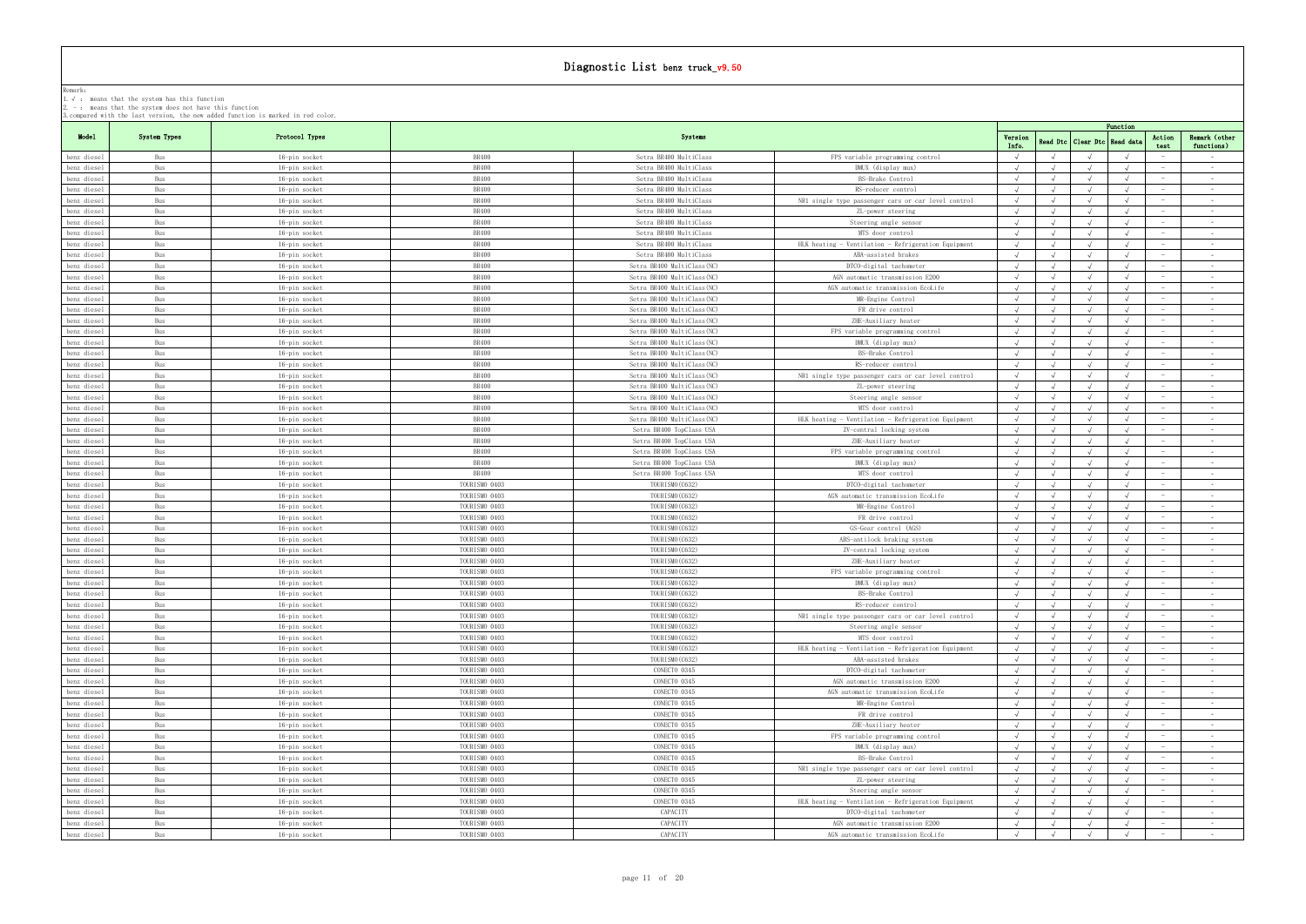|                            | . means that the system has this runction<br>2. $-$ : means that the system does not have this function | 3. compared with the last version, the new added function is marked in red color. |               |                             |                                                     |                  |            |                     |                                        |                             |
|----------------------------|---------------------------------------------------------------------------------------------------------|-----------------------------------------------------------------------------------|---------------|-----------------------------|-----------------------------------------------------|------------------|------------|---------------------|----------------------------------------|-----------------------------|
|                            |                                                                                                         |                                                                                   |               |                             |                                                     |                  |            | Function            |                                        |                             |
| Model                      | System Types                                                                                            | Protocol Types                                                                    |               | Systems                     |                                                     | Version<br>Info. | Read Dtc   | Clear Dtc Read data | Action<br>test                         | Remark (other<br>functions) |
| benz diesel                | Bus                                                                                                     | 16-pin socket                                                                     | <b>BR400</b>  | Setra BR400 MultiClass      | FPS variable programming control                    |                  |            |                     |                                        | $\sim$ $-$                  |
| benz diesel                | Bus                                                                                                     | 16-pin socket                                                                     | <b>BR400</b>  | Setra BR400 MultiClass      | DMUX (display mux)                                  | $\sqrt{ }$       |            |                     |                                        | $\sim$                      |
| benz diesel                | Bus                                                                                                     | 16-pin socket                                                                     | <b>BR400</b>  | Setra BR400 MultiClass      | BS-Brake Control                                    |                  |            |                     |                                        | $\sim$                      |
| benz diesel                | Bus                                                                                                     | 16-pin socket                                                                     | <b>BR400</b>  | Setra BR400 MultiClass      | RS-reducer control                                  | $\sqrt{ }$       |            |                     |                                        | $\sim$ $-$                  |
| benz diesel                | Bus                                                                                                     | 16-pin socket                                                                     | <b>BR400</b>  | Setra BR400 MultiClass      | NR1 single type passenger cars or car level control | $\sqrt{ }$       |            |                     |                                        | $\sim$                      |
| benz diesel                | Bus                                                                                                     | 16-pin socket                                                                     | <b>BR400</b>  | Setra BR400 MultiClass      | ZL-power steering                                   |                  |            |                     |                                        | $\sim$                      |
| benz diesel                | Bus                                                                                                     | 16-pin socket                                                                     | <b>BR400</b>  | Setra BR400 MultiClass      | Steering angle sensor                               |                  |            |                     |                                        | $\sim$ $-$                  |
| benz diesel                | Bus                                                                                                     | 16-pin socket                                                                     | <b>BR400</b>  | Setra BR400 MultiClass      | MTS door control                                    |                  |            |                     |                                        | $\sim$ $-$                  |
| benz diesel                | Bus                                                                                                     | 16-pin socket                                                                     | <b>BR400</b>  | Setra BR400 MultiClass      | HLK heating - Ventilation - Refrigeration Equipment | $\sqrt{ }$       |            |                     |                                        | $\sim$                      |
| benz diesel                | Bus                                                                                                     | 16-pin socket                                                                     | <b>BR400</b>  | Setra BR400 MultiClass      | ABA-assisted brakes                                 |                  |            |                     |                                        | $\sim$ $-$                  |
| benz diesel                | Bus                                                                                                     | 16-pin socket                                                                     | <b>BR400</b>  | Setra BR400 MultiClass (NC) | DTCO-digital tachometer                             | $\sqrt{ }$       | $\sqrt{ }$ |                     | $\sqrt{ }$                             | $\sim$                      |
| benz diesel                | Bus                                                                                                     | 16-pin socket                                                                     | <b>BR400</b>  | Setra BR400 MultiClass (NC) | AGN automatic transmission E200                     |                  |            |                     |                                        | $\sim 10^{-1}$              |
| benz diesel                | Bus                                                                                                     | 16-pin socket                                                                     | <b>BR400</b>  | Setra BR400 MultiClass (NC) | AGN automatic transmission EcoLife                  |                  |            |                     |                                        | $\sim$                      |
| benz diesel                | Bus                                                                                                     | 16-pin socket                                                                     | <b>BR400</b>  | Setra BR400 MultiClass(NC)  | MR-Engine Control                                   |                  |            |                     |                                        | $\sim$ $-$                  |
| benz diesel                | Bus                                                                                                     | 16-pin socket                                                                     | <b>BR400</b>  | Setra BR400 MultiClass(NC)  | FR drive control                                    |                  |            |                     |                                        | $\sim$                      |
| benz diesel                | Bus                                                                                                     | 16-pin socket                                                                     | <b>BR400</b>  | Setra BR400 MultiClass (NC) | ZHE-Auxiliary heater                                |                  |            |                     |                                        | $\sim$                      |
| benz diesel                | Bus                                                                                                     | 16-pin socket                                                                     | BR400         | Setra BR400 MultiClass(NC)  | FPS variable programming control                    | $\sqrt{ }$       |            |                     |                                        | $\sim$ $-$                  |
| benz diesel                | Bus                                                                                                     | 16-pin socket                                                                     | <b>BR400</b>  | Setra BR400 MultiClass (NC) | DMUX (display mux)                                  |                  |            |                     |                                        | $\sim$ $-$                  |
| benz diesel                | Bus                                                                                                     | 16-pin socket                                                                     | <b>BR400</b>  | Setra BR400 MultiClass (NC) | BS-Brake Control                                    |                  |            |                     |                                        | $\sim$ $-$                  |
| benz diesel                | Bus                                                                                                     | 16-pin socket                                                                     | BR400         | Setra BR400 MultiClass(NC)  | RS-reducer control                                  |                  |            |                     |                                        | $\sim$                      |
| benz diesel                | Bus                                                                                                     | 16-pin socket                                                                     | <b>BR400</b>  | Setra BR400 MultiClass (NC) | NR1 single type passenger cars or car level control |                  |            |                     |                                        | $\sim$ $-$                  |
| benz diesel                | Bus                                                                                                     | 16-pin socket                                                                     | <b>BR400</b>  | Setra BR400 MultiClass (NC) | ZL-power steering                                   |                  |            |                     |                                        | $\sim$                      |
| benz diesel                | Bus                                                                                                     | 16-pin socket                                                                     | BR400         | Setra BR400 MultiClass(NC)  | Steering angle sensor                               | $\sqrt{ }$       | $\sqrt{ }$ |                     | $\sqrt{ }$                             | $\sim$ $-$                  |
| benz diesel                | Bus                                                                                                     | 16-pin socket                                                                     | <b>BR400</b>  | Setra BR400 MultiClass (NC) | MTS door control                                    |                  |            |                     |                                        | $\sim$ $-$                  |
| benz diesel                | Bus                                                                                                     | 16-pin socket                                                                     | <b>BR400</b>  | Setra BR400 MultiClass(NC)  | HLK heating - Ventilation - Refrigeration Equipment | $\sqrt{ }$       |            |                     |                                        | $\sim$                      |
| benz diesel                | Bus                                                                                                     | 16-pin socket                                                                     | BR400         | Setra BR400 TopClass USA    | ZV-central locking system                           | $\sqrt{ }$       |            |                     |                                        | $\sim$ $-$                  |
| benz diesel                | Bus                                                                                                     | 16-pin socket                                                                     | <b>BR400</b>  | Setra BR400 TopClass USA    | ZHE-Auxiliary heater                                |                  |            |                     |                                        | $\sim$ $-$                  |
| benz diesel                | Bus                                                                                                     | 16-pin socket                                                                     | BR400         | Setra BR400 TopClass USA    | FPS variable programming control                    |                  |            |                     |                                        | $\sim$                      |
| benz diesel                | Bus                                                                                                     | 16-pin socket                                                                     | <b>BR400</b>  | Setra BR400 TopClass USA    | DMUX (display mux)                                  |                  |            |                     |                                        | $\sim$ $-$                  |
| benz diesel                | Bus                                                                                                     | 16-pin socket                                                                     | BR400         | Setra BR400 TopClass USA    | MTS door control                                    |                  |            |                     |                                        | $\sim$ $-$                  |
| benz diesel                | Bus                                                                                                     | 16-pin socket                                                                     | TOURISMO 0403 | TOURISMO (C632)             | DTCO-digital tachometer                             |                  |            |                     |                                        | $\sim$                      |
| benz diesel                | Bus                                                                                                     | 16-pin socket                                                                     | TOURISMO 0403 | TOURISMO (C632)             | AGN automatic transmission EcoLife                  |                  |            |                     |                                        | $\sim$                      |
| benz diesel                | Bus                                                                                                     | 16-pin socket                                                                     | TOURISMO 0403 | TOURISMO (C632)             | MR-Engine Control                                   |                  |            |                     |                                        | $\sim$ $-$                  |
| benz diesel                | Bus                                                                                                     | 16-pin socket                                                                     | TOURISMO 0403 | TOURISMO (C632)             | FR drive control                                    | $\sqrt{ }$       | $\sqrt{ }$ |                     |                                        | $\sim$                      |
| benz diesel                | Bus                                                                                                     | 16-pin socket                                                                     | TOURISMO 0403 | TOURISMO (C632)             | GS-Gear control (AGS)                               |                  |            |                     |                                        | $\sim$                      |
| benz diesel                | Bus                                                                                                     | 16-pin socket                                                                     | TOURISMO 0403 | TOURISMO (C632)             | ABS-antilock braking system                         | $\sqrt{ }$       | $\sqrt{ }$ |                     | $\sqrt{ }$                             | $\sim$ $-$                  |
| benz diesel                | Bus                                                                                                     | 16-pin socket                                                                     | TOURISMO 0403 | TOURISMO (C632)             | ZV-central locking system                           |                  |            |                     |                                        | $\sim$ $-$                  |
| benz diesel                | Bus                                                                                                     | 16-pin socket                                                                     | TOURISMO 0403 | TOURISMO (C632)             | ZHE-Auxiliary heater                                |                  |            |                     |                                        | $\sim$ $-$                  |
| benz diesel                | Bus                                                                                                     | 16-pin socket                                                                     | TOURISMO 0403 | TOURISMO (C632)             | FPS variable programming control                    |                  |            |                     |                                        | $\sim$ $-$                  |
| benz diesel                | Bus                                                                                                     | 16-pin socket                                                                     | TOURISMO 0403 | TOURISMO (C632)             | DMUX (display mux)                                  |                  |            |                     |                                        | $\sim$ $-$                  |
| benz diesel                | Bus                                                                                                     | 16-pin socket                                                                     | TOURISMO 0403 | TOURISMO (C632)             | BS-Brake Control                                    |                  |            |                     |                                        |                             |
| benz diesel                | Bus                                                                                                     | 16-pin socket                                                                     | TOURISMO 0403 | TOURISMO (C632)             | RS-reducer control                                  |                  |            |                     |                                        | $\sim$                      |
| benz diesel                | Bus                                                                                                     | 16-pin socket                                                                     | TOURISMO 0403 | TOURISMO (C632)             | NR1 single type passenger cars or car level control | $\sqrt{ }$       | $\sqrt{ }$ |                     |                                        | $\sim$                      |
| benz diesel                | Bus                                                                                                     | 16-pin socket                                                                     | TOURISMO 0403 | TOURISMO (C632)             | Steering angle sensor                               |                  |            |                     |                                        | $\sim$ $-$                  |
| benz diesel                | Bus                                                                                                     | 16-pin socket                                                                     | TOURISMO 0403 | TOURISMO (C632)             | MTS door control                                    | $\sqrt{ }$       |            |                     | $\hspace{0.1mm}-\hspace{0.1mm}$        | $\sim$ $-$                  |
| benz diesel                | Bus                                                                                                     | 16-pin socket                                                                     | TOURISMO 0403 | TOURISMO (C632)             | HLK heating - Ventilation - Refrigeration Equipment |                  |            |                     |                                        | $\sim$ $-$                  |
| benz diesel                | Bus                                                                                                     | 16-pin socket                                                                     | TOURISMO 0403 | TOURISMO (C632)             | ABA-assisted brakes                                 |                  |            |                     |                                        | $\sim$ $-$                  |
| benz diesel                | Bus                                                                                                     | 16-pin socket                                                                     | TOURISMO 0403 | CONECTO 0345                | DTCO-digital tachometer                             | $\sqrt{ }$       |            |                     | $\sim$                                 | $\sim$ $-$                  |
| benz diesel                | Bus                                                                                                     | 16-pin socket                                                                     | TOURISMO 0403 | CONECTO 0345                | AGN automatic transmission E200                     |                  |            |                     |                                        | $\sim$                      |
| benz diesel                | Bus                                                                                                     | 16-pin socket                                                                     | TOURISMO 0403 | CONECTO 0345                | AGN automatic transmission EcoLife                  |                  |            |                     |                                        | $\sim$ $-$                  |
| benz diesel                | Bus                                                                                                     | 16-pin socket                                                                     | TOURISMO 0403 | CONECTO 0345                | MR-Engine Control                                   | $\sqrt{ }$       |            |                     | $\sim$                                 | $\sim$ $-$                  |
| benz diesel                | Bus                                                                                                     | 16-pin socket                                                                     | TOURISMO 0403 | CONECTO 0345                | FR drive control                                    |                  |            |                     |                                        | $\sim$                      |
| benz diesel                | Bus                                                                                                     | 16-pin socket                                                                     | TOURISMO 0403 | CONECTO 0345                | ZHE-Auxiliary heater                                |                  |            |                     |                                        | $\sim$ $-$                  |
| benz diesel                | Bus                                                                                                     | 16-pin socket                                                                     | TOURISMO 0403 | CONECTO 0345                | FPS variable programming control                    |                  |            |                     |                                        | $\sim$ $-$                  |
| benz diesel                | Bus                                                                                                     |                                                                                   | TOURISMO 0403 | CONECTO 0345                | DMUX (display mux)                                  |                  |            |                     |                                        | $\sim$                      |
| benz diesel                | Bus                                                                                                     | 16-pin socket<br>16-pin socket                                                    | TOURISMO 0403 | CONECTO 0345                | BS-Brake Control                                    |                  |            |                     |                                        | $\sim 10^{-1}$              |
|                            | Bus                                                                                                     |                                                                                   | TOURISMO 0403 | CONECTO 0345                |                                                     | $\sqrt{ }$       | $\sqrt{ }$ | $\sqrt{ }$          | $\sqrt{ }$<br>$\overline{\phantom{a}}$ | $\sim$ $-$                  |
| benz diesel<br>benz diesel | Bus                                                                                                     | 16-pin socket                                                                     | TOURISMO 0403 | CONECTO 0345                | NR1 single type passenger cars or car level control | $\sqrt{ }$       |            |                     |                                        | $\sim$                      |
|                            |                                                                                                         | 16-pin socket                                                                     |               |                             | ZL-power steering                                   |                  | $\sqrt{ }$ |                     | $\sqrt{ }$                             |                             |
| benz diesel                | Bus                                                                                                     | 16-pin socket                                                                     | TOURISMO 0403 | CONECTO 0345                | Steering angle sensor                               | $\sqrt{ }$       |            |                     |                                        | $\sim$                      |
| benz diesel                | Bus                                                                                                     | 16-pin socket                                                                     | TOURISMO 0403 | CONECTO 0345                | HLK heating - Ventilation - Refrigeration Equipment |                  |            |                     |                                        | $\sim$                      |
| benz diesel                | Bus                                                                                                     | 16-pin socket                                                                     | TOURISMO 0403 | CAPACITY                    | DTCO-digital tachometer                             | $\sqrt{ }$       |            |                     |                                        | $\sim$                      |
| benz diesel                | Bus                                                                                                     | 16-pin socket                                                                     | TOURISMO 0403 | CAPACITY                    | AGN automatic transmission E200                     | $\sqrt{ }$       |            |                     |                                        | $\sim$ $-$                  |
| benz diesel                | Bus                                                                                                     | 16-pin socket                                                                     | TOURISMO 0403 | CAPACITY                    | AGN automatic transmission EcoLife                  | $\sqrt{ }$       | $\sqrt{ }$ |                     |                                        | $\sim 10^{-1}$              |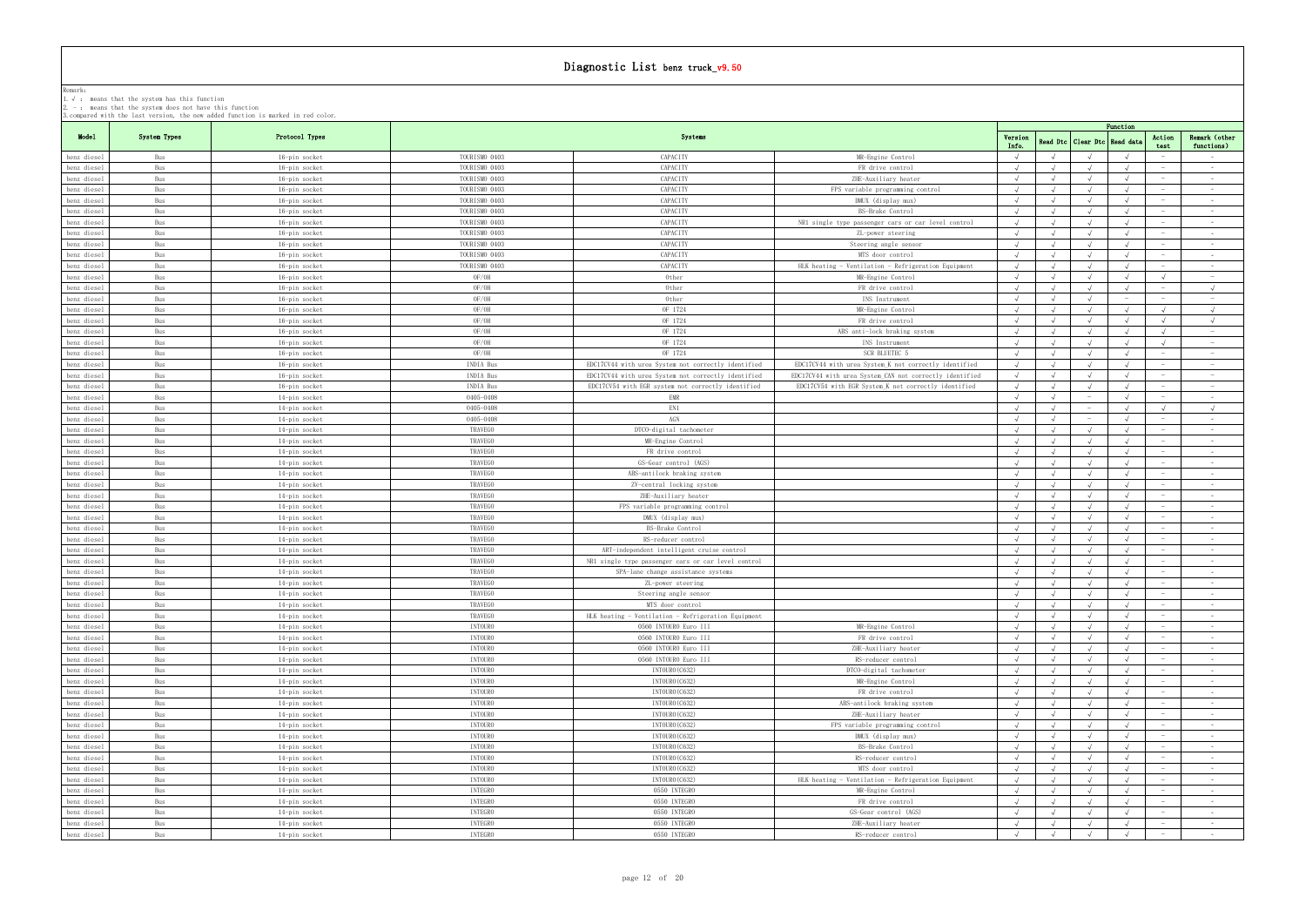| Model<br>Systems<br>System Types<br>Protocol Types<br>Action<br>Version<br>Read Dtc   Clear Dtc<br>Read dat<br>Info.<br>test<br>TOURISMO 0403<br>CAPACITY<br>$\sqrt{ }$<br>MR-Engine Control<br>benz diesel<br>Bus<br>16-pin socket<br>$\sim$ $-$<br>TOURISMO 0403<br>CAPACITY<br>FR drive control<br>benz diesel<br>Bus<br>16-pin socket<br>$\sqrt{ }$<br>$\sim$<br>TOURISMO 0403<br>CAPACITY<br>ZHE-Auxiliary heater<br>Bus<br>16-pin socket<br>benz diesel<br>$\sim$<br>CAPACITY<br>TOURISMO 0403<br>benz diesel<br>Bus<br>FPS variable programming control<br>16-pin socket<br>$\sim$<br>$\sim$ $-$<br>Bus<br>16-pin socket<br>TOURISMO 0403<br>CAPACITY<br>DMUX (display mux)<br>benz diesel<br>$\sim$<br>$\sim$ $-$<br>TOURISMO 0403<br>CAPACITY<br>BS-Brake Control<br>Bus<br>16-pin socket<br>benz diesel<br>$\sim$<br>CAPACITY<br>TOURISMO 0403<br>NR1 single type passenger cars or car level control<br>benz diesel<br>Bus<br>16-pin socket<br>$\hspace{0.1mm}-\hspace{0.1mm}$<br>$\sim$ $-$<br>CAPACITY<br>Bus<br>16-pin socket<br>TOURISMO 0403<br>benz diesel<br>ZL-power steering<br>$\sim$<br>CAPACITY<br>TOURISMO 0403<br>Steering angle sensor<br>$\sqrt{ }$<br>$\sqrt{ }$<br>Bus<br>16-pin socket<br>benz diesel<br>$\sim$ $-$<br>TOURISMO 0403<br>CAPACITY<br>MTS door control<br>benz diesel<br>Bus<br>16-pin socket<br>$\sim 100$<br>$\hspace{0.1mm}-\hspace{0.1mm}$<br>TOURISMO 0403<br>CAPACITY<br>HLK heating - Ventilation - Refrigeration Equipment<br>benz diesel<br>Bus<br>16-pin socket<br>$\hspace{0.1mm}-\hspace{0.1mm}$<br>$\sim$ $-$<br>OF/OH<br>Other<br>$\sqrt{ }$<br>Bus<br>MR-Engine Control<br>$\sqrt{ }$<br>$\sim$ $ \sim$<br>benz diesel<br>16-pin socket<br>OF/OH<br>Other<br>FR drive control<br>benz diesel<br>Bus<br>16-pin socket<br>$\sqrt{ }$<br>$\hspace{0.1mm}-\hspace{0.1mm}$<br>OF/OH<br>Other<br>INS Instrument<br>benz diesel<br>Bus<br>16-pin socket<br>$\hspace{0.1mm}-\hspace{0.1mm}$<br>$\overline{\phantom{a}}$<br>OF/OH<br>OF 1724<br>Bus<br>MR-Engine Control<br>$\sqrt{ }$<br>benz diesel<br>16-pin socket<br>$\sqrt{ }$<br>Bus<br>16-pin socket<br>OF/OH<br>OF 1724<br>FR drive control<br>$\sqrt{ }$<br>$\sqrt{ }$<br>benz diesel<br>$\sqrt{ }$<br>$\sqrt{ }$<br>OF/OH<br>OF 1724<br>Bus<br>16-pin socket<br>ABS anti-lock braking system<br>benz diesel<br>$\sqrt{ }$<br>$\sqrt{ }$<br>$\overline{\phantom{a}}$<br>OF/OH<br>OF 1724<br>Bus<br>INS Instrument<br>$\sqrt{ }$<br>$\sqrt{ }$<br>benz diesel<br>16-pin socket<br>$\sim$<br>OF/OH<br>OF 1724<br>Bus<br><b>SCR BLUETEC !</b><br>benz diesel<br>16-pin socket<br>$\sqrt{ }$<br>$\sim$<br>INDIA Bus<br>EDC17CV44 with urea System not correctly identified<br>EDC17CV44 with urea System K not correctly identified<br>benz diesel<br>Bus<br>16-pin socket<br>$\hspace{0.1mm}-\hspace{0.1mm}$<br>$\overline{\phantom{a}}$<br>INDIA Bus<br>Bus<br>EDC17CV44 with urea System not correctly identified<br>EDC17CV44 with urea System CAN not correctly identified<br>16-pin socket<br>$\hspace{0.1mm}$<br>benz diesel<br>Bus<br>INDIA Bus<br>EDC17CV54 with EGR system not correctly identified<br>EDC17CV54 with EGR System K not correctly identified<br>$\sqrt{ }$<br>benz diesel<br>16-pin socket<br>$\sim$<br>0405-0408<br>EMR<br>$\sqrt{ }$<br>benz diesel<br>Bus<br>14-pin socket<br>$\hspace{0.1mm}$<br>$\sim$ $-$<br>EN1<br>Bus<br>0405-0408<br>$\sqrt{ }$<br>benz diesel<br>14-pin socket<br>$\sqrt{ }$<br>AGN<br>0405-0408<br>Bus<br>$\sqrt{ }$<br>benz diesel<br>14-pin socket<br>$\sim$<br>TRAVEGO<br>Bus<br>DTCO-digital tachometer<br>benz diesel<br>14-pin socket<br>$\sim 100$<br>TRAVEGO<br>MR-Engine Control<br>benz diesel<br>Bus<br>14-pin socket<br>$\sim 100$<br>Bus<br><b>TRAVEGO</b><br>FR drive control<br>benz diesel<br>14-pin socket<br>$\sim$<br>TRAVEGO<br>Bus<br>GS-Gear control (AGS)<br>benz diesel<br>14-pin socket<br>$\sim 100$<br>TRAVEGO<br>ABS-antilock braking system<br>benz diesel<br>Bus<br>14-pin socket<br>$\sim$ $-$<br>TRAVEGO<br>Bus<br>ZV-central locking system<br>benz diesel<br>14-pin socket<br>$\sim$ $-$<br>TRAVEGO<br>ZHE-Auxiliary heater<br>benz diesel<br>Bus<br>14-pin socket<br>$\sim 100$<br>TRAVEGO<br>benz diesel<br>Bus<br>14-pin socket<br>FPS variable programming control<br>$\sim$ $-$<br>TRAVEGO<br>Bus<br>DMUX (display mux)<br>$\sqrt{ }$<br>benz diesel<br>14-pin socket<br>$\sim$ $-$<br>TRAVEGO<br>Bus<br>BS-Brake Control<br>benz diesel<br>14-pin socket<br>$\sim$ $-$<br>TRAVEGO<br>RS-reducer control<br>benz diesel<br>Bus<br>14-pin socket<br>$\sqrt{ }$<br>$\sqrt{ }$<br>$\sim 10^{-11}$<br>$\hspace{0.1mm}-\hspace{0.1mm}$<br>TRAVEGO<br>ART-independent intelligent cruise control<br>benz diesel<br>Bus<br>14-pin socket<br>$\sim$<br>TRAVEGO<br>Bus<br>NR1 single type passenger cars or car level control<br>benz diesel<br>14-pin socket<br>$\sim$<br>TRAVEGO<br>benz diesel<br>Bus<br>14-pin socket<br>SPA-lane change assistance systems<br>$\sqrt{ }$<br>$\sqrt{ }$<br>$\sim 10^{-11}$<br>TRAVEGO<br>benz diesel<br>Bus<br>14-pin socket<br>ZL-power steering<br>$\sim$<br>benz diesel<br>Бus<br>14-pin socket<br>I KAV EGC<br>Steering angle sensor<br>TRAVEGO<br>benz diesel<br>$\sqrt{ }$<br>Bus<br>14-pin socket<br>MTS door control<br>$\hspace{0.1mm}-\hspace{0.1mm}$<br>$\sim$ $-$<br>TRAVEGO<br>HLK heating - Ventilation - Refrigeration Equipment<br>benz diesel<br>Bus<br>14-pin socket<br>$\sqrt{ }$<br>$\sqrt{ }$<br>$\sqrt{ }$<br>$\sqrt{ }$<br><b>INTOURO</b><br>0560 INTOURO Euro III<br>MR-Engine Control<br>Bus<br>benz diesel<br>14-pin socket<br><b>INTOURO</b><br>0560 INTOURO Euro III<br>benz diesel<br>Bus<br>FR drive control<br>14-pin socket<br>$\hspace{0.1mm}$<br><b>INTOURO</b><br>0560 INTOURO Euro III<br>benz diesel<br>Bus<br>14-pin socket<br>ZHE-Auxiliary heater<br><b>INTOURO</b><br>0560 INTOURO Euro III<br>Bus<br>RS-reducer control<br>benz diesel<br>14-pin socket<br><b>INTOURO</b><br>INTOURO (C632)<br>benz diesel<br>Bus<br>DTCO-digital tachometer<br>14-pin socket<br>$\hspace{0.1mm}$<br><b>INTOURO</b><br>INTOURO (C632)<br>benz diesel<br>Bus<br>14-pin socket<br>MR-Engine Control<br><b>INTOURO</b><br>INTOURO (C632)<br>$\sqrt{ }$<br>Bus<br>14-pin socket<br>FR drive control<br>benz diesel<br><b>INTOURO</b><br>INTOURO (C632)<br>benz diesel<br>Bus<br>ABS-antilock braking system<br>14-pin socket<br>$\hspace{0.1mm}$<br><b>INTOURO</b><br>INTOURO (C632)<br>benz diesel<br>Bus<br>14-pin socket<br>ZHE-Auxiliary heater<br><b>INTOURO</b><br>INTOURO (C632)<br>Bus<br>14-pin socket<br>FPS variable programming control<br>$\sqrt{ }$<br>benz diesel<br><b>INTOURO</b><br>INTOURO (C632)<br>DMUX (display mux)<br>benz diesel<br>Bus<br>14-pin socket<br>$\sqrt{ }$<br>$\overline{\phantom{a}}$<br><b>INTOURO</b><br>INTOURO (C632)<br>Bus<br>14-pin socket<br>BS-Brake Control<br>benz diesel<br>$\hspace{0.1mm}-\hspace{0.1mm}$<br><b>INTOURO</b><br>INTOURO (C632)<br>Bus<br>RS-reducer control<br>benz diesel<br>14-pin socket<br>$\sqrt{ }$<br><b>INTOURO</b><br>INTOURO (C632)<br>MTS door control<br>benz diesel<br>Bus<br>14-pin socket<br>$\sqrt{ }$<br>$\sqrt{ }$<br>$\sim$<br><b>INTOURO</b><br>benz diesel<br>Bus<br>14-pin socket<br>INTOURO (C632)<br>HLK heating - Ventilation - Refrigeration Equipment<br>INTEGRO<br>0550 INTEGRO<br>MR-Engine Control<br>$\sqrt{ }$<br>Bus<br>14-pin socket<br>$\sqrt{ }$<br>benz diesel<br>$\sqrt{ }$<br>INTEGRO<br>0550 INTEGRO<br>benz diesel<br>Bus<br>14-pin socket<br>FR drive control<br>$\sqrt{ }$<br>$\hspace{0.1mm}-\hspace{0.1mm}$<br>INTEGRO<br>0550 INTEGRO<br>GS-Gear control (AGS)<br>benz diesel<br>Bus<br>14-pin socket<br>$\hspace{0.1mm}-\hspace{0.1mm}$<br>0550 INTEGRO<br>INTEGRO<br>ZHE-Auxiliary heater<br>Bus<br>14-pin socket<br>$\sqrt{ }$<br>$\sqrt{ }$<br>benz diesel<br>$\hspace{0.1mm}$ |             |     | 3. compared with the last version, the new added function is marked in red color. |                |              |                    |            |            | Function   |        |                 |
|---------------------------------------------------------------------------------------------------------------------------------------------------------------------------------------------------------------------------------------------------------------------------------------------------------------------------------------------------------------------------------------------------------------------------------------------------------------------------------------------------------------------------------------------------------------------------------------------------------------------------------------------------------------------------------------------------------------------------------------------------------------------------------------------------------------------------------------------------------------------------------------------------------------------------------------------------------------------------------------------------------------------------------------------------------------------------------------------------------------------------------------------------------------------------------------------------------------------------------------------------------------------------------------------------------------------------------------------------------------------------------------------------------------------------------------------------------------------------------------------------------------------------------------------------------------------------------------------------------------------------------------------------------------------------------------------------------------------------------------------------------------------------------------------------------------------------------------------------------------------------------------------------------------------------------------------------------------------------------------------------------------------------------------------------------------------------------------------------------------------------------------------------------------------------------------------------------------------------------------------------------------------------------------------------------------------------------------------------------------------------------------------------------------------------------------------------------------------------------------------------------------------------------------------------------------------------------------------------------------------------------------------------------------------------------------------------------------------------------------------------------------------------------------------------------------------------------------------------------------------------------------------------------------------------------------------------------------------------------------------------------------------------------------------------------------------------------------------------------------------------------------------------------------------------------------------------------------------------------------------------------------------------------------------------------------------------------------------------------------------------------------------------------------------------------------------------------------------------------------------------------------------------------------------------------------------------------------------------------------------------------------------------------------------------------------------------------------------------------------------------------------------------------------------------------------------------------------------------------------------------------------------------------------------------------------------------------------------------------------------------------------------------------------------------------------------------------------------------------------------------------------------------------------------------------------------------------------------------------------------------------------------------------------------------------------------------------------------------------------------------------------------------------------------------------------------------------------------------------------------------------------------------------------------------------------------------------------------------------------------------------------------------------------------------------------------------------------------------------------------------------------------------------------------------------------------------------------------------------------------------------------------------------------------------------------------------------------------------------------------------------------------------------------------------------------------------------------------------------------------------------------------------------------------------------------------------------------------------------------------------------------------------------------------------------------------------------------------------------------------------------------------------------------------------------------------------------------------------------------------------------------------------------------------------------------------------------------------------------------------------------------------------------------------------------------------------------------------------------------------------------------------------------------------------------------------------------------------------------------------------------------------------------------------------------------------------------------------------------------------------------------------------------------------------------------------------------------------------------------------------------------------------------------------------------------------------------------------------------------------------------------------------------------------------------------------------------------------------------------------------------------------------------------------------------------------------------------------------------------------------------------------------------------------------------------------------------------------------------------------------------------------------------------------------------------------------------------------------------------------------------------------------------------------------------------------------------------------------------------------------------------------------------------------------------------------------------------------------------------------------------------------------------------------------------------------------------------------------------------------------------------------------------------------------------------------------------------------------------------------------------------------------------------------------------------------------------------------------------------------------------------------------------------------------------------------------------------------------------------------------------------------------------------------------------------------------------------------------------------------------------------------------------------------------------------------------------------------------------------------------------------------------------------------------------------------------------------------------------|-------------|-----|-----------------------------------------------------------------------------------|----------------|--------------|--------------------|------------|------------|------------|--------|-----------------|
|                                                                                                                                                                                                                                                                                                                                                                                                                                                                                                                                                                                                                                                                                                                                                                                                                                                                                                                                                                                                                                                                                                                                                                                                                                                                                                                                                                                                                                                                                                                                                                                                                                                                                                                                                                                                                                                                                                                                                                                                                                                                                                                                                                                                                                                                                                                                                                                                                                                                                                                                                                                                                                                                                                                                                                                                                                                                                                                                                                                                                                                                                                                                                                                                                                                                                                                                                                                                                                                                                                                                                                                                                                                                                                                                                                                                                                                                                                                                                                                                                                                                                                                                                                                                                                                                                                                                                                                                                                                                                                                                                                                                                                                                                                                                                                                                                                                                                                                                                                                                                                                                                                                                                                                                                                                                                                                                                                                                                                                                                                                                                                                                                                                                                                                                                                                                                                                                                                                                                                                                                                                                                                                                                                                                                                                                                                                                                                                                                                                                                                                                                                                                                                                                                                                                                                                                                                                                                                                                                                                                                                                                                                                                                                                                                                                                                                                                                                                                                                                                                                                                                                                                                                                                                                                                                                                                                                                         |             |     |                                                                                   |                |              |                    |            |            |            |        | Remark (other   |
|                                                                                                                                                                                                                                                                                                                                                                                                                                                                                                                                                                                                                                                                                                                                                                                                                                                                                                                                                                                                                                                                                                                                                                                                                                                                                                                                                                                                                                                                                                                                                                                                                                                                                                                                                                                                                                                                                                                                                                                                                                                                                                                                                                                                                                                                                                                                                                                                                                                                                                                                                                                                                                                                                                                                                                                                                                                                                                                                                                                                                                                                                                                                                                                                                                                                                                                                                                                                                                                                                                                                                                                                                                                                                                                                                                                                                                                                                                                                                                                                                                                                                                                                                                                                                                                                                                                                                                                                                                                                                                                                                                                                                                                                                                                                                                                                                                                                                                                                                                                                                                                                                                                                                                                                                                                                                                                                                                                                                                                                                                                                                                                                                                                                                                                                                                                                                                                                                                                                                                                                                                                                                                                                                                                                                                                                                                                                                                                                                                                                                                                                                                                                                                                                                                                                                                                                                                                                                                                                                                                                                                                                                                                                                                                                                                                                                                                                                                                                                                                                                                                                                                                                                                                                                                                                                                                                                                                         |             |     |                                                                                   |                |              |                    |            |            |            |        | functions)      |
|                                                                                                                                                                                                                                                                                                                                                                                                                                                                                                                                                                                                                                                                                                                                                                                                                                                                                                                                                                                                                                                                                                                                                                                                                                                                                                                                                                                                                                                                                                                                                                                                                                                                                                                                                                                                                                                                                                                                                                                                                                                                                                                                                                                                                                                                                                                                                                                                                                                                                                                                                                                                                                                                                                                                                                                                                                                                                                                                                                                                                                                                                                                                                                                                                                                                                                                                                                                                                                                                                                                                                                                                                                                                                                                                                                                                                                                                                                                                                                                                                                                                                                                                                                                                                                                                                                                                                                                                                                                                                                                                                                                                                                                                                                                                                                                                                                                                                                                                                                                                                                                                                                                                                                                                                                                                                                                                                                                                                                                                                                                                                                                                                                                                                                                                                                                                                                                                                                                                                                                                                                                                                                                                                                                                                                                                                                                                                                                                                                                                                                                                                                                                                                                                                                                                                                                                                                                                                                                                                                                                                                                                                                                                                                                                                                                                                                                                                                                                                                                                                                                                                                                                                                                                                                                                                                                                                                                         |             |     |                                                                                   |                |              |                    |            |            |            |        |                 |
|                                                                                                                                                                                                                                                                                                                                                                                                                                                                                                                                                                                                                                                                                                                                                                                                                                                                                                                                                                                                                                                                                                                                                                                                                                                                                                                                                                                                                                                                                                                                                                                                                                                                                                                                                                                                                                                                                                                                                                                                                                                                                                                                                                                                                                                                                                                                                                                                                                                                                                                                                                                                                                                                                                                                                                                                                                                                                                                                                                                                                                                                                                                                                                                                                                                                                                                                                                                                                                                                                                                                                                                                                                                                                                                                                                                                                                                                                                                                                                                                                                                                                                                                                                                                                                                                                                                                                                                                                                                                                                                                                                                                                                                                                                                                                                                                                                                                                                                                                                                                                                                                                                                                                                                                                                                                                                                                                                                                                                                                                                                                                                                                                                                                                                                                                                                                                                                                                                                                                                                                                                                                                                                                                                                                                                                                                                                                                                                                                                                                                                                                                                                                                                                                                                                                                                                                                                                                                                                                                                                                                                                                                                                                                                                                                                                                                                                                                                                                                                                                                                                                                                                                                                                                                                                                                                                                                                                         |             |     |                                                                                   |                |              |                    |            |            |            |        |                 |
|                                                                                                                                                                                                                                                                                                                                                                                                                                                                                                                                                                                                                                                                                                                                                                                                                                                                                                                                                                                                                                                                                                                                                                                                                                                                                                                                                                                                                                                                                                                                                                                                                                                                                                                                                                                                                                                                                                                                                                                                                                                                                                                                                                                                                                                                                                                                                                                                                                                                                                                                                                                                                                                                                                                                                                                                                                                                                                                                                                                                                                                                                                                                                                                                                                                                                                                                                                                                                                                                                                                                                                                                                                                                                                                                                                                                                                                                                                                                                                                                                                                                                                                                                                                                                                                                                                                                                                                                                                                                                                                                                                                                                                                                                                                                                                                                                                                                                                                                                                                                                                                                                                                                                                                                                                                                                                                                                                                                                                                                                                                                                                                                                                                                                                                                                                                                                                                                                                                                                                                                                                                                                                                                                                                                                                                                                                                                                                                                                                                                                                                                                                                                                                                                                                                                                                                                                                                                                                                                                                                                                                                                                                                                                                                                                                                                                                                                                                                                                                                                                                                                                                                                                                                                                                                                                                                                                                                         |             |     |                                                                                   |                |              |                    |            |            |            |        |                 |
|                                                                                                                                                                                                                                                                                                                                                                                                                                                                                                                                                                                                                                                                                                                                                                                                                                                                                                                                                                                                                                                                                                                                                                                                                                                                                                                                                                                                                                                                                                                                                                                                                                                                                                                                                                                                                                                                                                                                                                                                                                                                                                                                                                                                                                                                                                                                                                                                                                                                                                                                                                                                                                                                                                                                                                                                                                                                                                                                                                                                                                                                                                                                                                                                                                                                                                                                                                                                                                                                                                                                                                                                                                                                                                                                                                                                                                                                                                                                                                                                                                                                                                                                                                                                                                                                                                                                                                                                                                                                                                                                                                                                                                                                                                                                                                                                                                                                                                                                                                                                                                                                                                                                                                                                                                                                                                                                                                                                                                                                                                                                                                                                                                                                                                                                                                                                                                                                                                                                                                                                                                                                                                                                                                                                                                                                                                                                                                                                                                                                                                                                                                                                                                                                                                                                                                                                                                                                                                                                                                                                                                                                                                                                                                                                                                                                                                                                                                                                                                                                                                                                                                                                                                                                                                                                                                                                                                                         |             |     |                                                                                   |                |              |                    |            |            |            |        |                 |
|                                                                                                                                                                                                                                                                                                                                                                                                                                                                                                                                                                                                                                                                                                                                                                                                                                                                                                                                                                                                                                                                                                                                                                                                                                                                                                                                                                                                                                                                                                                                                                                                                                                                                                                                                                                                                                                                                                                                                                                                                                                                                                                                                                                                                                                                                                                                                                                                                                                                                                                                                                                                                                                                                                                                                                                                                                                                                                                                                                                                                                                                                                                                                                                                                                                                                                                                                                                                                                                                                                                                                                                                                                                                                                                                                                                                                                                                                                                                                                                                                                                                                                                                                                                                                                                                                                                                                                                                                                                                                                                                                                                                                                                                                                                                                                                                                                                                                                                                                                                                                                                                                                                                                                                                                                                                                                                                                                                                                                                                                                                                                                                                                                                                                                                                                                                                                                                                                                                                                                                                                                                                                                                                                                                                                                                                                                                                                                                                                                                                                                                                                                                                                                                                                                                                                                                                                                                                                                                                                                                                                                                                                                                                                                                                                                                                                                                                                                                                                                                                                                                                                                                                                                                                                                                                                                                                                                                         |             |     |                                                                                   |                |              |                    |            |            |            |        |                 |
|                                                                                                                                                                                                                                                                                                                                                                                                                                                                                                                                                                                                                                                                                                                                                                                                                                                                                                                                                                                                                                                                                                                                                                                                                                                                                                                                                                                                                                                                                                                                                                                                                                                                                                                                                                                                                                                                                                                                                                                                                                                                                                                                                                                                                                                                                                                                                                                                                                                                                                                                                                                                                                                                                                                                                                                                                                                                                                                                                                                                                                                                                                                                                                                                                                                                                                                                                                                                                                                                                                                                                                                                                                                                                                                                                                                                                                                                                                                                                                                                                                                                                                                                                                                                                                                                                                                                                                                                                                                                                                                                                                                                                                                                                                                                                                                                                                                                                                                                                                                                                                                                                                                                                                                                                                                                                                                                                                                                                                                                                                                                                                                                                                                                                                                                                                                                                                                                                                                                                                                                                                                                                                                                                                                                                                                                                                                                                                                                                                                                                                                                                                                                                                                                                                                                                                                                                                                                                                                                                                                                                                                                                                                                                                                                                                                                                                                                                                                                                                                                                                                                                                                                                                                                                                                                                                                                                                                         |             |     |                                                                                   |                |              |                    |            |            |            |        |                 |
|                                                                                                                                                                                                                                                                                                                                                                                                                                                                                                                                                                                                                                                                                                                                                                                                                                                                                                                                                                                                                                                                                                                                                                                                                                                                                                                                                                                                                                                                                                                                                                                                                                                                                                                                                                                                                                                                                                                                                                                                                                                                                                                                                                                                                                                                                                                                                                                                                                                                                                                                                                                                                                                                                                                                                                                                                                                                                                                                                                                                                                                                                                                                                                                                                                                                                                                                                                                                                                                                                                                                                                                                                                                                                                                                                                                                                                                                                                                                                                                                                                                                                                                                                                                                                                                                                                                                                                                                                                                                                                                                                                                                                                                                                                                                                                                                                                                                                                                                                                                                                                                                                                                                                                                                                                                                                                                                                                                                                                                                                                                                                                                                                                                                                                                                                                                                                                                                                                                                                                                                                                                                                                                                                                                                                                                                                                                                                                                                                                                                                                                                                                                                                                                                                                                                                                                                                                                                                                                                                                                                                                                                                                                                                                                                                                                                                                                                                                                                                                                                                                                                                                                                                                                                                                                                                                                                                                                         |             |     |                                                                                   |                |              |                    |            |            |            |        |                 |
|                                                                                                                                                                                                                                                                                                                                                                                                                                                                                                                                                                                                                                                                                                                                                                                                                                                                                                                                                                                                                                                                                                                                                                                                                                                                                                                                                                                                                                                                                                                                                                                                                                                                                                                                                                                                                                                                                                                                                                                                                                                                                                                                                                                                                                                                                                                                                                                                                                                                                                                                                                                                                                                                                                                                                                                                                                                                                                                                                                                                                                                                                                                                                                                                                                                                                                                                                                                                                                                                                                                                                                                                                                                                                                                                                                                                                                                                                                                                                                                                                                                                                                                                                                                                                                                                                                                                                                                                                                                                                                                                                                                                                                                                                                                                                                                                                                                                                                                                                                                                                                                                                                                                                                                                                                                                                                                                                                                                                                                                                                                                                                                                                                                                                                                                                                                                                                                                                                                                                                                                                                                                                                                                                                                                                                                                                                                                                                                                                                                                                                                                                                                                                                                                                                                                                                                                                                                                                                                                                                                                                                                                                                                                                                                                                                                                                                                                                                                                                                                                                                                                                                                                                                                                                                                                                                                                                                                         |             |     |                                                                                   |                |              |                    |            |            |            |        |                 |
|                                                                                                                                                                                                                                                                                                                                                                                                                                                                                                                                                                                                                                                                                                                                                                                                                                                                                                                                                                                                                                                                                                                                                                                                                                                                                                                                                                                                                                                                                                                                                                                                                                                                                                                                                                                                                                                                                                                                                                                                                                                                                                                                                                                                                                                                                                                                                                                                                                                                                                                                                                                                                                                                                                                                                                                                                                                                                                                                                                                                                                                                                                                                                                                                                                                                                                                                                                                                                                                                                                                                                                                                                                                                                                                                                                                                                                                                                                                                                                                                                                                                                                                                                                                                                                                                                                                                                                                                                                                                                                                                                                                                                                                                                                                                                                                                                                                                                                                                                                                                                                                                                                                                                                                                                                                                                                                                                                                                                                                                                                                                                                                                                                                                                                                                                                                                                                                                                                                                                                                                                                                                                                                                                                                                                                                                                                                                                                                                                                                                                                                                                                                                                                                                                                                                                                                                                                                                                                                                                                                                                                                                                                                                                                                                                                                                                                                                                                                                                                                                                                                                                                                                                                                                                                                                                                                                                                                         |             |     |                                                                                   |                |              |                    |            |            |            |        |                 |
|                                                                                                                                                                                                                                                                                                                                                                                                                                                                                                                                                                                                                                                                                                                                                                                                                                                                                                                                                                                                                                                                                                                                                                                                                                                                                                                                                                                                                                                                                                                                                                                                                                                                                                                                                                                                                                                                                                                                                                                                                                                                                                                                                                                                                                                                                                                                                                                                                                                                                                                                                                                                                                                                                                                                                                                                                                                                                                                                                                                                                                                                                                                                                                                                                                                                                                                                                                                                                                                                                                                                                                                                                                                                                                                                                                                                                                                                                                                                                                                                                                                                                                                                                                                                                                                                                                                                                                                                                                                                                                                                                                                                                                                                                                                                                                                                                                                                                                                                                                                                                                                                                                                                                                                                                                                                                                                                                                                                                                                                                                                                                                                                                                                                                                                                                                                                                                                                                                                                                                                                                                                                                                                                                                                                                                                                                                                                                                                                                                                                                                                                                                                                                                                                                                                                                                                                                                                                                                                                                                                                                                                                                                                                                                                                                                                                                                                                                                                                                                                                                                                                                                                                                                                                                                                                                                                                                                                         |             |     |                                                                                   |                |              |                    |            |            |            |        |                 |
|                                                                                                                                                                                                                                                                                                                                                                                                                                                                                                                                                                                                                                                                                                                                                                                                                                                                                                                                                                                                                                                                                                                                                                                                                                                                                                                                                                                                                                                                                                                                                                                                                                                                                                                                                                                                                                                                                                                                                                                                                                                                                                                                                                                                                                                                                                                                                                                                                                                                                                                                                                                                                                                                                                                                                                                                                                                                                                                                                                                                                                                                                                                                                                                                                                                                                                                                                                                                                                                                                                                                                                                                                                                                                                                                                                                                                                                                                                                                                                                                                                                                                                                                                                                                                                                                                                                                                                                                                                                                                                                                                                                                                                                                                                                                                                                                                                                                                                                                                                                                                                                                                                                                                                                                                                                                                                                                                                                                                                                                                                                                                                                                                                                                                                                                                                                                                                                                                                                                                                                                                                                                                                                                                                                                                                                                                                                                                                                                                                                                                                                                                                                                                                                                                                                                                                                                                                                                                                                                                                                                                                                                                                                                                                                                                                                                                                                                                                                                                                                                                                                                                                                                                                                                                                                                                                                                                                                         |             |     |                                                                                   |                |              |                    |            |            |            |        |                 |
|                                                                                                                                                                                                                                                                                                                                                                                                                                                                                                                                                                                                                                                                                                                                                                                                                                                                                                                                                                                                                                                                                                                                                                                                                                                                                                                                                                                                                                                                                                                                                                                                                                                                                                                                                                                                                                                                                                                                                                                                                                                                                                                                                                                                                                                                                                                                                                                                                                                                                                                                                                                                                                                                                                                                                                                                                                                                                                                                                                                                                                                                                                                                                                                                                                                                                                                                                                                                                                                                                                                                                                                                                                                                                                                                                                                                                                                                                                                                                                                                                                                                                                                                                                                                                                                                                                                                                                                                                                                                                                                                                                                                                                                                                                                                                                                                                                                                                                                                                                                                                                                                                                                                                                                                                                                                                                                                                                                                                                                                                                                                                                                                                                                                                                                                                                                                                                                                                                                                                                                                                                                                                                                                                                                                                                                                                                                                                                                                                                                                                                                                                                                                                                                                                                                                                                                                                                                                                                                                                                                                                                                                                                                                                                                                                                                                                                                                                                                                                                                                                                                                                                                                                                                                                                                                                                                                                                                         |             |     |                                                                                   |                |              |                    |            |            |            |        |                 |
|                                                                                                                                                                                                                                                                                                                                                                                                                                                                                                                                                                                                                                                                                                                                                                                                                                                                                                                                                                                                                                                                                                                                                                                                                                                                                                                                                                                                                                                                                                                                                                                                                                                                                                                                                                                                                                                                                                                                                                                                                                                                                                                                                                                                                                                                                                                                                                                                                                                                                                                                                                                                                                                                                                                                                                                                                                                                                                                                                                                                                                                                                                                                                                                                                                                                                                                                                                                                                                                                                                                                                                                                                                                                                                                                                                                                                                                                                                                                                                                                                                                                                                                                                                                                                                                                                                                                                                                                                                                                                                                                                                                                                                                                                                                                                                                                                                                                                                                                                                                                                                                                                                                                                                                                                                                                                                                                                                                                                                                                                                                                                                                                                                                                                                                                                                                                                                                                                                                                                                                                                                                                                                                                                                                                                                                                                                                                                                                                                                                                                                                                                                                                                                                                                                                                                                                                                                                                                                                                                                                                                                                                                                                                                                                                                                                                                                                                                                                                                                                                                                                                                                                                                                                                                                                                                                                                                                                         |             |     |                                                                                   |                |              |                    |            |            |            |        |                 |
|                                                                                                                                                                                                                                                                                                                                                                                                                                                                                                                                                                                                                                                                                                                                                                                                                                                                                                                                                                                                                                                                                                                                                                                                                                                                                                                                                                                                                                                                                                                                                                                                                                                                                                                                                                                                                                                                                                                                                                                                                                                                                                                                                                                                                                                                                                                                                                                                                                                                                                                                                                                                                                                                                                                                                                                                                                                                                                                                                                                                                                                                                                                                                                                                                                                                                                                                                                                                                                                                                                                                                                                                                                                                                                                                                                                                                                                                                                                                                                                                                                                                                                                                                                                                                                                                                                                                                                                                                                                                                                                                                                                                                                                                                                                                                                                                                                                                                                                                                                                                                                                                                                                                                                                                                                                                                                                                                                                                                                                                                                                                                                                                                                                                                                                                                                                                                                                                                                                                                                                                                                                                                                                                                                                                                                                                                                                                                                                                                                                                                                                                                                                                                                                                                                                                                                                                                                                                                                                                                                                                                                                                                                                                                                                                                                                                                                                                                                                                                                                                                                                                                                                                                                                                                                                                                                                                                                                         |             |     |                                                                                   |                |              |                    |            |            |            |        |                 |
|                                                                                                                                                                                                                                                                                                                                                                                                                                                                                                                                                                                                                                                                                                                                                                                                                                                                                                                                                                                                                                                                                                                                                                                                                                                                                                                                                                                                                                                                                                                                                                                                                                                                                                                                                                                                                                                                                                                                                                                                                                                                                                                                                                                                                                                                                                                                                                                                                                                                                                                                                                                                                                                                                                                                                                                                                                                                                                                                                                                                                                                                                                                                                                                                                                                                                                                                                                                                                                                                                                                                                                                                                                                                                                                                                                                                                                                                                                                                                                                                                                                                                                                                                                                                                                                                                                                                                                                                                                                                                                                                                                                                                                                                                                                                                                                                                                                                                                                                                                                                                                                                                                                                                                                                                                                                                                                                                                                                                                                                                                                                                                                                                                                                                                                                                                                                                                                                                                                                                                                                                                                                                                                                                                                                                                                                                                                                                                                                                                                                                                                                                                                                                                                                                                                                                                                                                                                                                                                                                                                                                                                                                                                                                                                                                                                                                                                                                                                                                                                                                                                                                                                                                                                                                                                                                                                                                                                         |             |     |                                                                                   |                |              |                    |            |            |            |        |                 |
|                                                                                                                                                                                                                                                                                                                                                                                                                                                                                                                                                                                                                                                                                                                                                                                                                                                                                                                                                                                                                                                                                                                                                                                                                                                                                                                                                                                                                                                                                                                                                                                                                                                                                                                                                                                                                                                                                                                                                                                                                                                                                                                                                                                                                                                                                                                                                                                                                                                                                                                                                                                                                                                                                                                                                                                                                                                                                                                                                                                                                                                                                                                                                                                                                                                                                                                                                                                                                                                                                                                                                                                                                                                                                                                                                                                                                                                                                                                                                                                                                                                                                                                                                                                                                                                                                                                                                                                                                                                                                                                                                                                                                                                                                                                                                                                                                                                                                                                                                                                                                                                                                                                                                                                                                                                                                                                                                                                                                                                                                                                                                                                                                                                                                                                                                                                                                                                                                                                                                                                                                                                                                                                                                                                                                                                                                                                                                                                                                                                                                                                                                                                                                                                                                                                                                                                                                                                                                                                                                                                                                                                                                                                                                                                                                                                                                                                                                                                                                                                                                                                                                                                                                                                                                                                                                                                                                                                         |             |     |                                                                                   |                |              |                    |            |            |            |        |                 |
|                                                                                                                                                                                                                                                                                                                                                                                                                                                                                                                                                                                                                                                                                                                                                                                                                                                                                                                                                                                                                                                                                                                                                                                                                                                                                                                                                                                                                                                                                                                                                                                                                                                                                                                                                                                                                                                                                                                                                                                                                                                                                                                                                                                                                                                                                                                                                                                                                                                                                                                                                                                                                                                                                                                                                                                                                                                                                                                                                                                                                                                                                                                                                                                                                                                                                                                                                                                                                                                                                                                                                                                                                                                                                                                                                                                                                                                                                                                                                                                                                                                                                                                                                                                                                                                                                                                                                                                                                                                                                                                                                                                                                                                                                                                                                                                                                                                                                                                                                                                                                                                                                                                                                                                                                                                                                                                                                                                                                                                                                                                                                                                                                                                                                                                                                                                                                                                                                                                                                                                                                                                                                                                                                                                                                                                                                                                                                                                                                                                                                                                                                                                                                                                                                                                                                                                                                                                                                                                                                                                                                                                                                                                                                                                                                                                                                                                                                                                                                                                                                                                                                                                                                                                                                                                                                                                                                                                         |             |     |                                                                                   |                |              |                    |            |            |            |        |                 |
|                                                                                                                                                                                                                                                                                                                                                                                                                                                                                                                                                                                                                                                                                                                                                                                                                                                                                                                                                                                                                                                                                                                                                                                                                                                                                                                                                                                                                                                                                                                                                                                                                                                                                                                                                                                                                                                                                                                                                                                                                                                                                                                                                                                                                                                                                                                                                                                                                                                                                                                                                                                                                                                                                                                                                                                                                                                                                                                                                                                                                                                                                                                                                                                                                                                                                                                                                                                                                                                                                                                                                                                                                                                                                                                                                                                                                                                                                                                                                                                                                                                                                                                                                                                                                                                                                                                                                                                                                                                                                                                                                                                                                                                                                                                                                                                                                                                                                                                                                                                                                                                                                                                                                                                                                                                                                                                                                                                                                                                                                                                                                                                                                                                                                                                                                                                                                                                                                                                                                                                                                                                                                                                                                                                                                                                                                                                                                                                                                                                                                                                                                                                                                                                                                                                                                                                                                                                                                                                                                                                                                                                                                                                                                                                                                                                                                                                                                                                                                                                                                                                                                                                                                                                                                                                                                                                                                                                         |             |     |                                                                                   |                |              |                    |            |            |            |        |                 |
|                                                                                                                                                                                                                                                                                                                                                                                                                                                                                                                                                                                                                                                                                                                                                                                                                                                                                                                                                                                                                                                                                                                                                                                                                                                                                                                                                                                                                                                                                                                                                                                                                                                                                                                                                                                                                                                                                                                                                                                                                                                                                                                                                                                                                                                                                                                                                                                                                                                                                                                                                                                                                                                                                                                                                                                                                                                                                                                                                                                                                                                                                                                                                                                                                                                                                                                                                                                                                                                                                                                                                                                                                                                                                                                                                                                                                                                                                                                                                                                                                                                                                                                                                                                                                                                                                                                                                                                                                                                                                                                                                                                                                                                                                                                                                                                                                                                                                                                                                                                                                                                                                                                                                                                                                                                                                                                                                                                                                                                                                                                                                                                                                                                                                                                                                                                                                                                                                                                                                                                                                                                                                                                                                                                                                                                                                                                                                                                                                                                                                                                                                                                                                                                                                                                                                                                                                                                                                                                                                                                                                                                                                                                                                                                                                                                                                                                                                                                                                                                                                                                                                                                                                                                                                                                                                                                                                                                         |             |     |                                                                                   |                |              |                    |            |            |            |        |                 |
|                                                                                                                                                                                                                                                                                                                                                                                                                                                                                                                                                                                                                                                                                                                                                                                                                                                                                                                                                                                                                                                                                                                                                                                                                                                                                                                                                                                                                                                                                                                                                                                                                                                                                                                                                                                                                                                                                                                                                                                                                                                                                                                                                                                                                                                                                                                                                                                                                                                                                                                                                                                                                                                                                                                                                                                                                                                                                                                                                                                                                                                                                                                                                                                                                                                                                                                                                                                                                                                                                                                                                                                                                                                                                                                                                                                                                                                                                                                                                                                                                                                                                                                                                                                                                                                                                                                                                                                                                                                                                                                                                                                                                                                                                                                                                                                                                                                                                                                                                                                                                                                                                                                                                                                                                                                                                                                                                                                                                                                                                                                                                                                                                                                                                                                                                                                                                                                                                                                                                                                                                                                                                                                                                                                                                                                                                                                                                                                                                                                                                                                                                                                                                                                                                                                                                                                                                                                                                                                                                                                                                                                                                                                                                                                                                                                                                                                                                                                                                                                                                                                                                                                                                                                                                                                                                                                                                                                         |             |     |                                                                                   |                |              |                    |            |            |            |        |                 |
|                                                                                                                                                                                                                                                                                                                                                                                                                                                                                                                                                                                                                                                                                                                                                                                                                                                                                                                                                                                                                                                                                                                                                                                                                                                                                                                                                                                                                                                                                                                                                                                                                                                                                                                                                                                                                                                                                                                                                                                                                                                                                                                                                                                                                                                                                                                                                                                                                                                                                                                                                                                                                                                                                                                                                                                                                                                                                                                                                                                                                                                                                                                                                                                                                                                                                                                                                                                                                                                                                                                                                                                                                                                                                                                                                                                                                                                                                                                                                                                                                                                                                                                                                                                                                                                                                                                                                                                                                                                                                                                                                                                                                                                                                                                                                                                                                                                                                                                                                                                                                                                                                                                                                                                                                                                                                                                                                                                                                                                                                                                                                                                                                                                                                                                                                                                                                                                                                                                                                                                                                                                                                                                                                                                                                                                                                                                                                                                                                                                                                                                                                                                                                                                                                                                                                                                                                                                                                                                                                                                                                                                                                                                                                                                                                                                                                                                                                                                                                                                                                                                                                                                                                                                                                                                                                                                                                                                         |             |     |                                                                                   |                |              |                    |            |            |            |        |                 |
|                                                                                                                                                                                                                                                                                                                                                                                                                                                                                                                                                                                                                                                                                                                                                                                                                                                                                                                                                                                                                                                                                                                                                                                                                                                                                                                                                                                                                                                                                                                                                                                                                                                                                                                                                                                                                                                                                                                                                                                                                                                                                                                                                                                                                                                                                                                                                                                                                                                                                                                                                                                                                                                                                                                                                                                                                                                                                                                                                                                                                                                                                                                                                                                                                                                                                                                                                                                                                                                                                                                                                                                                                                                                                                                                                                                                                                                                                                                                                                                                                                                                                                                                                                                                                                                                                                                                                                                                                                                                                                                                                                                                                                                                                                                                                                                                                                                                                                                                                                                                                                                                                                                                                                                                                                                                                                                                                                                                                                                                                                                                                                                                                                                                                                                                                                                                                                                                                                                                                                                                                                                                                                                                                                                                                                                                                                                                                                                                                                                                                                                                                                                                                                                                                                                                                                                                                                                                                                                                                                                                                                                                                                                                                                                                                                                                                                                                                                                                                                                                                                                                                                                                                                                                                                                                                                                                                                                         |             |     |                                                                                   |                |              |                    |            |            |            |        |                 |
|                                                                                                                                                                                                                                                                                                                                                                                                                                                                                                                                                                                                                                                                                                                                                                                                                                                                                                                                                                                                                                                                                                                                                                                                                                                                                                                                                                                                                                                                                                                                                                                                                                                                                                                                                                                                                                                                                                                                                                                                                                                                                                                                                                                                                                                                                                                                                                                                                                                                                                                                                                                                                                                                                                                                                                                                                                                                                                                                                                                                                                                                                                                                                                                                                                                                                                                                                                                                                                                                                                                                                                                                                                                                                                                                                                                                                                                                                                                                                                                                                                                                                                                                                                                                                                                                                                                                                                                                                                                                                                                                                                                                                                                                                                                                                                                                                                                                                                                                                                                                                                                                                                                                                                                                                                                                                                                                                                                                                                                                                                                                                                                                                                                                                                                                                                                                                                                                                                                                                                                                                                                                                                                                                                                                                                                                                                                                                                                                                                                                                                                                                                                                                                                                                                                                                                                                                                                                                                                                                                                                                                                                                                                                                                                                                                                                                                                                                                                                                                                                                                                                                                                                                                                                                                                                                                                                                                                         |             |     |                                                                                   |                |              |                    |            |            |            |        |                 |
|                                                                                                                                                                                                                                                                                                                                                                                                                                                                                                                                                                                                                                                                                                                                                                                                                                                                                                                                                                                                                                                                                                                                                                                                                                                                                                                                                                                                                                                                                                                                                                                                                                                                                                                                                                                                                                                                                                                                                                                                                                                                                                                                                                                                                                                                                                                                                                                                                                                                                                                                                                                                                                                                                                                                                                                                                                                                                                                                                                                                                                                                                                                                                                                                                                                                                                                                                                                                                                                                                                                                                                                                                                                                                                                                                                                                                                                                                                                                                                                                                                                                                                                                                                                                                                                                                                                                                                                                                                                                                                                                                                                                                                                                                                                                                                                                                                                                                                                                                                                                                                                                                                                                                                                                                                                                                                                                                                                                                                                                                                                                                                                                                                                                                                                                                                                                                                                                                                                                                                                                                                                                                                                                                                                                                                                                                                                                                                                                                                                                                                                                                                                                                                                                                                                                                                                                                                                                                                                                                                                                                                                                                                                                                                                                                                                                                                                                                                                                                                                                                                                                                                                                                                                                                                                                                                                                                                                         |             |     |                                                                                   |                |              |                    |            |            |            |        |                 |
|                                                                                                                                                                                                                                                                                                                                                                                                                                                                                                                                                                                                                                                                                                                                                                                                                                                                                                                                                                                                                                                                                                                                                                                                                                                                                                                                                                                                                                                                                                                                                                                                                                                                                                                                                                                                                                                                                                                                                                                                                                                                                                                                                                                                                                                                                                                                                                                                                                                                                                                                                                                                                                                                                                                                                                                                                                                                                                                                                                                                                                                                                                                                                                                                                                                                                                                                                                                                                                                                                                                                                                                                                                                                                                                                                                                                                                                                                                                                                                                                                                                                                                                                                                                                                                                                                                                                                                                                                                                                                                                                                                                                                                                                                                                                                                                                                                                                                                                                                                                                                                                                                                                                                                                                                                                                                                                                                                                                                                                                                                                                                                                                                                                                                                                                                                                                                                                                                                                                                                                                                                                                                                                                                                                                                                                                                                                                                                                                                                                                                                                                                                                                                                                                                                                                                                                                                                                                                                                                                                                                                                                                                                                                                                                                                                                                                                                                                                                                                                                                                                                                                                                                                                                                                                                                                                                                                                                         |             |     |                                                                                   |                |              |                    |            |            |            |        |                 |
|                                                                                                                                                                                                                                                                                                                                                                                                                                                                                                                                                                                                                                                                                                                                                                                                                                                                                                                                                                                                                                                                                                                                                                                                                                                                                                                                                                                                                                                                                                                                                                                                                                                                                                                                                                                                                                                                                                                                                                                                                                                                                                                                                                                                                                                                                                                                                                                                                                                                                                                                                                                                                                                                                                                                                                                                                                                                                                                                                                                                                                                                                                                                                                                                                                                                                                                                                                                                                                                                                                                                                                                                                                                                                                                                                                                                                                                                                                                                                                                                                                                                                                                                                                                                                                                                                                                                                                                                                                                                                                                                                                                                                                                                                                                                                                                                                                                                                                                                                                                                                                                                                                                                                                                                                                                                                                                                                                                                                                                                                                                                                                                                                                                                                                                                                                                                                                                                                                                                                                                                                                                                                                                                                                                                                                                                                                                                                                                                                                                                                                                                                                                                                                                                                                                                                                                                                                                                                                                                                                                                                                                                                                                                                                                                                                                                                                                                                                                                                                                                                                                                                                                                                                                                                                                                                                                                                                                         |             |     |                                                                                   |                |              |                    |            |            |            |        |                 |
|                                                                                                                                                                                                                                                                                                                                                                                                                                                                                                                                                                                                                                                                                                                                                                                                                                                                                                                                                                                                                                                                                                                                                                                                                                                                                                                                                                                                                                                                                                                                                                                                                                                                                                                                                                                                                                                                                                                                                                                                                                                                                                                                                                                                                                                                                                                                                                                                                                                                                                                                                                                                                                                                                                                                                                                                                                                                                                                                                                                                                                                                                                                                                                                                                                                                                                                                                                                                                                                                                                                                                                                                                                                                                                                                                                                                                                                                                                                                                                                                                                                                                                                                                                                                                                                                                                                                                                                                                                                                                                                                                                                                                                                                                                                                                                                                                                                                                                                                                                                                                                                                                                                                                                                                                                                                                                                                                                                                                                                                                                                                                                                                                                                                                                                                                                                                                                                                                                                                                                                                                                                                                                                                                                                                                                                                                                                                                                                                                                                                                                                                                                                                                                                                                                                                                                                                                                                                                                                                                                                                                                                                                                                                                                                                                                                                                                                                                                                                                                                                                                                                                                                                                                                                                                                                                                                                                                                         |             |     |                                                                                   |                |              |                    |            |            |            |        |                 |
|                                                                                                                                                                                                                                                                                                                                                                                                                                                                                                                                                                                                                                                                                                                                                                                                                                                                                                                                                                                                                                                                                                                                                                                                                                                                                                                                                                                                                                                                                                                                                                                                                                                                                                                                                                                                                                                                                                                                                                                                                                                                                                                                                                                                                                                                                                                                                                                                                                                                                                                                                                                                                                                                                                                                                                                                                                                                                                                                                                                                                                                                                                                                                                                                                                                                                                                                                                                                                                                                                                                                                                                                                                                                                                                                                                                                                                                                                                                                                                                                                                                                                                                                                                                                                                                                                                                                                                                                                                                                                                                                                                                                                                                                                                                                                                                                                                                                                                                                                                                                                                                                                                                                                                                                                                                                                                                                                                                                                                                                                                                                                                                                                                                                                                                                                                                                                                                                                                                                                                                                                                                                                                                                                                                                                                                                                                                                                                                                                                                                                                                                                                                                                                                                                                                                                                                                                                                                                                                                                                                                                                                                                                                                                                                                                                                                                                                                                                                                                                                                                                                                                                                                                                                                                                                                                                                                                                                         |             |     |                                                                                   |                |              |                    |            |            |            |        |                 |
|                                                                                                                                                                                                                                                                                                                                                                                                                                                                                                                                                                                                                                                                                                                                                                                                                                                                                                                                                                                                                                                                                                                                                                                                                                                                                                                                                                                                                                                                                                                                                                                                                                                                                                                                                                                                                                                                                                                                                                                                                                                                                                                                                                                                                                                                                                                                                                                                                                                                                                                                                                                                                                                                                                                                                                                                                                                                                                                                                                                                                                                                                                                                                                                                                                                                                                                                                                                                                                                                                                                                                                                                                                                                                                                                                                                                                                                                                                                                                                                                                                                                                                                                                                                                                                                                                                                                                                                                                                                                                                                                                                                                                                                                                                                                                                                                                                                                                                                                                                                                                                                                                                                                                                                                                                                                                                                                                                                                                                                                                                                                                                                                                                                                                                                                                                                                                                                                                                                                                                                                                                                                                                                                                                                                                                                                                                                                                                                                                                                                                                                                                                                                                                                                                                                                                                                                                                                                                                                                                                                                                                                                                                                                                                                                                                                                                                                                                                                                                                                                                                                                                                                                                                                                                                                                                                                                                                                         |             |     |                                                                                   |                |              |                    |            |            |            |        |                 |
|                                                                                                                                                                                                                                                                                                                                                                                                                                                                                                                                                                                                                                                                                                                                                                                                                                                                                                                                                                                                                                                                                                                                                                                                                                                                                                                                                                                                                                                                                                                                                                                                                                                                                                                                                                                                                                                                                                                                                                                                                                                                                                                                                                                                                                                                                                                                                                                                                                                                                                                                                                                                                                                                                                                                                                                                                                                                                                                                                                                                                                                                                                                                                                                                                                                                                                                                                                                                                                                                                                                                                                                                                                                                                                                                                                                                                                                                                                                                                                                                                                                                                                                                                                                                                                                                                                                                                                                                                                                                                                                                                                                                                                                                                                                                                                                                                                                                                                                                                                                                                                                                                                                                                                                                                                                                                                                                                                                                                                                                                                                                                                                                                                                                                                                                                                                                                                                                                                                                                                                                                                                                                                                                                                                                                                                                                                                                                                                                                                                                                                                                                                                                                                                                                                                                                                                                                                                                                                                                                                                                                                                                                                                                                                                                                                                                                                                                                                                                                                                                                                                                                                                                                                                                                                                                                                                                                                                         |             |     |                                                                                   |                |              |                    |            |            |            |        |                 |
|                                                                                                                                                                                                                                                                                                                                                                                                                                                                                                                                                                                                                                                                                                                                                                                                                                                                                                                                                                                                                                                                                                                                                                                                                                                                                                                                                                                                                                                                                                                                                                                                                                                                                                                                                                                                                                                                                                                                                                                                                                                                                                                                                                                                                                                                                                                                                                                                                                                                                                                                                                                                                                                                                                                                                                                                                                                                                                                                                                                                                                                                                                                                                                                                                                                                                                                                                                                                                                                                                                                                                                                                                                                                                                                                                                                                                                                                                                                                                                                                                                                                                                                                                                                                                                                                                                                                                                                                                                                                                                                                                                                                                                                                                                                                                                                                                                                                                                                                                                                                                                                                                                                                                                                                                                                                                                                                                                                                                                                                                                                                                                                                                                                                                                                                                                                                                                                                                                                                                                                                                                                                                                                                                                                                                                                                                                                                                                                                                                                                                                                                                                                                                                                                                                                                                                                                                                                                                                                                                                                                                                                                                                                                                                                                                                                                                                                                                                                                                                                                                                                                                                                                                                                                                                                                                                                                                                                         |             |     |                                                                                   |                |              |                    |            |            |            |        |                 |
|                                                                                                                                                                                                                                                                                                                                                                                                                                                                                                                                                                                                                                                                                                                                                                                                                                                                                                                                                                                                                                                                                                                                                                                                                                                                                                                                                                                                                                                                                                                                                                                                                                                                                                                                                                                                                                                                                                                                                                                                                                                                                                                                                                                                                                                                                                                                                                                                                                                                                                                                                                                                                                                                                                                                                                                                                                                                                                                                                                                                                                                                                                                                                                                                                                                                                                                                                                                                                                                                                                                                                                                                                                                                                                                                                                                                                                                                                                                                                                                                                                                                                                                                                                                                                                                                                                                                                                                                                                                                                                                                                                                                                                                                                                                                                                                                                                                                                                                                                                                                                                                                                                                                                                                                                                                                                                                                                                                                                                                                                                                                                                                                                                                                                                                                                                                                                                                                                                                                                                                                                                                                                                                                                                                                                                                                                                                                                                                                                                                                                                                                                                                                                                                                                                                                                                                                                                                                                                                                                                                                                                                                                                                                                                                                                                                                                                                                                                                                                                                                                                                                                                                                                                                                                                                                                                                                                                                         |             |     |                                                                                   |                |              |                    |            |            |            |        |                 |
|                                                                                                                                                                                                                                                                                                                                                                                                                                                                                                                                                                                                                                                                                                                                                                                                                                                                                                                                                                                                                                                                                                                                                                                                                                                                                                                                                                                                                                                                                                                                                                                                                                                                                                                                                                                                                                                                                                                                                                                                                                                                                                                                                                                                                                                                                                                                                                                                                                                                                                                                                                                                                                                                                                                                                                                                                                                                                                                                                                                                                                                                                                                                                                                                                                                                                                                                                                                                                                                                                                                                                                                                                                                                                                                                                                                                                                                                                                                                                                                                                                                                                                                                                                                                                                                                                                                                                                                                                                                                                                                                                                                                                                                                                                                                                                                                                                                                                                                                                                                                                                                                                                                                                                                                                                                                                                                                                                                                                                                                                                                                                                                                                                                                                                                                                                                                                                                                                                                                                                                                                                                                                                                                                                                                                                                                                                                                                                                                                                                                                                                                                                                                                                                                                                                                                                                                                                                                                                                                                                                                                                                                                                                                                                                                                                                                                                                                                                                                                                                                                                                                                                                                                                                                                                                                                                                                                                                         |             |     |                                                                                   |                |              |                    |            |            |            |        |                 |
|                                                                                                                                                                                                                                                                                                                                                                                                                                                                                                                                                                                                                                                                                                                                                                                                                                                                                                                                                                                                                                                                                                                                                                                                                                                                                                                                                                                                                                                                                                                                                                                                                                                                                                                                                                                                                                                                                                                                                                                                                                                                                                                                                                                                                                                                                                                                                                                                                                                                                                                                                                                                                                                                                                                                                                                                                                                                                                                                                                                                                                                                                                                                                                                                                                                                                                                                                                                                                                                                                                                                                                                                                                                                                                                                                                                                                                                                                                                                                                                                                                                                                                                                                                                                                                                                                                                                                                                                                                                                                                                                                                                                                                                                                                                                                                                                                                                                                                                                                                                                                                                                                                                                                                                                                                                                                                                                                                                                                                                                                                                                                                                                                                                                                                                                                                                                                                                                                                                                                                                                                                                                                                                                                                                                                                                                                                                                                                                                                                                                                                                                                                                                                                                                                                                                                                                                                                                                                                                                                                                                                                                                                                                                                                                                                                                                                                                                                                                                                                                                                                                                                                                                                                                                                                                                                                                                                                                         |             |     |                                                                                   |                |              |                    |            |            |            |        |                 |
|                                                                                                                                                                                                                                                                                                                                                                                                                                                                                                                                                                                                                                                                                                                                                                                                                                                                                                                                                                                                                                                                                                                                                                                                                                                                                                                                                                                                                                                                                                                                                                                                                                                                                                                                                                                                                                                                                                                                                                                                                                                                                                                                                                                                                                                                                                                                                                                                                                                                                                                                                                                                                                                                                                                                                                                                                                                                                                                                                                                                                                                                                                                                                                                                                                                                                                                                                                                                                                                                                                                                                                                                                                                                                                                                                                                                                                                                                                                                                                                                                                                                                                                                                                                                                                                                                                                                                                                                                                                                                                                                                                                                                                                                                                                                                                                                                                                                                                                                                                                                                                                                                                                                                                                                                                                                                                                                                                                                                                                                                                                                                                                                                                                                                                                                                                                                                                                                                                                                                                                                                                                                                                                                                                                                                                                                                                                                                                                                                                                                                                                                                                                                                                                                                                                                                                                                                                                                                                                                                                                                                                                                                                                                                                                                                                                                                                                                                                                                                                                                                                                                                                                                                                                                                                                                                                                                                                                         |             |     |                                                                                   |                |              |                    |            |            |            |        |                 |
|                                                                                                                                                                                                                                                                                                                                                                                                                                                                                                                                                                                                                                                                                                                                                                                                                                                                                                                                                                                                                                                                                                                                                                                                                                                                                                                                                                                                                                                                                                                                                                                                                                                                                                                                                                                                                                                                                                                                                                                                                                                                                                                                                                                                                                                                                                                                                                                                                                                                                                                                                                                                                                                                                                                                                                                                                                                                                                                                                                                                                                                                                                                                                                                                                                                                                                                                                                                                                                                                                                                                                                                                                                                                                                                                                                                                                                                                                                                                                                                                                                                                                                                                                                                                                                                                                                                                                                                                                                                                                                                                                                                                                                                                                                                                                                                                                                                                                                                                                                                                                                                                                                                                                                                                                                                                                                                                                                                                                                                                                                                                                                                                                                                                                                                                                                                                                                                                                                                                                                                                                                                                                                                                                                                                                                                                                                                                                                                                                                                                                                                                                                                                                                                                                                                                                                                                                                                                                                                                                                                                                                                                                                                                                                                                                                                                                                                                                                                                                                                                                                                                                                                                                                                                                                                                                                                                                                                         |             |     |                                                                                   |                |              |                    |            |            |            |        |                 |
|                                                                                                                                                                                                                                                                                                                                                                                                                                                                                                                                                                                                                                                                                                                                                                                                                                                                                                                                                                                                                                                                                                                                                                                                                                                                                                                                                                                                                                                                                                                                                                                                                                                                                                                                                                                                                                                                                                                                                                                                                                                                                                                                                                                                                                                                                                                                                                                                                                                                                                                                                                                                                                                                                                                                                                                                                                                                                                                                                                                                                                                                                                                                                                                                                                                                                                                                                                                                                                                                                                                                                                                                                                                                                                                                                                                                                                                                                                                                                                                                                                                                                                                                                                                                                                                                                                                                                                                                                                                                                                                                                                                                                                                                                                                                                                                                                                                                                                                                                                                                                                                                                                                                                                                                                                                                                                                                                                                                                                                                                                                                                                                                                                                                                                                                                                                                                                                                                                                                                                                                                                                                                                                                                                                                                                                                                                                                                                                                                                                                                                                                                                                                                                                                                                                                                                                                                                                                                                                                                                                                                                                                                                                                                                                                                                                                                                                                                                                                                                                                                                                                                                                                                                                                                                                                                                                                                                                         |             |     |                                                                                   |                |              |                    |            |            |            |        |                 |
|                                                                                                                                                                                                                                                                                                                                                                                                                                                                                                                                                                                                                                                                                                                                                                                                                                                                                                                                                                                                                                                                                                                                                                                                                                                                                                                                                                                                                                                                                                                                                                                                                                                                                                                                                                                                                                                                                                                                                                                                                                                                                                                                                                                                                                                                                                                                                                                                                                                                                                                                                                                                                                                                                                                                                                                                                                                                                                                                                                                                                                                                                                                                                                                                                                                                                                                                                                                                                                                                                                                                                                                                                                                                                                                                                                                                                                                                                                                                                                                                                                                                                                                                                                                                                                                                                                                                                                                                                                                                                                                                                                                                                                                                                                                                                                                                                                                                                                                                                                                                                                                                                                                                                                                                                                                                                                                                                                                                                                                                                                                                                                                                                                                                                                                                                                                                                                                                                                                                                                                                                                                                                                                                                                                                                                                                                                                                                                                                                                                                                                                                                                                                                                                                                                                                                                                                                                                                                                                                                                                                                                                                                                                                                                                                                                                                                                                                                                                                                                                                                                                                                                                                                                                                                                                                                                                                                                                         |             |     |                                                                                   |                |              |                    |            |            |            |        |                 |
|                                                                                                                                                                                                                                                                                                                                                                                                                                                                                                                                                                                                                                                                                                                                                                                                                                                                                                                                                                                                                                                                                                                                                                                                                                                                                                                                                                                                                                                                                                                                                                                                                                                                                                                                                                                                                                                                                                                                                                                                                                                                                                                                                                                                                                                                                                                                                                                                                                                                                                                                                                                                                                                                                                                                                                                                                                                                                                                                                                                                                                                                                                                                                                                                                                                                                                                                                                                                                                                                                                                                                                                                                                                                                                                                                                                                                                                                                                                                                                                                                                                                                                                                                                                                                                                                                                                                                                                                                                                                                                                                                                                                                                                                                                                                                                                                                                                                                                                                                                                                                                                                                                                                                                                                                                                                                                                                                                                                                                                                                                                                                                                                                                                                                                                                                                                                                                                                                                                                                                                                                                                                                                                                                                                                                                                                                                                                                                                                                                                                                                                                                                                                                                                                                                                                                                                                                                                                                                                                                                                                                                                                                                                                                                                                                                                                                                                                                                                                                                                                                                                                                                                                                                                                                                                                                                                                                                                         |             |     |                                                                                   |                |              |                    |            |            |            |        |                 |
|                                                                                                                                                                                                                                                                                                                                                                                                                                                                                                                                                                                                                                                                                                                                                                                                                                                                                                                                                                                                                                                                                                                                                                                                                                                                                                                                                                                                                                                                                                                                                                                                                                                                                                                                                                                                                                                                                                                                                                                                                                                                                                                                                                                                                                                                                                                                                                                                                                                                                                                                                                                                                                                                                                                                                                                                                                                                                                                                                                                                                                                                                                                                                                                                                                                                                                                                                                                                                                                                                                                                                                                                                                                                                                                                                                                                                                                                                                                                                                                                                                                                                                                                                                                                                                                                                                                                                                                                                                                                                                                                                                                                                                                                                                                                                                                                                                                                                                                                                                                                                                                                                                                                                                                                                                                                                                                                                                                                                                                                                                                                                                                                                                                                                                                                                                                                                                                                                                                                                                                                                                                                                                                                                                                                                                                                                                                                                                                                                                                                                                                                                                                                                                                                                                                                                                                                                                                                                                                                                                                                                                                                                                                                                                                                                                                                                                                                                                                                                                                                                                                                                                                                                                                                                                                                                                                                                                                         |             |     |                                                                                   |                |              |                    |            |            |            |        |                 |
|                                                                                                                                                                                                                                                                                                                                                                                                                                                                                                                                                                                                                                                                                                                                                                                                                                                                                                                                                                                                                                                                                                                                                                                                                                                                                                                                                                                                                                                                                                                                                                                                                                                                                                                                                                                                                                                                                                                                                                                                                                                                                                                                                                                                                                                                                                                                                                                                                                                                                                                                                                                                                                                                                                                                                                                                                                                                                                                                                                                                                                                                                                                                                                                                                                                                                                                                                                                                                                                                                                                                                                                                                                                                                                                                                                                                                                                                                                                                                                                                                                                                                                                                                                                                                                                                                                                                                                                                                                                                                                                                                                                                                                                                                                                                                                                                                                                                                                                                                                                                                                                                                                                                                                                                                                                                                                                                                                                                                                                                                                                                                                                                                                                                                                                                                                                                                                                                                                                                                                                                                                                                                                                                                                                                                                                                                                                                                                                                                                                                                                                                                                                                                                                                                                                                                                                                                                                                                                                                                                                                                                                                                                                                                                                                                                                                                                                                                                                                                                                                                                                                                                                                                                                                                                                                                                                                                                                         |             |     |                                                                                   |                |              |                    |            |            |            |        |                 |
|                                                                                                                                                                                                                                                                                                                                                                                                                                                                                                                                                                                                                                                                                                                                                                                                                                                                                                                                                                                                                                                                                                                                                                                                                                                                                                                                                                                                                                                                                                                                                                                                                                                                                                                                                                                                                                                                                                                                                                                                                                                                                                                                                                                                                                                                                                                                                                                                                                                                                                                                                                                                                                                                                                                                                                                                                                                                                                                                                                                                                                                                                                                                                                                                                                                                                                                                                                                                                                                                                                                                                                                                                                                                                                                                                                                                                                                                                                                                                                                                                                                                                                                                                                                                                                                                                                                                                                                                                                                                                                                                                                                                                                                                                                                                                                                                                                                                                                                                                                                                                                                                                                                                                                                                                                                                                                                                                                                                                                                                                                                                                                                                                                                                                                                                                                                                                                                                                                                                                                                                                                                                                                                                                                                                                                                                                                                                                                                                                                                                                                                                                                                                                                                                                                                                                                                                                                                                                                                                                                                                                                                                                                                                                                                                                                                                                                                                                                                                                                                                                                                                                                                                                                                                                                                                                                                                                                                         |             |     |                                                                                   |                |              |                    |            |            |            |        | $\sim$ $-$      |
|                                                                                                                                                                                                                                                                                                                                                                                                                                                                                                                                                                                                                                                                                                                                                                                                                                                                                                                                                                                                                                                                                                                                                                                                                                                                                                                                                                                                                                                                                                                                                                                                                                                                                                                                                                                                                                                                                                                                                                                                                                                                                                                                                                                                                                                                                                                                                                                                                                                                                                                                                                                                                                                                                                                                                                                                                                                                                                                                                                                                                                                                                                                                                                                                                                                                                                                                                                                                                                                                                                                                                                                                                                                                                                                                                                                                                                                                                                                                                                                                                                                                                                                                                                                                                                                                                                                                                                                                                                                                                                                                                                                                                                                                                                                                                                                                                                                                                                                                                                                                                                                                                                                                                                                                                                                                                                                                                                                                                                                                                                                                                                                                                                                                                                                                                                                                                                                                                                                                                                                                                                                                                                                                                                                                                                                                                                                                                                                                                                                                                                                                                                                                                                                                                                                                                                                                                                                                                                                                                                                                                                                                                                                                                                                                                                                                                                                                                                                                                                                                                                                                                                                                                                                                                                                                                                                                                                                         |             |     |                                                                                   |                |              |                    |            |            |            |        | $\sim$          |
|                                                                                                                                                                                                                                                                                                                                                                                                                                                                                                                                                                                                                                                                                                                                                                                                                                                                                                                                                                                                                                                                                                                                                                                                                                                                                                                                                                                                                                                                                                                                                                                                                                                                                                                                                                                                                                                                                                                                                                                                                                                                                                                                                                                                                                                                                                                                                                                                                                                                                                                                                                                                                                                                                                                                                                                                                                                                                                                                                                                                                                                                                                                                                                                                                                                                                                                                                                                                                                                                                                                                                                                                                                                                                                                                                                                                                                                                                                                                                                                                                                                                                                                                                                                                                                                                                                                                                                                                                                                                                                                                                                                                                                                                                                                                                                                                                                                                                                                                                                                                                                                                                                                                                                                                                                                                                                                                                                                                                                                                                                                                                                                                                                                                                                                                                                                                                                                                                                                                                                                                                                                                                                                                                                                                                                                                                                                                                                                                                                                                                                                                                                                                                                                                                                                                                                                                                                                                                                                                                                                                                                                                                                                                                                                                                                                                                                                                                                                                                                                                                                                                                                                                                                                                                                                                                                                                                                                         |             |     |                                                                                   |                |              |                    |            |            |            |        | $\sim$ $-$      |
|                                                                                                                                                                                                                                                                                                                                                                                                                                                                                                                                                                                                                                                                                                                                                                                                                                                                                                                                                                                                                                                                                                                                                                                                                                                                                                                                                                                                                                                                                                                                                                                                                                                                                                                                                                                                                                                                                                                                                                                                                                                                                                                                                                                                                                                                                                                                                                                                                                                                                                                                                                                                                                                                                                                                                                                                                                                                                                                                                                                                                                                                                                                                                                                                                                                                                                                                                                                                                                                                                                                                                                                                                                                                                                                                                                                                                                                                                                                                                                                                                                                                                                                                                                                                                                                                                                                                                                                                                                                                                                                                                                                                                                                                                                                                                                                                                                                                                                                                                                                                                                                                                                                                                                                                                                                                                                                                                                                                                                                                                                                                                                                                                                                                                                                                                                                                                                                                                                                                                                                                                                                                                                                                                                                                                                                                                                                                                                                                                                                                                                                                                                                                                                                                                                                                                                                                                                                                                                                                                                                                                                                                                                                                                                                                                                                                                                                                                                                                                                                                                                                                                                                                                                                                                                                                                                                                                                                         |             |     |                                                                                   |                |              |                    |            |            |            |        | $\sim$ $-$      |
|                                                                                                                                                                                                                                                                                                                                                                                                                                                                                                                                                                                                                                                                                                                                                                                                                                                                                                                                                                                                                                                                                                                                                                                                                                                                                                                                                                                                                                                                                                                                                                                                                                                                                                                                                                                                                                                                                                                                                                                                                                                                                                                                                                                                                                                                                                                                                                                                                                                                                                                                                                                                                                                                                                                                                                                                                                                                                                                                                                                                                                                                                                                                                                                                                                                                                                                                                                                                                                                                                                                                                                                                                                                                                                                                                                                                                                                                                                                                                                                                                                                                                                                                                                                                                                                                                                                                                                                                                                                                                                                                                                                                                                                                                                                                                                                                                                                                                                                                                                                                                                                                                                                                                                                                                                                                                                                                                                                                                                                                                                                                                                                                                                                                                                                                                                                                                                                                                                                                                                                                                                                                                                                                                                                                                                                                                                                                                                                                                                                                                                                                                                                                                                                                                                                                                                                                                                                                                                                                                                                                                                                                                                                                                                                                                                                                                                                                                                                                                                                                                                                                                                                                                                                                                                                                                                                                                                                         |             |     |                                                                                   |                |              |                    |            |            |            |        | $\sim$          |
|                                                                                                                                                                                                                                                                                                                                                                                                                                                                                                                                                                                                                                                                                                                                                                                                                                                                                                                                                                                                                                                                                                                                                                                                                                                                                                                                                                                                                                                                                                                                                                                                                                                                                                                                                                                                                                                                                                                                                                                                                                                                                                                                                                                                                                                                                                                                                                                                                                                                                                                                                                                                                                                                                                                                                                                                                                                                                                                                                                                                                                                                                                                                                                                                                                                                                                                                                                                                                                                                                                                                                                                                                                                                                                                                                                                                                                                                                                                                                                                                                                                                                                                                                                                                                                                                                                                                                                                                                                                                                                                                                                                                                                                                                                                                                                                                                                                                                                                                                                                                                                                                                                                                                                                                                                                                                                                                                                                                                                                                                                                                                                                                                                                                                                                                                                                                                                                                                                                                                                                                                                                                                                                                                                                                                                                                                                                                                                                                                                                                                                                                                                                                                                                                                                                                                                                                                                                                                                                                                                                                                                                                                                                                                                                                                                                                                                                                                                                                                                                                                                                                                                                                                                                                                                                                                                                                                                                         |             |     |                                                                                   |                |              |                    |            |            |            |        | $\sim$ $-$      |
|                                                                                                                                                                                                                                                                                                                                                                                                                                                                                                                                                                                                                                                                                                                                                                                                                                                                                                                                                                                                                                                                                                                                                                                                                                                                                                                                                                                                                                                                                                                                                                                                                                                                                                                                                                                                                                                                                                                                                                                                                                                                                                                                                                                                                                                                                                                                                                                                                                                                                                                                                                                                                                                                                                                                                                                                                                                                                                                                                                                                                                                                                                                                                                                                                                                                                                                                                                                                                                                                                                                                                                                                                                                                                                                                                                                                                                                                                                                                                                                                                                                                                                                                                                                                                                                                                                                                                                                                                                                                                                                                                                                                                                                                                                                                                                                                                                                                                                                                                                                                                                                                                                                                                                                                                                                                                                                                                                                                                                                                                                                                                                                                                                                                                                                                                                                                                                                                                                                                                                                                                                                                                                                                                                                                                                                                                                                                                                                                                                                                                                                                                                                                                                                                                                                                                                                                                                                                                                                                                                                                                                                                                                                                                                                                                                                                                                                                                                                                                                                                                                                                                                                                                                                                                                                                                                                                                                                         |             |     |                                                                                   |                |              |                    |            |            |            |        | $\sim$ $-$      |
|                                                                                                                                                                                                                                                                                                                                                                                                                                                                                                                                                                                                                                                                                                                                                                                                                                                                                                                                                                                                                                                                                                                                                                                                                                                                                                                                                                                                                                                                                                                                                                                                                                                                                                                                                                                                                                                                                                                                                                                                                                                                                                                                                                                                                                                                                                                                                                                                                                                                                                                                                                                                                                                                                                                                                                                                                                                                                                                                                                                                                                                                                                                                                                                                                                                                                                                                                                                                                                                                                                                                                                                                                                                                                                                                                                                                                                                                                                                                                                                                                                                                                                                                                                                                                                                                                                                                                                                                                                                                                                                                                                                                                                                                                                                                                                                                                                                                                                                                                                                                                                                                                                                                                                                                                                                                                                                                                                                                                                                                                                                                                                                                                                                                                                                                                                                                                                                                                                                                                                                                                                                                                                                                                                                                                                                                                                                                                                                                                                                                                                                                                                                                                                                                                                                                                                                                                                                                                                                                                                                                                                                                                                                                                                                                                                                                                                                                                                                                                                                                                                                                                                                                                                                                                                                                                                                                                                                         |             |     |                                                                                   |                |              |                    |            |            |            |        | $\sim 10^{-11}$ |
|                                                                                                                                                                                                                                                                                                                                                                                                                                                                                                                                                                                                                                                                                                                                                                                                                                                                                                                                                                                                                                                                                                                                                                                                                                                                                                                                                                                                                                                                                                                                                                                                                                                                                                                                                                                                                                                                                                                                                                                                                                                                                                                                                                                                                                                                                                                                                                                                                                                                                                                                                                                                                                                                                                                                                                                                                                                                                                                                                                                                                                                                                                                                                                                                                                                                                                                                                                                                                                                                                                                                                                                                                                                                                                                                                                                                                                                                                                                                                                                                                                                                                                                                                                                                                                                                                                                                                                                                                                                                                                                                                                                                                                                                                                                                                                                                                                                                                                                                                                                                                                                                                                                                                                                                                                                                                                                                                                                                                                                                                                                                                                                                                                                                                                                                                                                                                                                                                                                                                                                                                                                                                                                                                                                                                                                                                                                                                                                                                                                                                                                                                                                                                                                                                                                                                                                                                                                                                                                                                                                                                                                                                                                                                                                                                                                                                                                                                                                                                                                                                                                                                                                                                                                                                                                                                                                                                                                         |             |     |                                                                                   |                |              |                    |            |            |            |        | $\sim$ $-$      |
|                                                                                                                                                                                                                                                                                                                                                                                                                                                                                                                                                                                                                                                                                                                                                                                                                                                                                                                                                                                                                                                                                                                                                                                                                                                                                                                                                                                                                                                                                                                                                                                                                                                                                                                                                                                                                                                                                                                                                                                                                                                                                                                                                                                                                                                                                                                                                                                                                                                                                                                                                                                                                                                                                                                                                                                                                                                                                                                                                                                                                                                                                                                                                                                                                                                                                                                                                                                                                                                                                                                                                                                                                                                                                                                                                                                                                                                                                                                                                                                                                                                                                                                                                                                                                                                                                                                                                                                                                                                                                                                                                                                                                                                                                                                                                                                                                                                                                                                                                                                                                                                                                                                                                                                                                                                                                                                                                                                                                                                                                                                                                                                                                                                                                                                                                                                                                                                                                                                                                                                                                                                                                                                                                                                                                                                                                                                                                                                                                                                                                                                                                                                                                                                                                                                                                                                                                                                                                                                                                                                                                                                                                                                                                                                                                                                                                                                                                                                                                                                                                                                                                                                                                                                                                                                                                                                                                                                         |             |     |                                                                                   |                |              |                    |            |            |            |        | $\sim$          |
|                                                                                                                                                                                                                                                                                                                                                                                                                                                                                                                                                                                                                                                                                                                                                                                                                                                                                                                                                                                                                                                                                                                                                                                                                                                                                                                                                                                                                                                                                                                                                                                                                                                                                                                                                                                                                                                                                                                                                                                                                                                                                                                                                                                                                                                                                                                                                                                                                                                                                                                                                                                                                                                                                                                                                                                                                                                                                                                                                                                                                                                                                                                                                                                                                                                                                                                                                                                                                                                                                                                                                                                                                                                                                                                                                                                                                                                                                                                                                                                                                                                                                                                                                                                                                                                                                                                                                                                                                                                                                                                                                                                                                                                                                                                                                                                                                                                                                                                                                                                                                                                                                                                                                                                                                                                                                                                                                                                                                                                                                                                                                                                                                                                                                                                                                                                                                                                                                                                                                                                                                                                                                                                                                                                                                                                                                                                                                                                                                                                                                                                                                                                                                                                                                                                                                                                                                                                                                                                                                                                                                                                                                                                                                                                                                                                                                                                                                                                                                                                                                                                                                                                                                                                                                                                                                                                                                                                         |             |     |                                                                                   |                |              |                    |            |            |            |        | $\sim$ $-$      |
|                                                                                                                                                                                                                                                                                                                                                                                                                                                                                                                                                                                                                                                                                                                                                                                                                                                                                                                                                                                                                                                                                                                                                                                                                                                                                                                                                                                                                                                                                                                                                                                                                                                                                                                                                                                                                                                                                                                                                                                                                                                                                                                                                                                                                                                                                                                                                                                                                                                                                                                                                                                                                                                                                                                                                                                                                                                                                                                                                                                                                                                                                                                                                                                                                                                                                                                                                                                                                                                                                                                                                                                                                                                                                                                                                                                                                                                                                                                                                                                                                                                                                                                                                                                                                                                                                                                                                                                                                                                                                                                                                                                                                                                                                                                                                                                                                                                                                                                                                                                                                                                                                                                                                                                                                                                                                                                                                                                                                                                                                                                                                                                                                                                                                                                                                                                                                                                                                                                                                                                                                                                                                                                                                                                                                                                                                                                                                                                                                                                                                                                                                                                                                                                                                                                                                                                                                                                                                                                                                                                                                                                                                                                                                                                                                                                                                                                                                                                                                                                                                                                                                                                                                                                                                                                                                                                                                                                         |             |     |                                                                                   |                |              |                    |            |            |            |        | <b>Contract</b> |
|                                                                                                                                                                                                                                                                                                                                                                                                                                                                                                                                                                                                                                                                                                                                                                                                                                                                                                                                                                                                                                                                                                                                                                                                                                                                                                                                                                                                                                                                                                                                                                                                                                                                                                                                                                                                                                                                                                                                                                                                                                                                                                                                                                                                                                                                                                                                                                                                                                                                                                                                                                                                                                                                                                                                                                                                                                                                                                                                                                                                                                                                                                                                                                                                                                                                                                                                                                                                                                                                                                                                                                                                                                                                                                                                                                                                                                                                                                                                                                                                                                                                                                                                                                                                                                                                                                                                                                                                                                                                                                                                                                                                                                                                                                                                                                                                                                                                                                                                                                                                                                                                                                                                                                                                                                                                                                                                                                                                                                                                                                                                                                                                                                                                                                                                                                                                                                                                                                                                                                                                                                                                                                                                                                                                                                                                                                                                                                                                                                                                                                                                                                                                                                                                                                                                                                                                                                                                                                                                                                                                                                                                                                                                                                                                                                                                                                                                                                                                                                                                                                                                                                                                                                                                                                                                                                                                                                                         |             |     |                                                                                   |                |              |                    |            |            |            |        | $\sim$          |
|                                                                                                                                                                                                                                                                                                                                                                                                                                                                                                                                                                                                                                                                                                                                                                                                                                                                                                                                                                                                                                                                                                                                                                                                                                                                                                                                                                                                                                                                                                                                                                                                                                                                                                                                                                                                                                                                                                                                                                                                                                                                                                                                                                                                                                                                                                                                                                                                                                                                                                                                                                                                                                                                                                                                                                                                                                                                                                                                                                                                                                                                                                                                                                                                                                                                                                                                                                                                                                                                                                                                                                                                                                                                                                                                                                                                                                                                                                                                                                                                                                                                                                                                                                                                                                                                                                                                                                                                                                                                                                                                                                                                                                                                                                                                                                                                                                                                                                                                                                                                                                                                                                                                                                                                                                                                                                                                                                                                                                                                                                                                                                                                                                                                                                                                                                                                                                                                                                                                                                                                                                                                                                                                                                                                                                                                                                                                                                                                                                                                                                                                                                                                                                                                                                                                                                                                                                                                                                                                                                                                                                                                                                                                                                                                                                                                                                                                                                                                                                                                                                                                                                                                                                                                                                                                                                                                                                                         |             |     |                                                                                   |                |              |                    |            |            |            |        | $\sim$ $-$      |
|                                                                                                                                                                                                                                                                                                                                                                                                                                                                                                                                                                                                                                                                                                                                                                                                                                                                                                                                                                                                                                                                                                                                                                                                                                                                                                                                                                                                                                                                                                                                                                                                                                                                                                                                                                                                                                                                                                                                                                                                                                                                                                                                                                                                                                                                                                                                                                                                                                                                                                                                                                                                                                                                                                                                                                                                                                                                                                                                                                                                                                                                                                                                                                                                                                                                                                                                                                                                                                                                                                                                                                                                                                                                                                                                                                                                                                                                                                                                                                                                                                                                                                                                                                                                                                                                                                                                                                                                                                                                                                                                                                                                                                                                                                                                                                                                                                                                                                                                                                                                                                                                                                                                                                                                                                                                                                                                                                                                                                                                                                                                                                                                                                                                                                                                                                                                                                                                                                                                                                                                                                                                                                                                                                                                                                                                                                                                                                                                                                                                                                                                                                                                                                                                                                                                                                                                                                                                                                                                                                                                                                                                                                                                                                                                                                                                                                                                                                                                                                                                                                                                                                                                                                                                                                                                                                                                                                                         |             |     |                                                                                   |                |              |                    |            |            |            |        | $\sim$ $-$      |
|                                                                                                                                                                                                                                                                                                                                                                                                                                                                                                                                                                                                                                                                                                                                                                                                                                                                                                                                                                                                                                                                                                                                                                                                                                                                                                                                                                                                                                                                                                                                                                                                                                                                                                                                                                                                                                                                                                                                                                                                                                                                                                                                                                                                                                                                                                                                                                                                                                                                                                                                                                                                                                                                                                                                                                                                                                                                                                                                                                                                                                                                                                                                                                                                                                                                                                                                                                                                                                                                                                                                                                                                                                                                                                                                                                                                                                                                                                                                                                                                                                                                                                                                                                                                                                                                                                                                                                                                                                                                                                                                                                                                                                                                                                                                                                                                                                                                                                                                                                                                                                                                                                                                                                                                                                                                                                                                                                                                                                                                                                                                                                                                                                                                                                                                                                                                                                                                                                                                                                                                                                                                                                                                                                                                                                                                                                                                                                                                                                                                                                                                                                                                                                                                                                                                                                                                                                                                                                                                                                                                                                                                                                                                                                                                                                                                                                                                                                                                                                                                                                                                                                                                                                                                                                                                                                                                                                                         |             |     |                                                                                   |                |              |                    |            |            |            |        | $\sim$          |
|                                                                                                                                                                                                                                                                                                                                                                                                                                                                                                                                                                                                                                                                                                                                                                                                                                                                                                                                                                                                                                                                                                                                                                                                                                                                                                                                                                                                                                                                                                                                                                                                                                                                                                                                                                                                                                                                                                                                                                                                                                                                                                                                                                                                                                                                                                                                                                                                                                                                                                                                                                                                                                                                                                                                                                                                                                                                                                                                                                                                                                                                                                                                                                                                                                                                                                                                                                                                                                                                                                                                                                                                                                                                                                                                                                                                                                                                                                                                                                                                                                                                                                                                                                                                                                                                                                                                                                                                                                                                                                                                                                                                                                                                                                                                                                                                                                                                                                                                                                                                                                                                                                                                                                                                                                                                                                                                                                                                                                                                                                                                                                                                                                                                                                                                                                                                                                                                                                                                                                                                                                                                                                                                                                                                                                                                                                                                                                                                                                                                                                                                                                                                                                                                                                                                                                                                                                                                                                                                                                                                                                                                                                                                                                                                                                                                                                                                                                                                                                                                                                                                                                                                                                                                                                                                                                                                                                                         |             |     |                                                                                   |                |              |                    |            |            |            |        | $\sim 10^{-11}$ |
|                                                                                                                                                                                                                                                                                                                                                                                                                                                                                                                                                                                                                                                                                                                                                                                                                                                                                                                                                                                                                                                                                                                                                                                                                                                                                                                                                                                                                                                                                                                                                                                                                                                                                                                                                                                                                                                                                                                                                                                                                                                                                                                                                                                                                                                                                                                                                                                                                                                                                                                                                                                                                                                                                                                                                                                                                                                                                                                                                                                                                                                                                                                                                                                                                                                                                                                                                                                                                                                                                                                                                                                                                                                                                                                                                                                                                                                                                                                                                                                                                                                                                                                                                                                                                                                                                                                                                                                                                                                                                                                                                                                                                                                                                                                                                                                                                                                                                                                                                                                                                                                                                                                                                                                                                                                                                                                                                                                                                                                                                                                                                                                                                                                                                                                                                                                                                                                                                                                                                                                                                                                                                                                                                                                                                                                                                                                                                                                                                                                                                                                                                                                                                                                                                                                                                                                                                                                                                                                                                                                                                                                                                                                                                                                                                                                                                                                                                                                                                                                                                                                                                                                                                                                                                                                                                                                                                                                         |             |     |                                                                                   |                |              |                    |            |            |            |        | $\sim$ $-$      |
|                                                                                                                                                                                                                                                                                                                                                                                                                                                                                                                                                                                                                                                                                                                                                                                                                                                                                                                                                                                                                                                                                                                                                                                                                                                                                                                                                                                                                                                                                                                                                                                                                                                                                                                                                                                                                                                                                                                                                                                                                                                                                                                                                                                                                                                                                                                                                                                                                                                                                                                                                                                                                                                                                                                                                                                                                                                                                                                                                                                                                                                                                                                                                                                                                                                                                                                                                                                                                                                                                                                                                                                                                                                                                                                                                                                                                                                                                                                                                                                                                                                                                                                                                                                                                                                                                                                                                                                                                                                                                                                                                                                                                                                                                                                                                                                                                                                                                                                                                                                                                                                                                                                                                                                                                                                                                                                                                                                                                                                                                                                                                                                                                                                                                                                                                                                                                                                                                                                                                                                                                                                                                                                                                                                                                                                                                                                                                                                                                                                                                                                                                                                                                                                                                                                                                                                                                                                                                                                                                                                                                                                                                                                                                                                                                                                                                                                                                                                                                                                                                                                                                                                                                                                                                                                                                                                                                                                         |             |     |                                                                                   |                |              |                    |            |            |            |        | $\sim$          |
|                                                                                                                                                                                                                                                                                                                                                                                                                                                                                                                                                                                                                                                                                                                                                                                                                                                                                                                                                                                                                                                                                                                                                                                                                                                                                                                                                                                                                                                                                                                                                                                                                                                                                                                                                                                                                                                                                                                                                                                                                                                                                                                                                                                                                                                                                                                                                                                                                                                                                                                                                                                                                                                                                                                                                                                                                                                                                                                                                                                                                                                                                                                                                                                                                                                                                                                                                                                                                                                                                                                                                                                                                                                                                                                                                                                                                                                                                                                                                                                                                                                                                                                                                                                                                                                                                                                                                                                                                                                                                                                                                                                                                                                                                                                                                                                                                                                                                                                                                                                                                                                                                                                                                                                                                                                                                                                                                                                                                                                                                                                                                                                                                                                                                                                                                                                                                                                                                                                                                                                                                                                                                                                                                                                                                                                                                                                                                                                                                                                                                                                                                                                                                                                                                                                                                                                                                                                                                                                                                                                                                                                                                                                                                                                                                                                                                                                                                                                                                                                                                                                                                                                                                                                                                                                                                                                                                                                         |             |     |                                                                                   |                |              |                    |            |            |            |        | $\sim 10^{-11}$ |
|                                                                                                                                                                                                                                                                                                                                                                                                                                                                                                                                                                                                                                                                                                                                                                                                                                                                                                                                                                                                                                                                                                                                                                                                                                                                                                                                                                                                                                                                                                                                                                                                                                                                                                                                                                                                                                                                                                                                                                                                                                                                                                                                                                                                                                                                                                                                                                                                                                                                                                                                                                                                                                                                                                                                                                                                                                                                                                                                                                                                                                                                                                                                                                                                                                                                                                                                                                                                                                                                                                                                                                                                                                                                                                                                                                                                                                                                                                                                                                                                                                                                                                                                                                                                                                                                                                                                                                                                                                                                                                                                                                                                                                                                                                                                                                                                                                                                                                                                                                                                                                                                                                                                                                                                                                                                                                                                                                                                                                                                                                                                                                                                                                                                                                                                                                                                                                                                                                                                                                                                                                                                                                                                                                                                                                                                                                                                                                                                                                                                                                                                                                                                                                                                                                                                                                                                                                                                                                                                                                                                                                                                                                                                                                                                                                                                                                                                                                                                                                                                                                                                                                                                                                                                                                                                                                                                                                                         | benz diesel | Bus | 14-pin socket                                                                     | <b>INTEGRO</b> | 0550 INTEGRO | RS-reducer control | $\sqrt{ }$ | $\sqrt{ }$ | $\sqrt{ }$ | $\sim$ | $\sim$ $ \sim$  |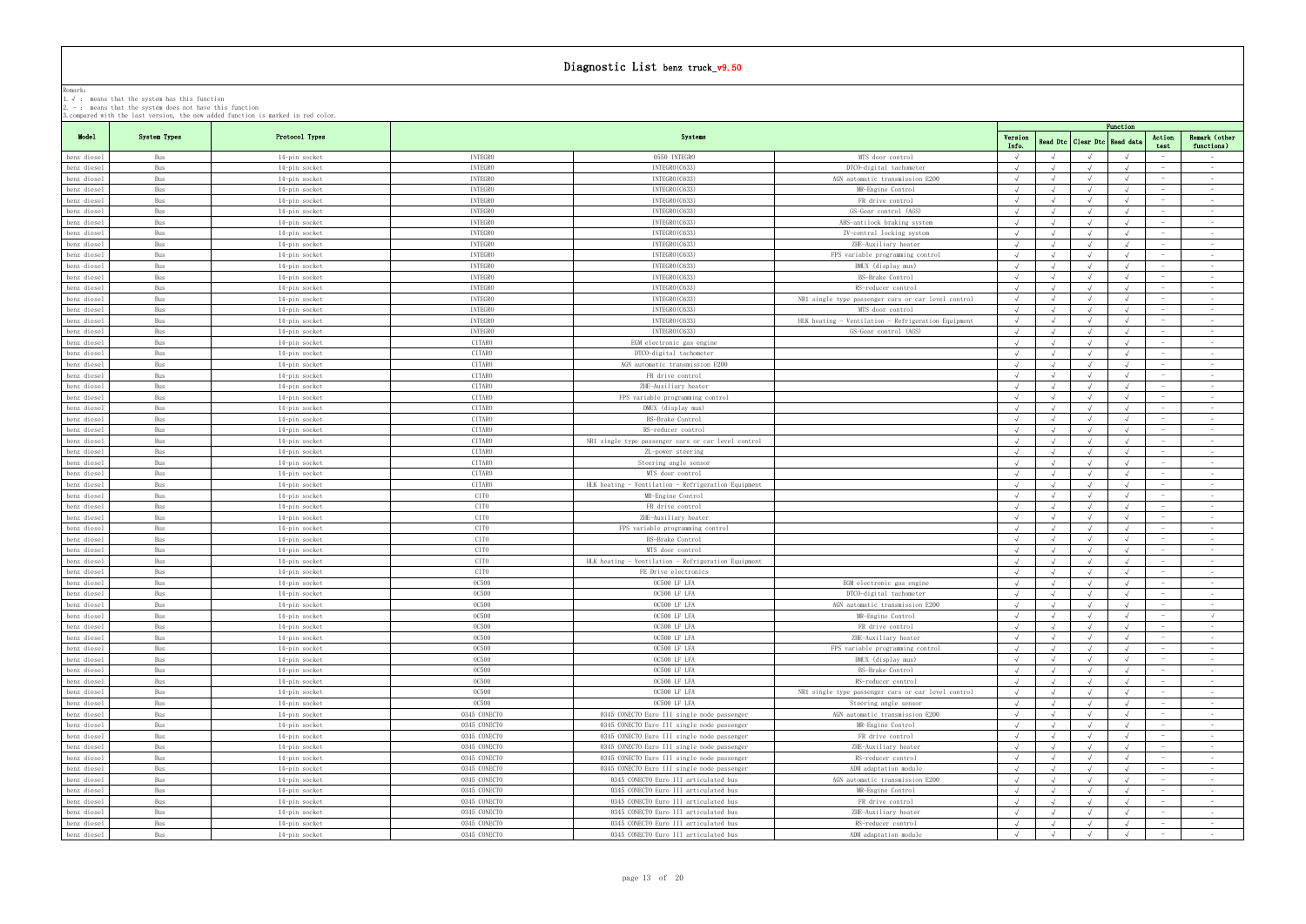|                            | r. v . - means that the system has this runction<br>2. $-$ : means that the system does not have this function | 3. compared with the last version, the new added function is marked in red color. |                                  |                                                     |                                                                           |                  |            |                                  |            |                                        |
|----------------------------|----------------------------------------------------------------------------------------------------------------|-----------------------------------------------------------------------------------|----------------------------------|-----------------------------------------------------|---------------------------------------------------------------------------|------------------|------------|----------------------------------|------------|----------------------------------------|
|                            |                                                                                                                |                                                                                   |                                  |                                                     |                                                                           |                  |            |                                  | Function   |                                        |
| Model                      | System Types                                                                                                   | Protocol Types                                                                    |                                  | Systems                                             |                                                                           | Version<br>Info. |            | Read Dtc   Clear Dtc   Read data | Action     | Remark (other                          |
| benz diesel                | Bus                                                                                                            | 14-pin socket                                                                     | INTEGRO                          | 0550 INTEGRO                                        | MTS door control                                                          |                  |            |                                  |            | functions)<br>test<br>$\sim$           |
| benz diesel                | Bus                                                                                                            | 14-pin socket                                                                     | INTEGRO                          | INTEGRO (C633)                                      | DTCO-digital tachometer                                                   |                  |            |                                  |            | $\sim$                                 |
| benz diesel                | Bus                                                                                                            | 14-pin socket                                                                     | <b>INTEGRO</b>                   | INTEGRO (C633)                                      | AGN automatic transmission E200                                           |                  |            |                                  |            | $\sim$ $-$                             |
| benz diesel                | Bus                                                                                                            | 14-pin socket                                                                     | <b>INTEGRO</b>                   | INTEGRO (C633)                                      | MR-Engine Control                                                         |                  |            |                                  |            | $\sim$                                 |
| benz diesel                | Bus                                                                                                            | 14-pin socket                                                                     | INTEGRO                          | INTEGRO (C633)                                      | FR drive control                                                          |                  |            |                                  |            | $\sim$                                 |
| benz diesel                | Bus                                                                                                            | 14-pin socket                                                                     | INTEGRO                          | INTEGRO (C633)                                      | GS-Gear control (AGS)                                                     |                  |            |                                  |            | $\sim$                                 |
| benz diesel                | Bus                                                                                                            | 14-pin socket                                                                     | INTEGRO                          | INTEGRO (C633)                                      | ABS-antilock braking system                                               | $\sqrt{ }$       | $\sqrt{ }$ |                                  | $\sqrt{ }$ | $\sim$ $-$<br>$-$                      |
| benz diesel                | Bus                                                                                                            | 14-pin socket                                                                     | INTEGRO                          | INTEGRO (C633)                                      | ZV-central locking system                                                 |                  |            |                                  |            | $\sim$                                 |
| benz diesel                | Bus                                                                                                            | 14-pin socket                                                                     | INTEGRO                          | INTEGRO (C633)                                      | ZHE-Auxiliary heater                                                      | $\sim$           | $\sqrt{ }$ |                                  | $\sqrt{ }$ | $\sim$ $-$                             |
| benz diesel                | Bus                                                                                                            | 14-pin socket                                                                     | <b>INTEGRO</b>                   | INTEGRO (C633)                                      | FPS variable programming control                                          |                  |            |                                  |            | $\sim$                                 |
| benz diesel                | Bus                                                                                                            | 14-pin socket                                                                     | INTEGRO                          | INTEGRO (C633)                                      | DMUX (display mux)                                                        | $\sim$           | $\sqrt{ }$ |                                  | $\sqrt{ }$ | $\sim$ $-$                             |
| benz diesel<br>benz diesel | Bus<br>Bus                                                                                                     | 14-pin socket                                                                     | <b>INTEGRO</b><br><b>INTEGRO</b> | INTEGRO (C633)<br>INTEGRO (C633)                    | BS-Brake Control<br>RS-reducer control                                    |                  |            |                                  |            | $\sim$ $-$<br>$\sim$ $-$               |
| benz diesel                | Bus                                                                                                            | 14-pin socket                                                                     | INTEGRO                          | INTEGRO (C633)                                      | NR1 single type passenger cars or car level control                       | $\sqrt{ }$       | $\sqrt{ }$ |                                  |            | $\sim$                                 |
| benz diesel                | Bus                                                                                                            | 14-pin socket<br>14-pin socket                                                    | INTEGRO                          | INTEGRO (C633)                                      | MTS door control                                                          | $\sqrt{ }$       | $\sqrt{ }$ |                                  |            | $\sim 10^{-1}$                         |
| benz diesel                | Bus                                                                                                            | 14-pin socket                                                                     | <b>INTEGRO</b>                   | INTEGRO (C633)                                      | HLK heating - Ventilation - Refrigeration Equipment                       | $\sqrt{ }$       |            |                                  |            | $\sim$ $-$                             |
| benz diesel                | Bus                                                                                                            | 14-pin socket                                                                     | INTEGRO                          | INTEGRO (C633)                                      | GS-Gear control (AGS)                                                     |                  |            |                                  |            | $\sim$                                 |
| benz diesel                | Bus                                                                                                            | 14-pin socket                                                                     | CITARO                           | EGM electronic gas engine                           |                                                                           | $\sqrt{ }$       | $\sqrt{ }$ | $\sqrt{ }$                       | $\sqrt{ }$ | $\sim$ $ \sim$                         |
| benz diesel                | Bus                                                                                                            | 14-pin socket                                                                     | CITARO                           | DTCO-digital tachometer                             |                                                                           |                  |            |                                  |            | $\sim$ $-$                             |
| benz diesel                | Bus                                                                                                            | 14-pin socket                                                                     | CITARO                           | AGN automatic transmission E200                     |                                                                           | $\sqrt{ }$       |            |                                  |            | $\sim$ $-$                             |
| benz diesel                | Bus                                                                                                            | 14-pin socket                                                                     | CITARO                           | FR drive control                                    |                                                                           |                  |            |                                  |            | $\sim$ $-$                             |
| benz diesel                | Bus                                                                                                            | 14-pin socket                                                                     | CITARO                           | ZHE-Auxiliary heater                                |                                                                           |                  |            |                                  |            | $\sim$ $-$                             |
| benz diesel                | Bus                                                                                                            | 14-pin socket                                                                     | CITARO                           | FPS variable programming control                    |                                                                           |                  |            |                                  |            | $\sim$ $-$                             |
| benz diesel                | Bus                                                                                                            | 14-pin socket                                                                     | CITARO                           | DMUX (display mux)                                  |                                                                           |                  |            |                                  |            | $\sim$                                 |
| benz diesel                | Bus                                                                                                            | 14-pin socket                                                                     | CITARO                           | BS-Brake Control                                    |                                                                           | $\sqrt{ }$       | $\sqrt{ }$ |                                  |            | $\sim$                                 |
| benz diesel                | Bus                                                                                                            | 14-pin socket                                                                     | CITARO                           | RS-reducer control                                  |                                                                           |                  |            |                                  |            | $\sim$ $-$                             |
| benz diesel                | Bus                                                                                                            | 14-pin socket                                                                     | CITARO                           | NR1 single type passenger cars or car level control |                                                                           |                  |            |                                  |            | $\sim$ $-$                             |
| benz diesel                | Bus                                                                                                            | 14-pin socket                                                                     | CITARO                           | ZL-power steering                                   |                                                                           |                  |            |                                  |            | $\sim$                                 |
| benz diesel                | Bus                                                                                                            | 14-pin socket                                                                     | CITARO                           | Steering angle sensor                               |                                                                           | $\sqrt{ }$       | $\sqrt{ }$ |                                  |            | $\sim$                                 |
| benz diesel                | Bus                                                                                                            | 14-pin socket                                                                     | CITARO                           | MTS door control                                    |                                                                           |                  |            |                                  |            | $\sim$ $-$                             |
| benz diesel                | Bus                                                                                                            | 14-pin socket                                                                     | CITARO<br>CITO                   | HLK heating - Ventilation - Refrigeration Equipment |                                                                           |                  |            |                                  |            | $\sim$ $-$<br>$\sim$                   |
| benz diesel<br>benz diesel | Bus<br>Bus                                                                                                     | 14-pin socket<br>14-pin socket                                                    | CITO                             | MR-Engine Control<br>FR drive control               |                                                                           |                  |            |                                  |            | $\sim$ $-$                             |
| benz diesel                | Bus                                                                                                            | 14-pin socket                                                                     | CITO                             | ZHE-Auxiliary heater                                |                                                                           | $\sqrt{ }$       | $\sqrt{ }$ |                                  |            | $\sim$                                 |
| benz diesel                | Bus                                                                                                            | 14-pin socket                                                                     | CITO                             | FPS variable programming control                    |                                                                           |                  |            |                                  |            | $\sim$ $-$                             |
| benz diesel                | Bus                                                                                                            | 14-pin socket                                                                     | CITO                             | BS-Brake Control                                    |                                                                           | $\sqrt{ }$       | $\sqrt{ }$ | $\sqrt{ }$                       | $\sqrt{ }$ | $\sim$ $-$                             |
| benz diesel                | Bus                                                                                                            | 14-pin socket                                                                     | CITO                             | MTS door control                                    |                                                                           | $\sqrt{ }$       | $\sqrt{ }$ |                                  |            | $\sim$                                 |
| benz diesel                | Bus                                                                                                            | 14-pin socket                                                                     | CITO                             | HLK heating - Ventilation - Refrigeration Equipment |                                                                           |                  |            |                                  |            | $\sim$ $-$                             |
| benz diesel                | Bus                                                                                                            | 14-pin socket                                                                     | CITO                             | FE Drive electronics                                |                                                                           |                  |            |                                  |            | $\sim$ $-$                             |
| benz diesel                | Bus                                                                                                            | 14-pin socket                                                                     | <b>OC500</b>                     | OC500 LF LFA                                        | EGM electronic gas engine                                                 |                  |            |                                  |            | $\sim$ $-$                             |
| benz diesel                | Bus                                                                                                            | 14-pin socket                                                                     | <b>00500</b>                     | OC500 LF LFA                                        | DICO-digital tachometer                                                   |                  |            |                                  |            |                                        |
| benz diesel                | Bus                                                                                                            | 14-pin socket                                                                     | <b>OC500</b>                     | OC500 LF LFA                                        | AGN automatic transmission E200                                           |                  |            |                                  | $\sqrt{ }$ | $\sim$ $ \sim$                         |
| benz diesel                | Bus                                                                                                            | 14-pin socket                                                                     | <b>OC500</b>                     | OC500 LF LFA                                        | MR-Engine Control                                                         | $\sqrt{ }$       | $\sqrt{ }$ | $\sqrt{ }$                       | $\sqrt{ }$ | $\sqrt{ }$                             |
| benz diesel                | Bus                                                                                                            | 14-pin socket                                                                     | <b>OC500</b>                     | OC500 LF LFA                                        | FR drive control                                                          |                  |            |                                  |            | $\sim$                                 |
| benz diesel                | Bus                                                                                                            | 14-pin socket                                                                     | <b>OC500</b>                     | OC500 LF LFA                                        | ZHE-Auxiliary heater                                                      |                  |            |                                  | $\sqrt{ }$ | $\sim$ $-$<br>$\overline{\phantom{a}}$ |
| benz diesel                | Bus                                                                                                            | 14-pin socket                                                                     | <b>OC500</b>                     | OC500 LF LFA                                        | FPS variable programming control                                          |                  |            |                                  |            | $\sim$ $-$                             |
| benz diesel                | Bus                                                                                                            | 14-pin socket                                                                     | <b>OC500</b><br><b>OC500</b>     | OC500 LF LFA                                        | DMUX (display mux)                                                        |                  |            |                                  |            | $\sim$ $-$<br>$\overline{\phantom{a}}$ |
| benz diesel                | Bus<br>Bus                                                                                                     | 14-pin socket                                                                     | <b>OC500</b>                     | OC500 LF LFA<br>OC500 LF LFA                        | BS-Brake Control                                                          | $\sqrt{ }$       |            |                                  |            | $\sim$ $-$                             |
| benz diesel<br>benz diesel | Bus                                                                                                            | 14-pin socket<br>14-pin socket                                                    | <b>OC500</b>                     | OC500 LF LFA                                        | RS-reducer control<br>NR1 single type passenger cars or car level control |                  |            |                                  |            | $\sim$ $-$<br>$\sim$                   |
| benz diesel                | Bus                                                                                                            | 14-pin socket                                                                     | <b>OC500</b>                     | OC500 LF LFA                                        | Steering angle sensor                                                     | $\sqrt{ }$       |            |                                  |            | $\sim$ 100 $\mu$                       |
| benz diesel                | Bus                                                                                                            | 14-pin socket                                                                     | 0345 CONECTO                     | 0345 CONECTO Euro III single node passenger         | AGN automatic transmission E200                                           |                  |            |                                  |            | $\sim$                                 |
| benz diesel                | Bus                                                                                                            | 14-pin socket                                                                     | 0345 CONECTO                     | 0345 CONECTO Euro III single node passenger         | MR-Engine Control                                                         | $\sqrt{ }$       |            |                                  |            | $\sim$                                 |
| benz diesel                | Bus                                                                                                            | 14-pin socket                                                                     | 0345 CONECTO                     | 0345 CONECTO Euro III single node passenger         | FR drive control                                                          |                  |            |                                  |            | $\sim$ $-$                             |
| benz diesel                | Bus                                                                                                            | 14-pin socket                                                                     | 0345 CONECTO                     | 0345 CONECTO Euro III single node passenger         | ZHE-Auxiliary heater                                                      |                  |            |                                  |            | $\sim$ $-$                             |
| benz diesel                | Bus                                                                                                            | 14-pin socket                                                                     | 0345 CONECTO                     | 0345 CONECTO Euro III single node passenger         | RS-reducer control                                                        |                  |            |                                  |            | $\sim$                                 |
| benz diesel                | Bus                                                                                                            | 14-pin socket                                                                     | 0345 CONECTO                     | 0345 CONECTO Euro III single node passenger         | ADM adaptation module                                                     |                  |            |                                  |            | $\sim$ $-$                             |
| benz diesel                | Bus                                                                                                            | 14-pin socket                                                                     | 0345 CONECTO                     | 0345 CONECTO Euro III articulated bus               | AGN automatic transmission E200                                           | $\sqrt{ }$       |            |                                  |            | $\sim$ $-$                             |
| benz diesel                | Bus                                                                                                            | 14-pin socket                                                                     | 0345 CONECTO                     | 0345 CONECTO Euro III articulated bus               | MR-Engine Control                                                         | $\sqrt{ }$       |            |                                  |            | $\sim$                                 |
| benz diesel                | Bus                                                                                                            | 14-pin socket                                                                     | 0345 CONECTO                     | 0345 CONECTO Euro III articulated bus               | FR drive control                                                          |                  |            |                                  |            | $\sim 10^{-11}$                        |
| benz diesel                | Bus                                                                                                            | 14-pin socket                                                                     | 0345 CONECTO                     | 0345 CONECTO Euro III articulated bus               | ZHE-Auxiliary heater                                                      |                  |            |                                  |            | $\sim$ $-$                             |
| benz diesel                | Bus                                                                                                            | 14-pin socket                                                                     | 0345 CONECTO                     | 0345 CONECTO Euro III articulated bus               | RS-reducer control                                                        | $\sqrt{ }$       | $\sqrt{ }$ |                                  | $\sqrt{ }$ | $\sim 10^{-11}$                        |
| benz diesel                | Bus                                                                                                            | 14-pin socket                                                                     | 0345 CONECTO                     | 0345 CONECTO Euro III articulated bus               | ADM adaptation module                                                     |                  |            |                                  |            | $\sim$ $-$<br>$\hspace{0.1mm}$         |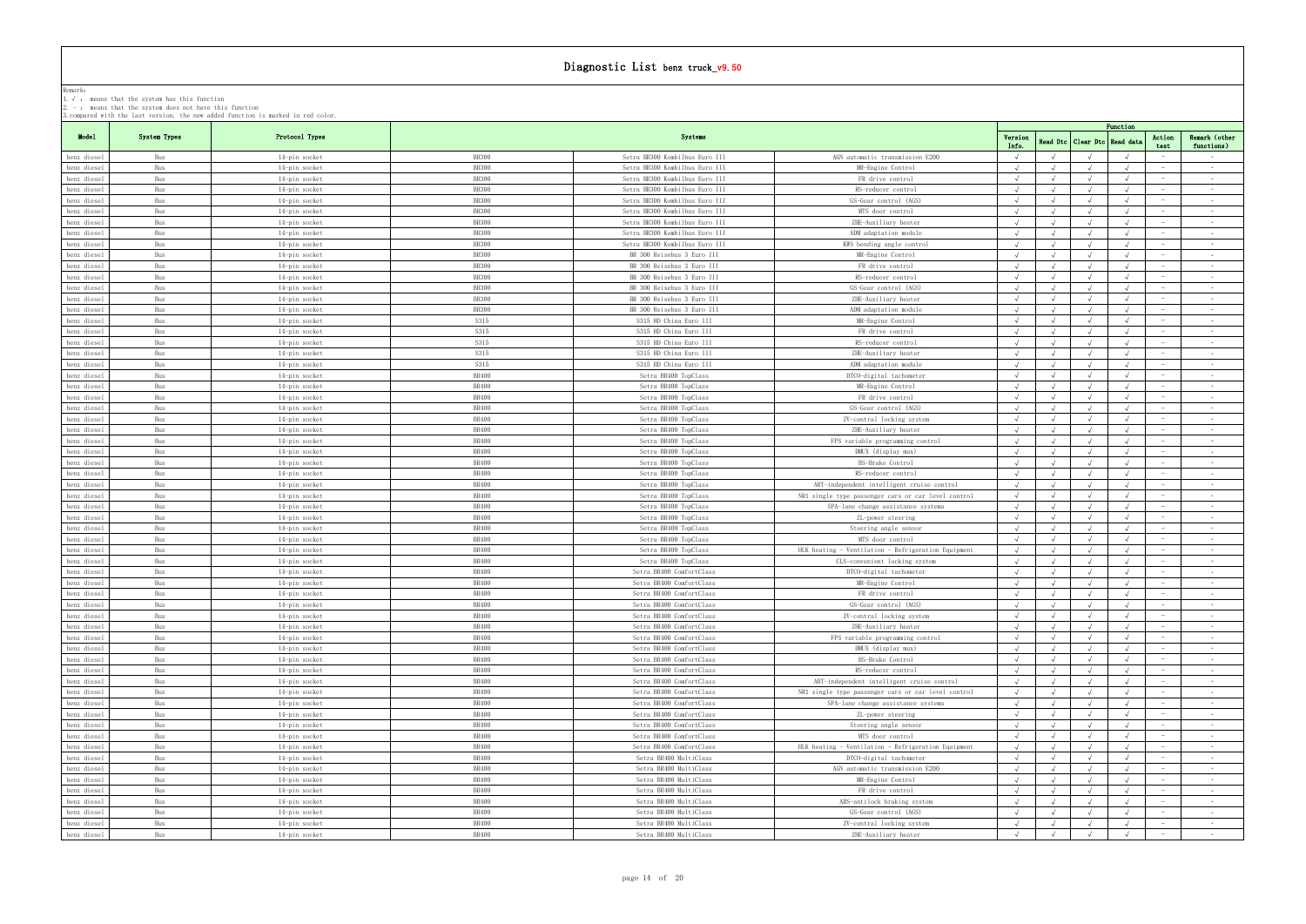|             | . у , шеано снат тие оуотеш нао тито ганеттон<br>$2. -$ : means that the system does not have this function | 3. compared with the last version, the new added function is marked in red color. |              |                                |                                                     |                  |            |                     |            |                          |                             |
|-------------|-------------------------------------------------------------------------------------------------------------|-----------------------------------------------------------------------------------|--------------|--------------------------------|-----------------------------------------------------|------------------|------------|---------------------|------------|--------------------------|-----------------------------|
|             |                                                                                                             |                                                                                   |              |                                |                                                     |                  |            |                     | Function   |                          |                             |
| Model       | System Types                                                                                                | Protocol Types                                                                    |              | Systems                        |                                                     | Version<br>Info. | Read Dtc   | Clear Dtc Read data |            | Action<br>test           | Remark (other<br>functions) |
| benz diesel | Bus                                                                                                         | 14-pin socket                                                                     | <b>BR300</b> | Setra BR300 Kombilbus Euro III | AGN automatic transmission E200                     |                  |            |                     |            |                          | $\sim$                      |
| benz diesel | Bus                                                                                                         | 14-pin socket                                                                     | <b>BR300</b> | Setra BR300 Kombilbus Euro III | MR-Engine Control                                   | $\sqrt{ }$       |            |                     |            |                          | $\sim$                      |
| benz diesel | Bus                                                                                                         | 14-pin socket                                                                     | <b>BR300</b> | Setra BR300 Kombilbus Euro III | FR drive control                                    |                  |            |                     |            |                          | $\sim$                      |
| benz diesel | Bus                                                                                                         | 14-pin socket                                                                     | <b>BR300</b> | Setra BR300 Kombilbus Euro III | RS-reducer control                                  |                  |            |                     |            |                          | $\sim$ 100 $\mu$            |
| benz diesel | Bus                                                                                                         | 14-pin socket                                                                     | <b>BR300</b> | Setra BR300 Kombilbus Euro III | GS-Gear control (AGS)                               |                  |            |                     |            |                          | $\sim$                      |
| benz diesel | Bus                                                                                                         | 14-pin socket                                                                     | <b>BR300</b> | Setra BR300 Kombilbus Euro III | MTS door control                                    |                  |            |                     |            |                          | $\sim$                      |
| benz diesel | Bus                                                                                                         | 14-pin socket                                                                     | <b>BR300</b> | Setra BR300 Kombilbus Euro III | ZHE-Auxiliary heater                                |                  |            |                     |            |                          | $\sim$                      |
| benz diesel | Bus                                                                                                         | 14-pin socket                                                                     | <b>BR300</b> | Setra BR300 Kombilbus Euro III | ADM adaptation module                               |                  |            |                     |            |                          | $\sim$                      |
| benz diesel | Bus                                                                                                         | 14-pin socket                                                                     | <b>BR300</b> | Setra BR300 Kombilbus Euro III | KWS bending angle control                           |                  |            |                     |            |                          | $\sim$                      |
| benz diesel | Bus                                                                                                         | 14-pin socket                                                                     | <b>BR300</b> | BR 300 Reisebus 3 Euro III     | MR-Engine Control                                   |                  |            |                     |            |                          | $\sim 100$                  |
| benz diesel | Bus                                                                                                         | 14-pin socket                                                                     | <b>BR300</b> | BR 300 Reisebus 3 Euro III     | FR drive control                                    | $\sqrt{ }$       | $\sqrt{ }$ |                     |            |                          | $\sim$                      |
| benz diesel | Bus                                                                                                         | 14-pin socket                                                                     | <b>BR300</b> | BR 300 Reisebus 3 Euro III     | RS-reducer control                                  |                  |            |                     |            |                          | $\sim$                      |
| benz diesel | Bus                                                                                                         | 14-pin socket                                                                     | <b>BR300</b> | BR 300 Reisebus 3 Euro III     | GS-Gear control (AGS)                               |                  |            |                     |            |                          | $\sim$ $-$                  |
|             |                                                                                                             |                                                                                   | BR300        |                                |                                                     |                  |            |                     |            |                          | $\sim$                      |
| benz diesel | Bus                                                                                                         | 14-pin socket                                                                     | <b>BR300</b> | BR 300 Reisebus 3 Euro III     | ZHE-Auxiliary heater<br>ADM adaptation module       |                  |            |                     |            |                          | $\sim$                      |
| benz diesel | Bus                                                                                                         | 14-pin socket                                                                     |              | BR 300 Reisebus 3 Euro III     |                                                     |                  |            |                     |            |                          |                             |
| benz diesel | Bus                                                                                                         | 14-pin socket                                                                     | S315         | S315 HD China Euro III         | MR-Engine Control                                   |                  |            |                     |            |                          | $\sim$                      |
| benz diesel | Bus                                                                                                         | 14-pin socket                                                                     | S315         | S315 HD China Euro III         | FR drive control                                    |                  |            |                     |            |                          | $\sim$                      |
| benz diesel | Bus                                                                                                         | 14-pin socket                                                                     | S315         | S315 HD China Euro III         | RS-reducer control                                  |                  |            |                     |            |                          | $\sim$ $-$                  |
| benz diesel | Bus                                                                                                         | 14-pin socket                                                                     | S315         | S315 HD China Euro III         | ZHE-Auxiliary heater                                |                  |            |                     |            |                          | $\sim$                      |
| benz diesel | Bus                                                                                                         | 14-pin socket                                                                     | S315         | S315 HD China Euro III         | ADM adaptation module                               |                  |            |                     |            |                          | $\sim$                      |
| benz diesel | Bus                                                                                                         | 14-pin socket                                                                     | <b>BR400</b> | Setra BR400 TopClass           | DTCO-digital tachometer                             |                  |            |                     |            |                          | $\sim$                      |
| benz diesel | Bus                                                                                                         | 14-pin socket                                                                     | <b>BR400</b> | Setra BR400 TopClass           | MR-Engine Control                                   |                  |            |                     |            |                          | $\sim$                      |
| benz diesel | Bus                                                                                                         | 14-pin socket                                                                     | BR400        | Setra BR400 TopClass           | FR drive control                                    | $\sqrt{ }$       | $\sqrt{ }$ |                     |            |                          | $\sim$                      |
| benz diesel | Bus                                                                                                         | 14-pin socket                                                                     | <b>BR400</b> | Setra BR400 TopClass           | GS-Gear control (AGS)                               |                  |            |                     |            |                          | $\sim$                      |
| benz diesel | Bus                                                                                                         | 14-pin socket                                                                     | <b>BR400</b> | Setra BR400 TopClass           | ZV-central locking system                           |                  |            |                     |            |                          | $\sim$                      |
| benz diesel | Bus                                                                                                         | 14-pin socket                                                                     | BR400        | Setra BR400 TopClass           | ZHE-Auxiliary heater                                |                  |            |                     |            |                          | $\sim$                      |
| benz diesel | Bus                                                                                                         | 14-pin socket                                                                     | BR400        | Setra BR400 TopClass           | FPS variable programming control                    |                  |            |                     |            |                          | $\sim$                      |
| benz diesel | Bus                                                                                                         | 14-pin socket                                                                     | <b>BR400</b> | Setra BR400 TopClass           | DMUX (display mux)                                  |                  |            |                     |            |                          | $\sim$                      |
| benz diesel | Bus                                                                                                         | 14-pin socket                                                                     | <b>BR400</b> | Setra BR400 TopClass           | BS-Brake Control                                    |                  |            |                     |            |                          | $\sim$                      |
| benz diesel | Bus                                                                                                         | 14-pin socket                                                                     | <b>BR400</b> | Setra BR400 TopClass           | RS-reducer control                                  |                  |            |                     |            |                          | $\sim$                      |
| benz diesel | Bus                                                                                                         | 14-pin socket                                                                     | <b>BR400</b> | Setra BR400 TopClass           | ART-independent intelligent cruise control          |                  |            |                     |            |                          | $\sim$                      |
| benz diesel | Bus                                                                                                         | 14-pin socket                                                                     | <b>BR400</b> | Setra BR400 TopClass           | NR1 single type passenger cars or car level control | $\sqrt{ }$       |            |                     |            |                          | $\sim$                      |
| benz diesel | Bus                                                                                                         | 14-pin socket                                                                     | BR400        | Setra BR400 TopClass           | SPA-lane change assistance systems                  |                  |            |                     |            |                          | $\sim$                      |
| benz diesel | Bus                                                                                                         | 14-pin socket                                                                     | BR400        | Setra BR400 TopClass           | ZL-power steering                                   | $\sqrt{ }$       |            |                     |            |                          | $\sim$                      |
| benz diesel | Bus                                                                                                         | 14-pin socket                                                                     | <b>BR400</b> | Setra BR400 TopClass           | Steering angle sensor                               |                  |            |                     |            |                          | $\sim$                      |
| benz diesel | Bus                                                                                                         | 14-pin socket                                                                     | BR400        | Setra BR400 TopClass           | MTS door control                                    | $\sqrt{ }$       | $\sqrt{ }$ |                     | $\sqrt{ }$ |                          | $\sim$                      |
|             | Bus                                                                                                         |                                                                                   | <b>BR400</b> |                                | HLK heating - Ventilation - Refrigeration Equipment | $\sqrt{ }$       |            |                     |            |                          | $\sim$                      |
| benz diesel |                                                                                                             | 14-pin socket                                                                     |              | Setra BR400 TopClass           |                                                     |                  |            |                     |            |                          |                             |
| benz diesel | Bus                                                                                                         | 14-pin socket                                                                     | <b>BR400</b> | Setra BR400 TopClass           | CLS-convenient locking system                       |                  |            |                     |            |                          | $\sim$                      |
| benz diesel | Bus                                                                                                         | 14-pin socket                                                                     | <b>BR400</b> | Setra BR400 ComfortClass       | DTCO-digital tachometer                             |                  |            |                     |            |                          | $\sim$                      |
| benz diesel | Bus                                                                                                         | 14-pin socket                                                                     | <b>BR400</b> | Setra BR400 ComfortClass       | MR-Engine Control                                   |                  |            |                     |            |                          | $\sim$                      |
| benz diesel | Bus                                                                                                         | 14-pin socket                                                                     | BR400        | Setra BR400 ComfortClass       | FR drive control                                    |                  |            |                     |            |                          |                             |
| benz diesel | Bus                                                                                                         | 14-pin socket                                                                     | BR400        | Setra BR400 ComfortClass       | GS-Gear control (AGS)                               |                  |            |                     |            |                          | $\sim$                      |
| benz diesel | Bus                                                                                                         | 14-pin socket                                                                     | <b>BR400</b> | Setra BR400 ComfortClass       | ZV-central locking system                           | $\sqrt{ }$       | $\sqrt{ }$ |                     |            |                          | $\sim$                      |
| benz diesel | Bus                                                                                                         | 14-pin socket                                                                     | <b>BR400</b> | Setra BR400 ComfortClass       | ZHE-Auxiliary heater                                |                  |            |                     |            |                          | $\sim$                      |
| benz diesel | Bus                                                                                                         | 14-pin socket                                                                     | BR400        | Setra BR400 ComfortClass       | FPS variable programming control                    |                  |            |                     |            | $\overline{\phantom{a}}$ | $\sim$ $-$                  |
| benz diesel | Bus                                                                                                         | 14-pin socket                                                                     | <b>BR400</b> | Setra BR400 ComfortClass       | DMUX (display mux)                                  |                  |            |                     |            |                          | $\sim$                      |
| benz diesel | Bus                                                                                                         | 14-pin socket                                                                     | <b>BR400</b> | Setra BR400 ComfortClass       | BS-Brake Control                                    |                  |            |                     |            |                          | $\sim$                      |
| benz diesel | Bus                                                                                                         | 14-pin socket                                                                     | BR400        | Setra BR400 ComfortClass       | RS-reducer control                                  |                  |            |                     |            | $\overline{\phantom{a}}$ | $\sim$ $-$                  |
| benz diesel | Bus                                                                                                         | 14-pin socket                                                                     | <b>BR400</b> | Setra BR400 ComfortClass       | ART-independent intelligent cruise control          |                  |            |                     |            |                          | $\sim$ $-$                  |
| benz diesel | Bus                                                                                                         | 14-pin socket                                                                     | <b>BR400</b> | Setra BR400 ComfortClass       | NR1 single type passenger cars or car level control |                  |            |                     |            |                          | $\sim 10^{-1}$              |
| benz diesel | Bus                                                                                                         | 14-pin socket                                                                     | <b>BR400</b> | Setra BR400 ComfortClass       | SPA-lane change assistance systems                  | $\sqrt{ }$       |            |                     |            | $\overline{\phantom{a}}$ | $\sim$                      |
| benz diesel | Bus                                                                                                         | 14-pin socket                                                                     | <b>BR400</b> | Setra BR400 ComfortClass       | ZL-power steering                                   |                  |            |                     |            |                          | $\sim$                      |
| benz diesel | Bus                                                                                                         | 14-pin socket                                                                     | <b>BR400</b> | Setra BR400 ComfortClass       | Steering angle sensor                               |                  |            |                     |            |                          | $\sim$                      |
| benz diesel | Bus                                                                                                         | 14-pin socket                                                                     | <b>BR400</b> | Setra BR400 ComfortClass       | MTS door control                                    |                  |            |                     |            |                          | <b>Contract</b>             |
| benz diesel | Bus                                                                                                         | 14-pin socket                                                                     | BR400        | Setra BR400 ComfortClass       | HLK heating - Ventilation - Refrigeration Equipment |                  |            |                     |            |                          | $\sim$                      |
| benz diesel | Bus                                                                                                         | 14-pin socket                                                                     | <b>BR400</b> | Setra BR400 MultiClass         | DTCO-digital tachometer                             |                  |            |                     |            |                          | $\sim 10^{-1}$              |
| benz diesel | Bus                                                                                                         | 14-pin socket                                                                     | <b>BR400</b> | Setra BR400 MultiClass         | AGN automatic transmission E200                     | $\sqrt{ }$       | $\sqrt{ }$ | $\sqrt{ }$          | $\sqrt{ }$ | $\overline{\phantom{a}}$ | <b>Contract Contract</b>    |
| benz diesel | Bus                                                                                                         | 14-pin socket                                                                     | <b>BR400</b> | Setra BR400 MultiClass         | MR-Engine Control                                   |                  |            |                     |            |                          | $\sim$                      |
| benz diesel | Bus                                                                                                         |                                                                                   | <b>BR400</b> | Setra BR400 MultiClass         | FR drive control                                    | $\sqrt{ }$       |            |                     |            |                          | $\sim$                      |
|             |                                                                                                             | 14-pin socket                                                                     |              |                                |                                                     |                  |            |                     |            |                          |                             |
| benz diesel | Bus                                                                                                         | 14-pin socket                                                                     | <b>BR400</b> | Setra BR400 MultiClass         | ABS-antilock braking system                         |                  |            |                     |            |                          | $\sim$ $-$                  |
| benz diesel | Bus                                                                                                         | 14-pin socket                                                                     | BR400        | Setra BR400 MultiClass         | GS-Gear control (AGS)                               |                  |            |                     |            |                          | $\sim$ $-$                  |
| benz diesel | Bus                                                                                                         | 14-pin socket                                                                     | BR400        | Setra BR400 MultiClass         | ZV-central locking system                           |                  |            |                     |            |                          | $\sim$ $-$                  |
| benz diesel | Bus                                                                                                         | 14-pin socket                                                                     | BR400        | Setra BR400 MultiClass         | ZHE-Auxiliary heater                                | $\sqrt{ }$       | $\sqrt{ }$ | $\sqrt{ }$          | $\sqrt{ }$ | $\overline{\phantom{a}}$ | $\sim$                      |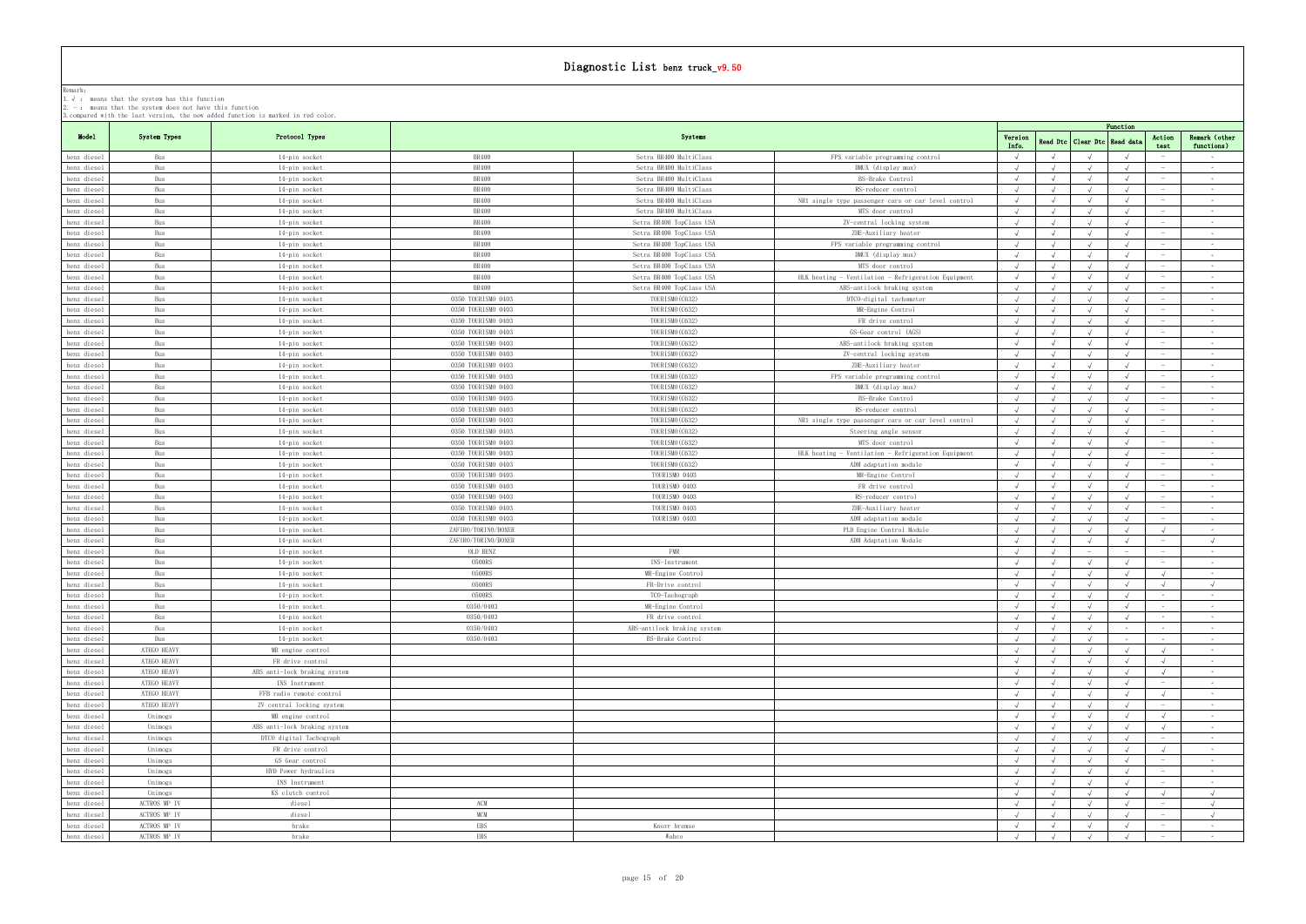|                            | 1. V. Heans that the system has this function<br>$2. -$ : means that the system does not have this function |                                                                                   |                              |                                                      |                                                                         |            |            |                      |            |                                 |                                |
|----------------------------|-------------------------------------------------------------------------------------------------------------|-----------------------------------------------------------------------------------|------------------------------|------------------------------------------------------|-------------------------------------------------------------------------|------------|------------|----------------------|------------|---------------------------------|--------------------------------|
|                            |                                                                                                             | 3. compared with the last version, the new added function is marked in red color. |                              |                                                      |                                                                         |            |            |                      | Function   |                                 |                                |
| Model                      | System Types                                                                                                | Protocol Types                                                                    |                              | Systems                                              |                                                                         | Version    |            | Read Dtc   Clear Dtc | Read dat   | Action                          | Remark (other                  |
|                            |                                                                                                             |                                                                                   |                              |                                                      |                                                                         | Info.      |            |                      |            | test                            | functions)                     |
| benz diesel                | Bus                                                                                                         | 14-pin socket                                                                     | <b>BR400</b>                 | Setra BR400 MultiClass                               | FPS variable programming control                                        |            |            |                      |            |                                 | $\sim 100$                     |
| benz diesel                | Bus                                                                                                         | 14-pin socket                                                                     | <b>BR400</b>                 | Setra BR400 MultiClass                               | DMUX (display mux)                                                      | $\sqrt{ }$ |            |                      |            |                                 | $\sim$ $-$                     |
| benz diesel                | Bus                                                                                                         | 14-pin socket                                                                     | <b>BR400</b>                 | Setra BR400 MultiClass                               | BS-Brake Control                                                        |            |            |                      |            |                                 | $\sim$ $-$                     |
| benz diesel                | Bus                                                                                                         | 14-pin socket                                                                     | <b>BR400</b>                 | Setra BR400 MultiClass                               | RS-reducer control                                                      |            |            |                      |            | $\sim$                          | <b>Contract Contract</b>       |
| benz diesel                | Bus                                                                                                         | 14-pin socket                                                                     | <b>BR400</b>                 | Setra BR400 MultiClass<br>Setra BR400 MultiClass     | NR1 single type passenger cars or car level control<br>MTS door control |            |            |                      |            |                                 | $\sim$ $ \sim$                 |
| benz diesel                | Bus                                                                                                         | 14-pin socket                                                                     | BR400                        |                                                      |                                                                         |            |            |                      |            | $\hspace{0.1mm}-\hspace{0.1mm}$ | $\sim$                         |
| benz diesel                | Bus                                                                                                         | 14-pin socket                                                                     | <b>BR400</b><br><b>BR400</b> | Setra BR400 TopClass USA                             | ZV-central locking system                                               |            |            |                      |            |                                 | $\sim$ 100 $\mu$<br>$\sim$ $-$ |
| benz diesel<br>benz diesel | Bus<br>Bus                                                                                                  | 14-pin socket<br>14-pin socket                                                    | <b>BR400</b>                 | Setra BR400 TopClass USA<br>Setra BR400 TopClass USA | ZHE-Auxiliary heater<br>FPS variable programming control                | $\sqrt{ }$ | $\sqrt{ }$ | $\sqrt{ }$           |            |                                 | $\sim 10^{-11}$                |
| benz diesel                | Bus                                                                                                         | 14-pin socket                                                                     | <b>BR400</b>                 | Setra BR400 TopClass USA                             | DMUX (display mux)                                                      | $\sqrt{ }$ |            |                      |            | $\hspace{0.1mm}-\hspace{0.1mm}$ | $\sim 100$                     |
| benz diesel                | Bus                                                                                                         | 14-pin socket                                                                     | <b>BR400</b>                 | Setra BR400 TopClass USA                             | MTS door control                                                        |            |            |                      |            | $\overline{\phantom{a}}$        | $\sim$                         |
| benz diesel                | Bus                                                                                                         | 14-pin socket                                                                     | <b>BR400</b>                 | Setra BR400 TopClass USA                             | HLK heating - Ventilation - Refrigeration Equipment                     | $\sqrt{ }$ | $\sqrt{ }$ |                      |            |                                 | $\sim 10^{-11}$                |
| benz diesel                | Bus                                                                                                         | 14-pin socket                                                                     | <b>BR400</b>                 | Setra BR400 TopClass USA                             | ABS-antilock braking system                                             | $\sqrt{ }$ |            |                      |            | $\hspace{0.1mm}-\hspace{0.1mm}$ | $\sim 100$                     |
| benz diesel                | Bus                                                                                                         | 14-pin socket                                                                     | 0350 TOURISMO 0403           | TOURISMO (C632)                                      | DTCO-digital tachometer                                                 |            |            |                      |            |                                 | $\sim$                         |
| benz diesel                | Bus                                                                                                         | 14-pin socket                                                                     | 0350 TOURISMO 0403           | TOURISMO (C632)                                      | MR-Engine Control                                                       | $\sqrt{ }$ | $\sqrt{ }$ |                      |            |                                 | $\sim 10^{-11}$                |
| benz diesel                | Bus                                                                                                         | 14-pin socket                                                                     | 0350 TOURISMO 0403           | TOURISMO (C632)                                      | FR drive control                                                        |            |            |                      |            | $\hspace{0.1mm}-\hspace{0.1mm}$ | $\sim 100$                     |
| benz diesel                | Bus                                                                                                         | 14-pin socket                                                                     | 0350 TOURISMO 0403           | TOURISMO (C632)                                      | GS-Gear control (AGS)                                                   |            |            |                      |            |                                 | $\sim$ $-$                     |
| benz diesel                | Bus                                                                                                         | 14-pin socket                                                                     | 0350 TOURISMO 0403           | TOURISMO (C632)                                      | ABS-antilock braking system                                             |            |            |                      |            |                                 | $\sim$                         |
| benz diesel                | Bus                                                                                                         | 14-pin socket                                                                     | 0350 TOURISMO 0403           | TOURISMO (C632)                                      | ZV-central locking system                                               |            |            |                      |            | $\sim$                          | <b>Contract</b>                |
| benz diesel                | Bus                                                                                                         | 14-pin socket                                                                     | 0350 TOURISMO 0403           | TOURISMO (C632)                                      | ZHE-Auxiliary heater                                                    |            |            |                      |            |                                 | $\sim$                         |
| benz diesel                | Bus                                                                                                         | 14-pin socket                                                                     | 0350 TOURISMO 0403           | TOURISMO (C632)                                      | FPS variable programming control                                        |            |            |                      |            |                                 | $\sim$                         |
| benz diesel                | Bus                                                                                                         | 14-pin socket                                                                     | 0350 TOURISMO 0403           | TOURISMO (C632)                                      | DMUX (display mux)                                                      |            |            |                      |            | $\overline{\phantom{0}}$        | $\sim$ $-$                     |
| benz diesel                | Bus                                                                                                         | 14-pin socket                                                                     | 0350 TOURISMO 0403           | TOURISMO (C632)                                      | BS-Brake Control                                                        | $\sqrt{ }$ |            |                      |            |                                 | $\sim$                         |
| benz diesel                | Bus                                                                                                         | 14-pin socket                                                                     | 0350 TOURISMO 0403           | TOURISMO (C632)                                      | RS-reducer control                                                      |            |            |                      |            |                                 | $\sim$                         |
| benz diesel                | Bus                                                                                                         | 14-pin socket                                                                     | 0350 TOURISMO 0403           | TOURISMO (C632)                                      | NR1 single type passenger cars or car level control                     | $\sqrt{ }$ |            |                      |            | $\sim$                          | $\sim 10^{-11}$                |
| benz diesel                | Bus                                                                                                         | 14-pin socket                                                                     | 0350 TOURISMO 0403           | TOURISMO (C632)                                      | Steering angle sensor                                                   | $\sqrt{ }$ | $\sqrt{ }$ | $\sqrt{ }$           | $\sqrt{ }$ |                                 | $\sim$ $-$                     |
| benz diesel                | Bus                                                                                                         | 14-pin socket                                                                     | 0350 TOURISMO 0403           | TOURISMO (C632)                                      | MTS door control                                                        |            |            |                      |            |                                 | $\sim$                         |
| benz diesel                | Bus                                                                                                         | 14-pin socket                                                                     | 0350 TOURISMO 0403           | TOURISMO (C632)                                      | HLK heating - Ventilation - Refrigeration Equipment                     | $\sqrt{ }$ |            |                      |            | $\overline{\phantom{0}}$        | $\sim$ $-$                     |
| benz diesel                | Bus                                                                                                         | 14-pin socket                                                                     | 0350 TOURISMO 0403           | TOURISMO (C632)                                      | ADM adaptation module                                                   | $\sqrt{ }$ |            |                      |            |                                 | $\sim$                         |
| benz diesel                | Bus                                                                                                         | 14-pin socket                                                                     | 0350 TOURISMO 0403           | TOURISMO 0403                                        | MR-Engine Control                                                       |            |            |                      |            |                                 | $\sim$                         |
| benz diesel                | Bus                                                                                                         | 14-pin socket                                                                     | 0350 TOURISMO 0403           | TOURISMO 0403                                        | FR drive control                                                        | $\sqrt{ }$ |            |                      |            | $\sim$                          | $\sim$ $-$                     |
| benz diesel                | Bus                                                                                                         | 14-pin socket                                                                     | 0350 TOURISMO 0403           | TOURISMO 0403                                        | RS-reducer control                                                      |            |            |                      |            |                                 | $\sim$ $-$                     |
| benz diesel                | Bus                                                                                                         | 14-pin socket                                                                     | 0350 TOURISMO 0403           | TOURISMO 0403                                        | ZHE-Auxiliary heater                                                    |            |            |                      |            |                                 | $\sim$ $-$                     |
| benz diesel                | Bus                                                                                                         | 14-pin socket                                                                     | 0350 TOURISMO 0403           | TOURISMO 0403                                        | ADM adaptation module                                                   |            |            |                      |            | $\sim$                          | $\sim$ $-$                     |
| benz diesel                | Bus                                                                                                         | 14-pin socket                                                                     | ZAFIRO/TORINO/BOXER          |                                                      | PLD Engine Control Module                                               | $\sqrt{ }$ | $\sqrt{ }$ | $\sqrt{ }$           |            | $\sqrt{ }$                      | $\sim$ $ \sim$                 |
| benz diesel                | Bus                                                                                                         | 14-pin socket                                                                     | ZAFIRO/TORINO/BOXER          |                                                      | ADM Adaptation Module                                                   |            |            |                      |            |                                 | $\sqrt{ }$                     |
| benz diesel                | Bus                                                                                                         | 14-pin socket                                                                     | OLD BENZ                     | FMR                                                  |                                                                         |            |            |                      |            | $\sim$                          | $\sim$ 100 $\mu$               |
| benz diesel                | Bus                                                                                                         | 14-pin socket                                                                     | 0500RS                       | INS-Instrument                                       |                                                                         |            |            |                      |            |                                 | $\sim$ $-$                     |
| benz diesel                | Bus                                                                                                         | 14-pin socket                                                                     | 0500RS                       | MR-Engine Control                                    |                                                                         |            |            |                      |            |                                 | $\sim$ $-$                     |
| benz diesel                | Bus                                                                                                         | 14-pin socket                                                                     | 0500RS                       | FR-Drive control                                     |                                                                         |            |            |                      |            |                                 |                                |
| benz diesel                | Bus                                                                                                         | 14-pin socket                                                                     | 0500RS                       | TCO-Tachograph                                       |                                                                         |            | $\sqrt{ }$ | $\sqrt{ }$           | $\sqrt{ }$ | $\sim$                          | $\sim 100$                     |
| benz diesel                | Bus                                                                                                         | 14-pin socket                                                                     | 0350/0403                    | MR-Engine Control                                    |                                                                         | $\sqrt{ }$ | $\sqrt{ }$ | $\sqrt{ }$           | $\sqrt{ }$ |                                 | $\sim$ $-$                     |
| benz diesel                | Bus                                                                                                         | 14-pin socket                                                                     | 0350/0403                    | FR drive control                                     |                                                                         | $\sqrt{ }$ | $\sqrt{ }$ |                      |            | $\sim$                          | $\sim 100$                     |
| benz diesel                | Bus                                                                                                         | 14-pin socket                                                                     | 0350/0403                    | ABS-antilock braking system                          |                                                                         |            |            |                      | $\sim$ $-$ | $\sim$                          | $\sim$                         |
| benz diesel                | Bus                                                                                                         | 14-pin socket                                                                     | 0350/0403                    | BS-Brake Control                                     |                                                                         | $\sqrt{ }$ | $\sqrt{ }$ | $\sqrt{ }$           |            | $\sim$                          | $\sim 10^{-11}$                |
| benz diesel                | ATEGO HEAVY                                                                                                 | MR engine control                                                                 |                              |                                                      |                                                                         |            |            |                      |            | $\sqrt{ }$                      | $\sim 100$                     |
| benz diesel                | ATEGO HEAVY                                                                                                 | FR drive control                                                                  |                              |                                                      |                                                                         |            |            |                      |            | $\sqrt{ }$                      | $\sim$                         |
| benz diesel                | ATEGO HEAVY                                                                                                 | ABS anti-lock braking system                                                      |                              |                                                      |                                                                         | $\sqrt{ }$ | $\sqrt{ }$ |                      |            | $\sqrt{ }$                      | $\sim$ $-$                     |
| benz diesel                | ATEGO HEAVY                                                                                                 | INS Instrument                                                                    |                              |                                                      |                                                                         |            |            |                      |            | $\overline{\phantom{0}}$        | $\sim 100$                     |
| benz diesel                | ATEGO HEAVY                                                                                                 | FFB radio remote control                                                          |                              |                                                      |                                                                         |            |            |                      |            | $\sqrt{ }$                      | $\sim$ $-$                     |
| benz diesel                | ATEGO HEAVY                                                                                                 | ZV central locking system                                                         |                              |                                                      |                                                                         | $\sqrt{ }$ | $\sqrt{ }$ | $\sqrt{ }$           |            | $\sim$                          | $\sim 10^{-11}$                |
| benz diesel                | Unimogs                                                                                                     | MR engine control                                                                 |                              |                                                      |                                                                         |            |            |                      |            | $\sqrt{ }$                      | $\sim 100$                     |
| benz diesel                | Unimogs                                                                                                     | ABS anti-lock braking system                                                      |                              |                                                      |                                                                         |            |            |                      |            | $\sqrt{ }$                      | $\sim$                         |
| benz diesel                | Unimogs                                                                                                     | DTCO digital Tachograph                                                           |                              |                                                      |                                                                         |            |            |                      |            |                                 | $\sim$ $-$                     |
| benz diesel                | Unimogs                                                                                                     | FR drive control                                                                  |                              |                                                      |                                                                         |            |            |                      |            | $\sqrt{ }$                      | <b>Contract</b>                |
| benz diesel                | Unimogs                                                                                                     | GS Gear control                                                                   |                              |                                                      |                                                                         |            |            |                      |            |                                 | $\sim$                         |
| benz diesel                | Unimogs                                                                                                     | HYD Power hydraulics                                                              |                              |                                                      |                                                                         |            |            |                      |            |                                 | $\sim$                         |
| benz diesel                | Unimogs                                                                                                     | INS Instrument                                                                    |                              |                                                      |                                                                         |            |            |                      |            | $\hspace{0.1mm}-\hspace{0.1mm}$ | $\sim$ $-$                     |
| benz diesel                | Unimogs                                                                                                     | KS clutch control                                                                 |                              |                                                      |                                                                         |            | $\sqrt{ }$ |                      |            | $\sqrt{ }$                      | $\sqrt{ }$                     |
| benz diesel                | ACTROS MP IV                                                                                                | diesel                                                                            | ACM                          |                                                      |                                                                         |            | $\sqrt{ }$ |                      |            | $\sim$                          | $\sqrt{ }$                     |
| benz diesel                | ACTROS MP IV                                                                                                | diesel                                                                            | <b>MCM</b>                   |                                                      |                                                                         |            |            |                      |            | $\overline{\phantom{a}}$        | $\sqrt{ }$                     |
| benz diesel                | ACTROS MP IV                                                                                                | brake                                                                             | <b>EBS</b>                   | Knorr bremse                                         |                                                                         |            |            |                      |            | $\sim$                          | $\sim 100$                     |
| benz diesel                | ACTROS MP IV                                                                                                | brake                                                                             | <b>EBS</b>                   | Wabco                                                |                                                                         |            | $\sqrt{ }$ |                      |            | $\sim$                          | $\sim 100$                     |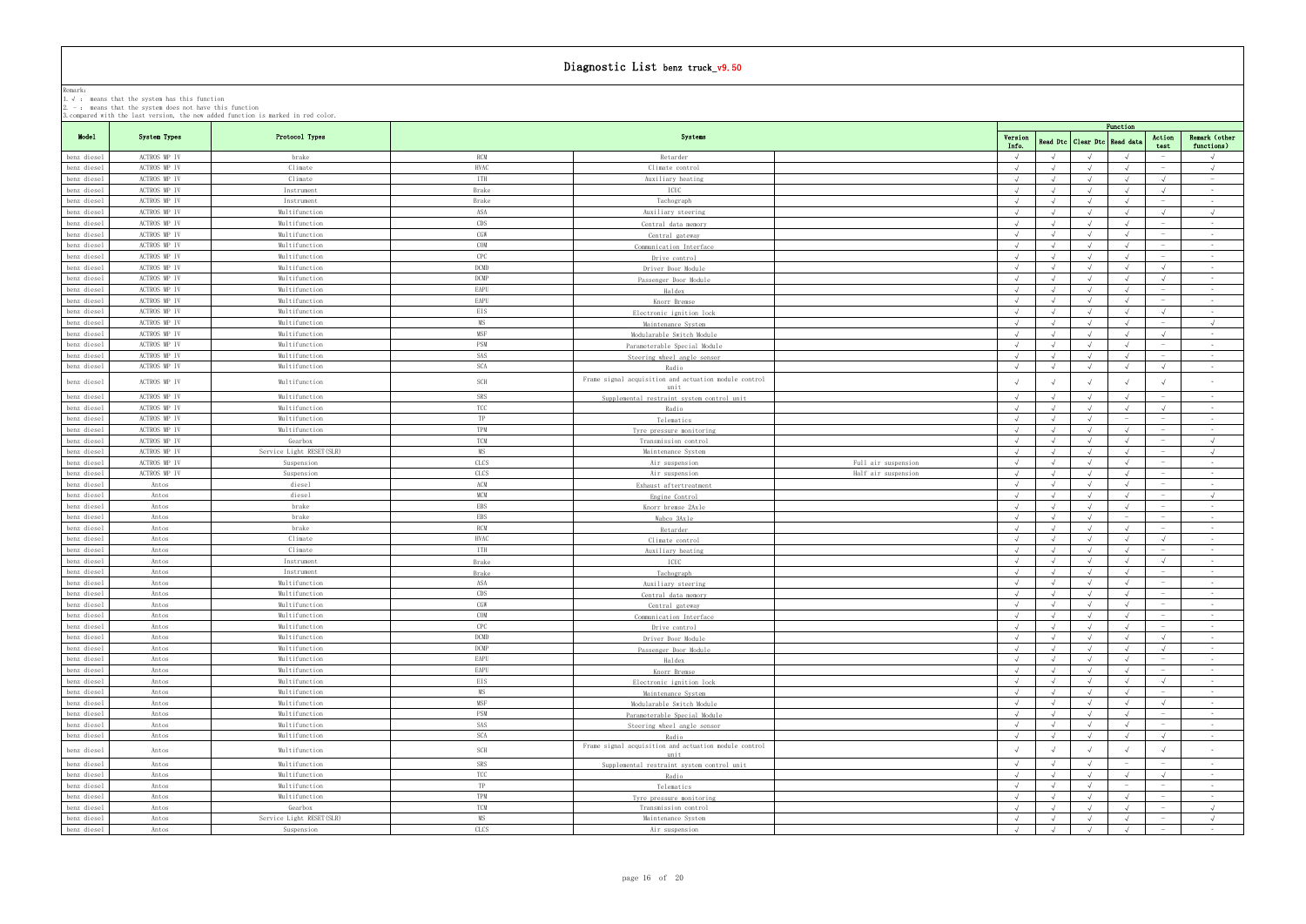|                            |                              |                                |                         |                                                       |                     |                          |            |                                  | Function                        |                                           |                               |
|----------------------------|------------------------------|--------------------------------|-------------------------|-------------------------------------------------------|---------------------|--------------------------|------------|----------------------------------|---------------------------------|-------------------------------------------|-------------------------------|
| Model                      | System Types                 | Protocol Types                 |                         | Systems                                               |                     | Version<br>Info.         |            | Read Dtc   Clear Dtc   Read data |                                 | Action<br>test                            | Remark (other<br>functions)   |
| benz diesel                | ACTROS MP IV                 | brake                          | <b>RCM</b>              | Retarder                                              |                     | $\sqrt{ }$               |            |                                  |                                 |                                           | $\sqrt{ }$                    |
| benz diesel                | ACTROS MP IV                 | Climate                        | <b>HVAC</b>             | Climate control                                       |                     | $\sqrt{ }$               |            |                                  |                                 | $\hspace{0.1mm}$                          | $\sqrt{ }$                    |
| benz diesel                | ACTROS MP IV                 | Climate                        | <b>ITH</b>              | Auxiliary heating                                     |                     | $\sqrt{ }$               |            |                                  |                                 | $\sqrt{ }$                                | $\sim$ $-$                    |
| benz diesel                | ACTROS MP IV                 | Instrument                     | Brake                   | ICUC                                                  |                     | $\sqrt{ }$               |            |                                  |                                 | $\sqrt{ }$                                | $\sim 10^{-11}$               |
| benz diesel                | ACTROS MP IV                 | Instrument                     | Brake                   | Tachograph                                            |                     |                          |            |                                  |                                 | $\sim$                                    | $\sim 10^{-11}$               |
| benz diesel                | ACTROS MP IV                 | Multifunction                  | ASA                     | Auxiliary steering                                    |                     | $\sqrt{ }$               |            | $\mathcal{L}$                    |                                 | $\sqrt{ }$                                | $\sqrt{ }$                    |
| benz diesel                | ACTROS MP IV                 | Multifunction                  | CDS                     | Central data memory                                   |                     | $\sqrt{ }$               |            |                                  |                                 | $\overline{\phantom{a}}$                  | $\sim$ $-$                    |
| benz diesel                | ACTROS MP IV                 | Multifunction                  | CGW                     | Central gateway                                       |                     |                          |            |                                  |                                 | $\hspace{0.1mm}$                          | $\sim$ $ \sim$                |
| benz diesel                | ACTROS MP IV                 | Multifunction                  | COM                     | Communication Interface                               |                     |                          |            |                                  |                                 |                                           | $\sim$ $-$                    |
| benz diesel                | ACTROS MP IV                 | Multifunction                  | CPC                     | Drive control                                         |                     | $\sqrt{ }$               |            |                                  |                                 | $\sim$                                    | $\sim$ $-$                    |
| benz diesel                | ACTROS MP IV                 | Multifunction                  | DCMD                    | Driver Door Module                                    |                     | $\sqrt{ }$               |            | $\sqrt{ }$                       |                                 | $\sqrt{ }$                                | $\sim$ $-$                    |
| benz diesel                | ACTROS MP IV                 | Multifunction                  | DCMP                    | Passenger Door Module                                 |                     |                          |            |                                  |                                 |                                           | $\sim 10^{-1}$                |
| benz diesel                | ACTROS MP IV                 | Multifunction                  | EAPU                    | Haldex                                                |                     | $\sqrt{ }$               |            | $\sqrt{ }$                       |                                 | $\hspace{0.1mm}$                          | $\sim$ 100 $\mu$              |
| benz diesel                | ACTROS MP IV                 | Multifunction                  | EAPU                    | Knorr Bremse                                          |                     | $\sqrt{ }$               |            | $\sqrt{ }$                       |                                 | $\sim$                                    | $\sim 100$                    |
| benz diesel                | ACTROS MP IV                 | Multifunction                  | EIS                     | Electronic ignition lock                              |                     |                          |            |                                  |                                 |                                           | $\sim$ $-$                    |
| benz diesel                | ACTROS MP IV<br>ACTROS MP IV | Multifunction<br>Multifunction | <b>MS</b><br><b>MSF</b> | Maintenance System                                    |                     | $\sqrt{ }$<br>$\sqrt{ }$ |            | $\sqrt{ }$                       |                                 | $\sim$<br>$\sqrt{ }$                      | $\sqrt{ }$<br>$\sim$ $ \sim$  |
| benz diesel<br>benz diesel | ACTROS MP IV                 | Multifunction                  | PSM                     | Modularable Switch Module                             |                     |                          |            |                                  |                                 | $\hspace{0.1mm}$                          | $\sim 100$                    |
| benz diesel                | ACTROS MP IV                 | Multifunction                  | SAS                     | Parameterable Special Module                          |                     | $\sqrt{ }$               | $\sqrt{ }$ | $\sqrt{ }$                       | $\sqrt{ }$                      | $\hspace{0.1mm}$                          | $\sim 10^{-11}$               |
| benz diesel                | ACTROS MP IV                 | Multifunction                  | <b>SCA</b>              | Steering wheel angle sensor<br>Radio                  |                     | $\sqrt{ }$               |            |                                  |                                 | $\sqrt{ }$                                | $\sim$                        |
|                            |                              |                                |                         | Frame signal acquisition and actuation module control |                     |                          |            |                                  |                                 |                                           |                               |
| benz diesel                | ACTROS MP IV                 | Multifunction                  | SCH                     | unit                                                  |                     |                          |            |                                  |                                 |                                           | $\sim$                        |
| benz diesel                | ACTROS MP IV                 | Multifunction                  | SRS                     | Supplemental restraint system control unit            |                     |                          |            |                                  |                                 |                                           | $\sim 10^{-11}$               |
| benz diesel                | ACTROS MP IV                 | Multifunction                  | TCC                     | Radio                                                 |                     | $\sqrt{ }$               |            | $\sqrt{ }$                       |                                 | $\sqrt{ }$                                | $\sim$ 100 $\mu$              |
| benz diesel                | ACTROS MP IV                 | Multifunction                  | TP                      | Telematics                                            |                     | $\sqrt{ }$               |            |                                  |                                 | $\sim$                                    | $\sim$ $-$                    |
| benz diesel                | ACTROS MP IV                 | Multifunction                  | TPM                     | Tyre pressure monitoring                              |                     | $\sqrt{ }$               | $\sqrt{ }$ | $\sqrt{ }$                       |                                 |                                           | $\sim 10^{-11}$               |
| benz diesel                | ACTROS MP IV                 | Gearbox                        | <b>TCM</b>              | Transmission control                                  |                     | $\sqrt{ }$               |            |                                  |                                 | $\alpha \rightarrow \beta \gamma$         | $\sqrt{ }$                    |
| benz diesel                | ACTROS MP IV                 | Service Light RESET(SLR)       | <b>MS</b>               | Maintenance System                                    |                     | $\sqrt{ }$               |            | $\sqrt{ }$                       |                                 | $\hspace{0.1mm}$                          | $\sqrt{ }$                    |
| benz diesel                | ACTROS MP IV                 | Suspension                     | CLCS                    | Air suspension                                        | Full air suspension | $\sqrt{ }$               |            |                                  |                                 |                                           | $\sim 10^{-11}$               |
| benz diesel                | ACTROS MP IV                 | Suspension                     | CLCS                    | Air suspension                                        | Half air suspension | $\sqrt{ }$               |            |                                  |                                 | $\sim$                                    | $\sim$ 100 $\mu$              |
| benz diesel                | Antos                        | diesel                         | ACM<br><b>MCM</b>       | Exhaust aftertreatment                                |                     | $\sqrt{ }$               |            |                                  |                                 | $\hspace{0.1mm}$                          | $\sim$<br>$\sqrt{ }$          |
| benz diesel<br>benz diesel | Antos<br>Antos               | diesel<br>brake                | EBS                     | Engine Control                                        |                     | $\sqrt{ }$               |            | $\sqrt{ }$                       | $\sqrt{ }$                      | $\sim$                                    | $\sim$ 100 $\mu$              |
| benz diesel                | Antos                        | brake                          | <b>EBS</b>              | Knorr bremse 2Axle                                    |                     |                          |            |                                  |                                 | $\hspace{0.1mm}$                          | $\sim$                        |
| benz diesel                | Antos                        | brake                          | <b>RCM</b>              | Wabco 3Axle<br>Retarder                               |                     | $\sqrt{ }$               | $\sqrt{ }$ | $\sqrt{ }$                       |                                 | $\hspace{0.1mm}$                          | $\sim 10^{-11}$               |
| benz diesel                | Antos                        | Climate                        | HVAC                    | Climate control                                       |                     | $\sqrt{ }$               |            | $\sqrt{ }$                       |                                 | $\sqrt{ }$                                | $\sim$ 100 $\mu$              |
| benz diesel                | Antos                        | Climate                        | <b>ITH</b>              | Auxiliary heating                                     |                     | $\sqrt{ }$               |            | $\sqrt{ }$                       |                                 | $\hspace{0.1mm}$                          | $\sim$ $ \sim$                |
| benz diesel                | Antos                        | Instrument                     | Brake                   | ICUC                                                  |                     | $\sqrt{ }$               |            | $\sqrt{ }$                       |                                 | $\sqrt{ }$                                | $\sim 10^{-11}$               |
| benz diesel                | Antos                        | Instrument                     | Brake                   | Tachograph                                            |                     | $\sqrt{ }$               |            |                                  |                                 | $\sim$                                    | $\sim 10^{-11}$               |
| benz diesel                | Antos                        | Multifunction                  | ASA                     | Auxiliary steering                                    |                     | $\sqrt{ }$               | $\sqrt{ }$ | $\sqrt{ }$                       | $\sqrt{ }$                      | $\hspace{0.1mm}$                          | $\sim$ $ \sim$                |
| benz diesel                | Antos                        | Multifunction                  | CDS                     | Central data memory                                   |                     | $\sim$                   |            |                                  |                                 |                                           |                               |
| benz diesel                | Antos                        | Multifunction                  | CGW                     | Central gateway                                       |                     | $\sqrt{ }$               |            | $\sqrt{ }$                       |                                 |                                           | $\sim 100$                    |
| benz diesel                | Antos                        | Multifunction                  | COM                     | Communication Interface                               |                     | $\sqrt{ }$               | $\sqrt{ }$ | $\sqrt{ }$                       | $\sqrt{ }$                      | $\hspace{0.1mm}$                          | $\sim 10^{-11}$               |
| benz diesel                | Antos                        | Multifunction                  | CPC                     | Drive control                                         |                     | $\sqrt{ }$               |            | $\sqrt{ }$                       | $\sqrt{ }$                      | $\sim$                                    | $\sim 10^{-11}$               |
| benz diesel                | Antos                        | Multifunction                  | $\mathop{\rm DCMD}$     | Driver Door Module                                    |                     | $\sqrt{ }$               |            |                                  |                                 | $\sqrt{ }$                                | $\sim 10^{-11}$               |
| benz diesel                | Antos                        | Multifunction                  | DCMP                    | Passenger Door Module                                 |                     | $\sqrt{ }$               |            | $\sqrt{ }$                       |                                 | $\sqrt{ }$                                | <b>Contract</b>               |
| benz diesel                | Antos                        | Multifunction                  | EAPU                    | Haldex                                                |                     |                          |            |                                  |                                 | $\hspace{0.1mm}$                          | $\sim 10^{-11}$               |
| benz diesel                | Antos                        | Multifunction                  | EAPU                    | Knorr Bremse                                          |                     |                          |            |                                  |                                 | $\hspace{0.1mm}-\hspace{0.1mm}$           | $\sim$ $-$                    |
| benz diesel                | Antos                        | Multifunction                  | <b>EIS</b>              | Electronic ignition lock                              |                     |                          |            |                                  |                                 | $\sqrt{ }$<br>$\sim$                      | $\sim$ 100 $\mu$              |
| benz diesel                | Antos<br>Antos               | Multifunction<br>Multifunction | MS<br>MSF               | Maintenance System                                    |                     | $\sqrt{ }$<br>$\sqrt{ }$ |            |                                  |                                 | $\sqrt{ }$                                | $\sim 10^{-11}$<br>$\sim$     |
| benz diesel<br>benz diesel | Antos                        | Multifunction                  | PSM                     | Modularable Switch Module                             |                     |                          |            |                                  |                                 | $\sim$                                    | $\sim$ 100 $\mu$              |
| benz diesel                | Antos                        | Multifunction                  | SAS                     | Parameterable Special Module                          |                     | $\sqrt{ }$               | $\sqrt{ }$ | $\sqrt{ }$                       | $\sqrt{ }$                      | $\sim$                                    | $\sim 10^{-11}$               |
| benz diesel                | Antos                        | Multifunction                  | SCA                     | Steering wheel angle sensor<br>Radio                  |                     | $\sqrt{ }$               |            |                                  |                                 | $\sqrt{ }$                                | $\sim$                        |
|                            |                              |                                |                         | Frame signal acquisition and actuation module control |                     |                          |            |                                  |                                 |                                           |                               |
| benz diesel                | Antos                        | Multifunction                  | SCH                     | unit                                                  |                     |                          |            |                                  |                                 |                                           | $\sim$                        |
| benz diesel                | Antos                        | Multifunction                  | SRS                     | Supplemental restraint system control unit            |                     | $\sqrt{ }$               |            | $\sqrt{ }$                       | $\hspace{0.1mm}-\hspace{0.1mm}$ | $\sim$                                    | <b>Contract</b>               |
| benz diesel                | Antos                        | Multifunction                  | TCC                     | Radio                                                 |                     | $\sqrt{ }$               |            | $\sqrt{ }$                       |                                 | $\sqrt{ }$                                | $\sim 10^{-11}$               |
| benz diesel                | Antos                        | Multifunction                  | TP                      | Telematics                                            |                     | $\sqrt{ }$               |            | $\sqrt{ }$                       |                                 | $\hspace{0.1mm}$                          | $\sim 10^{-11}$               |
| benz diesel                | Antos                        | Multifunction                  | TPM                     | Tyre pressure monitoring                              |                     | $\sqrt{ }$               |            | $\sqrt{ }$                       | $\sqrt{ }$                      | $\sim$                                    | <b>Contract</b>               |
| benz diesel                | Antos                        | Gearbox                        | <b>TCM</b>              | Transmission control                                  |                     | $\sqrt{ }$               |            |                                  |                                 | $\sim$<br>$\hspace{0.1mm}-\hspace{0.1mm}$ | $\sqrt{ }$                    |
| benz diesel                | Antos<br>Antos               | Service Light RESET(SLR)       | <b>MS</b><br>CLCS       | Maintenance System                                    |                     | $\sqrt{ }$<br>$\sqrt{ }$ | $\sqrt{ }$ | $\sqrt{ }$<br>$\sqrt{ }$         | $\sqrt{ }$                      | $\sim$                                    | $\sqrt{ }$<br>$\sim 10^{-11}$ |
| benz diesel                |                              | Suspension                     |                         | Air suspension                                        |                     |                          |            |                                  |                                 |                                           |                               |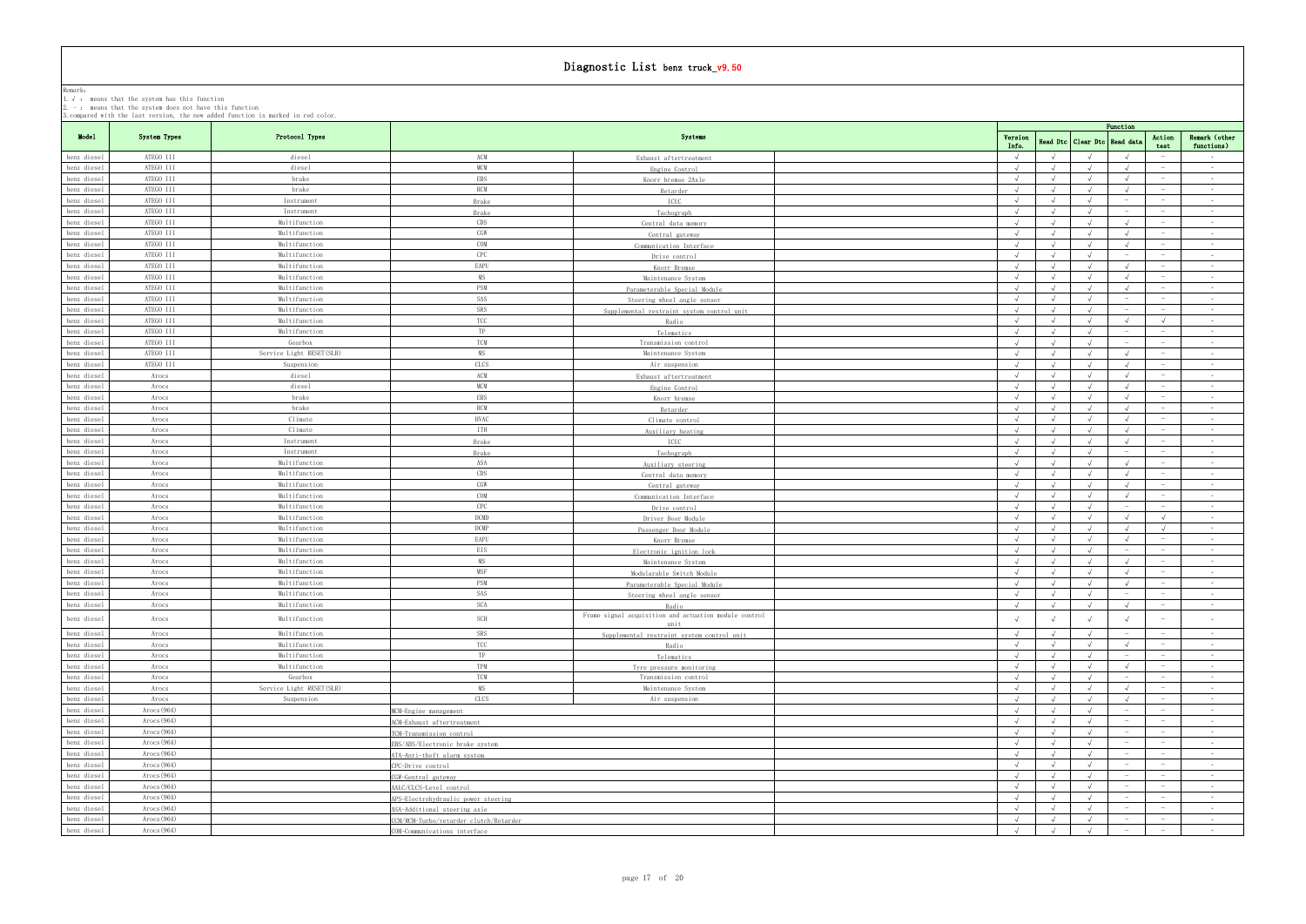|                                                                                | I, , , , modification of the club computer of the state of the state of the state of the state of the state of<br>$2. -$ : means that the system does not have this function | 3. compared with the last version, the new added function is marked in red color. |                                        |                                                       |                  |            |                                  |                  |                                 |                             |
|--------------------------------------------------------------------------------|------------------------------------------------------------------------------------------------------------------------------------------------------------------------------|-----------------------------------------------------------------------------------|----------------------------------------|-------------------------------------------------------|------------------|------------|----------------------------------|------------------|---------------------------------|-----------------------------|
|                                                                                |                                                                                                                                                                              |                                                                                   |                                        |                                                       |                  |            |                                  | Function         |                                 |                             |
| Model                                                                          | System Types                                                                                                                                                                 | Protocol Types                                                                    |                                        | Systems                                               | Version<br>Info. |            | Read Dtc   Clear Dtc   Read data |                  | Action<br>test                  | Remark (other<br>functions) |
| benz diesel                                                                    | ATEGO III                                                                                                                                                                    | diesel                                                                            | ACM                                    | Exhaust aftertreatment                                | $\sqrt{ }$       |            |                                  |                  |                                 | $\sim$ $-$                  |
| benz diesel                                                                    | ATEGO III                                                                                                                                                                    | diesel                                                                            | <b>MCM</b>                             | Engine Control                                        | $\sqrt{ }$       |            |                                  |                  |                                 | $\sim$ $-$                  |
| benz diesel                                                                    | ATEGO III                                                                                                                                                                    | brake                                                                             | <b>EBS</b>                             | Knorr bremse 2Axle                                    |                  |            |                                  |                  |                                 | $\sim 10^{-11}$             |
| benz diesel                                                                    | ATEGO III                                                                                                                                                                    | brake                                                                             | <b>RCM</b>                             | Retarder                                              |                  |            |                                  |                  |                                 | $\sim$ $-$                  |
| benz diesel                                                                    | ATEGO III                                                                                                                                                                    | Instrument                                                                        | Brake                                  | ICUC                                                  |                  |            |                                  |                  |                                 | $\sim 10^{-1}$              |
| benz diesel                                                                    | ATEGO III                                                                                                                                                                    | Instrument                                                                        | Brake                                  | Tachograph                                            | $\sqrt{ }$       | $\sqrt{ }$ |                                  |                  |                                 | $\sim 10^{-11}$             |
| benz diesel                                                                    | ATEGO III                                                                                                                                                                    | Multifunction                                                                     | CDS                                    | Central data memory                                   | $\sqrt{ }$       |            |                                  |                  | $\hspace{0.1mm}-\hspace{0.1mm}$ | $\sim 10^{-11}$             |
| benz diesel                                                                    | ATEGO III                                                                                                                                                                    | Multifunction                                                                     | CGW                                    | Central gateway                                       | $\sqrt{ }$       | $\sqrt{ }$ |                                  |                  |                                 | $\sim$ $-$                  |
| benz diesel                                                                    | ATEGO III                                                                                                                                                                    | Multifunction                                                                     | COM                                    | Communication Interface                               |                  | $\sqrt{ }$ |                                  |                  |                                 | $\sim 10^{-11}$             |
| benz diesel                                                                    | ATEGO III                                                                                                                                                                    | Multifunction                                                                     | CPC                                    | Drive control                                         |                  |            |                                  |                  |                                 | $\sim$ $-$                  |
| benz diesel                                                                    | ATEGO III                                                                                                                                                                    | Multifunction                                                                     | EAPU                                   | Knorr Bremse                                          |                  |            |                                  |                  | $-$                             | $\sim$ $-$                  |
| benz diesel                                                                    | ATEGO III                                                                                                                                                                    | Multifunction                                                                     | MS                                     | Maintenance System                                    |                  |            |                                  |                  |                                 | $\sim 10^{-11}$             |
| benz diesel                                                                    | ATEGO III                                                                                                                                                                    | Multifunction                                                                     | PSM                                    | Parameterable Special Module                          | $\sqrt{ }$       |            |                                  |                  |                                 | $\sim 10^{-1}$              |
| benz diesel                                                                    | ATEGO III                                                                                                                                                                    | Multifunction                                                                     | SAS                                    | Steering wheel angle sensor                           | $\sqrt{ }$       | $\sqrt{ }$ | $\sqrt{ }$                       | $\sim$           | $-$                             | $\sim$ $-$                  |
| benz diesel                                                                    | ATEGO III                                                                                                                                                                    | Multifunction                                                                     | SRS                                    | Supplemental restraint system control unit            |                  |            |                                  |                  |                                 | $\sim$                      |
| benz diesel                                                                    | ATEGO III                                                                                                                                                                    | Multifunction                                                                     | TCC                                    | Radio                                                 | $\sqrt{ }$       | $\sqrt{ }$ | $\sqrt{ }$                       | $\sqrt{ }$       | $\sqrt{ }$                      | $\sim 10^{-1}$              |
| benz diesel                                                                    | ATEGO III                                                                                                                                                                    | Multifunction                                                                     | TP                                     | Telematics                                            | $\sqrt{ }$       | $\sqrt{ }$ |                                  | $\sim$           | $\sim$                          | $\sim$ $-$                  |
| benz diesel                                                                    | ATEGO III                                                                                                                                                                    | Gearbox                                                                           | <b>TCM</b>                             | Transmission control                                  |                  |            |                                  |                  |                                 | $\sim 10^{-11}$             |
| benz diesel                                                                    | ATEGO III                                                                                                                                                                    | Service Light RESET(SLR)                                                          | MS                                     | Maintenance System                                    | $\sqrt{ }$       |            |                                  |                  |                                 | $\sim$                      |
| benz diesel                                                                    | ATEGO III                                                                                                                                                                    | Suspension                                                                        | CLCS                                   | Air suspension                                        |                  |            |                                  |                  |                                 | $\sim$ $-$                  |
| benz diesel                                                                    | Arocs                                                                                                                                                                        | diesel                                                                            | ACM                                    |                                                       |                  |            |                                  |                  |                                 | $\sim$ $-$                  |
| benz diesel                                                                    | Arocs                                                                                                                                                                        | diesel                                                                            | <b>MCM</b>                             | Exhaust aftertreatment                                | $\sqrt{ }$       |            |                                  |                  |                                 | $\sim 10^{-1}$              |
| benz diesel                                                                    | Arocs                                                                                                                                                                        | brake                                                                             | <b>EBS</b>                             | Engine Control                                        | $\sqrt{ }$       | $\sqrt{ }$ | $\sqrt{ }$                       | $\sqrt{ }$       | $-$                             | $\sim 100$                  |
| benz diesel                                                                    | Arocs                                                                                                                                                                        | brake                                                                             | <b>RCM</b>                             | Knorr bremse                                          |                  |            |                                  |                  |                                 | $\sim$                      |
|                                                                                |                                                                                                                                                                              |                                                                                   |                                        | Retarder                                              |                  | $\sqrt{ }$ |                                  |                  |                                 |                             |
| benz diesel                                                                    | Arocs                                                                                                                                                                        | Climate                                                                           | <b>HVAC</b>                            | Climate control                                       | $\sqrt{ }$       |            | $\sqrt{ }$                       | $\sqrt{ }$       |                                 | $\sim$ $-$                  |
| benz diesel                                                                    | Arocs                                                                                                                                                                        | Climate                                                                           | ITH                                    | Auxiliary heating                                     | $\sqrt{ }$       |            |                                  |                  | $\hspace{0.1mm}-\hspace{0.1mm}$ | $\sim$                      |
| benz diesel                                                                    | Arocs                                                                                                                                                                        | Instrument                                                                        | Brake                                  | ICUC                                                  |                  |            |                                  |                  |                                 | $\sim 10^{-11}$             |
| benz diesel                                                                    | Arocs                                                                                                                                                                        | Instrument                                                                        | Brake                                  | Tachograph                                            | $\sqrt{ }$       |            |                                  |                  |                                 | $\sim$ $-$<br>$\sim$        |
| benz diesel                                                                    | Arocs                                                                                                                                                                        | Multifunction                                                                     | ASA                                    | Auxiliary steering                                    |                  |            |                                  |                  |                                 |                             |
| benz diesel                                                                    | Arocs                                                                                                                                                                        | Multifunction                                                                     | CDS                                    | Central data memory                                   | $\sqrt{ }$       |            |                                  |                  | $\sim$                          | $\sim 10^{-11}$             |
| benz diesel                                                                    | Arocs                                                                                                                                                                        | Multifunction                                                                     | CGW                                    | Central gateway                                       | $\sqrt{ }$       | $\sqrt{ }$ |                                  |                  |                                 | $\sim$ $-$                  |
| benz diesel                                                                    | Arocs                                                                                                                                                                        | Multifunction                                                                     | COM                                    | Communication Interface                               | $\sqrt{ }$       |            |                                  |                  |                                 | $\sim$ $-$                  |
| benz diesel                                                                    | Arocs                                                                                                                                                                        | Multifunction                                                                     | CPC                                    | Drive control                                         |                  |            |                                  | $\hspace{0.1mm}$ | $\hspace{0.1cm}$                | $\sim 10^{-11}$             |
| benz diesel                                                                    | Arocs                                                                                                                                                                        | Multifunction                                                                     | DCMD                                   | Driver Door Module                                    | $\sqrt{ }$       | $\sqrt{ }$ | $\sqrt{ }$                       | $\sqrt{ }$       | $\sqrt{ }$                      | $\sim$ $ \sim$              |
| benz diesel                                                                    | Arocs                                                                                                                                                                        | Multifunction                                                                     | <b>DCMP</b>                            | Passenger Door Module                                 |                  |            |                                  |                  |                                 | $\sim$ $-$                  |
| benz diesel                                                                    | Arocs                                                                                                                                                                        | Multifunction                                                                     | EAPU                                   | Knorr Bremse                                          | $\sqrt{ }$       | $\sqrt{ }$ |                                  |                  | $\sim$                          | <b>Contract</b>             |
| benz diesel                                                                    | Arocs                                                                                                                                                                        | Multifunction                                                                     | EIS                                    | Electronic ignition lock                              | $\sqrt{ }$       | $\sqrt{ }$ |                                  |                  |                                 | $\sim$                      |
| benz diesel                                                                    | Arocs                                                                                                                                                                        | Multifunction                                                                     | MS                                     | Maintenance System                                    |                  |            |                                  |                  |                                 | $\sim$ $-$                  |
| benz diesel                                                                    | Arocs                                                                                                                                                                        | Multifunction                                                                     | MSF                                    | Modularable Switch Module                             | $\sqrt{ }$       | $\sqrt{ }$ |                                  |                  | $-$                             | $\sim$ $-$                  |
| $\begin{tabular}{ c c } \hline benz\ diesel\end{tabular}$ benz diesel          | Arocs                                                                                                                                                                        | Multifunction                                                                     | PSM                                    | Parameterable Special Module                          |                  | $\sqrt{ }$ |                                  |                  |                                 | $\sim 10^{-11}$             |
|                                                                                | Arocs                                                                                                                                                                        | Multifunction                                                                     | SAS                                    | Steering wheel angle sensor                           |                  |            |                                  |                  |                                 |                             |
| benz diesel                                                                    | Arocs                                                                                                                                                                        | Multifunction                                                                     | SCA                                    | Radio                                                 |                  |            |                                  |                  |                                 | $\sim$ $-$                  |
| benz diesel                                                                    | Arocs                                                                                                                                                                        | Multifunction                                                                     | <b>SCH</b>                             | Frame signal acquisition and actuation module control |                  |            |                                  |                  |                                 | $\sim$                      |
|                                                                                |                                                                                                                                                                              |                                                                                   |                                        | unit                                                  |                  |            |                                  |                  |                                 |                             |
| benz diesel                                                                    | Arocs                                                                                                                                                                        | Multifunction                                                                     | SRS                                    | Supplemental restraint system control unit            |                  |            |                                  |                  |                                 | $\sim 10^{-1}$              |
| benz diesel                                                                    | Arocs                                                                                                                                                                        | Multifunction                                                                     | TCC                                    | Radio                                                 | $\sqrt{ }$       | $\sqrt{ }$ | $\sqrt{ }$                       | $\sqrt{ }$       | $\sim$                          | <b>Contract</b>             |
| benz diesel                                                                    | Arocs                                                                                                                                                                        | Multifunction                                                                     | TP                                     | Telematics                                            | $\sqrt{ }$       | $\sqrt{ }$ |                                  |                  |                                 | $\sim$ $-$                  |
| benz diesel                                                                    | Arocs                                                                                                                                                                        | Multifunction                                                                     | TPM                                    | Tyre pressure monitoring                              |                  | $\sqrt{ }$ |                                  |                  |                                 | $\sim$                      |
| benz diesel                                                                    | Arocs                                                                                                                                                                        | Gearbox                                                                           | TCM                                    | Transmission control                                  | $\sqrt{ }$       | $\sqrt{ }$ |                                  |                  | $\sim$                          | $\sim$ $-$                  |
| benz diesel                                                                    | Arocs                                                                                                                                                                        | Service Light RESET (SLR)                                                         | <b>MS</b>                              | Maintenance System                                    | $\sqrt{ }$       | $\sqrt{ }$ |                                  |                  |                                 | $\sim$                      |
| benz diesel                                                                    | Arocs                                                                                                                                                                        | Suspension                                                                        | <b>CLCS</b>                            | Air suspension                                        |                  |            |                                  |                  |                                 | $\sim 10^{-1}$              |
| benz diesel                                                                    | Arocs $(964)$                                                                                                                                                                |                                                                                   | MCM-Engine management                  |                                                       |                  |            |                                  |                  |                                 | $\sim$ $-$                  |
| benz diesel                                                                    | $\text{Arocs}(964)$                                                                                                                                                          |                                                                                   | ACM-Exhaust aftertreatment             |                                                       |                  |            |                                  |                  |                                 | $\sim$ $-$                  |
| benz diesel                                                                    | $\text{Arocs}(964)$                                                                                                                                                          |                                                                                   | TCM-Transmission control               |                                                       | $\sqrt{ }$       |            |                                  |                  |                                 | $\sim$                      |
| benz diesel                                                                    | Arocs (964)                                                                                                                                                                  |                                                                                   | EBS/ABS/Electronic brake system        |                                                       | $\sqrt{ }$       | $\sqrt{ }$ | $\sqrt{ }$                       |                  | $\sim$                          | <b>Contract</b>             |
| benz diesel                                                                    | $\text{Arocs}(964)$                                                                                                                                                          |                                                                                   | ATA-Anti-theft alarm system            |                                                       | $\sqrt{ }$       | $\sqrt{ }$ |                                  |                  |                                 | $\sim$ $-$                  |
| benz diesel                                                                    | $\text{Arocs}(964)$                                                                                                                                                          |                                                                                   | CPC-Drive control                      |                                                       | $\sqrt{ }$       | $\sqrt{ }$ |                                  |                  |                                 | $\sim 10^{-11}$             |
| benz diesel                                                                    | Arocs (964)                                                                                                                                                                  |                                                                                   | CGW-Gentral gateway                    |                                                       |                  |            |                                  |                  |                                 | $\sim 10^{-1}$              |
| benz diesel                                                                    | $\text{Arocs}\left(964\right)$                                                                                                                                               |                                                                                   | AALC/CLCS-Level control                |                                                       | $\sqrt{ }$       | $\sqrt{ }$ |                                  |                  |                                 | $\sim$ $-$                  |
| benz diesel                                                                    | Arocs (964)                                                                                                                                                                  |                                                                                   | APS-Electrohydraulic power steering    |                                                       |                  | $\sqrt{ }$ |                                  |                  |                                 | $\sim 10^{-1}$              |
| benz diesel                                                                    | Arocs $(964)$                                                                                                                                                                |                                                                                   | ASA-Additional steering axle           |                                                       |                  |            |                                  |                  |                                 | $\sim$                      |
| benz diesel                                                                    | $\text{Arocs}(964)$                                                                                                                                                          |                                                                                   | CCM/RCM-Turbo/retarder clutch/Retarder |                                                       | $\sqrt{ }$       | $\sqrt{ }$ |                                  |                  | $-$                             | $\sim 10^{-11}$             |
| $% \left\vert \left\langle \cdot ,\cdot \right\rangle \right\vert$ benz diesel | Arocs (964)                                                                                                                                                                  |                                                                                   | COM-Communications interface           |                                                       | $\sqrt{ }$       | $\sqrt{ }$ | $\sqrt{ }$                       |                  |                                 | $\sim 100$                  |
|                                                                                |                                                                                                                                                                              |                                                                                   |                                        |                                                       |                  |            |                                  |                  |                                 |                             |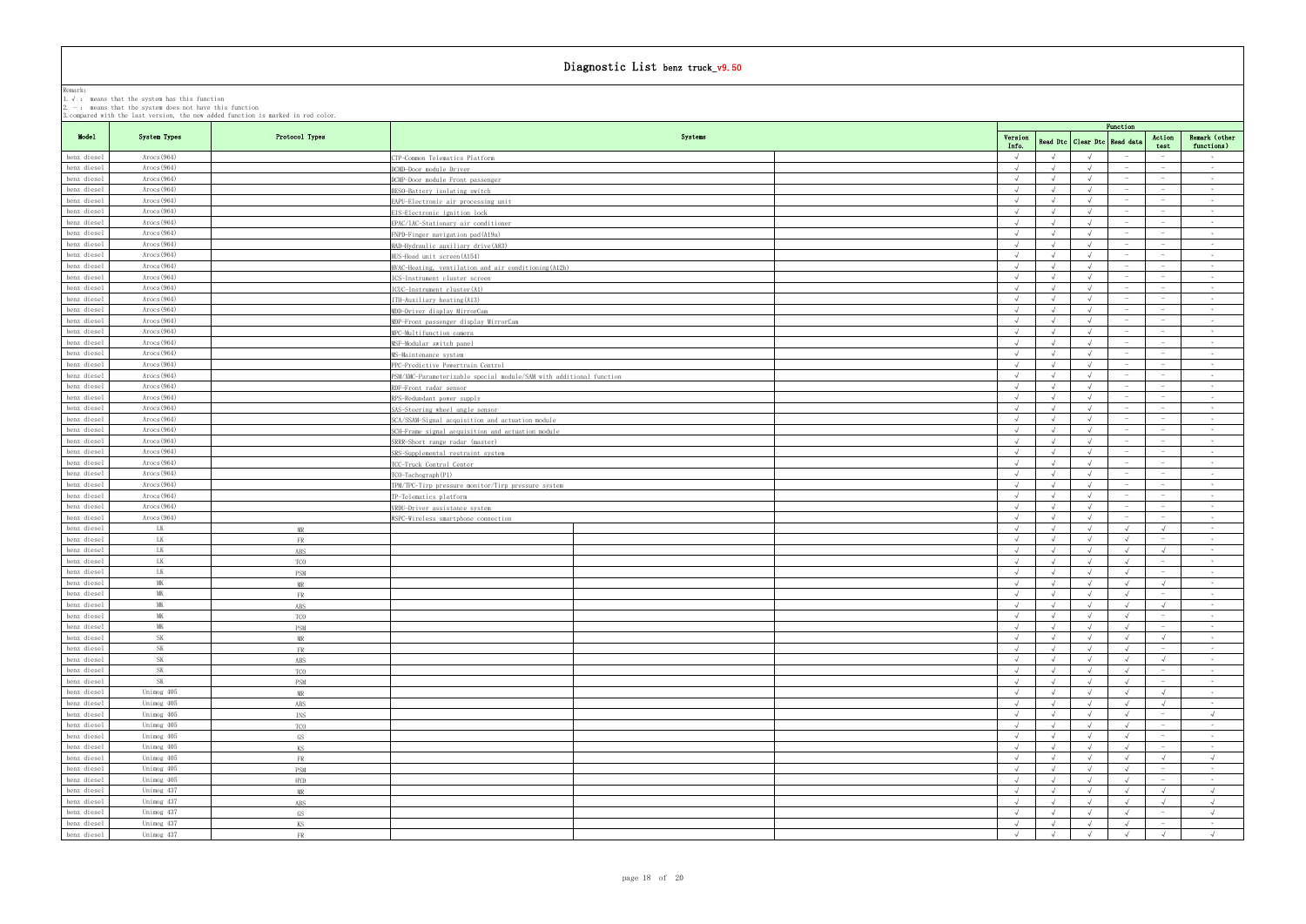|                              | 2. $-$ : means that the system does not have this function | 3. compared with the last version, the new added function is marked in red color. |                                                                                     |                          |                          |                              |                          |                                                     |                                    |
|------------------------------|------------------------------------------------------------|-----------------------------------------------------------------------------------|-------------------------------------------------------------------------------------|--------------------------|--------------------------|------------------------------|--------------------------|-----------------------------------------------------|------------------------------------|
| Model                        | System Types                                               | Protocol Types                                                                    | Systems                                                                             |                          |                          |                              | Function                 | Action                                              | Remark (other                      |
|                              |                                                            |                                                                                   |                                                                                     | Version<br>Info.         |                          | Read Dtc Clear Dtc Read data |                          | test                                                | functions)                         |
| benz diesel                  | Arocs $(964)$                                              |                                                                                   | TP-Common Telematics Platform                                                       | $\sqrt{ }$               |                          |                              |                          | $\overline{\phantom{a}}$                            | $\sim$ $-$                         |
| benz diesel                  | Arocs(964)                                                 |                                                                                   | DCMD-Door module Driver                                                             | $\sqrt{ }$               |                          |                              |                          | $\hspace{0.1mm}$                                    | $\sim 10^{-11}$                    |
| benz diesel                  | $\text{Arocs}(964)$                                        |                                                                                   | DCMP-Door module Front passenger                                                    | $\sqrt{ }$               |                          | $\sqrt{ }$                   |                          | $\sim$                                              | $\sim 10^{-11}$                    |
| benz diesel                  | $\text{Arocs}(964)$                                        |                                                                                   | BESO-Battery isolating switch                                                       | $\sqrt{ }$               |                          | $\sqrt{ }$<br>$\sqrt{ }$     | $\sim$                   | $\hspace{0.1mm}$                                    | $\sim 10^{-11}$                    |
| benz diesel<br>benz diesel   | Arocs(964)<br>$\text{Arocs}(964)$                          |                                                                                   | EAPU-Electronic air processing unit                                                 | $\sqrt{ }$<br>$\sqrt{ }$ |                          | $\sqrt{ }$                   |                          | $\hspace{0.1mm}$<br>$\sim$                          | $\sim 10^{-11}$<br>$\sim 10^{-11}$ |
| benz diesel                  | $\text{Arocs}(964)$                                        |                                                                                   | IS-Electronic ignition lock<br>PAC/IAC-Stationary air conditioner                   | $\sqrt{ }$               | $\sqrt{ }$               | $\sqrt{ }$                   |                          | $\hspace{0.1mm}-\hspace{0.1mm}$                     | $\sim$ $-$                         |
| benz diesel                  | Arocs(964)                                                 |                                                                                   | FNPD-Finger navigation pad(A19a)                                                    | $\sqrt{ }$               |                          | $\mathcal{L}$                |                          | $\hspace{0.1mm}$                                    | $\sim 10^{-11}$                    |
| benz diesel                  | $\text{Arocs}(964)$                                        |                                                                                   | HAD-Hydraulic auxiliary drive (A83)                                                 | $\sqrt{ }$               |                          | $\sqrt{ }$                   |                          | $\sim$                                              | $\sim$ $-$                         |
| benz diesel                  | Arocs(964)                                                 |                                                                                   | HUS-Head unit screen(A154)                                                          | $\sqrt{ }$               |                          | $\sqrt{ }$                   |                          | $\sim$                                              | $\sim$ $ \sim$                     |
| benz diesel                  | $\text{Arocs}(964)$                                        |                                                                                   | HVAC-Heating, ventilation and air conditioning (A12b)                               | $\sqrt{ }$               | $\sqrt{ }$               | $\sqrt{ }$                   | $-$                      | $\hspace{0.1mm}$                                    | $\sim 100$                         |
| benz diesel                  | Arocs $(964)$                                              |                                                                                   | CS-Instrument cluster screen                                                        |                          |                          | $\lambda$                    |                          | $\sim$                                              | $\sim 10^{-11}$                    |
| benz diesel                  | $\text{Arocs}(964)$                                        |                                                                                   | (CUC-Instrument cluster(A1)                                                         | $\sqrt{ }$               |                          | $\lambda$                    |                          |                                                     | $\sim$ $-$                         |
| benz diesel                  | $\text{Arocs}(964)$                                        |                                                                                   | ITH-Auxiliary heating (A13)                                                         | $\sqrt{ }$               | $\sqrt{ }$               | $\sqrt{ }$                   |                          | $\hspace{0.1mm}$                                    | $\sim 100$                         |
| benz diesel                  | Arocs $(964)$                                              |                                                                                   | MDD-Driver display MirrorCam                                                        |                          |                          |                              |                          | $\sim$                                              | $\sim$ $-$                         |
| benz diesel                  | $\text{Arocs}(964)$                                        |                                                                                   | MDP-Front passenger display MirrorCam                                               | $\sqrt{ }$               |                          | $\sqrt{ }$                   |                          | $\hspace{0.1mm}-\hspace{0.1mm}$                     | $\sim 10^{-11}$                    |
| benz diesel                  | $\text{Arocs}(964)$                                        |                                                                                   | MPC-Multifunction camera                                                            | $\sqrt{ }$               |                          | $\sqrt{ }$                   |                          | $\overline{\phantom{a}}$                            | $\sim 100$                         |
| benz diesel                  | Arocs(964)                                                 |                                                                                   | SF-Modular switch panel                                                             | $\sqrt{ }$               |                          | $\sqrt{ }$                   |                          | $\sim$                                              | $\sim 10^{-11}$                    |
| benz diesel                  | $\text{Arocs}(964)$                                        |                                                                                   | S-Maintenance system                                                                | $\sqrt{ }$               |                          |                              |                          | $\hspace{0.1mm}-\hspace{0.1mm}$                     | $\sim$ $-$                         |
| benz diesel                  | Arocs(964)                                                 |                                                                                   | PPC-Predictive Powertrain Control                                                   |                          |                          |                              |                          | $\sim$                                              | $\sim$ $ \sim$                     |
| benz diesel                  | Arocs(964)                                                 |                                                                                   | PSM/XMC-Parameterizable special module/SAM with additional function                 | $\sqrt{ }$<br>$\sqrt{ }$ |                          | $\lambda$                    |                          | $\hspace{0.1mm}-\hspace{0.1mm}$                     | $\sim 10^{-11}$                    |
| benz diesel                  | $\text{Arocs}(964)$                                        |                                                                                   | RDF-Front radar sensor                                                              | $\sqrt{ }$               |                          | $\sqrt{ }$                   |                          | $\hspace{0.1mm}-\hspace{0.1mm}$<br>$\hspace{0.1mm}$ | $\sim 10^{-11}$<br>$\sim$ $ \sim$  |
| benz diesel<br>benz diesel   | $\text{Arocs}(964)$<br>Arocs(964)                          |                                                                                   | RPS-Redundant power supply                                                          | $\sqrt{ }$               |                          | $\lambda$                    |                          | $\hspace{0.1mm}-\hspace{0.1mm}$                     | $\sim 10^{-11}$                    |
| benz diesel                  | $\text{Arocs}(964)$                                        |                                                                                   | SAS-Steering wheel angle sensor<br>SCA/SSAM-Signal acquisition and actuation module | $\sqrt{ }$               |                          | $\sqrt{ }$                   |                          | $\sim$                                              | $\sim$                             |
| benz diesel                  | Arocs $(964)$                                              |                                                                                   | SCH-Frame signal acquisition and actuation module                                   |                          |                          |                              |                          | $\sim$                                              | $\sim 10^{-11}$                    |
| benz diesel                  | Arocs(964)                                                 |                                                                                   | SRRR-Short range radar (master)                                                     | $\sqrt{ }$               | $\sqrt{ }$               | $\sqrt{ }$                   |                          | $\hspace{0.1mm}$                                    | <b>Contract</b>                    |
| benz diesel                  | $\text{Arocs}(964)$                                        |                                                                                   | SRS-Supplemental restraint system                                                   | $\sqrt{ }$               |                          | $\sqrt{ }$                   |                          | $\hspace{0.1mm}$                                    | $\sim$ $-$                         |
| benz diesel                  | Arocs $(964)$                                              |                                                                                   | CC-Truck Control Center                                                             |                          |                          |                              |                          | $\sim$                                              | $\sim$                             |
| benz diesel                  | Arocs(964)                                                 |                                                                                   | TCO-Tachograph(P1)                                                                  | $\sqrt{ }$               |                          |                              |                          | $\hspace{0.1mm}$                                    | <b>Contract</b>                    |
| benz diesel                  | $\text{Arocs}(964)$                                        |                                                                                   | TPM/TPC-Tirp pressure monitor/Tirp pressure system                                  | $\sqrt{ }$               |                          | $\sqrt{ }$                   |                          | $\hspace{0.1mm}$                                    | $\sim$ $-$                         |
| benz diesel                  | Arocs(964)                                                 |                                                                                   | P-Telematics platform                                                               |                          |                          |                              |                          |                                                     | $\sim$                             |
| benz diesel                  | $\text{Arocs}(964)$                                        |                                                                                   | VRDU-Driver assistance system                                                       | $\sqrt{ }$               |                          |                              |                          | $\sim$                                              | <b>Contract</b>                    |
| benz diesel                  | $\text{Arocs}(964)$                                        |                                                                                   | VSPC-Wireless smartphone connection                                                 | $\sqrt{ }$               | $\sqrt{ }$               | $\sqrt{ }$                   |                          | $\hspace{0.1mm}-\hspace{0.1mm}$                     | $\sim 10^{-11}$                    |
| benz diesel                  | <b>LK</b>                                                  | MR                                                                                |                                                                                     | $\sqrt{ }$               |                          |                              |                          |                                                     | $\sim$ $-$                         |
| benz diesel                  | <b>LK</b>                                                  | <b>FR</b>                                                                         |                                                                                     | $\sqrt{ }$               |                          |                              |                          | $\alpha \rightarrow \beta \gamma$                   | $\sim 100$                         |
| benz diesel                  | <b>LK</b>                                                  | ABS                                                                               |                                                                                     | $\sqrt{ }$               |                          | $\sqrt{ }$                   | $\sqrt{ }$               | $\sqrt{ }$                                          | $\sim 10^{-11}$                    |
| benz diesel                  | LK                                                         | <b>TCO</b>                                                                        |                                                                                     |                          |                          |                              |                          |                                                     | $\sim$                             |
| benz diesel                  | LK                                                         | PSM                                                                               |                                                                                     | $\sqrt{ }$               |                          |                              |                          | $\sim$                                              | <b>Contract</b>                    |
| benz diesel<br>$benz$ diesel | MK<br><b>MK</b>                                            | MR                                                                                |                                                                                     | $\sqrt{ }$               |                          | $\sqrt{ }$<br>$\sqrt{ }$     | $\sqrt{ }$               | $\sqrt{ }$                                          | $\sim$ $-$                         |
| benz diesel                  | <b>MK</b>                                                  | - FR.<br>ABS                                                                      |                                                                                     | $\sqrt{ }$               |                          | $\sqrt{ }$                   |                          | $\sqrt{ }$                                          | <b>Contract</b>                    |
| benz diesel                  | MK                                                         | <b>TCO</b>                                                                        |                                                                                     | $\sqrt{ }$               | $\sqrt{ }$               | $\sqrt{ }$                   | $\sqrt{ }$               | $\hspace{0.1mm}$                                    | $\sim$ $-$                         |
| benz diesel                  | <b>MK</b>                                                  | PSM                                                                               |                                                                                     | $\sqrt{ }$               | $\sqrt{ }$               | $\sqrt{ }$                   | $\sqrt{ }$               |                                                     | $\sim 10^{-10}$                    |
| benz diesel                  | <b>SK</b>                                                  | MR                                                                                |                                                                                     | $\sqrt{ }$               |                          | $\sqrt{ }$                   | $\sqrt{ }$               | $\sqrt{ }$                                          | $\sim 10^{-10}$ km s $^{-1}$       |
| benz diesel                  | <b>SK</b>                                                  | FR                                                                                |                                                                                     | $\sqrt{ }$               | $\sqrt{ }$               | $\sqrt{ }$                   | $\sqrt{ }$               | $\sim$                                              | $\sim 10^{-11}$                    |
| benz diesel                  | <b>SK</b>                                                  | ABS                                                                               |                                                                                     | $\sqrt{ }$               | $\sqrt{ }$               | $\sqrt{ }$                   | $\sqrt{ }$               | $\sqrt{ }$                                          | $\sim 10^{-11}$                    |
| benz diesel                  | <b>SK</b>                                                  | TCO                                                                               |                                                                                     | $\sqrt{ }$               | $\sqrt{ }$               | $\sqrt{ }$                   | $\sqrt{ }$               | $\sim$                                              | $\sim 10^{-10}$                    |
| benz diesel                  | <b>SK</b>                                                  | <b>PSM</b>                                                                        |                                                                                     | $\sqrt{ }$               |                          | $\sqrt{ }$                   |                          | $\sim$                                              | $\sim 10^{-10}$                    |
| benz diesel                  | Unimog 405                                                 | MR                                                                                |                                                                                     | $\sqrt{ }$               | $\sqrt{ }$               | $\sqrt{ }$                   | $\sqrt{ }$               | $\sqrt{ }$                                          | $\sim 10^{-11}$                    |
| benz diesel                  | Unimog 405                                                 | ABS                                                                               |                                                                                     | $\sqrt{ }$               | $\sqrt{ }$               | $\sqrt{ }$                   | $\sqrt{ }$               | $\sqrt{ }$                                          | $\sim 10^{-10}$                    |
| benz diesel                  | Unimog 405                                                 | INS                                                                               |                                                                                     | $\sqrt{ }$               | $\sqrt{ }$               | $\sqrt{ }$                   | $\sqrt{ }$               | $\sim$                                              | $\sqrt{ }$                         |
| benz diesel                  | Unimog 405                                                 | <b>TCO</b>                                                                        |                                                                                     | $\sqrt{ }$               | $\sqrt{ }$<br>$\sqrt{ }$ | $\sqrt{ }$<br>$\sqrt{ }$     | $\sqrt{ }$<br>$\sqrt{ }$ | $\sim$<br>$\sim$                                    | $\sim 10^{-11}$<br><b>Contract</b> |
| benz diesel                  | Unimog 405                                                 | GS                                                                                |                                                                                     | $\sqrt{ }$<br>$\sqrt{ }$ | $\sqrt{ }$               | $\sqrt{ }$                   | $\sqrt{ }$               | $\sim$                                              | <b>Contract</b>                    |
| benz diesel<br>benz diesel   | Unimog 405<br>Unimog 405                                   | KS<br><b>FR</b>                                                                   |                                                                                     | $\sqrt{ }$               | $\sqrt{ }$               | $\sqrt{ }$                   | $\sqrt{ }$               | $\sqrt{ }$                                          | $\sqrt{ }$                         |
| benz diesel                  | Unimog 405                                                 | <b>PSM</b>                                                                        |                                                                                     | $\sqrt{ }$               | $\sqrt{ }$               | $\sqrt{ }$                   | $\sqrt{ }$               | $\sim$                                              | $\sim 10^{-11}$                    |
| benz diesel                  | Unimog 405                                                 | <b>HYD</b>                                                                        |                                                                                     | $\sqrt{ }$               | $\sqrt{ }$               | $\sqrt{ }$                   | $\sqrt{ }$               | $\sim$                                              | <b>Contract</b>                    |
| benz diesel                  | Unimog 437                                                 | MR                                                                                |                                                                                     | $\sqrt{ }$               | $\sqrt{ }$               | $\sqrt{ }$                   | $\sqrt{ }$               | $\sqrt{ }$                                          | $\sqrt{ }$                         |
| benz diesel                  | Unimog 437                                                 | ABS                                                                               |                                                                                     | $\sqrt{ }$               |                          | $\sqrt{ }$                   |                          | $\sqrt{ }$                                          | $\sqrt{ }$                         |
| benz diesel                  | Unimog 437                                                 | GS                                                                                |                                                                                     | $\sqrt{ }$               | $\sqrt{ }$               | $\sqrt{ }$                   | $\sqrt{ }$               | $\hspace{0.1mm}$                                    | $\sqrt{ }$                         |
| benz diesel                  | Unimog 437                                                 | <b>KS</b>                                                                         |                                                                                     | $\sqrt{ }$               | $\sqrt{ }$               | $\sqrt{ }$                   | $\sqrt{ }$               | $\hspace{0.1mm}$                                    | $\sim 10^{-11}$                    |
| benz diesel                  | Unimog 437                                                 | <b>FR</b>                                                                         |                                                                                     | $\sqrt{ }$               | $\sqrt{ }$               | $\sqrt{ }$                   | $\sqrt{ }$               | $\sqrt{ }$                                          | $\sqrt{ }$                         |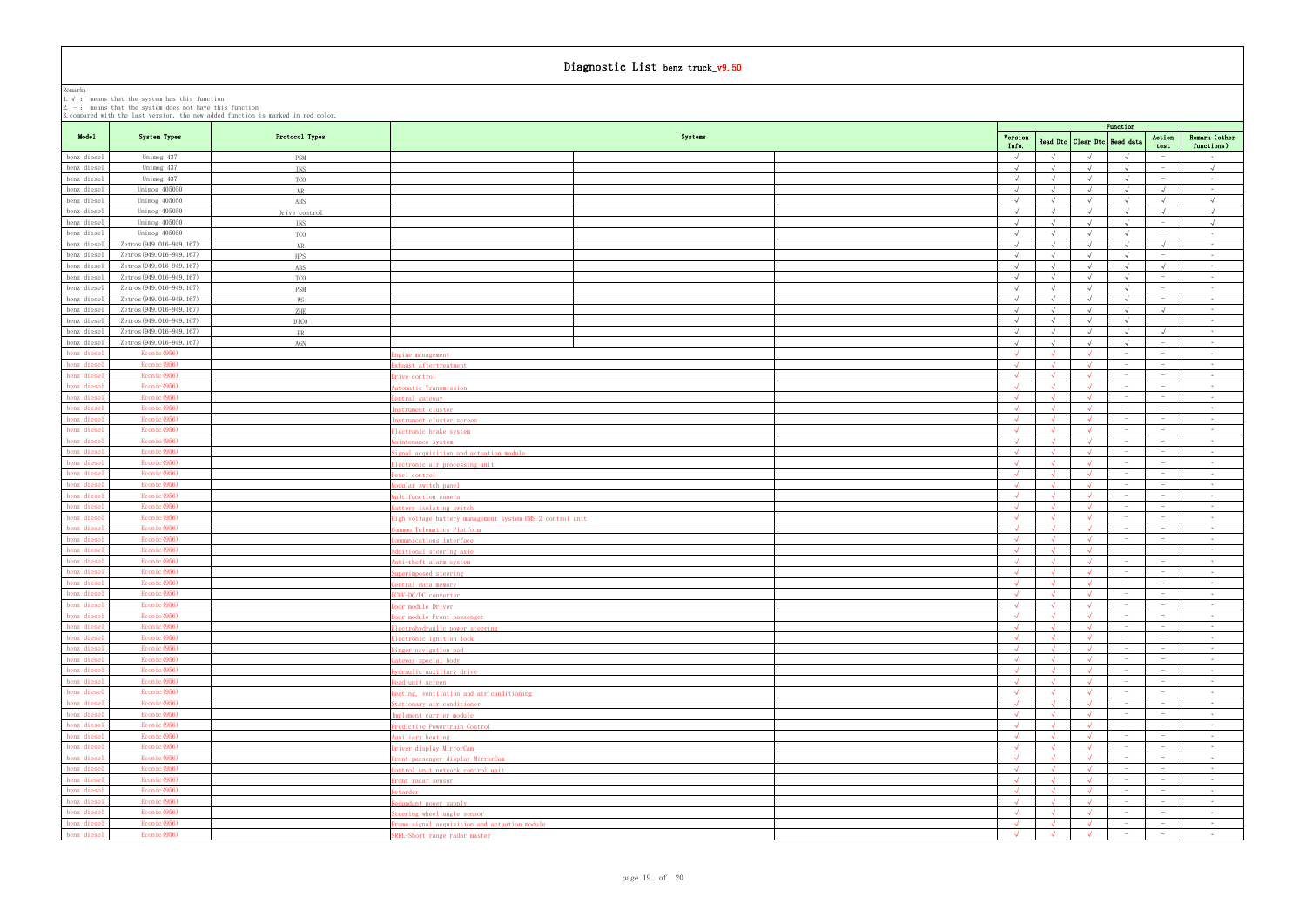|                            | 2. $-$ : means that the system does not have this function |                                                                                  |                                                             |                          |                          |                                  |                                           |                                               |                                    |
|----------------------------|------------------------------------------------------------|----------------------------------------------------------------------------------|-------------------------------------------------------------|--------------------------|--------------------------|----------------------------------|-------------------------------------------|-----------------------------------------------|------------------------------------|
|                            |                                                            | . compared with the last version, the new added function is marked in red color. |                                                             |                          |                          |                                  | Function                                  |                                               |                                    |
| Model                      | System Types                                               | Protocol Types                                                                   | Systems                                                     | Version<br>Info.         |                          | Read Dtc   Clear Dtc   Read data |                                           | Action                                        | Remark (other                      |
| benz diesel                | Unimog 437                                                 | <b>PSM</b>                                                                       |                                                             | $\sqrt{ }$               |                          |                                  |                                           | test                                          | functions)<br>$\sim 100$           |
| benz diesel                | Unimog 437                                                 | INS                                                                              |                                                             | $\sqrt{ }$               | $\sqrt{ }$               | $\sqrt{ }$                       | $\sqrt{ }$                                | $\hspace{0.1mm}$                              | $\sqrt{ }$                         |
| benz diesel                | Unimog 437                                                 | TCO                                                                              |                                                             | $\sqrt{ }$               |                          |                                  |                                           | $\hspace{0.1mm}$                              | $\sim 10^{-11}$                    |
| benz diesel                | Unimog 405050                                              | MR                                                                               |                                                             | $\sqrt{ }$               |                          | $\sqrt{ }$                       | $\lambda$                                 | $\sqrt{ }$                                    | <b>Contract</b>                    |
| benz diesel                | Unimog 405050                                              | ABS                                                                              |                                                             | $\sqrt{ }$               | $\sqrt{ }$               | $\sqrt{ }$                       | $\sqrt{ }$                                | $\sqrt{ }$                                    | $\sqrt{ }$                         |
| benz diesel                | Unimog 405050                                              | Drive control                                                                    |                                                             | $\sqrt{ }$               |                          | $\sqrt{ }$                       |                                           | $\sqrt{ }$                                    | $\sqrt{ }$                         |
| benz diesel                | Unimog 405050                                              | INS                                                                              |                                                             | $\sqrt{ }$               |                          | $\sqrt{ }$                       | $\sqrt{ }$                                | $\hspace{0.1mm}$                              | $\sqrt{ }$                         |
| benz diesel                | Unimog 405050                                              | TCO                                                                              |                                                             | $\sqrt{ }$               | $\sqrt{ }$               | $\sqrt{ }$                       | $\sqrt{ }$                                | $\sim$                                        | <b>Contract</b>                    |
| benz diesel                | Zetros (949.016-949.167)                                   | MR                                                                               |                                                             | $\sqrt{ }$               |                          | $\sqrt{ }$                       | $\sqrt{ }$                                | $\sqrt{ }$                                    | $\sim 10^{-11}$                    |
| benz diesel                | Zetros (949.016-949.167)                                   | HPS                                                                              |                                                             | $\sqrt{ }$               |                          | $\sqrt{ }$                       |                                           | $\hspace{0.1mm}$                              | $\sim 100$                         |
| benz diesel                | Zetros (949.016-949.167)                                   | ABS                                                                              |                                                             | $\sqrt{ }$<br>$\sqrt{ }$ |                          | $\sqrt{ }$<br>$\sqrt{ }$         | $\sqrt{ }$<br>$\sqrt{ }$                  | $\sqrt{ }$<br>$\hspace{0.1mm}-\hspace{0.1mm}$ | $\sim$ $ \sim$<br>$\sim$ $ \sim$   |
| benz diesel<br>benz diesel | Zetros (949.016-949.167)<br>Zetros (949.016-949.167)       | TCO<br><b>PSM</b>                                                                |                                                             | $\sqrt{ }$               |                          | $\sqrt{ }$                       |                                           | $\hspace{0.1mm}$                              | $\sim 100$                         |
| benz diesel                | Zetros (949.016-949.167)                                   | WS                                                                               |                                                             | $\sqrt{ }$               |                          | $\sqrt{ }$                       | $\sqrt{ }$                                | $\hspace{0.1mm}$                              | $\sim$ $ \sim$                     |
| benz diesel                | Zetros (949.016-949.167)                                   | ZHE                                                                              |                                                             | $\sqrt{ }$               |                          | $\sqrt{ }$                       | $\lambda$                                 | $\sqrt{ }$                                    | $\sim$ $ \sim$                     |
| benz diesel                | Zetros (949.016-949.167)                                   | <b>DTCO</b>                                                                      |                                                             | $\sqrt{ }$               | $\sqrt{ }$               | $\sqrt{ }$                       | $\sqrt{ }$                                | $\hspace{0.1mm}$                              | $\sim 100$                         |
| benz diesel                | Zetros (949.016-949.167)                                   | <b>FR</b>                                                                        |                                                             |                          |                          | $\sqrt{ }$                       |                                           | $\sqrt{ }$                                    | $\sim 10^{-11}$                    |
| benz diesel                | Zetros (949.016-949.167)                                   | AGN                                                                              |                                                             | $\sqrt{ }$               | $\sqrt{ }$               | $\sqrt{ }$                       | $\sqrt{ }$                                | $\hspace{0.1mm}$                              | <b>Contract</b>                    |
| penz diesel                | Econic (956)                                               |                                                                                  | gine management                                             | $\sim$                   |                          |                                  |                                           | $\overline{\phantom{0}}$                      | $\sim$ $-$                         |
| enz diesel                 | Econic (956)                                               |                                                                                  | haust aftertreatment                                        |                          |                          |                                  |                                           | $\hspace{0.1mm}$                              | $\sim$ $-$                         |
| benz diesel                | Econic (956)                                               |                                                                                  | rive control                                                | $\sqrt{ }$               |                          |                                  | $\overline{\phantom{a}}$                  | $\hspace{0.1mm}$                              | <b>Contract</b>                    |
| enz diesel                 | Econic (956)                                               |                                                                                  | utomatic Transmission                                       | $\sim$                   |                          |                                  |                                           | $\hspace{0.1mm}$                              | $\sim 100$                         |
| enz diesel                 | Econic (956)                                               |                                                                                  | entral gateway                                              |                          |                          |                                  |                                           |                                               | $\sim 10^{-11}$                    |
| benz diesel                | Econic (956)                                               |                                                                                  | istrument cluster                                           | $\sim$<br>$\sqrt{ }$     | $\sqrt{ }$               | $\sqrt{ }$                       | $-$                                       | $\hspace{0.1mm}$<br>$\hspace{0.1mm}$          | <b>Contract</b>                    |
| enz diesel<br>enz diesel   | Econic (956)<br>Econic (956)                               |                                                                                  | istrument cluster screen                                    |                          |                          |                                  |                                           |                                               | $\sim 10^{-11}$<br>$\sim$ $-$      |
| benz diesel                | Econic (956)                                               |                                                                                  | lectronic brake system<br>aintenance system                 | $\sqrt{ }$               |                          |                                  | $\overline{\phantom{a}}$                  | $\sim$                                        | <b>Contract</b>                    |
| benz diesel                | Econic (956)                                               |                                                                                  | ignal acquisition and actuation module                      | $\sqrt{ }$               |                          |                                  |                                           | $\hspace{0.1mm}$                              | $\sim$ $-$                         |
| enz diesel                 | Econic (956)                                               |                                                                                  | ectronic air processing unit                                |                          |                          |                                  |                                           |                                               | <b>Contract</b>                    |
| benz diesel                | Econic (956)                                               |                                                                                  | evel control                                                | $\sqrt{ }$               |                          |                                  | $\sim$                                    | $\sim$                                        | $\sim 100$                         |
| benz die <mark>s</mark> el | Econic (956)                                               |                                                                                  | odular switch panel                                         | $\sqrt{ }$               |                          |                                  |                                           | $\sim$                                        | $\sim$ $-$                         |
| enz diesel                 | Econic (956)                                               |                                                                                  | ultifunction camera                                         | $\sim$                   | $\mathcal{L}$            | $\lambda$                        |                                           |                                               | <b>Contract</b>                    |
| enz diesel                 | Econic (956)                                               |                                                                                  | attery isolating switch                                     | $\sqrt{ }$               |                          |                                  | $\sim$                                    | $\sim$                                        | $\sim 100$                         |
| penz diesel                | Econic (956)                                               |                                                                                  | igh voltage battery management system BMS 2 control unit    | $\sim$                   |                          |                                  |                                           | $\hspace{0.1mm}$                              | $\sim 10^{-11}$                    |
| enz diesel                 | Econic (956)                                               |                                                                                  | mmon Telematics Platform                                    | $\sim$                   |                          |                                  |                                           |                                               | <b>Contract</b>                    |
| enz diesel                 | Econic (956)                                               |                                                                                  | mmunications interface                                      | $\sqrt{ }$               | $\sqrt{ }$               | $\sqrt{ }$                       | $-$                                       | $\sim$                                        | $\sim 100$                         |
| penz diesel                | Econic (956)<br>Econic (956)                               |                                                                                  | dditional steering axle                                     |                          |                          |                                  | $\hspace{0.1mm}-\hspace{0.1mm}$           | $\sim$                                        | $\sim$                             |
| enz diesel<br>enz diesel   | Econic (956)                                               |                                                                                  | nti-theft alarm system<br>perimposed steering               | $\sqrt{ }$<br>$\sqrt{ }$ |                          | $\sqrt{ }$                       | $-$                                       | $\sim$                                        | <b>Contract</b><br>$\sim 100$      |
| benz diesel                | Econic (956)                                               |                                                                                  | entral data memory                                          |                          |                          |                                  |                                           | $\sim$                                        | $\sim$                             |
| nz diesel                  | Econic (956)                                               |                                                                                  |                                                             |                          |                          |                                  |                                           |                                               |                                    |
| enz diesel                 | Econic (956)                                               |                                                                                  | oor module Driver                                           | $\sqrt{ }$               | $\sqrt{ }$               |                                  |                                           | $\hspace{0.1mm}$                              | <b>Contract</b>                    |
| enz diesel                 | Econic (956)                                               |                                                                                  | oor module Front passenger                                  | $\sqrt{ }$               | $\sqrt{ }$               | $\sqrt{ }$                       | $\overline{\phantom{a}}$                  | $\sim$                                        | <b>Contract</b>                    |
| benz diesel                | Econic (956)                                               |                                                                                  | lectrohydraulic power steering                              | $\sqrt{ }$               |                          | $\lambda$                        | $-$                                       | $\sim$                                        | $\sim 10^{-10}$                    |
| enz diesel                 | Econic (956)                                               |                                                                                  | lectronic ignition lock                                     | $\sqrt{ }$               | $\sqrt{ }$               | $\sqrt{ }$                       | $-$                                       | $\sim$                                        | $\sim 10^{-11}$                    |
| enz diesel                 | Econic (956)                                               |                                                                                  | inger navigation pad                                        | $\sqrt{ }$               | $\sqrt{ }$               | $\sqrt{ }$                       | $\sim$                                    | $\sim$                                        | <b>Contract</b>                    |
| penz diesel                | Econic (956)                                               |                                                                                  | ateway special body                                         | $\sqrt{ }$               | $\sqrt{ }$               | $\mathcal{L}$                    | $-$                                       | $\sim$                                        | $\sim 10^{-11}$                    |
| enz diesel                 | Econic (956)<br>Econic (956)                               |                                                                                  | ydraulic auxiliary drive                                    | $\sqrt{ }$<br>$\sqrt{ }$ | $\sqrt{ }$<br>$\sqrt{ }$ | $\sqrt{ }$<br>$\sqrt{ }$         | $\hspace{0.1mm}-\hspace{0.1mm}$<br>$\sim$ | $\sim$<br>$\sim$                              | $\sim 10^{-11}$                    |
| enz diesel<br>penz diesel  | Econic (956)                                               |                                                                                  | ead unit screen<br>eating, ventilation and air conditioning | $\sqrt{ }$               | $\sqrt{ }$               | $\sqrt{ }$                       | $-$                                       | $\sim$                                        | $\sim 10^{-11}$<br>$\sim 10^{-11}$ |
| enz diesel                 | Econic (956)                                               |                                                                                  | tationary air conditioner                                   | $\sqrt{ }$               |                          |                                  | $\hspace{0.1mm}-\hspace{0.1mm}$           | $\sim$                                        | $\sim 10^{-11}$                    |
| enz diesel                 | Econic (956)                                               |                                                                                  | mplement carrier module                                     | $\sqrt{ }$               | $\sqrt{ }$               | $\sqrt{ }$                       | $\sim$                                    | $\sim$                                        | $\sim 10^{-11}$                    |
| penz diesel                | Econic (956)                                               |                                                                                  | redictive Powertrain Control                                | $\sqrt{ }$               |                          |                                  |                                           | $\hspace{0.1mm}-\hspace{0.1mm}$               | $\sim 10^{-11}$                    |
| enz diesel                 | Econic (956)                                               |                                                                                  | uxiliary heating                                            |                          |                          |                                  |                                           | $\sim$                                        | $\sim 10^{-1}$                     |
| benz diesel                | Econic (956)                                               |                                                                                  | river display MirrorCam                                     | $\sqrt{ }$               |                          | $\sqrt{ }$                       | $\sim$                                    | $\sim$                                        | <b>Contract</b>                    |
| penz diesel                | Econic (956)                                               |                                                                                  | cont passenger display MirrorCam                            | $\sqrt{ }$               |                          | $\lambda$                        |                                           | $\hspace{0.1mm}-\hspace{0.1mm}$               | $\sim$ $ \sim$                     |
| enz diesel                 | Econic (956)                                               |                                                                                  | ontrol unit network control unit                            |                          |                          |                                  |                                           | $\hspace{0.1mm}-\hspace{0.1mm}$               | $\sim 10^{-1}$                     |
| penz diesel                | Econic (956)                                               |                                                                                  | ront radar sensor                                           | $\sqrt{ }$               |                          | $\sqrt{ }$                       | $-$                                       | $\hspace{0.1mm}$                              | <b>Contract</b>                    |
| benz diesel                | Econic (956)                                               |                                                                                  | $\frac{1}{2}$                                               | $\sqrt{ }$               | $\sqrt{ }$               | $\sqrt{ }$                       |                                           | $\hspace{0.1mm}$                              | <b>Contract</b>                    |
| enz diesel                 | Econic (956)                                               |                                                                                  | edundant po <u>wer supply</u>                               |                          |                          |                                  |                                           | $\hspace{0.1mm}-\hspace{0.1mm}$               | $\sim 10^{-1}$                     |
| enz diesel<br>benz diesel  | Econic (956)<br>Econic (956)                               |                                                                                  | teering wheel angle sensor                                  | $\sqrt{ }$               | $\mathcal{L}$            | $\mathcal{L}$                    | $\hspace{0.1mm}-\hspace{0.1mm}$           | $\sim$<br>$\sim$                              | $\sim$ $-$<br>$\sim 10^{-11}$      |
| enz diesel                 | Econic (956)                                               |                                                                                  | came signal acquisition and actuation module                | $\sqrt{ }$               |                          |                                  |                                           | $\sim$                                        | $\sim 100$                         |
|                            |                                                            |                                                                                  | RRL-Short range radar master                                |                          |                          |                                  |                                           |                                               |                                    |